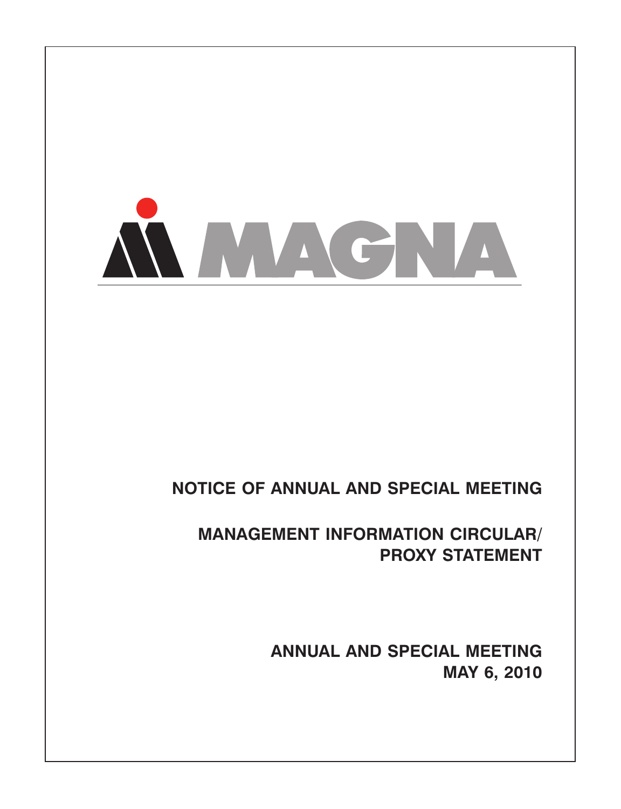

# **NOTICE OF ANNUAL AND SPECIAL MEETING**

**MANAGEMENT INFORMATION CIRCULAR/ PROXY STATEMENT**

> **ANNUAL AND SPECIAL MEETING MAY 6, 2010**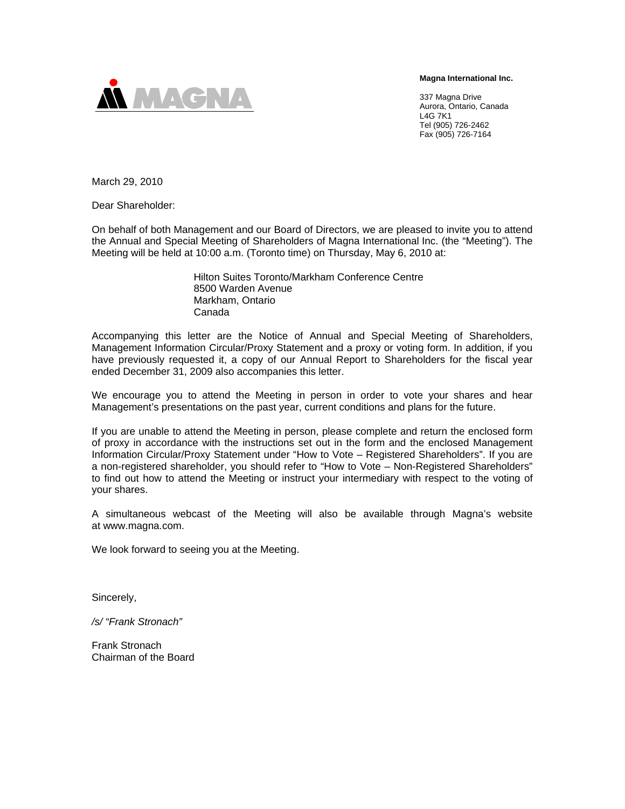**Magna International Inc.** 



337 Magna Drive Aurora, Ontario, Canada L4G 7K1 Tel (905) 726-2462 Fax (905) 726-7164

March 29, 2010

Dear Shareholder:

On behalf of both Management and our Board of Directors, we are pleased to invite you to attend the Annual and Special Meeting of Shareholders of Magna International Inc. (the "Meeting"). The Meeting will be held at 10:00 a.m. (Toronto time) on Thursday, May 6, 2010 at:

> Hilton Suites Toronto/Markham Conference Centre 8500 Warden Avenue Markham, Ontario Canada

Accompanying this letter are the Notice of Annual and Special Meeting of Shareholders, Management Information Circular/Proxy Statement and a proxy or voting form. In addition, if you have previously requested it, a copy of our Annual Report to Shareholders for the fiscal year ended December 31, 2009 also accompanies this letter.

We encourage you to attend the Meeting in person in order to vote your shares and hear Management's presentations on the past year, current conditions and plans for the future.

If you are unable to attend the Meeting in person, please complete and return the enclosed form of proxy in accordance with the instructions set out in the form and the enclosed Management Information Circular/Proxy Statement under "How to Vote – Registered Shareholders". If you are a non-registered shareholder, you should refer to "How to Vote – Non-Registered Shareholders" to find out how to attend the Meeting or instruct your intermediary with respect to the voting of your shares.

A simultaneous webcast of the Meeting will also be available through Magna's website at www.magna.com.

We look forward to seeing you at the Meeting.

Sincerely,

*/s/ "Frank Stronach"* 

Frank Stronach Chairman of the Board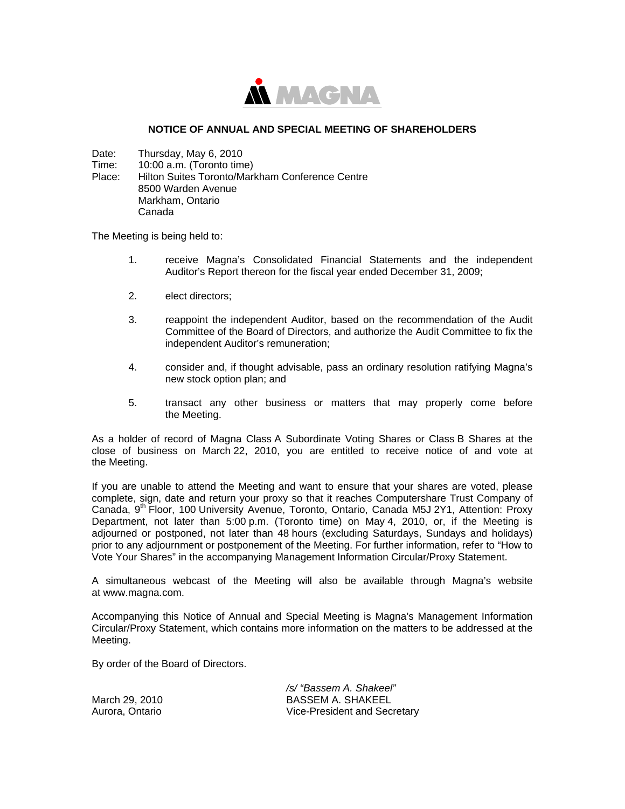

## **NOTICE OF ANNUAL AND SPECIAL MEETING OF SHAREHOLDERS**

Date: Thursday, May 6, 2010

Time: 10:00 a.m. (Toronto time)

Place: Hilton Suites Toronto/Markham Conference Centre 8500 Warden Avenue Markham, Ontario Canada

The Meeting is being held to:

- 1. receive Magna's Consolidated Financial Statements and the independent Auditor's Report thereon for the fiscal year ended December 31, 2009;
- 2. elect directors;
- 3. reappoint the independent Auditor, based on the recommendation of the Audit Committee of the Board of Directors, and authorize the Audit Committee to fix the independent Auditor's remuneration;
- 4. consider and, if thought advisable, pass an ordinary resolution ratifying Magna's new stock option plan; and
- 5. transact any other business or matters that may properly come before the Meeting.

As a holder of record of Magna Class A Subordinate Voting Shares or Class B Shares at the close of business on March 22, 2010, you are entitled to receive notice of and vote at the Meeting.

If you are unable to attend the Meeting and want to ensure that your shares are voted, please complete, sign, date and return your proxy so that it reaches Computershare Trust Company of Canada, 9<sup>th</sup> Floor, 100 University Avenue, Toronto, Ontario, Canada M5J 2Y1, Attention: Proxy Department, not later than 5:00 p.m. (Toronto time) on May 4, 2010, or, if the Meeting is adjourned or postponed, not later than 48 hours (excluding Saturdays, Sundays and holidays) prior to any adjournment or postponement of the Meeting. For further information, refer to "How to Vote Your Shares" in the accompanying Management Information Circular/Proxy Statement.

A simultaneous webcast of the Meeting will also be available through Magna's website at www.magna.com.

Accompanying this Notice of Annual and Special Meeting is Magna's Management Information Circular/Proxy Statement, which contains more information on the matters to be addressed at the Meeting.

By order of the Board of Directors.

March 29, 2010 Aurora, Ontario */s/ "Bassem A. Shakeel"*  BASSEM A. SHAKEEL Vice-President and Secretary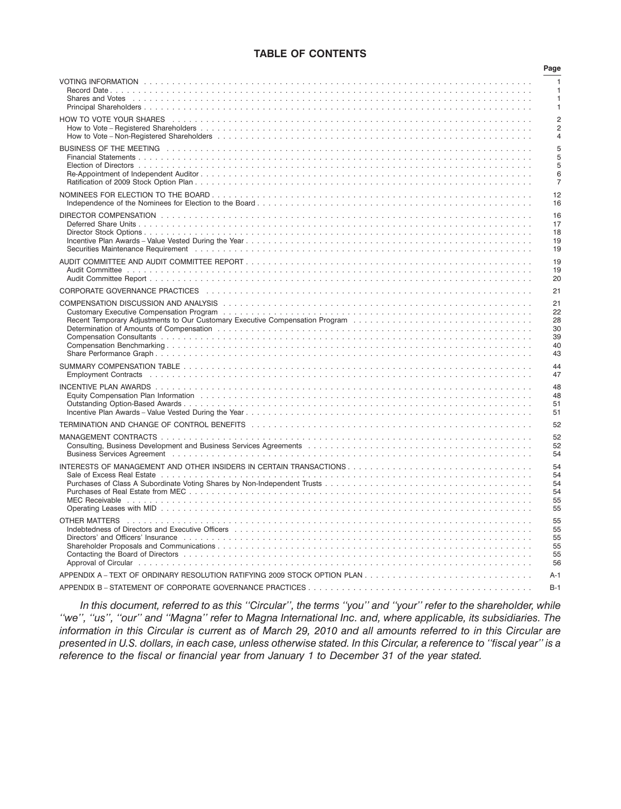# **TABLE OF CONTENTS**

|                                                                                                                                                                                                                                | Page           |
|--------------------------------------------------------------------------------------------------------------------------------------------------------------------------------------------------------------------------------|----------------|
|                                                                                                                                                                                                                                | 1<br>1         |
| HOW TO VOTE YOUR SHARES And all are all are all are all are all are all are all are all the starter of the sta                                                                                                                 | $\overline{2}$ |
|                                                                                                                                                                                                                                | 2              |
|                                                                                                                                                                                                                                | $\overline{4}$ |
|                                                                                                                                                                                                                                | 5              |
|                                                                                                                                                                                                                                | 5              |
|                                                                                                                                                                                                                                | 5              |
|                                                                                                                                                                                                                                | 6              |
|                                                                                                                                                                                                                                | $\overline{7}$ |
|                                                                                                                                                                                                                                | 12             |
|                                                                                                                                                                                                                                | 16             |
|                                                                                                                                                                                                                                | 16             |
|                                                                                                                                                                                                                                | 17             |
|                                                                                                                                                                                                                                | 18             |
|                                                                                                                                                                                                                                | 19             |
|                                                                                                                                                                                                                                | 19             |
|                                                                                                                                                                                                                                | 19             |
|                                                                                                                                                                                                                                | 19             |
|                                                                                                                                                                                                                                | 20             |
|                                                                                                                                                                                                                                | 21             |
|                                                                                                                                                                                                                                | 21             |
|                                                                                                                                                                                                                                | 22             |
|                                                                                                                                                                                                                                | 28             |
|                                                                                                                                                                                                                                | 30             |
|                                                                                                                                                                                                                                | 39             |
|                                                                                                                                                                                                                                | 40             |
|                                                                                                                                                                                                                                | 43             |
|                                                                                                                                                                                                                                | 44             |
| Employment Contracts (also contracts) and contracts are contracted to contract the contract of the contracts of the contracts of the contracts of the contracts of the contracts of the contracts of the contracts of the cont | 47             |
|                                                                                                                                                                                                                                | 48             |
|                                                                                                                                                                                                                                | 48             |
|                                                                                                                                                                                                                                | 51             |
|                                                                                                                                                                                                                                | 51             |
| TERMINATION AND CHANGE OF CONTROL BENEFITS (and account the contract of the contract of the contract of the co                                                                                                                 | 52             |
|                                                                                                                                                                                                                                | 52             |
|                                                                                                                                                                                                                                | 52             |
|                                                                                                                                                                                                                                | 54             |
| INTERESTS OF MANAGEMENT AND OTHER INSIDERS IN CERTAIN TRANSACTIONS                                                                                                                                                             | 54             |
|                                                                                                                                                                                                                                | 54             |
|                                                                                                                                                                                                                                | 54             |
|                                                                                                                                                                                                                                | 54             |
|                                                                                                                                                                                                                                | 55             |
|                                                                                                                                                                                                                                | 55             |
|                                                                                                                                                                                                                                | 55             |
|                                                                                                                                                                                                                                | 55             |
| Directors' and Officers' Insurance educational contracts in the contract of the contract of the contract of the contract of the contract of the contract of the contract of the contract of the contract of the contract of th | 55             |
|                                                                                                                                                                                                                                | 55             |
|                                                                                                                                                                                                                                | 55             |
|                                                                                                                                                                                                                                | 56             |
|                                                                                                                                                                                                                                | $A-1$          |
|                                                                                                                                                                                                                                | $B-1$          |

*In this document, referred to as this ''Circular'', the terms ''you'' and ''your'' refer to the shareholder, while ''we'', ''us'', ''our'' and ''Magna'' refer to Magna International Inc. and, where applicable, its subsidiaries. The information in this Circular is current as of March 29, 2010 and all amounts referred to in this Circular are presented in U.S. dollars, in each case, unless otherwise stated. In this Circular, a reference to ''fiscal year'' is a reference to the fiscal or financial year from January 1 to December 31 of the year stated.*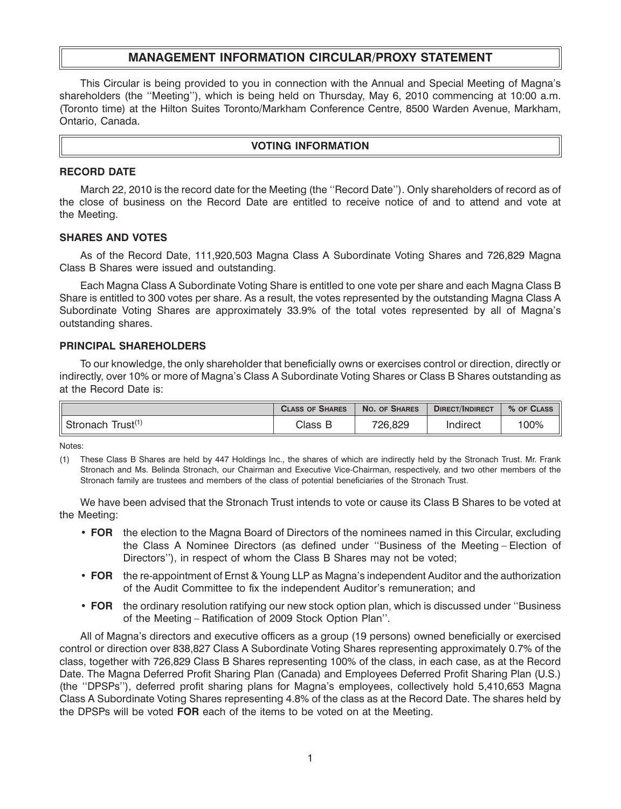# **MANAGEMENT INFORMATION CIRCULAR/PROXY STATEMENT**

This Circular is being provided to you in connection with the Annual and Special Meeting of Magna's shareholders (the ''Meeting''), which is being held on Thursday, May 6, 2010 commencing at 10:00 a.m. (Toronto time) at the Hilton Suites Toronto/Markham Conference Centre, 8500 Warden Avenue, Markham, Ontario, Canada.

## **VOTING INFORMATION**

#### **RECORD DATE**

March 22, 2010 is the record date for the Meeting (the ''Record Date''). Only shareholders of record as of the close of business on the Record Date are entitled to receive notice of and to attend and vote at the Meeting.

#### **SHARES AND VOTES**

As of the Record Date, 111,920,503 Magna Class A Subordinate Voting Shares and 726,829 Magna Class B Shares were issued and outstanding.

Each Magna Class A Subordinate Voting Share is entitled to one vote per share and each Magna Class B Share is entitled to 300 votes per share. As a result, the votes represented by the outstanding Magna Class A Subordinate Voting Shares are approximately 33.9% of the total votes represented by all of Magna's outstanding shares.

#### **PRINCIPAL SHAREHOLDERS**

To our knowledge, the only shareholder that beneficially owns or exercises control or direction, directly or indirectly, over 10% or more of Magna's Class A Subordinate Voting Shares or Class B Shares outstanding as at the Record Date is:

|                                 | <b>CLASS OF SHARES</b> | NO. OF SHARES | <b>DIRECT/INDIRECT</b> | % OF CLASS |
|---------------------------------|------------------------|---------------|------------------------|------------|
| Trust <sup>(1</sup><br>Stronach | Class                  | 726,829       | Indirect               | 100%       |

Notes:

We have been advised that the Stronach Trust intends to vote or cause its Class B Shares to be voted at the Meeting:

- **FOR** the election to the Magna Board of Directors of the nominees named in this Circular, excluding the Class A Nominee Directors (as defined under ''Business of the Meeting – Election of Directors''), in respect of whom the Class B Shares may not be voted;
- **FOR** the re-appointment of Ernst & Young LLP as Magna's independent Auditor and the authorization of the Audit Committee to fix the independent Auditor's remuneration; and
- **FOR** the ordinary resolution ratifying our new stock option plan, which is discussed under ''Business of the Meeting – Ratification of 2009 Stock Option Plan''.

All of Magna's directors and executive officers as a group (19 persons) owned beneficially or exercised control or direction over 838,827 Class A Subordinate Voting Shares representing approximately 0.7% of the class, together with 726,829 Class B Shares representing 100% of the class, in each case, as at the Record Date. The Magna Deferred Profit Sharing Plan (Canada) and Employees Deferred Profit Sharing Plan (U.S.) (the ''DPSPs''), deferred profit sharing plans for Magna's employees, collectively hold 5,410,653 Magna Class A Subordinate Voting Shares representing 4.8% of the class as at the Record Date. The shares held by the DPSPs will be voted **FOR** each of the items to be voted on at the Meeting.

<sup>(1)</sup> These Class B Shares are held by 447 Holdings Inc., the shares of which are indirectly held by the Stronach Trust. Mr. Frank Stronach and Ms. Belinda Stronach, our Chairman and Executive Vice-Chairman, respectively, and two other members of the Stronach family are trustees and members of the class of potential beneficiaries of the Stronach Trust.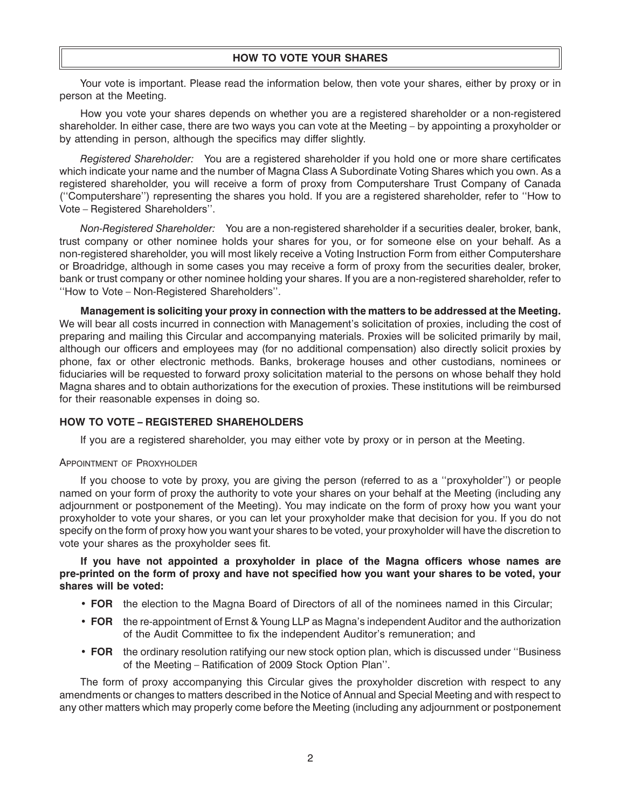Your vote is important. Please read the information below, then vote your shares, either by proxy or in person at the Meeting.

How you vote your shares depends on whether you are a registered shareholder or a non-registered shareholder. In either case, there are two ways you can vote at the Meeting – by appointing a proxyholder or by attending in person, although the specifics may differ slightly.

*Registered Shareholder:* You are a registered shareholder if you hold one or more share certificates which indicate your name and the number of Magna Class A Subordinate Voting Shares which you own. As a registered shareholder, you will receive a form of proxy from Computershare Trust Company of Canada (''Computershare'') representing the shares you hold. If you are a registered shareholder, refer to ''How to Vote – Registered Shareholders''.

*Non-Registered Shareholder:* You are a non-registered shareholder if a securities dealer, broker, bank, trust company or other nominee holds your shares for you, or for someone else on your behalf. As a non-registered shareholder, you will most likely receive a Voting Instruction Form from either Computershare or Broadridge, although in some cases you may receive a form of proxy from the securities dealer, broker, bank or trust company or other nominee holding your shares. If you are a non-registered shareholder, refer to ''How to Vote – Non-Registered Shareholders''.

**Management is soliciting your proxy in connection with the matters to be addressed at the Meeting.** We will bear all costs incurred in connection with Management's solicitation of proxies, including the cost of preparing and mailing this Circular and accompanying materials. Proxies will be solicited primarily by mail, although our officers and employees may (for no additional compensation) also directly solicit proxies by phone, fax or other electronic methods. Banks, brokerage houses and other custodians, nominees or fiduciaries will be requested to forward proxy solicitation material to the persons on whose behalf they hold Magna shares and to obtain authorizations for the execution of proxies. These institutions will be reimbursed for their reasonable expenses in doing so.

# **HOW TO VOTE – REGISTERED SHAREHOLDERS**

If you are a registered shareholder, you may either vote by proxy or in person at the Meeting.

## APPOINTMENT OF PROXYHOLDER

If you choose to vote by proxy, you are giving the person (referred to as a ''proxyholder'') or people named on your form of proxy the authority to vote your shares on your behalf at the Meeting (including any adjournment or postponement of the Meeting). You may indicate on the form of proxy how you want your proxyholder to vote your shares, or you can let your proxyholder make that decision for you. If you do not specify on the form of proxy how you want your shares to be voted, your proxyholder will have the discretion to vote your shares as the proxyholder sees fit.

## **If you have not appointed a proxyholder in place of the Magna officers whose names are pre-printed on the form of proxy and have not specified how you want your shares to be voted, your shares will be voted:**

- **FOR** the election to the Magna Board of Directors of all of the nominees named in this Circular;
- **FOR** the re-appointment of Ernst & Young LLP as Magna's independent Auditor and the authorization of the Audit Committee to fix the independent Auditor's remuneration; and
- **FOR** the ordinary resolution ratifying our new stock option plan, which is discussed under ''Business of the Meeting – Ratification of 2009 Stock Option Plan''.

The form of proxy accompanying this Circular gives the proxyholder discretion with respect to any amendments or changes to matters described in the Notice of Annual and Special Meeting and with respect to any other matters which may properly come before the Meeting (including any adjournment or postponement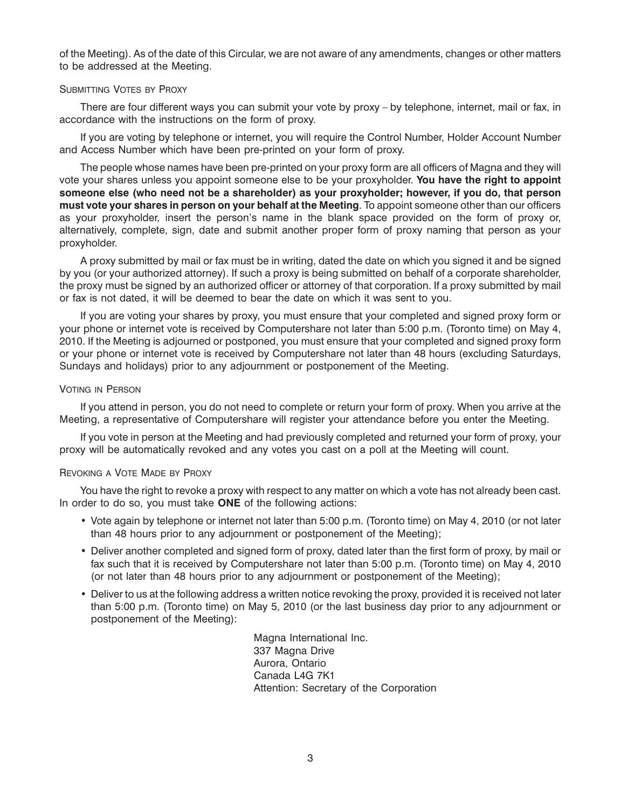of the Meeting). As of the date of this Circular, we are not aware of any amendments, changes or other matters to be addressed at the Meeting.

#### SUBMITTING VOTES BY PROXY

There are four different ways you can submit your vote by proxy – by telephone, internet, mail or fax, in accordance with the instructions on the form of proxy.

If you are voting by telephone or internet, you will require the Control Number, Holder Account Number and Access Number which have been pre-printed on your form of proxy.

The people whose names have been pre-printed on your proxy form are all officers of Magna and they will vote your shares unless you appoint someone else to be your proxyholder. **You have the right to appoint someone else (who need not be a shareholder) as your proxyholder; however, if you do, that person must vote your shares in person on your behalf at the Meeting**. To appoint someone other than our officers as your proxyholder, insert the person's name in the blank space provided on the form of proxy or, alternatively, complete, sign, date and submit another proper form of proxy naming that person as your proxyholder.

A proxy submitted by mail or fax must be in writing, dated the date on which you signed it and be signed by you (or your authorized attorney). If such a proxy is being submitted on behalf of a corporate shareholder, the proxy must be signed by an authorized officer or attorney of that corporation. If a proxy submitted by mail or fax is not dated, it will be deemed to bear the date on which it was sent to you.

If you are voting your shares by proxy, you must ensure that your completed and signed proxy form or your phone or internet vote is received by Computershare not later than 5:00 p.m. (Toronto time) on May 4, 2010. If the Meeting is adjourned or postponed, you must ensure that your completed and signed proxy form or your phone or internet vote is received by Computershare not later than 48 hours (excluding Saturdays, Sundays and holidays) prior to any adjournment or postponement of the Meeting.

#### VOTING IN PERSON

If you attend in person, you do not need to complete or return your form of proxy. When you arrive at the Meeting, a representative of Computershare will register your attendance before you enter the Meeting.

If you vote in person at the Meeting and had previously completed and returned your form of proxy, your proxy will be automatically revoked and any votes you cast on a poll at the Meeting will count.

#### REVOKING A VOTE MADE BY PROXY

You have the right to revoke a proxy with respect to any matter on which a vote has not already been cast. In order to do so, you must take **ONE** of the following actions:

- Vote again by telephone or internet not later than 5:00 p.m. (Toronto time) on May 4, 2010 (or not later than 48 hours prior to any adjournment or postponement of the Meeting);
- Deliver another completed and signed form of proxy, dated later than the first form of proxy, by mail or fax such that it is received by Computershare not later than 5:00 p.m. (Toronto time) on May 4, 2010 (or not later than 48 hours prior to any adjournment or postponement of the Meeting);
- Deliver to us at the following address a written notice revoking the proxy, provided it is received not later than 5:00 p.m. (Toronto time) on May 5, 2010 (or the last business day prior to any adjournment or postponement of the Meeting):

Magna International Inc. 337 Magna Drive Aurora, Ontario Canada L4G 7K1 Attention: Secretary of the Corporation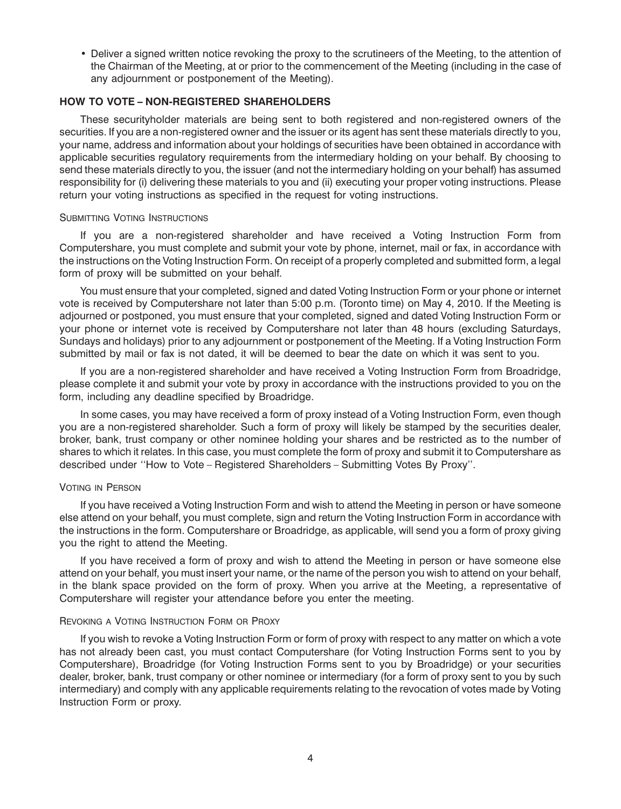• Deliver a signed written notice revoking the proxy to the scrutineers of the Meeting, to the attention of the Chairman of the Meeting, at or prior to the commencement of the Meeting (including in the case of any adjournment or postponement of the Meeting).

# **HOW TO VOTE – NON-REGISTERED SHAREHOLDERS**

These securityholder materials are being sent to both registered and non-registered owners of the securities. If you are a non-registered owner and the issuer or its agent has sent these materials directly to you, your name, address and information about your holdings of securities have been obtained in accordance with applicable securities regulatory requirements from the intermediary holding on your behalf. By choosing to send these materials directly to you, the issuer (and not the intermediary holding on your behalf) has assumed responsibility for (i) delivering these materials to you and (ii) executing your proper voting instructions. Please return your voting instructions as specified in the request for voting instructions.

#### SUBMITTING VOTING INSTRUCTIONS

If you are a non-registered shareholder and have received a Voting Instruction Form from Computershare, you must complete and submit your vote by phone, internet, mail or fax, in accordance with the instructions on the Voting Instruction Form. On receipt of a properly completed and submitted form, a legal form of proxy will be submitted on your behalf.

You must ensure that your completed, signed and dated Voting Instruction Form or your phone or internet vote is received by Computershare not later than 5:00 p.m. (Toronto time) on May 4, 2010. If the Meeting is adjourned or postponed, you must ensure that your completed, signed and dated Voting Instruction Form or your phone or internet vote is received by Computershare not later than 48 hours (excluding Saturdays, Sundays and holidays) prior to any adjournment or postponement of the Meeting. If a Voting Instruction Form submitted by mail or fax is not dated, it will be deemed to bear the date on which it was sent to you.

If you are a non-registered shareholder and have received a Voting Instruction Form from Broadridge, please complete it and submit your vote by proxy in accordance with the instructions provided to you on the form, including any deadline specified by Broadridge.

In some cases, you may have received a form of proxy instead of a Voting Instruction Form, even though you are a non-registered shareholder. Such a form of proxy will likely be stamped by the securities dealer, broker, bank, trust company or other nominee holding your shares and be restricted as to the number of shares to which it relates. In this case, you must complete the form of proxy and submit it to Computershare as described under ''How to Vote – Registered Shareholders *–* Submitting Votes By Proxy''.

## VOTING IN PERSON

If you have received a Voting Instruction Form and wish to attend the Meeting in person or have someone else attend on your behalf, you must complete, sign and return the Voting Instruction Form in accordance with the instructions in the form. Computershare or Broadridge, as applicable, will send you a form of proxy giving you the right to attend the Meeting.

If you have received a form of proxy and wish to attend the Meeting in person or have someone else attend on your behalf, you must insert your name, or the name of the person you wish to attend on your behalf, in the blank space provided on the form of proxy. When you arrive at the Meeting, a representative of Computershare will register your attendance before you enter the meeting.

#### REVOKING A VOTING INSTRUCTION FORM OR PROXY

If you wish to revoke a Voting Instruction Form or form of proxy with respect to any matter on which a vote has not already been cast, you must contact Computershare (for Voting Instruction Forms sent to you by Computershare), Broadridge (for Voting Instruction Forms sent to you by Broadridge) or your securities dealer, broker, bank, trust company or other nominee or intermediary (for a form of proxy sent to you by such intermediary) and comply with any applicable requirements relating to the revocation of votes made by Voting Instruction Form or proxy.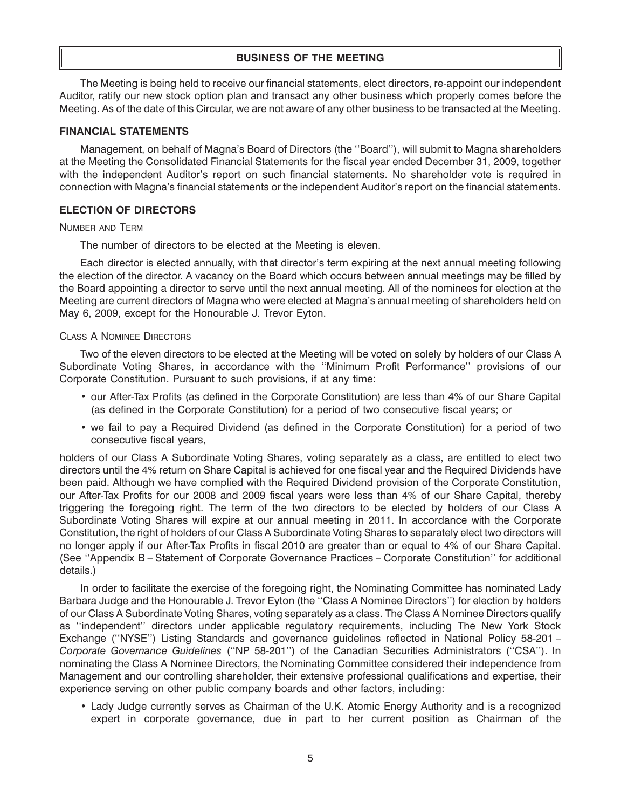## **BUSINESS OF THE MEETING**

The Meeting is being held to receive our financial statements, elect directors, re-appoint our independent Auditor, ratify our new stock option plan and transact any other business which properly comes before the Meeting. As of the date of this Circular, we are not aware of any other business to be transacted at the Meeting.

## **FINANCIAL STATEMENTS**

Management, on behalf of Magna's Board of Directors (the ''Board''), will submit to Magna shareholders at the Meeting the Consolidated Financial Statements for the fiscal year ended December 31, 2009, together with the independent Auditor's report on such financial statements. No shareholder vote is required in connection with Magna's financial statements or the independent Auditor's report on the financial statements.

## **ELECTION OF DIRECTORS**

#### NUMBER AND TERM

The number of directors to be elected at the Meeting is eleven.

Each director is elected annually, with that director's term expiring at the next annual meeting following the election of the director. A vacancy on the Board which occurs between annual meetings may be filled by the Board appointing a director to serve until the next annual meeting. All of the nominees for election at the Meeting are current directors of Magna who were elected at Magna's annual meeting of shareholders held on May 6, 2009, except for the Honourable J. Trevor Eyton.

#### CLASS A NOMINEE DIRECTORS

Two of the eleven directors to be elected at the Meeting will be voted on solely by holders of our Class A Subordinate Voting Shares, in accordance with the ''Minimum Profit Performance'' provisions of our Corporate Constitution. Pursuant to such provisions, if at any time:

- our After-Tax Profits (as defined in the Corporate Constitution) are less than 4% of our Share Capital (as defined in the Corporate Constitution) for a period of two consecutive fiscal years; or
- we fail to pay a Required Dividend (as defined in the Corporate Constitution) for a period of two consecutive fiscal years,

holders of our Class A Subordinate Voting Shares, voting separately as a class, are entitled to elect two directors until the 4% return on Share Capital is achieved for one fiscal year and the Required Dividends have been paid. Although we have complied with the Required Dividend provision of the Corporate Constitution, our After-Tax Profits for our 2008 and 2009 fiscal years were less than 4% of our Share Capital, thereby triggering the foregoing right. The term of the two directors to be elected by holders of our Class A Subordinate Voting Shares will expire at our annual meeting in 2011. In accordance with the Corporate Constitution, the right of holders of our Class A Subordinate Voting Shares to separately elect two directors will no longer apply if our After-Tax Profits in fiscal 2010 are greater than or equal to 4% of our Share Capital. (See ''Appendix B – Statement of Corporate Governance Practices – Corporate Constitution'' for additional details.)

In order to facilitate the exercise of the foregoing right, the Nominating Committee has nominated Lady Barbara Judge and the Honourable J. Trevor Eyton (the ''Class A Nominee Directors'') for election by holders of our Class A Subordinate Voting Shares, voting separately as a class. The Class A Nominee Directors qualify as ''independent'' directors under applicable regulatory requirements, including The New York Stock Exchange (''NYSE'') Listing Standards and governance guidelines reflected in National Policy 58-201 – *Corporate Governance Guidelines* (''NP 58-201'') of the Canadian Securities Administrators (''CSA''). In nominating the Class A Nominee Directors, the Nominating Committee considered their independence from Management and our controlling shareholder, their extensive professional qualifications and expertise, their experience serving on other public company boards and other factors, including:

• Lady Judge currently serves as Chairman of the U.K. Atomic Energy Authority and is a recognized expert in corporate governance, due in part to her current position as Chairman of the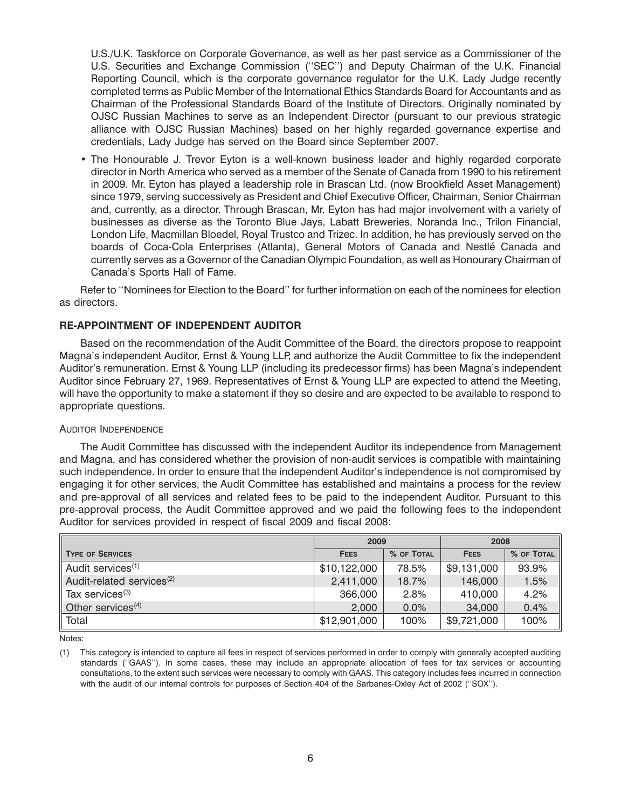U.S./U.K. Taskforce on Corporate Governance, as well as her past service as a Commissioner of the U.S. Securities and Exchange Commission (''SEC'') and Deputy Chairman of the U.K. Financial Reporting Council, which is the corporate governance regulator for the U.K. Lady Judge recently completed terms as Public Member of the International Ethics Standards Board for Accountants and as Chairman of the Professional Standards Board of the Institute of Directors. Originally nominated by OJSC Russian Machines to serve as an Independent Director (pursuant to our previous strategic alliance with OJSC Russian Machines) based on her highly regarded governance expertise and credentials, Lady Judge has served on the Board since September 2007.

• The Honourable J. Trevor Eyton is a well-known business leader and highly regarded corporate director in North America who served as a member of the Senate of Canada from 1990 to his retirement in 2009. Mr. Eyton has played a leadership role in Brascan Ltd. (now Brookfield Asset Management) since 1979, serving successively as President and Chief Executive Officer, Chairman, Senior Chairman and, currently, as a director. Through Brascan, Mr. Eyton has had major involvement with a variety of businesses as diverse as the Toronto Blue Jays, Labatt Breweries, Noranda Inc., Trilon Financial, London Life, Macmillan Bloedel, Royal Trustco and Trizec. In addition, he has previously served on the boards of Coca-Cola Enterprises (Atlanta), General Motors of Canada and Nestle Canada and ´ currently serves as a Governor of the Canadian Olympic Foundation, as well as Honourary Chairman of Canada's Sports Hall of Fame.

Refer to ''Nominees for Election to the Board'' for further information on each of the nominees for election as directors.

# **RE-APPOINTMENT OF INDEPENDENT AUDITOR**

Based on the recommendation of the Audit Committee of the Board, the directors propose to reappoint Magna's independent Auditor, Ernst & Young LLP, and authorize the Audit Committee to fix the independent Auditor's remuneration. Ernst & Young LLP (including its predecessor firms) has been Magna's independent Auditor since February 27, 1969. Representatives of Ernst & Young LLP are expected to attend the Meeting, will have the opportunity to make a statement if they so desire and are expected to be available to respond to appropriate questions.

#### AUDITOR INDEPENDENCE

The Audit Committee has discussed with the independent Auditor its independence from Management and Magna, and has considered whether the provision of non-audit services is compatible with maintaining such independence. In order to ensure that the independent Auditor's independence is not compromised by engaging it for other services, the Audit Committee has established and maintains a process for the review and pre-approval of all services and related fees to be paid to the independent Auditor. Pursuant to this pre-approval process, the Audit Committee approved and we paid the following fees to the independent Auditor for services provided in respect of fiscal 2009 and fiscal 2008:

|                                       | 2009         |            | 2008        |            |
|---------------------------------------|--------------|------------|-------------|------------|
| <b>TYPE OF SERVICES</b>               | <b>FEES</b>  | % OF TOTAL | <b>FEES</b> | % OF TOTAL |
| Audit services <sup>(1)</sup>         | \$10,122,000 | 78.5%      | \$9,131,000 | 93.9%      |
| Audit-related services <sup>(2)</sup> | 2,411,000    | 18.7%      | 146,000     | 1.5%       |
| Tax services <sup>(3)</sup>           | 366,000      | 2.8%       | 410,000     | 4.2%       |
| Other services <sup>(4)</sup>         | 2,000        | 0.0%       | 34,000      | 0.4%       |
| Total                                 | \$12,901,000 | 100%       | \$9,721,000 | 100%       |

Notes:

(1) This category is intended to capture all fees in respect of services performed in order to comply with generally accepted auditing standards (''GAAS''). In some cases, these may include an appropriate allocation of fees for tax services or accounting consultations, to the extent such services were necessary to comply with GAAS. This category includes fees incurred in connection with the audit of our internal controls for purposes of Section 404 of the Sarbanes-Oxley Act of 2002 ("SOX").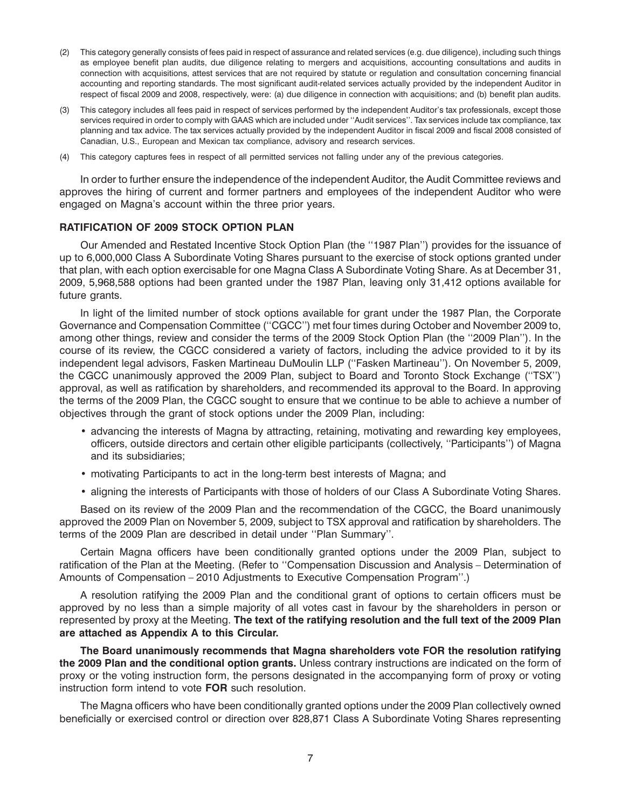- (2) This category generally consists of fees paid in respect of assurance and related services (e.g. due diligence), including such things as employee benefit plan audits, due diligence relating to mergers and acquisitions, accounting consultations and audits in connection with acquisitions, attest services that are not required by statute or regulation and consultation concerning financial accounting and reporting standards. The most significant audit-related services actually provided by the independent Auditor in respect of fiscal 2009 and 2008, respectively, were: (a) due diligence in connection with acquisitions; and (b) benefit plan audits.
- (3) This category includes all fees paid in respect of services performed by the independent Auditor's tax professionals, except those services required in order to comply with GAAS which are included under ''Audit services''. Tax services include tax compliance, tax planning and tax advice. The tax services actually provided by the independent Auditor in fiscal 2009 and fiscal 2008 consisted of Canadian, U.S., European and Mexican tax compliance, advisory and research services.
- (4) This category captures fees in respect of all permitted services not falling under any of the previous categories.

In order to further ensure the independence of the independent Auditor, the Audit Committee reviews and approves the hiring of current and former partners and employees of the independent Auditor who were engaged on Magna's account within the three prior years.

## **RATIFICATION OF 2009 STOCK OPTION PLAN**

Our Amended and Restated Incentive Stock Option Plan (the ''1987 Plan'') provides for the issuance of up to 6,000,000 Class A Subordinate Voting Shares pursuant to the exercise of stock options granted under that plan, with each option exercisable for one Magna Class A Subordinate Voting Share. As at December 31, 2009, 5,968,588 options had been granted under the 1987 Plan, leaving only 31,412 options available for future grants.

In light of the limited number of stock options available for grant under the 1987 Plan, the Corporate Governance and Compensation Committee (''CGCC'') met four times during October and November 2009 to, among other things, review and consider the terms of the 2009 Stock Option Plan (the ''2009 Plan''). In the course of its review, the CGCC considered a variety of factors, including the advice provided to it by its independent legal advisors, Fasken Martineau DuMoulin LLP (''Fasken Martineau''). On November 5, 2009, the CGCC unanimously approved the 2009 Plan, subject to Board and Toronto Stock Exchange (''TSX'') approval, as well as ratification by shareholders, and recommended its approval to the Board. In approving the terms of the 2009 Plan, the CGCC sought to ensure that we continue to be able to achieve a number of objectives through the grant of stock options under the 2009 Plan, including:

- advancing the interests of Magna by attracting, retaining, motivating and rewarding key employees, officers, outside directors and certain other eligible participants (collectively, ''Participants'') of Magna and its subsidiaries;
- motivating Participants to act in the long-term best interests of Magna; and
- aligning the interests of Participants with those of holders of our Class A Subordinate Voting Shares.

Based on its review of the 2009 Plan and the recommendation of the CGCC, the Board unanimously approved the 2009 Plan on November 5, 2009, subject to TSX approval and ratification by shareholders. The terms of the 2009 Plan are described in detail under ''Plan Summary''.

Certain Magna officers have been conditionally granted options under the 2009 Plan, subject to ratification of the Plan at the Meeting. (Refer to ''Compensation Discussion and Analysis – Determination of Amounts of Compensation – 2010 Adjustments to Executive Compensation Program''.)

A resolution ratifying the 2009 Plan and the conditional grant of options to certain officers must be approved by no less than a simple majority of all votes cast in favour by the shareholders in person or represented by proxy at the Meeting. **The text of the ratifying resolution and the full text of the 2009 Plan are attached as Appendix A to this Circular.**

**The Board unanimously recommends that Magna shareholders vote FOR the resolution ratifying the 2009 Plan and the conditional option grants.** Unless contrary instructions are indicated on the form of proxy or the voting instruction form, the persons designated in the accompanying form of proxy or voting instruction form intend to vote **FOR** such resolution.

The Magna officers who have been conditionally granted options under the 2009 Plan collectively owned beneficially or exercised control or direction over 828,871 Class A Subordinate Voting Shares representing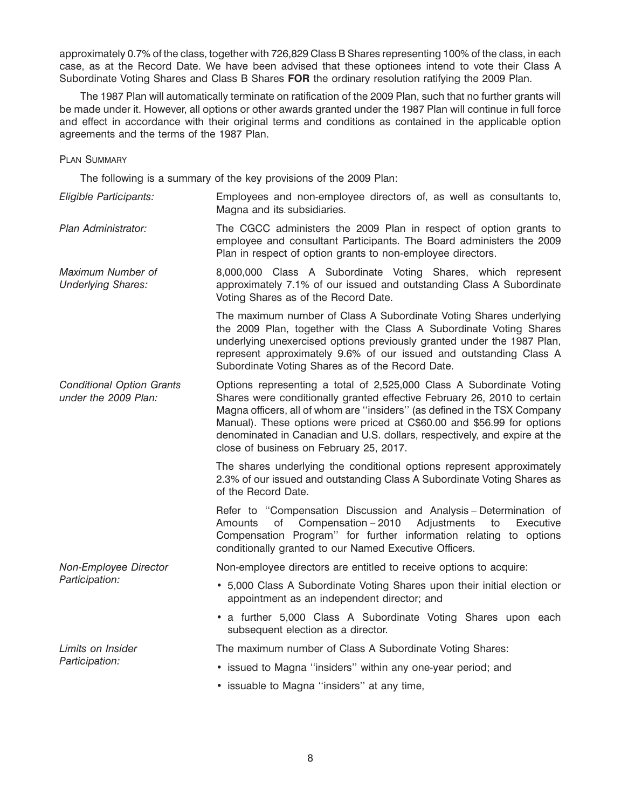approximately 0.7% of the class, together with 726,829 Class B Shares representing 100% of the class, in each case, as at the Record Date. We have been advised that these optionees intend to vote their Class A Subordinate Voting Shares and Class B Shares **FOR** the ordinary resolution ratifying the 2009 Plan.

The 1987 Plan will automatically terminate on ratification of the 2009 Plan, such that no further grants will be made under it. However, all options or other awards granted under the 1987 Plan will continue in full force and effect in accordance with their original terms and conditions as contained in the applicable option agreements and the terms of the 1987 Plan.

## PLAN SUMMARY

The following is a summary of the key provisions of the 2009 Plan:

*Eligible Participants:* Employees and non-employee directors of, as well as consultants to, Magna and its subsidiaries.

*Plan Administrator:* The CGCC administers the 2009 Plan in respect of option grants to employee and consultant Participants. The Board administers the 2009 Plan in respect of option grants to non-employee directors.

*Maximum Number of* 8,000,000 Class A Subordinate Voting Shares, which represent *Underlying Shares:* approximately 7.1% of our issued and outstanding Class A Subordinate Voting Shares as of the Record Date.

> The maximum number of Class A Subordinate Voting Shares underlying the 2009 Plan, together with the Class A Subordinate Voting Shares underlying unexercised options previously granted under the 1987 Plan, represent approximately 9.6% of our issued and outstanding Class A Subordinate Voting Shares as of the Record Date.

*Conditional Option Grants* Options representing a total of 2,525,000 Class A Subordinate Voting *under the 2009 Plan:* Shares were conditionally granted effective February 26, 2010 to certain Magna officers, all of whom are ''insiders'' (as defined in the TSX Company Manual). These options were priced at C\$60.00 and \$56.99 for options denominated in Canadian and U.S. dollars, respectively, and expire at the close of business on February 25, 2017.

> The shares underlying the conditional options represent approximately 2.3% of our issued and outstanding Class A Subordinate Voting Shares as of the Record Date.

> Refer to ''Compensation Discussion and Analysis – Determination of Amounts of Compensation – 2010 Adjustments to Executive Compensation Program'' for further information relating to options conditionally granted to our Named Executive Officers.

*Non-Employee Director* Non-employee directors are entitled to receive options to acquire:

- *Participation:* 5,000 Class A Subordinate Voting Shares upon their initial election or appointment as an independent director; and
	- a further 5,000 Class A Subordinate Voting Shares upon each subsequent election as a director.

*Limits on Insider* The maximum number of Class A Subordinate Voting Shares:

- *Participation:* issued to Magna ''insiders'' within any one-year period; and
	- issuable to Magna ''insiders'' at any time,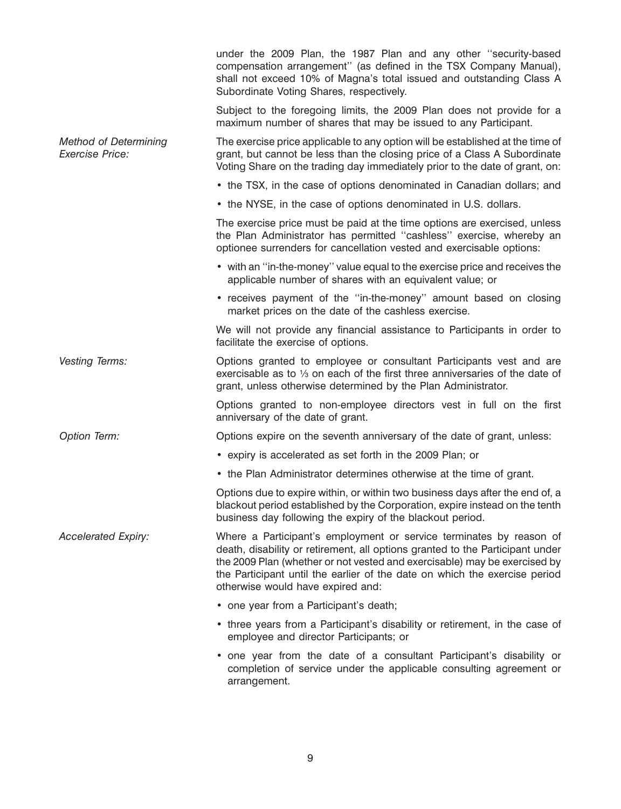|                                                        | under the 2009 Plan, the 1987 Plan and any other "security-based<br>compensation arrangement" (as defined in the TSX Company Manual),<br>shall not exceed 10% of Magna's total issued and outstanding Class A<br>Subordinate Voting Shares, respectively.                                                                                            |
|--------------------------------------------------------|------------------------------------------------------------------------------------------------------------------------------------------------------------------------------------------------------------------------------------------------------------------------------------------------------------------------------------------------------|
|                                                        | Subject to the foregoing limits, the 2009 Plan does not provide for a<br>maximum number of shares that may be issued to any Participant.                                                                                                                                                                                                             |
| <b>Method of Determining</b><br><b>Exercise Price:</b> | The exercise price applicable to any option will be established at the time of<br>grant, but cannot be less than the closing price of a Class A Subordinate<br>Voting Share on the trading day immediately prior to the date of grant, on:                                                                                                           |
|                                                        | • the TSX, in the case of options denominated in Canadian dollars; and                                                                                                                                                                                                                                                                               |
|                                                        | • the NYSE, in the case of options denominated in U.S. dollars.                                                                                                                                                                                                                                                                                      |
|                                                        | The exercise price must be paid at the time options are exercised, unless<br>the Plan Administrator has permitted "cashless" exercise, whereby an<br>optionee surrenders for cancellation vested and exercisable options:                                                                                                                            |
|                                                        | • with an "in-the-money" value equal to the exercise price and receives the<br>applicable number of shares with an equivalent value; or                                                                                                                                                                                                              |
|                                                        | • receives payment of the "in-the-money" amount based on closing<br>market prices on the date of the cashless exercise.                                                                                                                                                                                                                              |
|                                                        | We will not provide any financial assistance to Participants in order to<br>facilitate the exercise of options.                                                                                                                                                                                                                                      |
| Vesting Terms:                                         | Options granted to employee or consultant Participants vest and are<br>exercisable as to 1/3 on each of the first three anniversaries of the date of<br>grant, unless otherwise determined by the Plan Administrator.                                                                                                                                |
|                                                        | Options granted to non-employee directors vest in full on the first<br>anniversary of the date of grant.                                                                                                                                                                                                                                             |
| Option Term:                                           | Options expire on the seventh anniversary of the date of grant, unless:                                                                                                                                                                                                                                                                              |
|                                                        | • expiry is accelerated as set forth in the 2009 Plan; or                                                                                                                                                                                                                                                                                            |
|                                                        | • the Plan Administrator determines otherwise at the time of grant.                                                                                                                                                                                                                                                                                  |
|                                                        | Options due to expire within, or within two business days after the end of, a<br>blackout period established by the Corporation, expire instead on the tenth<br>business day following the expiry of the blackout period.                                                                                                                            |
| <b>Accelerated Expiry:</b>                             | Where a Participant's employment or service terminates by reason of<br>death, disability or retirement, all options granted to the Participant under<br>the 2009 Plan (whether or not vested and exercisable) may be exercised by<br>the Participant until the earlier of the date on which the exercise period<br>otherwise would have expired and: |
|                                                        | • one year from a Participant's death;                                                                                                                                                                                                                                                                                                               |
|                                                        | • three years from a Participant's disability or retirement, in the case of<br>employee and director Participants; or                                                                                                                                                                                                                                |
|                                                        | • one year from the date of a consultant Participant's disability or<br>completion of service under the applicable consulting agreement or<br>arrangement.                                                                                                                                                                                           |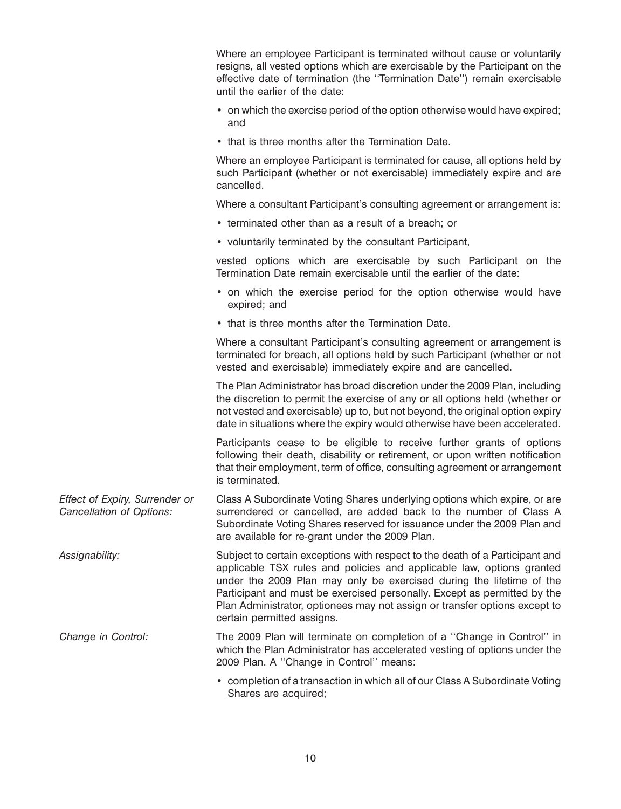Where an employee Participant is terminated without cause or voluntarily resigns, all vested options which are exercisable by the Participant on the effective date of termination (the ''Termination Date'') remain exercisable until the earlier of the date:

- on which the exercise period of the option otherwise would have expired; and
- that is three months after the Termination Date.

Where an employee Participant is terminated for cause, all options held by such Participant (whether or not exercisable) immediately expire and are cancelled.

Where a consultant Participant's consulting agreement or arrangement is:

- terminated other than as a result of a breach; or
- voluntarily terminated by the consultant Participant,

vested options which are exercisable by such Participant on the Termination Date remain exercisable until the earlier of the date:

- on which the exercise period for the option otherwise would have expired; and
- that is three months after the Termination Date.

Where a consultant Participant's consulting agreement or arrangement is terminated for breach, all options held by such Participant (whether or not vested and exercisable) immediately expire and are cancelled.

The Plan Administrator has broad discretion under the 2009 Plan, including the discretion to permit the exercise of any or all options held (whether or not vested and exercisable) up to, but not beyond, the original option expiry date in situations where the expiry would otherwise have been accelerated.

Participants cease to be eligible to receive further grants of options following their death, disability or retirement, or upon written notification that their employment, term of office, consulting agreement or arrangement is terminated.

*Effect of Expiry, Surrender or* Class A Subordinate Voting Shares underlying options which expire, or are *Cancellation of Options:* surrendered or cancelled, are added back to the number of Class A Subordinate Voting Shares reserved for issuance under the 2009 Plan and are available for re-grant under the 2009 Plan.

*Assignability:* Subject to certain exceptions with respect to the death of a Participant and applicable TSX rules and policies and applicable law, options granted under the 2009 Plan may only be exercised during the lifetime of the Participant and must be exercised personally. Except as permitted by the Plan Administrator, optionees may not assign or transfer options except to certain permitted assigns.

- *Change in Control:* The 2009 Plan will terminate on completion of a ''Change in Control'' in which the Plan Administrator has accelerated vesting of options under the 2009 Plan. A ''Change in Control'' means:
	- completion of a transaction in which all of our Class A Subordinate Voting Shares are acquired;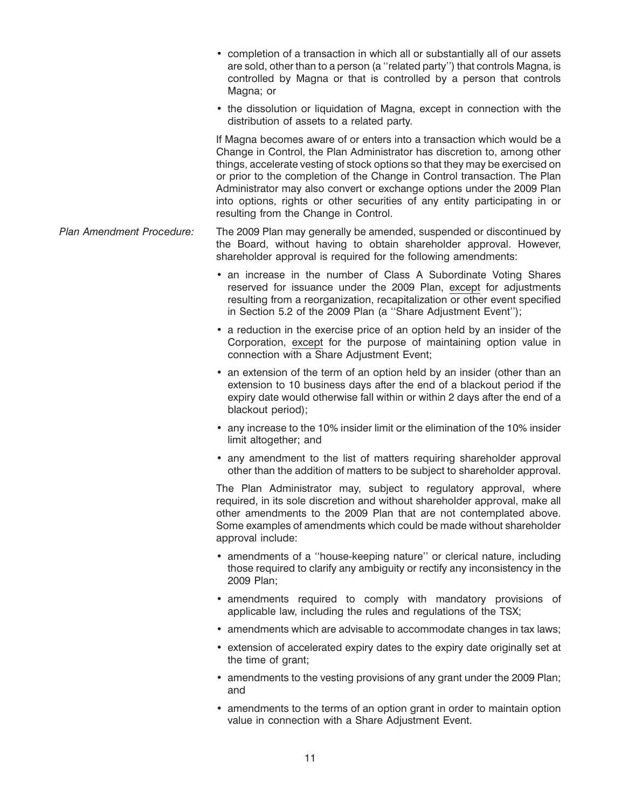- completion of a transaction in which all or substantially all of our assets are sold, other than to a person (a ''related party'') that controls Magna, is controlled by Magna or that is controlled by a person that controls Magna; or
- the dissolution or liquidation of Magna, except in connection with the distribution of assets to a related party.

If Magna becomes aware of or enters into a transaction which would be a Change in Control, the Plan Administrator has discretion to, among other things, accelerate vesting of stock options so that they may be exercised on or prior to the completion of the Change in Control transaction. The Plan Administrator may also convert or exchange options under the 2009 Plan into options, rights or other securities of any entity participating in or resulting from the Change in Control.

- *Plan Amendment Procedure:* The 2009 Plan may generally be amended, suspended or discontinued by the Board, without having to obtain shareholder approval. However, shareholder approval is required for the following amendments:
	- an increase in the number of Class A Subordinate Voting Shares reserved for issuance under the 2009 Plan, except for adjustments resulting from a reorganization, recapitalization or other event specified in Section 5.2 of the 2009 Plan (a ''Share Adjustment Event'');
	- a reduction in the exercise price of an option held by an insider of the Corporation, except for the purpose of maintaining option value in connection with a Share Adjustment Event;
	- an extension of the term of an option held by an insider (other than an extension to 10 business days after the end of a blackout period if the expiry date would otherwise fall within or within 2 days after the end of a blackout period);
	- any increase to the 10% insider limit or the elimination of the 10% insider limit altogether; and
	- any amendment to the list of matters requiring shareholder approval other than the addition of matters to be subject to shareholder approval.

The Plan Administrator may, subject to regulatory approval, where required, in its sole discretion and without shareholder approval, make all other amendments to the 2009 Plan that are not contemplated above. Some examples of amendments which could be made without shareholder approval include:

- amendments of a ''house-keeping nature'' or clerical nature, including those required to clarify any ambiguity or rectify any inconsistency in the 2009 Plan;
- amendments required to comply with mandatory provisions of applicable law, including the rules and regulations of the TSX;
- amendments which are advisable to accommodate changes in tax laws;
- extension of accelerated expiry dates to the expiry date originally set at the time of grant;
- amendments to the vesting provisions of any grant under the 2009 Plan; and
- amendments to the terms of an option grant in order to maintain option value in connection with a Share Adjustment Event.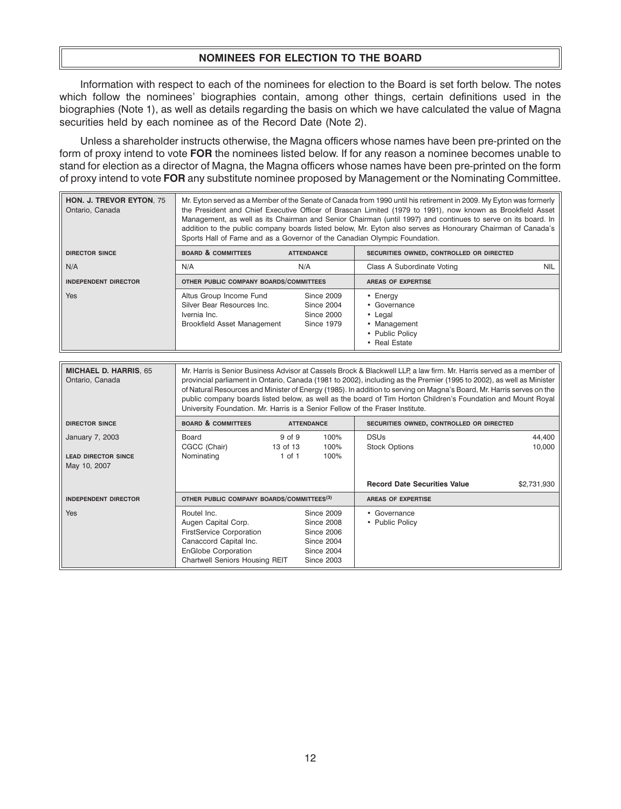# **NOMINEES FOR ELECTION TO THE BOARD**

Information with respect to each of the nominees for election to the Board is set forth below. The notes which follow the nominees' biographies contain, among other things, certain definitions used in the biographies (Note 1), as well as details regarding the basis on which we have calculated the value of Magna securities held by each nominee as of the Record Date (Note 2).

Unless a shareholder instructs otherwise, the Magna officers whose names have been pre-printed on the form of proxy intend to vote **FOR** the nominees listed below. If for any reason a nominee becomes unable to stand for election as a director of Magna, the Magna officers whose names have been pre-printed on the form of proxy intend to vote **FOR** any substitute nominee proposed by Management or the Nominating Committee.

r.

| <b>HON. J. TREVOR EYTON, 75</b><br>Ontario, Canada | Mr. Eyton served as a Member of the Senate of Canada from 1990 until his retirement in 2009. My Eyton was formerly<br>the President and Chief Executive Officer of Brascan Limited (1979 to 1991), now known as Brookfield Asset<br>Management, as well as its Chairman and Senior Chairman (until 1997) and continues to serve on its board. In<br>addition to the public company boards listed below, Mr. Eyton also serves as Honourary Chairman of Canada's<br>Sports Hall of Fame and as a Governor of the Canadian Olympic Foundation. |                   |                                                                                         |            |  |  |  |
|----------------------------------------------------|----------------------------------------------------------------------------------------------------------------------------------------------------------------------------------------------------------------------------------------------------------------------------------------------------------------------------------------------------------------------------------------------------------------------------------------------------------------------------------------------------------------------------------------------|-------------------|-----------------------------------------------------------------------------------------|------------|--|--|--|
| <b>DIRECTOR SINCE</b>                              | <b>BOARD &amp; COMMITTEES</b>                                                                                                                                                                                                                                                                                                                                                                                                                                                                                                                | <b>ATTENDANCE</b> | SECURITIES OWNED, CONTROLLED OR DIRECTED                                                |            |  |  |  |
| N/A                                                | N/A<br>N/A                                                                                                                                                                                                                                                                                                                                                                                                                                                                                                                                   |                   | Class A Subordinate Voting                                                              | <b>NIL</b> |  |  |  |
| <b>INDEPENDENT DIRECTOR</b>                        | OTHER PUBLIC COMPANY BOARDS/COMMITTEES                                                                                                                                                                                                                                                                                                                                                                                                                                                                                                       |                   | <b>AREAS OF EXPERTISE</b>                                                               |            |  |  |  |
| <b>Yes</b>                                         | Altus Group Income Fund<br>Since 2009<br>Silver Bear Resources Inc.<br><b>Since 2004</b><br>Ivernia Inc.<br>Since 2000<br><b>Brookfield Asset Management</b><br>Since 1979                                                                                                                                                                                                                                                                                                                                                                   |                   | • Energy<br>• Governance<br>• Legal<br>• Management<br>• Public Policy<br>• Real Estate |            |  |  |  |

| <b>MICHAEL D. HARRIS, 65</b><br>Ontario, Canada               | Mr. Harris is Senior Business Advisor at Cassels Brock & Blackwell LLP, a law firm. Mr. Harris served as a member of<br>provincial parliament in Ontario, Canada (1981 to 2002), including as the Premier (1995 to 2002), as well as Minister<br>of Natural Resources and Minister of Energy (1985). In addition to serving on Magna's Board, Mr. Harris serves on the<br>public company boards listed below, as well as the board of Tim Horton Children's Foundation and Mount Royal<br>University Foundation. Mr. Harris is a Senior Fellow of the Fraser Institute. |                                  |                                                                                                                            |                                          |                  |  |
|---------------------------------------------------------------|-------------------------------------------------------------------------------------------------------------------------------------------------------------------------------------------------------------------------------------------------------------------------------------------------------------------------------------------------------------------------------------------------------------------------------------------------------------------------------------------------------------------------------------------------------------------------|----------------------------------|----------------------------------------------------------------------------------------------------------------------------|------------------------------------------|------------------|--|
| <b>DIRECTOR SINCE</b>                                         | <b>BOARD &amp; COMMITTEES</b>                                                                                                                                                                                                                                                                                                                                                                                                                                                                                                                                           |                                  | <b>ATTENDANCE</b>                                                                                                          | SECURITIES OWNED, CONTROLLED OR DIRECTED |                  |  |
| January 7, 2003<br><b>LEAD DIRECTOR SINCE</b><br>May 10, 2007 | Board<br>CGCC (Chair)<br>Nominating                                                                                                                                                                                                                                                                                                                                                                                                                                                                                                                                     | 9 of 9<br>13 of 13<br>$1$ of $1$ | 100%<br>100%<br>100%                                                                                                       | <b>DSUs</b><br><b>Stock Options</b>      | 44,400<br>10,000 |  |
|                                                               |                                                                                                                                                                                                                                                                                                                                                                                                                                                                                                                                                                         |                                  |                                                                                                                            | <b>Record Date Securities Value</b>      | \$2,731,930      |  |
| <b>INDEPENDENT DIRECTOR</b>                                   | OTHER PUBLIC COMPANY BOARDS/COMMITTEES <sup>(3)</sup>                                                                                                                                                                                                                                                                                                                                                                                                                                                                                                                   |                                  |                                                                                                                            | <b>AREAS OF EXPERTISE</b>                |                  |  |
| <b>Yes</b>                                                    | Routel Inc.<br>Augen Capital Corp.<br><b>FirstService Corporation</b><br>Canaccord Capital Inc.<br><b>EnGlobe Corporation</b><br>Chartwell Seniors Housing REIT                                                                                                                                                                                                                                                                                                                                                                                                         |                                  | <b>Since 2009</b><br><b>Since 2008</b><br><b>Since 2006</b><br><b>Since 2004</b><br><b>Since 2004</b><br><b>Since 2003</b> | • Governance<br>• Public Policy          |                  |  |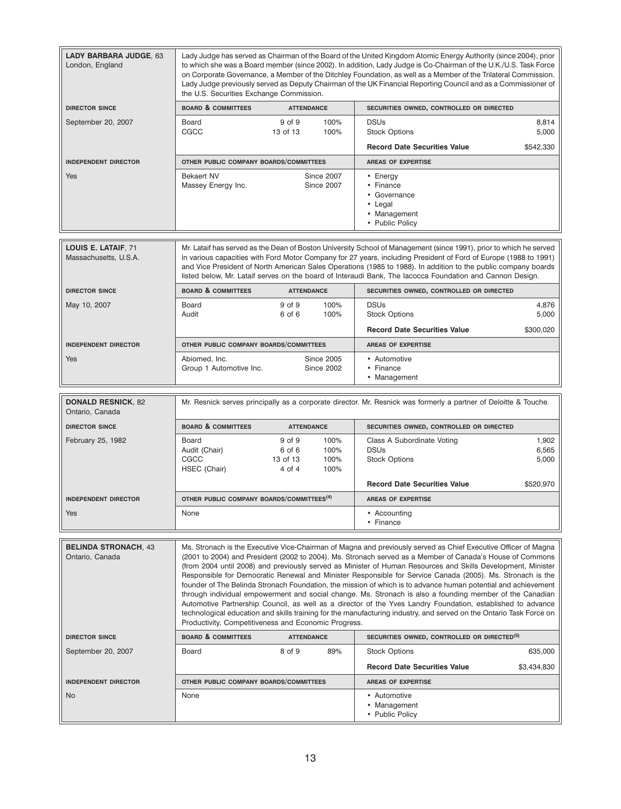| LADY BARBARA JUDGE, 63<br>London, England      | Lady Judge has served as Chairman of the Board of the United Kingdom Atomic Energy Authority (since 2004), prior<br>to which she was a Board member (since 2002). In addition, Lady Judge is Co-Chairman of the U.K./U.S. Task Force<br>on Corporate Governance, a Member of the Ditchley Foundation, as well as a Member of the Trilateral Commission.<br>Lady Judge previously served as Deputy Chairman of the UK Financial Reporting Council and as a Commissioner of<br>the U.S. Securities Exchange Commission.                                                                                                                                                                                                                                                                                                                                                                                                                                                                 |                                                                        |                                                                                                                                                                                                                                                                                                                                                                                                                                                                       |                         |  |  |
|------------------------------------------------|---------------------------------------------------------------------------------------------------------------------------------------------------------------------------------------------------------------------------------------------------------------------------------------------------------------------------------------------------------------------------------------------------------------------------------------------------------------------------------------------------------------------------------------------------------------------------------------------------------------------------------------------------------------------------------------------------------------------------------------------------------------------------------------------------------------------------------------------------------------------------------------------------------------------------------------------------------------------------------------|------------------------------------------------------------------------|-----------------------------------------------------------------------------------------------------------------------------------------------------------------------------------------------------------------------------------------------------------------------------------------------------------------------------------------------------------------------------------------------------------------------------------------------------------------------|-------------------------|--|--|
| <b>DIRECTOR SINCE</b>                          | <b>BOARD &amp; COMMITTEES</b>                                                                                                                                                                                                                                                                                                                                                                                                                                                                                                                                                                                                                                                                                                                                                                                                                                                                                                                                                         | <b>ATTENDANCE</b>                                                      | SECURITIES OWNED, CONTROLLED OR DIRECTED                                                                                                                                                                                                                                                                                                                                                                                                                              |                         |  |  |
| September 20, 2007                             | Board<br>CGCC                                                                                                                                                                                                                                                                                                                                                                                                                                                                                                                                                                                                                                                                                                                                                                                                                                                                                                                                                                         | 9 of 9<br>100%<br>13 of 13<br>100%                                     | <b>DSUs</b><br><b>Stock Options</b>                                                                                                                                                                                                                                                                                                                                                                                                                                   | 8,814<br>5,000          |  |  |
|                                                |                                                                                                                                                                                                                                                                                                                                                                                                                                                                                                                                                                                                                                                                                                                                                                                                                                                                                                                                                                                       |                                                                        | <b>Record Date Securities Value</b>                                                                                                                                                                                                                                                                                                                                                                                                                                   | \$542,330               |  |  |
| <b>INDEPENDENT DIRECTOR</b>                    | OTHER PUBLIC COMPANY BOARDS/COMMITTEES                                                                                                                                                                                                                                                                                                                                                                                                                                                                                                                                                                                                                                                                                                                                                                                                                                                                                                                                                |                                                                        | AREAS OF EXPERTISE                                                                                                                                                                                                                                                                                                                                                                                                                                                    |                         |  |  |
| <b>Yes</b>                                     | <b>Bekaert NV</b><br>Massey Energy Inc.                                                                                                                                                                                                                                                                                                                                                                                                                                                                                                                                                                                                                                                                                                                                                                                                                                                                                                                                               | <b>Since 2007</b><br><b>Since 2007</b>                                 | • Energy<br>• Finance<br>• Governance<br>• Legal<br>• Management<br>• Public Policy                                                                                                                                                                                                                                                                                                                                                                                   |                         |  |  |
| LOUIS E. LATAIF, 71<br>Massachusetts, U.S.A.   |                                                                                                                                                                                                                                                                                                                                                                                                                                                                                                                                                                                                                                                                                                                                                                                                                                                                                                                                                                                       |                                                                        | Mr. Lataif has served as the Dean of Boston University School of Management (since 1991), prior to which he served<br>in various capacities with Ford Motor Company for 27 years, including President of Ford of Europe (1988 to 1991)<br>and Vice President of North American Sales Operations (1985 to 1988). In addition to the public company boards<br>listed below, Mr. Lataif serves on the board of Interaudi Bank, The lacocca Foundation and Cannon Design. |                         |  |  |
| <b>DIRECTOR SINCE</b>                          | <b>BOARD &amp; COMMITTEES</b>                                                                                                                                                                                                                                                                                                                                                                                                                                                                                                                                                                                                                                                                                                                                                                                                                                                                                                                                                         | <b>ATTENDANCE</b>                                                      | SECURITIES OWNED, CONTROLLED OR DIRECTED                                                                                                                                                                                                                                                                                                                                                                                                                              |                         |  |  |
| May 10, 2007                                   | Board<br>Audit                                                                                                                                                                                                                                                                                                                                                                                                                                                                                                                                                                                                                                                                                                                                                                                                                                                                                                                                                                        | 9 of 9<br>100%<br>6 of 6<br>100%                                       | <b>DSUs</b><br><b>Stock Options</b>                                                                                                                                                                                                                                                                                                                                                                                                                                   | 4,876<br>5,000          |  |  |
|                                                |                                                                                                                                                                                                                                                                                                                                                                                                                                                                                                                                                                                                                                                                                                                                                                                                                                                                                                                                                                                       |                                                                        | <b>Record Date Securities Value</b>                                                                                                                                                                                                                                                                                                                                                                                                                                   | \$300,020               |  |  |
| <b>INDEPENDENT DIRECTOR</b>                    | OTHER PUBLIC COMPANY BOARDS/COMMITTEES                                                                                                                                                                                                                                                                                                                                                                                                                                                                                                                                                                                                                                                                                                                                                                                                                                                                                                                                                |                                                                        | AREAS OF EXPERTISE                                                                                                                                                                                                                                                                                                                                                                                                                                                    |                         |  |  |
| <b>Yes</b>                                     | Abiomed, Inc.<br>Group 1 Automotive Inc.                                                                                                                                                                                                                                                                                                                                                                                                                                                                                                                                                                                                                                                                                                                                                                                                                                                                                                                                              | <b>Since 2005</b><br><b>Since 2002</b>                                 | • Automotive<br>• Finance<br>• Management                                                                                                                                                                                                                                                                                                                                                                                                                             |                         |  |  |
| <b>DONALD RESNICK, 82</b><br>Ontario, Canada   |                                                                                                                                                                                                                                                                                                                                                                                                                                                                                                                                                                                                                                                                                                                                                                                                                                                                                                                                                                                       |                                                                        | Mr. Resnick serves principally as a corporate director. Mr. Resnick was formerly a partner of Deloitte & Touche.                                                                                                                                                                                                                                                                                                                                                      |                         |  |  |
| <b>DIRECTOR SINCE</b>                          | <b>BOARD &amp; COMMITTEES</b>                                                                                                                                                                                                                                                                                                                                                                                                                                                                                                                                                                                                                                                                                                                                                                                                                                                                                                                                                         | <b>ATTENDANCE</b>                                                      | SECURITIES OWNED, CONTROLLED OR DIRECTED                                                                                                                                                                                                                                                                                                                                                                                                                              |                         |  |  |
| February 25, 1982                              | Board<br>Audit (Chair)<br>CGCC<br>HSEC (Chair)                                                                                                                                                                                                                                                                                                                                                                                                                                                                                                                                                                                                                                                                                                                                                                                                                                                                                                                                        | 100%<br>9 of 9<br>6 of 6<br>100%<br>13 of 13<br>100%<br>4 of 4<br>100% | Class A Subordinate Voting<br><b>DSUs</b><br><b>Stock Options</b>                                                                                                                                                                                                                                                                                                                                                                                                     | 1,902<br>6,565<br>5,000 |  |  |
|                                                |                                                                                                                                                                                                                                                                                                                                                                                                                                                                                                                                                                                                                                                                                                                                                                                                                                                                                                                                                                                       |                                                                        | <b>Record Date Securities Value</b>                                                                                                                                                                                                                                                                                                                                                                                                                                   | \$520.970               |  |  |
| <b>INDEPENDENT DIRECTOR</b>                    | OTHER PUBLIC COMPANY BOARDS/COMMITTEES <sup>(4)</sup>                                                                                                                                                                                                                                                                                                                                                                                                                                                                                                                                                                                                                                                                                                                                                                                                                                                                                                                                 |                                                                        | AREAS OF EXPERTISE                                                                                                                                                                                                                                                                                                                                                                                                                                                    |                         |  |  |
| Yes                                            | None                                                                                                                                                                                                                                                                                                                                                                                                                                                                                                                                                                                                                                                                                                                                                                                                                                                                                                                                                                                  |                                                                        | • Accounting<br>• Finance                                                                                                                                                                                                                                                                                                                                                                                                                                             |                         |  |  |
| <b>BELINDA STRONACH, 43</b><br>Ontario, Canada | Ms. Stronach is the Executive Vice-Chairman of Magna and previously served as Chief Executive Officer of Magna<br>(2001 to 2004) and President (2002 to 2004). Ms. Stronach served as a Member of Canada's House of Commons<br>(from 2004 until 2008) and previously served as Minister of Human Resources and Skills Development, Minister<br>Responsible for Democratic Renewal and Minister Responsible for Service Canada (2005). Ms. Stronach is the<br>founder of The Belinda Stronach Foundation, the mission of which is to advance human potential and achievement<br>through individual empowerment and social change. Ms. Stronach is also a founding member of the Canadian<br>Automotive Partnership Council, as well as a director of the Yves Landry Foundation, established to advance<br>technological education and skills training for the manufacturing industry, and served on the Ontario Task Force on<br>Productivity, Competitiveness and Economic Progress. |                                                                        |                                                                                                                                                                                                                                                                                                                                                                                                                                                                       |                         |  |  |
| <b>DIRECTOR SINCE</b>                          | <b>BOARD &amp; COMMITTEES</b>                                                                                                                                                                                                                                                                                                                                                                                                                                                                                                                                                                                                                                                                                                                                                                                                                                                                                                                                                         | <b>ATTENDANCE</b>                                                      | SECURITIES OWNED, CONTROLLED OR DIRECTED <sup>(5)</sup>                                                                                                                                                                                                                                                                                                                                                                                                               |                         |  |  |
| September 20, 2007                             | Board                                                                                                                                                                                                                                                                                                                                                                                                                                                                                                                                                                                                                                                                                                                                                                                                                                                                                                                                                                                 | 8 of 9<br>89%                                                          | <b>Stock Options</b>                                                                                                                                                                                                                                                                                                                                                                                                                                                  | 635,000                 |  |  |
|                                                |                                                                                                                                                                                                                                                                                                                                                                                                                                                                                                                                                                                                                                                                                                                                                                                                                                                                                                                                                                                       |                                                                        | <b>Record Date Securities Value</b>                                                                                                                                                                                                                                                                                                                                                                                                                                   | \$3,434,830             |  |  |
| <b>INDEPENDENT DIRECTOR</b>                    | OTHER PUBLIC COMPANY BOARDS/COMMITTEES                                                                                                                                                                                                                                                                                                                                                                                                                                                                                                                                                                                                                                                                                                                                                                                                                                                                                                                                                |                                                                        | <b>AREAS OF EXPERTISE</b>                                                                                                                                                                                                                                                                                                                                                                                                                                             |                         |  |  |
| <b>No</b>                                      | None                                                                                                                                                                                                                                                                                                                                                                                                                                                                                                                                                                                                                                                                                                                                                                                                                                                                                                                                                                                  |                                                                        | • Automotive<br>• Management<br>• Public Policy                                                                                                                                                                                                                                                                                                                                                                                                                       |                         |  |  |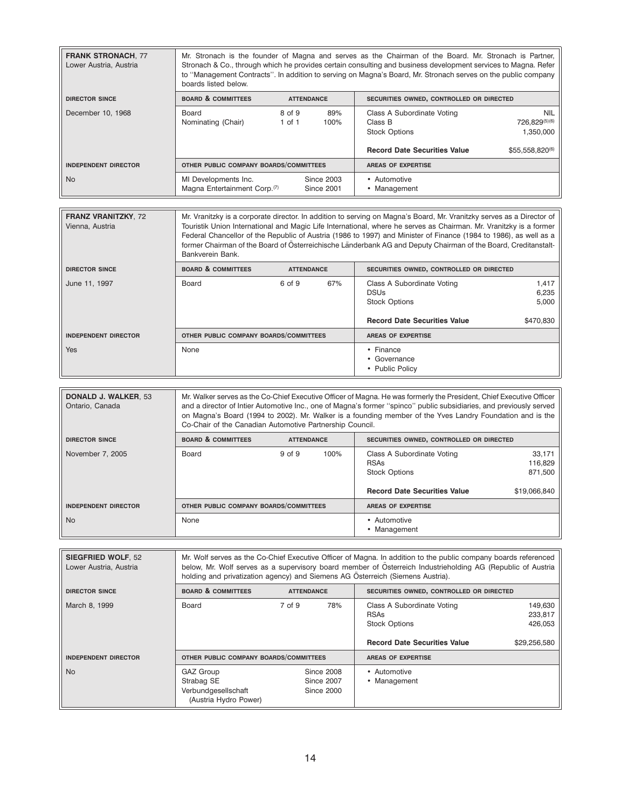| <b>FRANK STRONACH, 77</b><br>Lower Austria, Austria | Mr. Stronach is the founder of Magna and serves as the Chairman of the Board. Mr. Stronach is Partner,<br>Stronach & Co., through which he provides certain consulting and business development services to Magna. Refer<br>to "Management Contracts". In addition to serving on Magna's Board, Mr. Stronach serves on the public company<br>boards listed below. |                                                               |                                        |                                                                                                      |                                                             |  |
|-----------------------------------------------------|-------------------------------------------------------------------------------------------------------------------------------------------------------------------------------------------------------------------------------------------------------------------------------------------------------------------------------------------------------------------|---------------------------------------------------------------|----------------------------------------|------------------------------------------------------------------------------------------------------|-------------------------------------------------------------|--|
| <b>DIRECTOR SINCE</b>                               | <b>BOARD &amp; COMMITTEES</b>                                                                                                                                                                                                                                                                                                                                     | SECURITIES OWNED, CONTROLLED OR DIRECTED<br><b>ATTENDANCE</b> |                                        |                                                                                                      |                                                             |  |
| December 10, 1968                                   | Board<br>Nominating (Chair)                                                                                                                                                                                                                                                                                                                                       | 8 of 9<br>$1$ of $1$                                          | 89%<br>100%                            | Class A Subordinate Voting<br>Class B<br><b>Stock Options</b><br><b>Record Date Securities Value</b> | <b>NIL</b><br>726.829(5)(6)<br>1,350,000<br>\$55,558,820(6) |  |
| <b>INDEPENDENT DIRECTOR</b>                         | OTHER PUBLIC COMPANY BOARDS/COMMITTEES                                                                                                                                                                                                                                                                                                                            |                                                               |                                        | <b>AREAS OF EXPERTISE</b>                                                                            |                                                             |  |
| <b>No</b>                                           | MI Developments Inc.<br>Magna Entertainment Corp. <sup>(7)</sup>                                                                                                                                                                                                                                                                                                  |                                                               | <b>Since 2003</b><br><b>Since 2001</b> | • Automotive<br>• Management                                                                         |                                                             |  |

| <b>FRANZ VRANITZKY, 72</b><br>Vienna, Austria | Mr. Vranitzky is a corporate director. In addition to serving on Magna's Board, Mr. Vranitzky serves as a Director of<br>Touristik Union International and Magic Life International, where he serves as Chairman. Mr. Vranitzky is a former<br>Federal Chancellor of the Republic of Austria (1986 to 1997) and Minister of Finance (1984 to 1986), as well as a<br>former Chairman of the Board of Österreichische Länderbank AG and Deputy Chairman of the Board, Creditanstalt-<br>Bankverein Bank. |                   |                                          |                                                                                                          |                                      |
|-----------------------------------------------|--------------------------------------------------------------------------------------------------------------------------------------------------------------------------------------------------------------------------------------------------------------------------------------------------------------------------------------------------------------------------------------------------------------------------------------------------------------------------------------------------------|-------------------|------------------------------------------|----------------------------------------------------------------------------------------------------------|--------------------------------------|
| <b>DIRECTOR SINCE</b>                         | <b>BOARD &amp; COMMITTEES</b>                                                                                                                                                                                                                                                                                                                                                                                                                                                                          | <b>ATTENDANCE</b> | SECURITIES OWNED, CONTROLLED OR DIRECTED |                                                                                                          |                                      |
| June 11, 1997                                 | Board                                                                                                                                                                                                                                                                                                                                                                                                                                                                                                  | 6 of 9            | 67%                                      | Class A Subordinate Voting<br><b>DSUs</b><br><b>Stock Options</b><br><b>Record Date Securities Value</b> | 1,417<br>6,235<br>5,000<br>\$470,830 |
| <b>INDEPENDENT DIRECTOR</b>                   | OTHER PUBLIC COMPANY BOARDS/COMMITTEES                                                                                                                                                                                                                                                                                                                                                                                                                                                                 |                   |                                          | <b>AREAS OF EXPERTISE</b>                                                                                |                                      |
| <b>Yes</b>                                    | None                                                                                                                                                                                                                                                                                                                                                                                                                                                                                                   |                   |                                          | • Finance<br>• Governance<br>• Public Policy                                                             |                                      |

| <b>DONALD J. WALKER. 53</b><br>Ontario, Canada | Mr. Walker serves as the Co-Chief Executive Officer of Magna. He was formerly the President, Chief Executive Officer<br>and a director of Intier Automotive Inc., one of Magna's former "spinco" public subsidiaries, and previously served<br>on Magna's Board (1994 to 2002). Mr. Walker is a founding member of the Yves Landry Foundation and is the<br>Co-Chair of the Canadian Automotive Partnership Council. |                   |      |                                                                                                          |                                              |
|------------------------------------------------|----------------------------------------------------------------------------------------------------------------------------------------------------------------------------------------------------------------------------------------------------------------------------------------------------------------------------------------------------------------------------------------------------------------------|-------------------|------|----------------------------------------------------------------------------------------------------------|----------------------------------------------|
| <b>DIRECTOR SINCE</b>                          | <b>BOARD &amp; COMMITTEES</b>                                                                                                                                                                                                                                                                                                                                                                                        | <b>ATTENDANCE</b> |      | SECURITIES OWNED, CONTROLLED OR DIRECTED                                                                 |                                              |
| November 7, 2005                               | Board                                                                                                                                                                                                                                                                                                                                                                                                                | 9 of 9            | 100% | Class A Subordinate Voting<br><b>RSAs</b><br><b>Stock Options</b><br><b>Record Date Securities Value</b> | 33,171<br>116,829<br>871,500<br>\$19,066,840 |
| <b>INDEPENDENT DIRECTOR</b>                    | OTHER PUBLIC COMPANY BOARDS/COMMITTEES                                                                                                                                                                                                                                                                                                                                                                               |                   |      | <b>AREAS OF EXPERTISE</b>                                                                                |                                              |
| <b>No</b>                                      | None                                                                                                                                                                                                                                                                                                                                                                                                                 |                   |      | • Automotive<br>• Management                                                                             |                                              |

| <b>SIEGFRIED WOLF, 52</b><br>Lower Austria, Austria | Mr. Wolf serves as the Co-Chief Executive Officer of Magna. In addition to the public company boards referenced<br>below, Mr. Wolf serves as a supervisory board member of Österreich Industrieholding AG (Republic of Austria<br>holding and privatization agency) and Siemens AG Österreich (Siemens Austria). |                   |                                               |                                                                                                          |                                               |
|-----------------------------------------------------|------------------------------------------------------------------------------------------------------------------------------------------------------------------------------------------------------------------------------------------------------------------------------------------------------------------|-------------------|-----------------------------------------------|----------------------------------------------------------------------------------------------------------|-----------------------------------------------|
| <b>DIRECTOR SINCE</b>                               | <b>BOARD &amp; COMMITTEES</b>                                                                                                                                                                                                                                                                                    | <b>ATTENDANCE</b> |                                               | SECURITIES OWNED, CONTROLLED OR DIRECTED                                                                 |                                               |
| March 8, 1999                                       | Board                                                                                                                                                                                                                                                                                                            | 7 of 9            | 78%                                           | Class A Subordinate Voting<br><b>RSAs</b><br><b>Stock Options</b><br><b>Record Date Securities Value</b> | 149,630<br>233,817<br>426,053<br>\$29,256,580 |
| <b>INDEPENDENT DIRECTOR</b>                         | OTHER PUBLIC COMPANY BOARDS/COMMITTEES                                                                                                                                                                                                                                                                           |                   |                                               | <b>AREAS OF EXPERTISE</b>                                                                                |                                               |
| <b>No</b>                                           | GAZ Group<br>Strabag SE<br>Verbundgesellschaft<br>(Austria Hydro Power)                                                                                                                                                                                                                                          |                   | <b>Since 2008</b><br>Since 2007<br>Since 2000 | • Automotive<br>• Management                                                                             |                                               |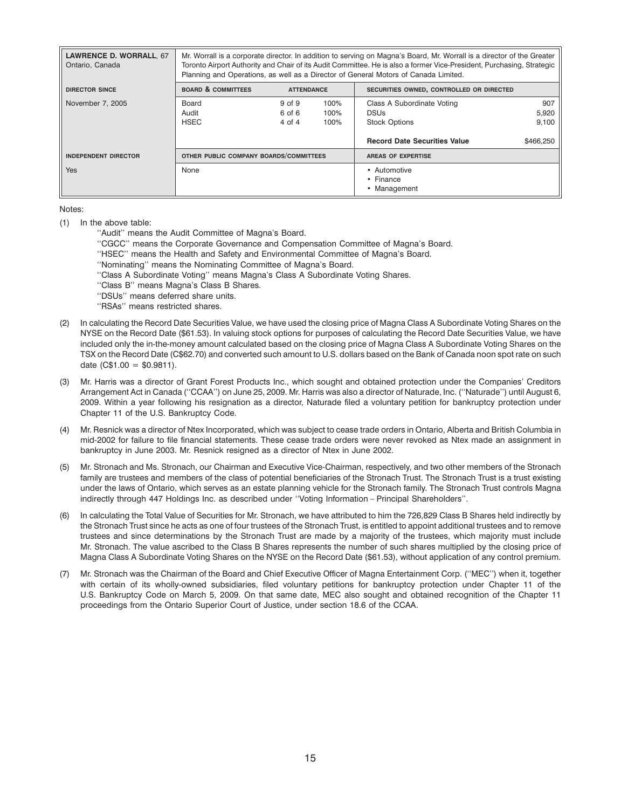| <b>LAWRENCE D. WORRALL, 67</b><br>Ontario, Canada | Mr. Worrall is a corporate director. In addition to serving on Magna's Board, Mr. Worrall is a director of the Greater<br>Toronto Airport Authority and Chair of its Audit Committee. He is also a former Vice-President, Purchasing, Strategic<br>Planning and Operations, as well as a Director of General Motors of Canada Limited. |                                |                      |                                                                                                          |                                    |
|---------------------------------------------------|----------------------------------------------------------------------------------------------------------------------------------------------------------------------------------------------------------------------------------------------------------------------------------------------------------------------------------------|--------------------------------|----------------------|----------------------------------------------------------------------------------------------------------|------------------------------------|
| <b>DIRECTOR SINCE</b>                             | <b>BOARD &amp; COMMITTEES</b>                                                                                                                                                                                                                                                                                                          | <b>ATTENDANCE</b>              |                      | SECURITIES OWNED, CONTROLLED OR DIRECTED                                                                 |                                    |
| November 7, 2005                                  | Board<br>Audit<br><b>HSEC</b>                                                                                                                                                                                                                                                                                                          | 9 of 9<br>6 of 6<br>$4$ of $4$ | 100%<br>100%<br>100% | Class A Subordinate Voting<br><b>DSUs</b><br><b>Stock Options</b><br><b>Record Date Securities Value</b> | 907<br>5,920<br>9,100<br>\$466,250 |
| <b>INDEPENDENT DIRECTOR</b>                       | OTHER PUBLIC COMPANY BOARDS/COMMITTEES                                                                                                                                                                                                                                                                                                 |                                |                      | <b>AREAS OF EXPERTISE</b>                                                                                |                                    |
| Yes                                               | None                                                                                                                                                                                                                                                                                                                                   |                                |                      | • Automotive<br>• Finance<br>• Management                                                                |                                    |

Notes:

- (1) In the above table:
	- ''Audit'' means the Audit Committee of Magna's Board.
	- ''CGCC'' means the Corporate Governance and Compensation Committee of Magna's Board.
	- ''HSEC'' means the Health and Safety and Environmental Committee of Magna's Board.
	- ''Nominating'' means the Nominating Committee of Magna's Board.
	- "Class A Subordinate Voting" means Magna's Class A Subordinate Voting Shares.
	- ''Class B'' means Magna's Class B Shares.
	- ''DSUs'' means deferred share units.
	- ''RSAs'' means restricted shares.
- (2) In calculating the Record Date Securities Value, we have used the closing price of Magna Class A Subordinate Voting Shares on the NYSE on the Record Date (\$61.53). In valuing stock options for purposes of calculating the Record Date Securities Value, we have included only the in-the-money amount calculated based on the closing price of Magna Class A Subordinate Voting Shares on the TSX on the Record Date (C\$62.70) and converted such amount to U.S. dollars based on the Bank of Canada noon spot rate on such date  $(C$1.00 = $0.9811$ ).
- (3) Mr. Harris was a director of Grant Forest Products Inc., which sought and obtained protection under the Companies' Creditors Arrangement Act in Canada (''CCAA'') on June 25, 2009. Mr. Harris was also a director of Naturade, Inc. (''Naturade'') until August 6, 2009. Within a year following his resignation as a director, Naturade filed a voluntary petition for bankruptcy protection under Chapter 11 of the U.S. Bankruptcy Code.
- (4) Mr. Resnick was a director of Ntex Incorporated, which was subject to cease trade orders in Ontario, Alberta and British Columbia in mid-2002 for failure to file financial statements. These cease trade orders were never revoked as Ntex made an assignment in bankruptcy in June 2003. Mr. Resnick resigned as a director of Ntex in June 2002.
- (5) Mr. Stronach and Ms. Stronach, our Chairman and Executive Vice-Chairman, respectively, and two other members of the Stronach family are trustees and members of the class of potential beneficiaries of the Stronach Trust. The Stronach Trust is a trust existing under the laws of Ontario, which serves as an estate planning vehicle for the Stronach family. The Stronach Trust controls Magna indirectly through 447 Holdings Inc. as described under ''Voting Information – Principal Shareholders''.
- (6) In calculating the Total Value of Securities for Mr. Stronach, we have attributed to him the 726,829 Class B Shares held indirectly by the Stronach Trust since he acts as one of four trustees of the Stronach Trust, is entitled to appoint additional trustees and to remove trustees and since determinations by the Stronach Trust are made by a majority of the trustees, which majority must include Mr. Stronach. The value ascribed to the Class B Shares represents the number of such shares multiplied by the closing price of Magna Class A Subordinate Voting Shares on the NYSE on the Record Date (\$61.53), without application of any control premium.
- (7) Mr. Stronach was the Chairman of the Board and Chief Executive Officer of Magna Entertainment Corp. (''MEC'') when it, together with certain of its wholly-owned subsidiaries, filed voluntary petitions for bankruptcy protection under Chapter 11 of the U.S. Bankruptcy Code on March 5, 2009. On that same date, MEC also sought and obtained recognition of the Chapter 11 proceedings from the Ontario Superior Court of Justice, under section 18.6 of the CCAA.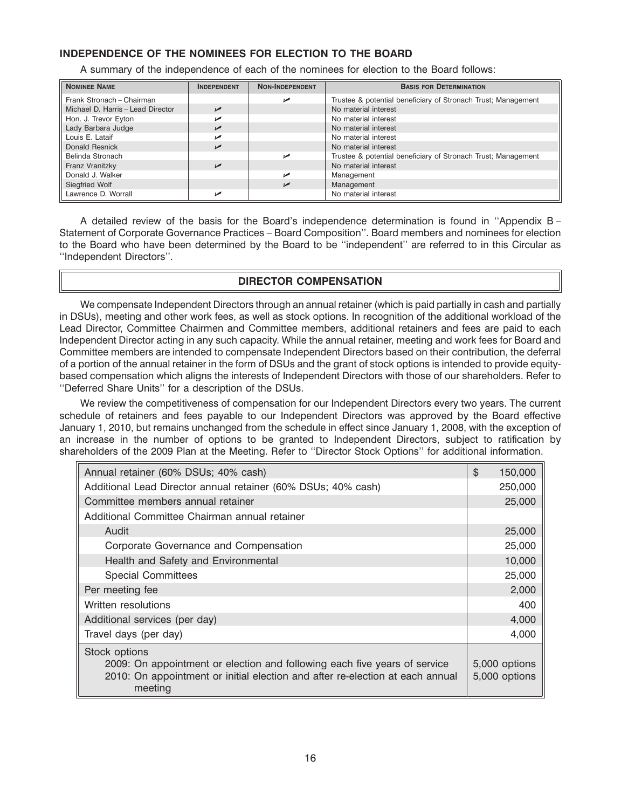# **INDEPENDENCE OF THE NOMINEES FOR ELECTION TO THE BOARD**

A summary of the independence of each of the nominees for election to the Board follows:

| <b>NOMINEE NAME</b>               | <b>INDEPENDENT</b> | <b>NON-INDEPENDENT</b> | <b>BASIS FOR DETERMINATION</b>                                |
|-----------------------------------|--------------------|------------------------|---------------------------------------------------------------|
| Frank Stronach - Chairman         |                    |                        | Trustee & potential beneficiary of Stronach Trust; Management |
| Michael D. Harris - Lead Director | مما                |                        | No material interest                                          |
| Hon. J. Trevor Eyton              |                    |                        | No material interest                                          |
| Lady Barbara Judge                | مما                |                        | No material interest                                          |
| Louis E. Lataif                   |                    |                        | No material interest                                          |
| Donald Resnick                    |                    |                        | No material interest                                          |
| Belinda Stronach                  |                    | مما                    | Trustee & potential beneficiary of Stronach Trust; Management |
| Franz Vranitzky                   | مما                |                        | No material interest                                          |
| Donald J. Walker                  |                    | مم                     | Management                                                    |
| Siegfried Wolf                    |                    |                        | Management                                                    |
| Lawrence D. Worrall               |                    |                        | No material interest                                          |

A detailed review of the basis for the Board's independence determination is found in ''Appendix B – Statement of Corporate Governance Practices – Board Composition''. Board members and nominees for election to the Board who have been determined by the Board to be ''independent'' are referred to in this Circular as ''Independent Directors''.

## **DIRECTOR COMPENSATION**

We compensate Independent Directors through an annual retainer (which is paid partially in cash and partially in DSUs), meeting and other work fees, as well as stock options. In recognition of the additional workload of the Lead Director, Committee Chairmen and Committee members, additional retainers and fees are paid to each Independent Director acting in any such capacity. While the annual retainer, meeting and work fees for Board and Committee members are intended to compensate Independent Directors based on their contribution, the deferral of a portion of the annual retainer in the form of DSUs and the grant of stock options is intended to provide equitybased compensation which aligns the interests of Independent Directors with those of our shareholders. Refer to ''Deferred Share Units'' for a description of the DSUs.

We review the competitiveness of compensation for our Independent Directors every two years. The current schedule of retainers and fees payable to our Independent Directors was approved by the Board effective January 1, 2010, but remains unchanged from the schedule in effect since January 1, 2008, with the exception of an increase in the number of options to be granted to Independent Directors, subject to ratification by shareholders of the 2009 Plan at the Meeting. Refer to ''Director Stock Options'' for additional information.

| Annual retainer (60% DSUs; 40% cash)                                                     | \$<br>150,000 |
|------------------------------------------------------------------------------------------|---------------|
| Additional Lead Director annual retainer (60% DSUs; 40% cash)                            | 250,000       |
| Committee members annual retainer                                                        | 25,000        |
| Additional Committee Chairman annual retainer                                            |               |
| Audit                                                                                    | 25,000        |
| Corporate Governance and Compensation                                                    | 25,000        |
| Health and Safety and Environmental                                                      | 10,000        |
| <b>Special Committees</b>                                                                | 25,000        |
| Per meeting fee                                                                          | 2,000         |
| Written resolutions                                                                      | 400           |
| Additional services (per day)                                                            | 4,000         |
| Travel days (per day)                                                                    | 4.000         |
| Stock options                                                                            |               |
| 2009: On appointment or election and following each five years of service                | 5,000 options |
| 2010: On appointment or initial election and after re-election at each annual<br>meeting | 5,000 options |
|                                                                                          |               |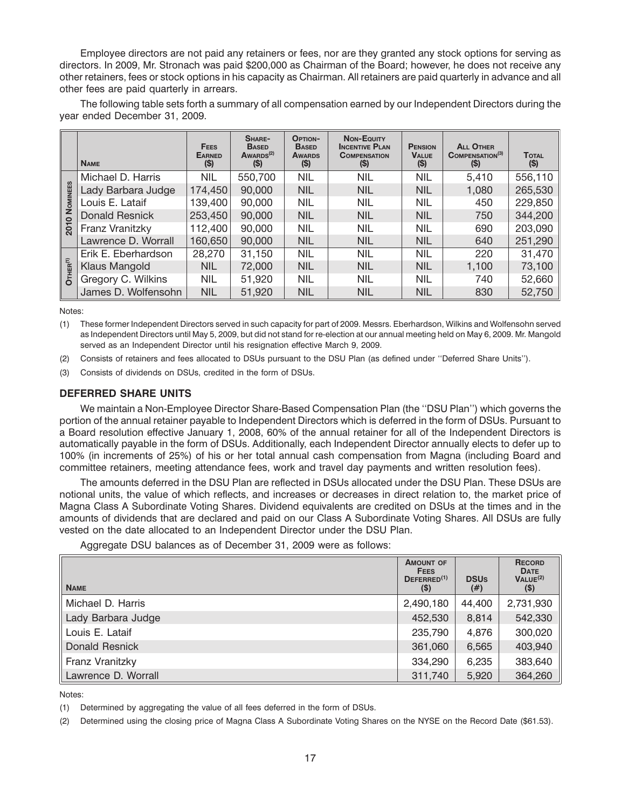Employee directors are not paid any retainers or fees, nor are they granted any stock options for serving as directors. In 2009, Mr. Stronach was paid \$200,000 as Chairman of the Board; however, he does not receive any other retainers, fees or stock options in his capacity as Chairman. All retainers are paid quarterly in advance and all other fees are paid quarterly in arrears.

The following table sets forth a summary of all compensation earned by our Independent Directors during the year ended December 31, 2009.

|                         | <b>NAME</b>         | <b>FEES</b><br><b>EARNED</b><br>(S) | SHARE-<br><b>BASED</b><br>AWARDS <sup>(2)</sup><br>(S) | <b>OPTION-</b><br><b>BASED</b><br><b>AWARDS</b><br>(S) | <b>Non-EQUITY</b><br><b>INCENTIVE PLAN</b><br><b>COMPENSATION</b><br>$($ \$) | <b>PENSION</b><br><b>VALUE</b><br>(S) | <b>ALL OTHER</b><br><b>COMPENSATION</b> (3)<br>(S) | <b>TOTAL</b><br>(S) |
|-------------------------|---------------------|-------------------------------------|--------------------------------------------------------|--------------------------------------------------------|------------------------------------------------------------------------------|---------------------------------------|----------------------------------------------------|---------------------|
|                         | Michael D. Harris   | NIL                                 | 550,700                                                | <b>NIL</b>                                             | <b>NIL</b>                                                                   | <b>NIL</b>                            | 5,410                                              | 556,110             |
| <b>NOMINEES</b>         | Lady Barbara Judge  | 174,450                             | 90,000                                                 | <b>NIL</b>                                             | <b>NIL</b>                                                                   | <b>NIL</b>                            | 1,080                                              | 265,530             |
|                         | Louis E. Lataif     | 139,400                             | 90,000                                                 | <b>NIL</b>                                             | <b>NIL</b>                                                                   | <b>NIL</b>                            | 450                                                | 229,850             |
| $\circ$                 | Donald Resnick      | 253,450                             | 90,000                                                 | <b>NIL</b>                                             | <b>NIL</b>                                                                   | <b>NIL</b>                            | 750                                                | 344,200             |
| $\overline{201}$        | Franz Vranitzky     | 112,400                             | 90,000                                                 | <b>NIL</b>                                             | <b>NIL</b>                                                                   | <b>NIL</b>                            | 690                                                | 203,090             |
|                         | Lawrence D. Worrall | 160,650                             | 90,000                                                 | <b>NIL</b>                                             | <b>NIL</b>                                                                   | <b>NIL</b>                            | 640                                                | 251,290             |
|                         | Erik E. Eberhardson | 28,270                              | 31,150                                                 | <b>NIL</b>                                             | <b>NIL</b>                                                                   | <b>NIL</b>                            | 220                                                | 31,470              |
| $O$ THER <sup>(1)</sup> | Klaus Mangold       | <b>NIL</b>                          | 72,000                                                 | <b>NIL</b>                                             | <b>NIL</b>                                                                   | <b>NIL</b>                            | 1,100                                              | 73,100              |
|                         | Gregory C. Wilkins  | <b>NIL</b>                          | 51,920                                                 | <b>NIL</b>                                             | <b>NIL</b>                                                                   | <b>NIL</b>                            | 740                                                | 52,660              |
|                         | James D. Wolfensohn | <b>NIL</b>                          | 51,920                                                 | <b>NIL</b>                                             | <b>NIL</b>                                                                   | <b>NIL</b>                            | 830                                                | 52,750              |

Notes:

(1) These former Independent Directors served in such capacity for part of 2009. Messrs. Eberhardson, Wilkins and Wolfensohn served as Independent Directors until May 5, 2009, but did not stand for re-election at our annual meeting held on May 6, 2009. Mr. Mangold served as an Independent Director until his resignation effective March 9, 2009.

- (2) Consists of retainers and fees allocated to DSUs pursuant to the DSU Plan (as defined under ''Deferred Share Units'').
- (3) Consists of dividends on DSUs, credited in the form of DSUs.

## **DEFERRED SHARE UNITS**

We maintain a Non-Employee Director Share-Based Compensation Plan (the ''DSU Plan'') which governs the portion of the annual retainer payable to Independent Directors which is deferred in the form of DSUs. Pursuant to a Board resolution effective January 1, 2008, 60% of the annual retainer for all of the Independent Directors is automatically payable in the form of DSUs. Additionally, each Independent Director annually elects to defer up to 100% (in increments of 25%) of his or her total annual cash compensation from Magna (including Board and committee retainers, meeting attendance fees, work and travel day payments and written resolution fees).

The amounts deferred in the DSU Plan are reflected in DSUs allocated under the DSU Plan. These DSUs are notional units, the value of which reflects, and increases or decreases in direct relation to, the market price of Magna Class A Subordinate Voting Shares. Dividend equivalents are credited on DSUs at the times and in the amounts of dividends that are declared and paid on our Class A Subordinate Voting Shares. All DSUs are fully vested on the date allocated to an Independent Director under the DSU Plan.

Aggregate DSU balances as of December 31, 2009 were as follows:

| <b>NAME</b>         | <b>AMOUNT OF</b><br><b>FEES</b><br>DEFERRED <sup>(1)</sup><br>$($ \$) | <b>DSUs</b><br>$^{(#)}$ | <b>RECORD</b><br><b>DATE</b><br>VALUE <sup>(2)</sup><br>$($)$ |
|---------------------|-----------------------------------------------------------------------|-------------------------|---------------------------------------------------------------|
| Michael D. Harris   | 2,490,180                                                             | 44,400                  | 2,731,930                                                     |
| Lady Barbara Judge  | 452,530                                                               | 8,814                   | 542,330                                                       |
| Louis E. Lataif     | 235,790                                                               | 4,876                   | 300,020                                                       |
| Donald Resnick      | 361,060                                                               | 6,565                   | 403,940                                                       |
| Franz Vranitzky     | 334,290                                                               | 6,235                   | 383,640                                                       |
| Lawrence D. Worrall | 311.740                                                               | 5.920                   | 364,260                                                       |

Notes:

(1) Determined by aggregating the value of all fees deferred in the form of DSUs.

(2) Determined using the closing price of Magna Class A Subordinate Voting Shares on the NYSE on the Record Date (\$61.53).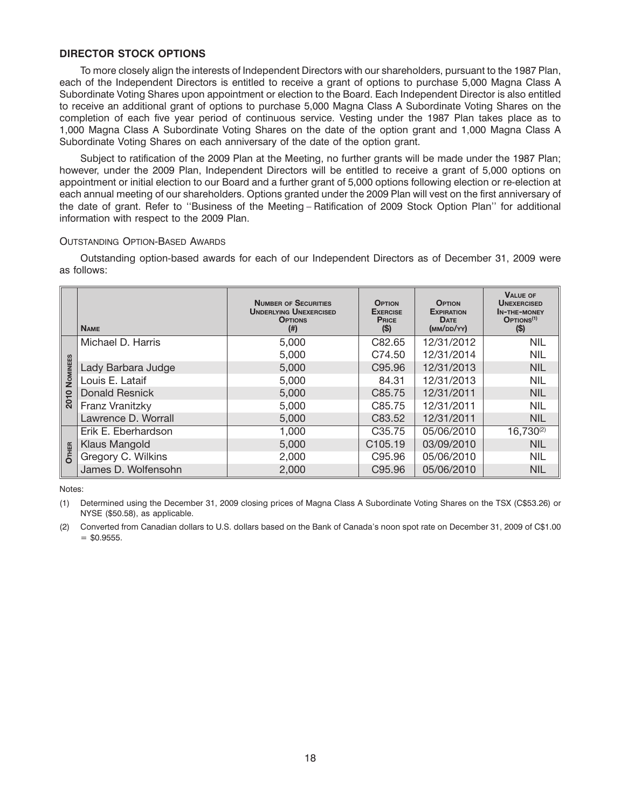## **DIRECTOR STOCK OPTIONS**

To more closely align the interests of Independent Directors with our shareholders, pursuant to the 1987 Plan, each of the Independent Directors is entitled to receive a grant of options to purchase 5,000 Magna Class A Subordinate Voting Shares upon appointment or election to the Board. Each Independent Director is also entitled to receive an additional grant of options to purchase 5,000 Magna Class A Subordinate Voting Shares on the completion of each five year period of continuous service. Vesting under the 1987 Plan takes place as to 1,000 Magna Class A Subordinate Voting Shares on the date of the option grant and 1,000 Magna Class A Subordinate Voting Shares on each anniversary of the date of the option grant.

Subject to ratification of the 2009 Plan at the Meeting, no further grants will be made under the 1987 Plan; however, under the 2009 Plan, Independent Directors will be entitled to receive a grant of 5,000 options on appointment or initial election to our Board and a further grant of 5,000 options following election or re-election at each annual meeting of our shareholders. Options granted under the 2009 Plan will vest on the first anniversary of the date of grant. Refer to ''Business of the Meeting – Ratification of 2009 Stock Option Plan'' for additional information with respect to the 2009 Plan.

#### OUTSTANDING OPTION-BASED AWARDS

Outstanding option-based awards for each of our Independent Directors as of December 31, 2009 were as follows:

|          | <b>NAME</b>           | <b>NUMBER OF SECURITIES</b><br><b>UNDERLYING UNEXERCISED</b><br><b>OPTIONS</b><br>$^{(ii)}$ | <b>OPTION</b><br><b>EXERCISE</b><br><b>PRICE</b><br>(S) | <b>OPTION</b><br><b>EXPIRATION</b><br><b>DATE</b><br>(MM/DD/YY) | <b>VALUE OF</b><br><b>UNEXERCISED</b><br><b>IN-THE-MONEY</b><br>OPTIONS <sup>(1)</sup><br>(S) |
|----------|-----------------------|---------------------------------------------------------------------------------------------|---------------------------------------------------------|-----------------------------------------------------------------|-----------------------------------------------------------------------------------------------|
|          | Michael D. Harris     | 5,000                                                                                       | C82.65                                                  | 12/31/2012                                                      | <b>NIL</b>                                                                                    |
|          |                       | 5,000                                                                                       | C74.50                                                  | 12/31/2014                                                      | <b>NIL</b>                                                                                    |
| NOMINEES | Lady Barbara Judge    | 5,000                                                                                       | C95.96                                                  | 12/31/2013                                                      | <b>NIL</b>                                                                                    |
|          | Louis E. Lataif       | 5,000                                                                                       | 84.31                                                   | 12/31/2013                                                      | <b>NIL</b>                                                                                    |
| 2010     | <b>Donald Resnick</b> | 5,000                                                                                       | C85.75                                                  | 12/31/2011                                                      | <b>NIL</b>                                                                                    |
|          | Franz Vranitzky       | 5,000                                                                                       | C85.75                                                  | 12/31/2011                                                      | <b>NIL</b>                                                                                    |
|          | Lawrence D. Worrall   | 5,000                                                                                       | C83.52                                                  | 12/31/2011                                                      | <b>NIL</b>                                                                                    |
|          | Erik E. Eberhardson   | 1,000                                                                                       | C <sub>35.75</sub>                                      | 05/06/2010                                                      | $16,730^{(2)}$                                                                                |
|          | Klaus Mangold         | 5,000                                                                                       | C <sub>105.19</sub>                                     | 03/09/2010                                                      | <b>NIL</b>                                                                                    |
| OTHER    | Gregory C. Wilkins    | 2,000                                                                                       | C95.96                                                  | 05/06/2010                                                      | <b>NIL</b>                                                                                    |
|          | James D. Wolfensohn   | 2,000                                                                                       | C95.96                                                  | 05/06/2010                                                      | <b>NIL</b>                                                                                    |

Notes:

<sup>(1)</sup> Determined using the December 31, 2009 closing prices of Magna Class A Subordinate Voting Shares on the TSX (C\$53.26) or NYSE (\$50.58), as applicable.

<sup>(2)</sup> Converted from Canadian dollars to U.S. dollars based on the Bank of Canada's noon spot rate on December 31, 2009 of C\$1.00  $=$  \$0.9555.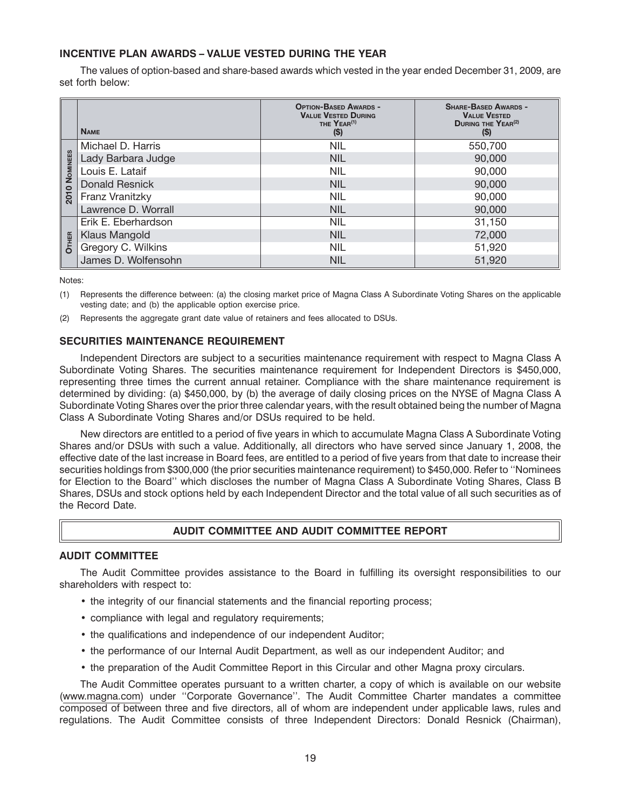# **INCENTIVE PLAN AWARDS – VALUE VESTED DURING THE YEAR**

The values of option-based and share-based awards which vested in the year ended December 31, 2009, are set forth below:

|          | <b>NAME</b>           | <b>OPTION-BASED AWARDS -</b><br><b>VALUE VESTED DURING</b><br>THE YEAR <sup>(1)</sup><br>(S) | <b>SHARE-BASED AWARDS -</b><br><b>VALUE VESTED</b><br><b>DURING THE YEAR<sup>(2)</sup></b><br>(S) |
|----------|-----------------------|----------------------------------------------------------------------------------------------|---------------------------------------------------------------------------------------------------|
|          | Michael D. Harris     | <b>NIL</b>                                                                                   | 550,700                                                                                           |
|          | Lady Barbara Judge    | <b>NIL</b>                                                                                   | 90,000                                                                                            |
| NOMINEES | Louis E. Lataif       | <b>NIL</b>                                                                                   | 90,000                                                                                            |
|          | <b>Donald Resnick</b> | <b>NIL</b>                                                                                   | 90,000                                                                                            |
| 2010     | Franz Vranitzky       | <b>NIL</b>                                                                                   | 90,000                                                                                            |
|          | Lawrence D. Worrall   | <b>NIL</b>                                                                                   | 90,000                                                                                            |
|          | Erik E. Eberhardson   | <b>NIL</b>                                                                                   | 31,150                                                                                            |
|          | <b>Klaus Mangold</b>  | <b>NIL</b>                                                                                   | 72,000                                                                                            |
| OTHER    | Gregory C. Wilkins    | <b>NIL</b>                                                                                   | 51,920                                                                                            |
|          | James D. Wolfensohn   | <b>NIL</b>                                                                                   | 51,920                                                                                            |

Notes:

- (1) Represents the difference between: (a) the closing market price of Magna Class A Subordinate Voting Shares on the applicable vesting date; and (b) the applicable option exercise price.
- (2) Represents the aggregate grant date value of retainers and fees allocated to DSUs.

## **SECURITIES MAINTENANCE REQUIREMENT**

Independent Directors are subject to a securities maintenance requirement with respect to Magna Class A Subordinate Voting Shares. The securities maintenance requirement for Independent Directors is \$450,000, representing three times the current annual retainer. Compliance with the share maintenance requirement is determined by dividing: (a) \$450,000, by (b) the average of daily closing prices on the NYSE of Magna Class A Subordinate Voting Shares over the prior three calendar years, with the result obtained being the number of Magna Class A Subordinate Voting Shares and/or DSUs required to be held.

New directors are entitled to a period of five years in which to accumulate Magna Class A Subordinate Voting Shares and/or DSUs with such a value. Additionally, all directors who have served since January 1, 2008, the effective date of the last increase in Board fees, are entitled to a period of five years from that date to increase their securities holdings from \$300,000 (the prior securities maintenance requirement) to \$450,000. Refer to ''Nominees for Election to the Board'' which discloses the number of Magna Class A Subordinate Voting Shares, Class B Shares, DSUs and stock options held by each Independent Director and the total value of all such securities as of the Record Date.

# **AUDIT COMMITTEE AND AUDIT COMMITTEE REPORT**

## **AUDIT COMMITTEE**

The Audit Committee provides assistance to the Board in fulfilling its oversight responsibilities to our shareholders with respect to:

- the integrity of our financial statements and the financial reporting process;
- compliance with legal and regulatory requirements;
- the qualifications and independence of our independent Auditor;
- the performance of our Internal Audit Department, as well as our independent Auditor; and
- the preparation of the Audit Committee Report in this Circular and other Magna proxy circulars.

The Audit Committee operates pursuant to a written charter, a copy of which is available on our website (www.magna.com) under ''Corporate Governance''. The Audit Committee Charter mandates a committee composed of between three and five directors, all of whom are independent under applicable laws, rules and regulations. The Audit Committee consists of three Independent Directors: Donald Resnick (Chairman),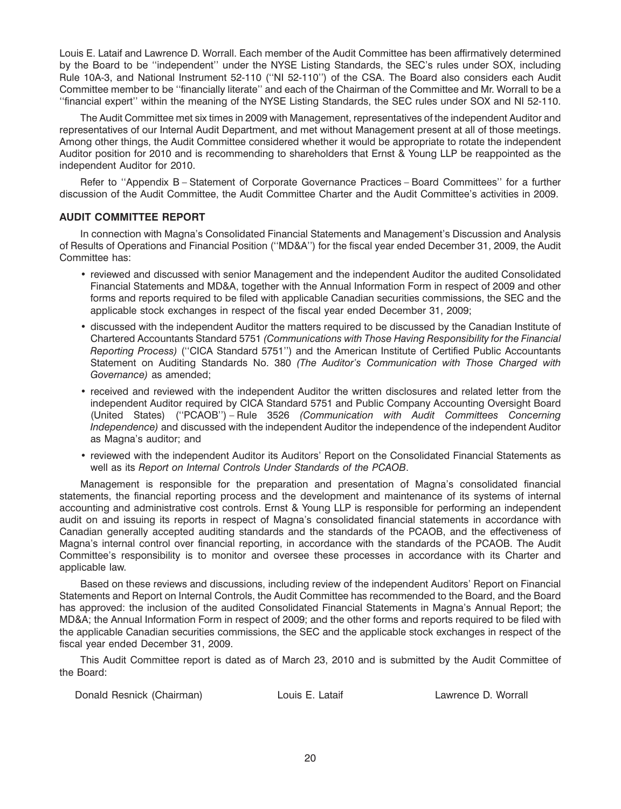Louis E. Lataif and Lawrence D. Worrall. Each member of the Audit Committee has been affirmatively determined by the Board to be ''independent'' under the NYSE Listing Standards, the SEC's rules under SOX, including Rule 10A-3, and National Instrument 52-110 (''NI 52-110'') of the CSA. The Board also considers each Audit Committee member to be ''financially literate'' and each of the Chairman of the Committee and Mr. Worrall to be a ''financial expert'' within the meaning of the NYSE Listing Standards, the SEC rules under SOX and NI 52-110.

The Audit Committee met six times in 2009 with Management, representatives of the independent Auditor and representatives of our Internal Audit Department, and met without Management present at all of those meetings. Among other things, the Audit Committee considered whether it would be appropriate to rotate the independent Auditor position for 2010 and is recommending to shareholders that Ernst & Young LLP be reappointed as the independent Auditor for 2010.

Refer to ''Appendix B – Statement of Corporate Governance Practices – Board Committees'' for a further discussion of the Audit Committee, the Audit Committee Charter and the Audit Committee's activities in 2009.

## **AUDIT COMMITTEE REPORT**

In connection with Magna's Consolidated Financial Statements and Management's Discussion and Analysis of Results of Operations and Financial Position (''MD&A'') for the fiscal year ended December 31, 2009, the Audit Committee has:

- reviewed and discussed with senior Management and the independent Auditor the audited Consolidated Financial Statements and MD&A, together with the Annual Information Form in respect of 2009 and other forms and reports required to be filed with applicable Canadian securities commissions, the SEC and the applicable stock exchanges in respect of the fiscal year ended December 31, 2009;
- discussed with the independent Auditor the matters required to be discussed by the Canadian Institute of Chartered Accountants Standard 5751 *(Communications with Those Having Responsibility for the Financial Reporting Process)* (''CICA Standard 5751'') and the American Institute of Certified Public Accountants Statement on Auditing Standards No. 380 *(The Auditor's Communication with Those Charged with Governance)* as amended;
- received and reviewed with the independent Auditor the written disclosures and related letter from the independent Auditor required by CICA Standard 5751 and Public Company Accounting Oversight Board (United States) (''PCAOB'') – Rule 3526 *(Communication with Audit Committees Concerning Independence)* and discussed with the independent Auditor the independence of the independent Auditor as Magna's auditor; and
- reviewed with the independent Auditor its Auditors' Report on the Consolidated Financial Statements as well as its *Report on Internal Controls Under Standards of the PCAOB*.

Management is responsible for the preparation and presentation of Magna's consolidated financial statements, the financial reporting process and the development and maintenance of its systems of internal accounting and administrative cost controls. Ernst & Young LLP is responsible for performing an independent audit on and issuing its reports in respect of Magna's consolidated financial statements in accordance with Canadian generally accepted auditing standards and the standards of the PCAOB, and the effectiveness of Magna's internal control over financial reporting, in accordance with the standards of the PCAOB. The Audit Committee's responsibility is to monitor and oversee these processes in accordance with its Charter and applicable law.

Based on these reviews and discussions, including review of the independent Auditors' Report on Financial Statements and Report on Internal Controls, the Audit Committee has recommended to the Board, and the Board has approved: the inclusion of the audited Consolidated Financial Statements in Magna's Annual Report; the MD&A; the Annual Information Form in respect of 2009; and the other forms and reports required to be filed with the applicable Canadian securities commissions, the SEC and the applicable stock exchanges in respect of the fiscal year ended December 31, 2009.

This Audit Committee report is dated as of March 23, 2010 and is submitted by the Audit Committee of the Board:

| Donald Resnick (Chairman) | Louis E. Lataif |
|---------------------------|-----------------|
|---------------------------|-----------------|

Lawrence D. Worrall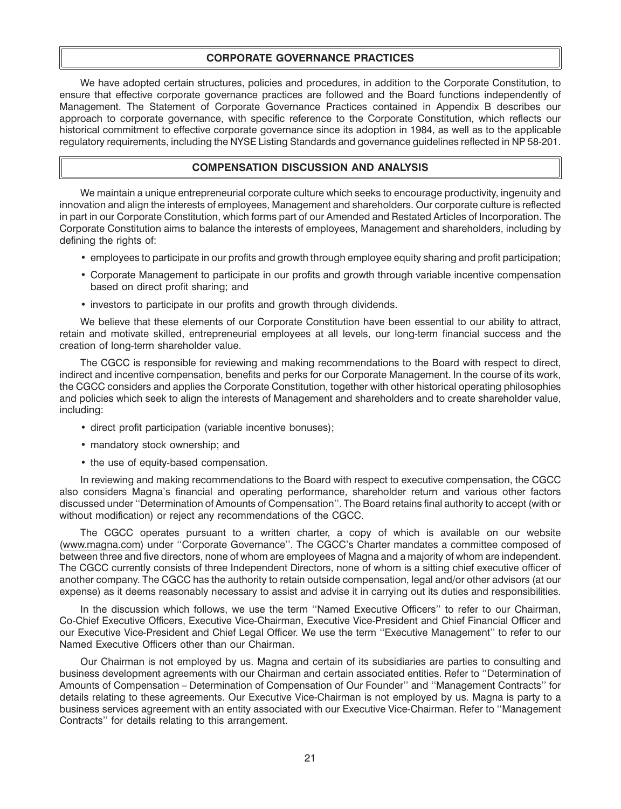## **CORPORATE GOVERNANCE PRACTICES**

We have adopted certain structures, policies and procedures, in addition to the Corporate Constitution, to ensure that effective corporate governance practices are followed and the Board functions independently of Management. The Statement of Corporate Governance Practices contained in Appendix B describes our approach to corporate governance, with specific reference to the Corporate Constitution, which reflects our historical commitment to effective corporate governance since its adoption in 1984, as well as to the applicable regulatory requirements, including the NYSE Listing Standards and governance guidelines reflected in NP 58-201.

## **COMPENSATION DISCUSSION AND ANALYSIS**

We maintain a unique entrepreneurial corporate culture which seeks to encourage productivity, ingenuity and innovation and align the interests of employees, Management and shareholders. Our corporate culture is reflected in part in our Corporate Constitution, which forms part of our Amended and Restated Articles of Incorporation. The Corporate Constitution aims to balance the interests of employees, Management and shareholders, including by defining the rights of:

- employees to participate in our profits and growth through employee equity sharing and profit participation;
- Corporate Management to participate in our profits and growth through variable incentive compensation based on direct profit sharing; and
- investors to participate in our profits and growth through dividends.

We believe that these elements of our Corporate Constitution have been essential to our ability to attract, retain and motivate skilled, entrepreneurial employees at all levels, our long-term financial success and the creation of long-term shareholder value.

The CGCC is responsible for reviewing and making recommendations to the Board with respect to direct, indirect and incentive compensation, benefits and perks for our Corporate Management. In the course of its work, the CGCC considers and applies the Corporate Constitution, together with other historical operating philosophies and policies which seek to align the interests of Management and shareholders and to create shareholder value, including:

- direct profit participation (variable incentive bonuses);
- mandatory stock ownership; and
- the use of equity-based compensation.

In reviewing and making recommendations to the Board with respect to executive compensation, the CGCC also considers Magna's financial and operating performance, shareholder return and various other factors discussed under ''Determination of Amounts of Compensation''. The Board retains final authority to accept (with or without modification) or reject any recommendations of the CGCC.

The CGCC operates pursuant to a written charter, a copy of which is available on our website (www.magna.com) under ''Corporate Governance''. The CGCC's Charter mandates a committee composed of between three and five directors, none of whom are employees of Magna and a majority of whom are independent. The CGCC currently consists of three Independent Directors, none of whom is a sitting chief executive officer of another company. The CGCC has the authority to retain outside compensation, legal and/or other advisors (at our expense) as it deems reasonably necessary to assist and advise it in carrying out its duties and responsibilities.

In the discussion which follows, we use the term ''Named Executive Officers'' to refer to our Chairman, Co-Chief Executive Officers, Executive Vice-Chairman, Executive Vice-President and Chief Financial Officer and our Executive Vice-President and Chief Legal Officer. We use the term ''Executive Management'' to refer to our Named Executive Officers other than our Chairman.

Our Chairman is not employed by us. Magna and certain of its subsidiaries are parties to consulting and business development agreements with our Chairman and certain associated entities. Refer to ''Determination of Amounts of Compensation – Determination of Compensation of Our Founder'' and ''Management Contracts'' for details relating to these agreements. Our Executive Vice-Chairman is not employed by us. Magna is party to a business services agreement with an entity associated with our Executive Vice-Chairman. Refer to ''Management Contracts'' for details relating to this arrangement.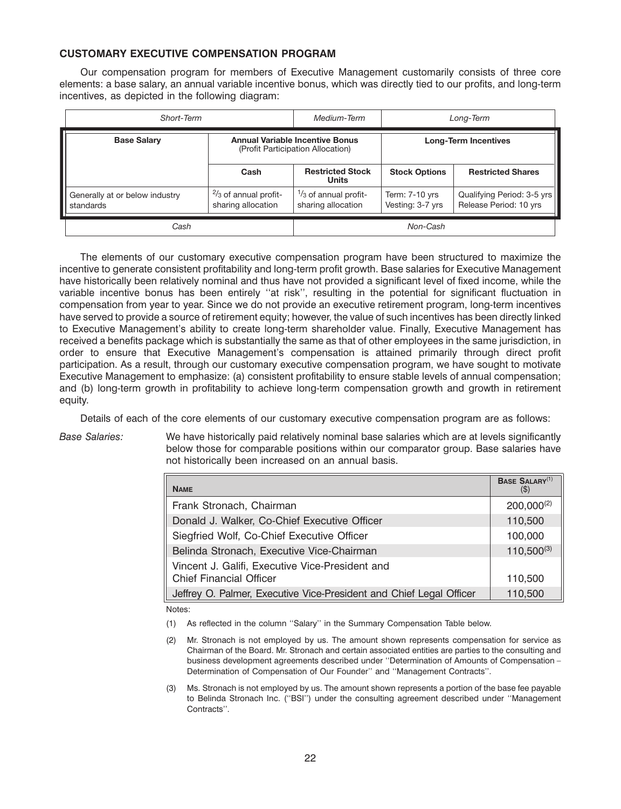## **CUSTOMARY EXECUTIVE COMPENSATION PROGRAM**

Our compensation program for members of Executive Management customarily consists of three core elements: a base salary, an annual variable incentive bonus, which was directly tied to our profits, and long-term incentives, as depicted in the following diagram:

| Short-Term                                  |                                                                             | Medium-Term                                           | Long-Term                            |                                                      |
|---------------------------------------------|-----------------------------------------------------------------------------|-------------------------------------------------------|--------------------------------------|------------------------------------------------------|
| <b>Base Salary</b>                          | <b>Annual Variable Incentive Bonus</b><br>(Profit Participation Allocation) |                                                       | <b>Long-Term Incentives</b>          |                                                      |
|                                             | Cash                                                                        | <b>Restricted Stock</b><br><b>Units</b>               | <b>Stock Options</b>                 | <b>Restricted Shares</b>                             |
| Generally at or below industry<br>standards | $\frac{2}{3}$ of annual profit-<br>sharing allocation                       | $\frac{1}{3}$ of annual profit-<br>sharing allocation | Term: $7-10$ yrs<br>Vesting: 3-7 yrs | Qualifying Period: 3-5 yrs<br>Release Period: 10 yrs |
| Cash                                        |                                                                             |                                                       | Non-Cash                             |                                                      |

The elements of our customary executive compensation program have been structured to maximize the incentive to generate consistent profitability and long-term profit growth. Base salaries for Executive Management have historically been relatively nominal and thus have not provided a significant level of fixed income, while the variable incentive bonus has been entirely ''at risk'', resulting in the potential for significant fluctuation in compensation from year to year. Since we do not provide an executive retirement program, long-term incentives have served to provide a source of retirement equity; however, the value of such incentives has been directly linked to Executive Management's ability to create long-term shareholder value. Finally, Executive Management has received a benefits package which is substantially the same as that of other employees in the same jurisdiction, in order to ensure that Executive Management's compensation is attained primarily through direct profit participation. As a result, through our customary executive compensation program, we have sought to motivate Executive Management to emphasize: (a) consistent profitability to ensure stable levels of annual compensation; and (b) long-term growth in profitability to achieve long-term compensation growth and growth in retirement equity.

Details of each of the core elements of our customary executive compensation program are as follows:

*Base Salaries:* We have historically paid relatively nominal base salaries which are at levels significantly below those for comparable positions within our comparator group. Base salaries have not historically been increased on an annual basis.

| <b>NAME</b>                                                                       | <b>BASE SALARY</b> <sup>(1)</sup><br>$($ \$) |
|-----------------------------------------------------------------------------------|----------------------------------------------|
| Frank Stronach, Chairman                                                          | $200,000^{(2)}$                              |
| Donald J. Walker, Co-Chief Executive Officer                                      | 110,500                                      |
| Siegfried Wolf, Co-Chief Executive Officer                                        | 100,000                                      |
| Belinda Stronach, Executive Vice-Chairman                                         | $110,500^{(3)}$                              |
| Vincent J. Galifi, Executive Vice-President and<br><b>Chief Financial Officer</b> | 110,500                                      |
| Jeffrey O. Palmer, Executive Vice-President and Chief Legal Officer               | 110,500                                      |

Notes:

(1) As reflected in the column ''Salary'' in the Summary Compensation Table below.

- (2) Mr. Stronach is not employed by us. The amount shown represents compensation for service as Chairman of the Board. Mr. Stronach and certain associated entities are parties to the consulting and business development agreements described under ''Determination of Amounts of Compensation – Determination of Compensation of Our Founder'' and ''Management Contracts''.
- (3) Ms. Stronach is not employed by us. The amount shown represents a portion of the base fee payable to Belinda Stronach Inc. (''BSI'') under the consulting agreement described under ''Management Contracts''.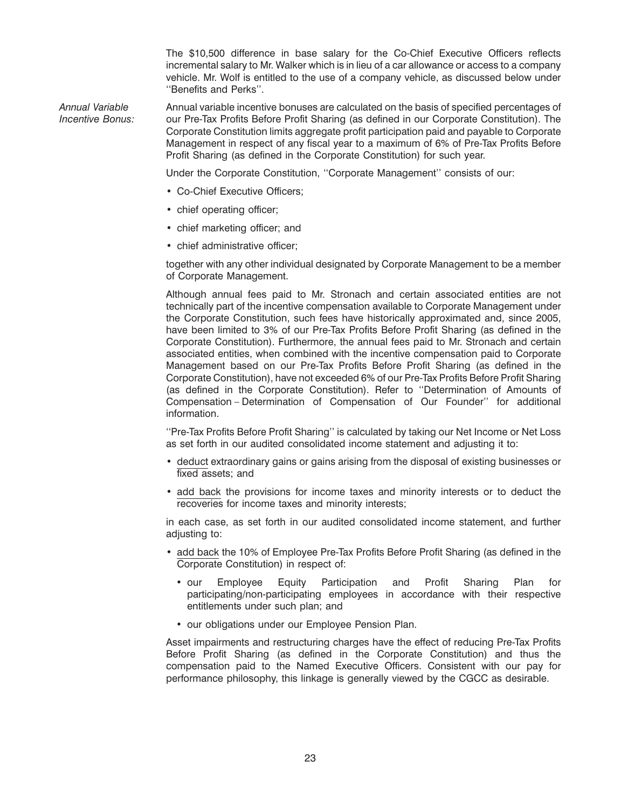The \$10,500 difference in base salary for the Co-Chief Executive Officers reflects incremental salary to Mr. Walker which is in lieu of a car allowance or access to a company vehicle. Mr. Wolf is entitled to the use of a company vehicle, as discussed below under ''Benefits and Perks''.

*Annual Variable* Annual variable incentive bonuses are calculated on the basis of specified percentages of *Incentive Bonus:* our Pre-Tax Profits Before Profit Sharing (as defined in our Corporate Constitution). The Corporate Constitution limits aggregate profit participation paid and payable to Corporate Management in respect of any fiscal year to a maximum of 6% of Pre-Tax Profits Before Profit Sharing (as defined in the Corporate Constitution) for such year.

Under the Corporate Constitution, ''Corporate Management'' consists of our:

- Co-Chief Executive Officers;
- chief operating officer;
- chief marketing officer; and
- chief administrative officer;

together with any other individual designated by Corporate Management to be a member of Corporate Management.

Although annual fees paid to Mr. Stronach and certain associated entities are not technically part of the incentive compensation available to Corporate Management under the Corporate Constitution, such fees have historically approximated and, since 2005, have been limited to 3% of our Pre-Tax Profits Before Profit Sharing (as defined in the Corporate Constitution). Furthermore, the annual fees paid to Mr. Stronach and certain associated entities, when combined with the incentive compensation paid to Corporate Management based on our Pre-Tax Profits Before Profit Sharing (as defined in the Corporate Constitution), have not exceeded 6% of our Pre-Tax Profits Before Profit Sharing (as defined in the Corporate Constitution). Refer to ''Determination of Amounts of Compensation – Determination of Compensation of Our Founder'' for additional information.

''Pre-Tax Profits Before Profit Sharing'' is calculated by taking our Net Income or Net Loss as set forth in our audited consolidated income statement and adjusting it to:

- deduct extraordinary gains or gains arising from the disposal of existing businesses or fixed assets; and
- add back the provisions for income taxes and minority interests or to deduct the recoveries for income taxes and minority interests;

in each case, as set forth in our audited consolidated income statement, and further adjusting to:

- add back the 10% of Employee Pre-Tax Profits Before Profit Sharing (as defined in the Corporate Constitution) in respect of:
	- our Employee Equity Participation and Profit Sharing Plan for participating/non-participating employees in accordance with their respective entitlements under such plan; and
	- our obligations under our Employee Pension Plan.

Asset impairments and restructuring charges have the effect of reducing Pre-Tax Profits Before Profit Sharing (as defined in the Corporate Constitution) and thus the compensation paid to the Named Executive Officers. Consistent with our pay for performance philosophy, this linkage is generally viewed by the CGCC as desirable.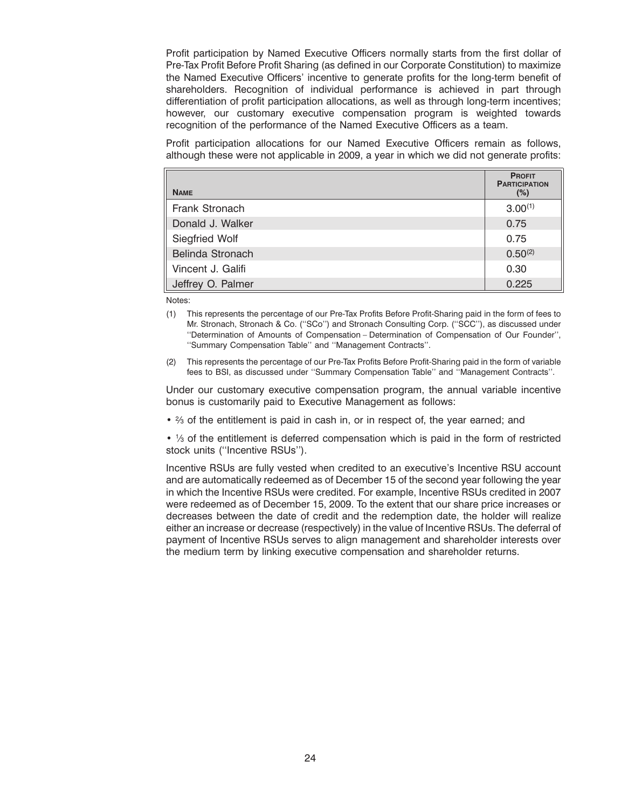Profit participation by Named Executive Officers normally starts from the first dollar of Pre-Tax Profit Before Profit Sharing (as defined in our Corporate Constitution) to maximize the Named Executive Officers' incentive to generate profits for the long-term benefit of shareholders. Recognition of individual performance is achieved in part through differentiation of profit participation allocations, as well as through long-term incentives; however, our customary executive compensation program is weighted towards recognition of the performance of the Named Executive Officers as a team.

Profit participation allocations for our Named Executive Officers remain as follows, although these were not applicable in 2009, a year in which we did not generate profits:

| <b>NAME</b>       | <b>PROFIT</b><br><b>PARTICIPATION</b><br>(%) |
|-------------------|----------------------------------------------|
| Frank Stronach    | $3.00^{(1)}$                                 |
| Donald J. Walker  | 0.75                                         |
| Siegfried Wolf    | 0.75                                         |
| Belinda Stronach  | $0.50^{(2)}$                                 |
| Vincent J. Galifi | 0.30                                         |
| Jeffrey O. Palmer | 0.225                                        |

Notes:

- (1) This represents the percentage of our Pre-Tax Profits Before Profit-Sharing paid in the form of fees to Mr. Stronach, Stronach & Co. (''SCo'') and Stronach Consulting Corp. (''SCC''), as discussed under ''Determination of Amounts of Compensation – Determination of Compensation of Our Founder'', ''Summary Compensation Table'' and ''Management Contracts''.
- (2) This represents the percentage of our Pre-Tax Profits Before Profit-Sharing paid in the form of variable fees to BSI, as discussed under ''Summary Compensation Table'' and ''Management Contracts''.

Under our customary executive compensation program, the annual variable incentive bonus is customarily paid to Executive Management as follows:

•  $\frac{2}{3}$  of the entitlement is paid in cash in, or in respect of, the year earned; and

• 1/3 of the entitlement is deferred compensation which is paid in the form of restricted stock units (''Incentive RSUs'').

Incentive RSUs are fully vested when credited to an executive's Incentive RSU account and are automatically redeemed as of December 15 of the second year following the year in which the Incentive RSUs were credited. For example, Incentive RSUs credited in 2007 were redeemed as of December 15, 2009. To the extent that our share price increases or decreases between the date of credit and the redemption date, the holder will realize either an increase or decrease (respectively) in the value of Incentive RSUs. The deferral of payment of Incentive RSUs serves to align management and shareholder interests over the medium term by linking executive compensation and shareholder returns.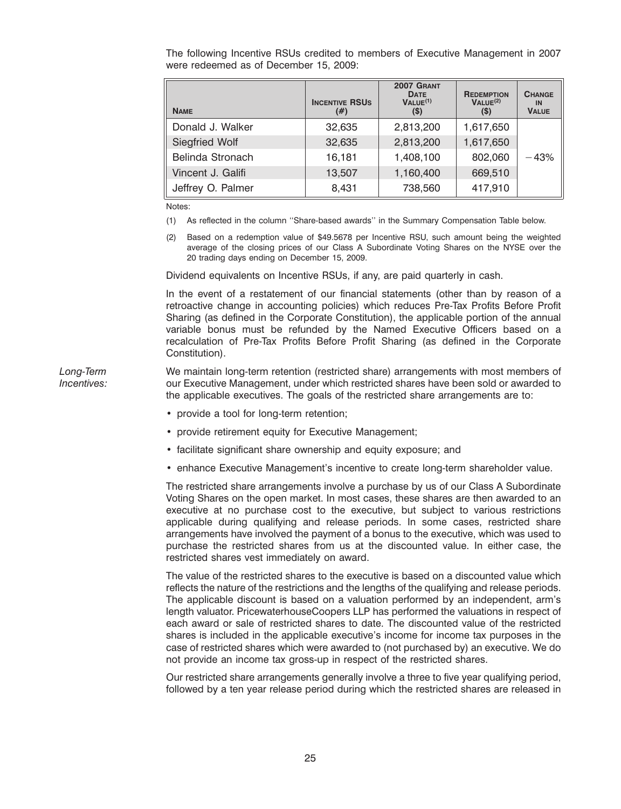The following Incentive RSUs credited to members of Executive Management in 2007 were redeemed as of December 15, 2009:

| <b>NAME</b>           | <b>INCENTIVE RSUS</b><br>(#) | 2007 GRANT<br><b>DATE</b><br>VALU E <sup>(1)</sup><br>$(\$)$ | <b>REDEMPTION</b><br>VALUE <sup>(2)</sup><br>$(\$)$ | <b>CHANGE</b><br>IN<br><b>VALUE</b> |
|-----------------------|------------------------------|--------------------------------------------------------------|-----------------------------------------------------|-------------------------------------|
| Donald J. Walker      | 32,635                       | 2,813,200                                                    | 1,617,650                                           |                                     |
| <b>Siegfried Wolf</b> | 32,635                       | 2,813,200                                                    | 1,617,650                                           |                                     |
| Belinda Stronach      | 16.181                       | 1,408,100                                                    | 802,060                                             | $-43%$                              |
| Vincent J. Galifi     | 13,507                       | 1,160,400                                                    | 669,510                                             |                                     |
| Jeffrey O. Palmer     | 8,431                        | 738,560                                                      | 417,910                                             |                                     |

Notes:

- (1) As reflected in the column ''Share-based awards'' in the Summary Compensation Table below.
- (2) Based on a redemption value of \$49.5678 per Incentive RSU, such amount being the weighted average of the closing prices of our Class A Subordinate Voting Shares on the NYSE over the 20 trading days ending on December 15, 2009.

Dividend equivalents on Incentive RSUs, if any, are paid quarterly in cash.

In the event of a restatement of our financial statements (other than by reason of a retroactive change in accounting policies) which reduces Pre-Tax Profits Before Profit Sharing (as defined in the Corporate Constitution), the applicable portion of the annual variable bonus must be refunded by the Named Executive Officers based on a recalculation of Pre-Tax Profits Before Profit Sharing (as defined in the Corporate Constitution).

*Long-Term* We maintain long-term retention (restricted share) arrangements with most members of *Incentives:* our Executive Management, under which restricted shares have been sold or awarded to the applicable executives. The goals of the restricted share arrangements are to:

- provide a tool for long-term retention;
- provide retirement equity for Executive Management;
- facilitate significant share ownership and equity exposure; and
- enhance Executive Management's incentive to create long-term shareholder value.

The restricted share arrangements involve a purchase by us of our Class A Subordinate Voting Shares on the open market. In most cases, these shares are then awarded to an executive at no purchase cost to the executive, but subject to various restrictions applicable during qualifying and release periods. In some cases, restricted share arrangements have involved the payment of a bonus to the executive, which was used to purchase the restricted shares from us at the discounted value. In either case, the restricted shares vest immediately on award.

The value of the restricted shares to the executive is based on a discounted value which reflects the nature of the restrictions and the lengths of the qualifying and release periods. The applicable discount is based on a valuation performed by an independent, arm's length valuator. PricewaterhouseCoopers LLP has performed the valuations in respect of each award or sale of restricted shares to date. The discounted value of the restricted shares is included in the applicable executive's income for income tax purposes in the case of restricted shares which were awarded to (not purchased by) an executive. We do not provide an income tax gross-up in respect of the restricted shares.

Our restricted share arrangements generally involve a three to five year qualifying period, followed by a ten year release period during which the restricted shares are released in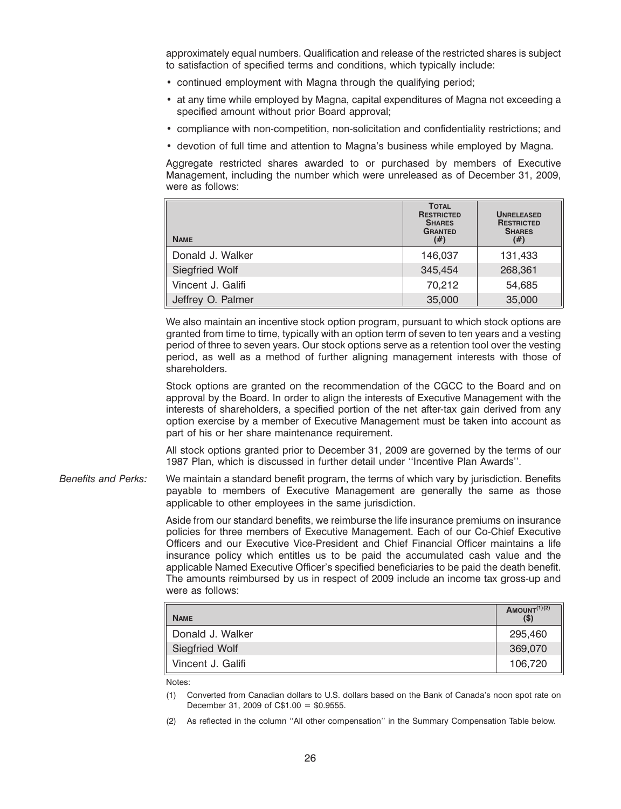approximately equal numbers. Qualification and release of the restricted shares is subject to satisfaction of specified terms and conditions, which typically include:

- continued employment with Magna through the qualifying period;
- at any time while employed by Magna, capital expenditures of Magna not exceeding a specified amount without prior Board approval;
- compliance with non-competition, non-solicitation and confidentiality restrictions; and
- devotion of full time and attention to Magna's business while employed by Magna.

Aggregate restricted shares awarded to or purchased by members of Executive Management, including the number which were unreleased as of December 31, 2009, were as follows:

| <b>NAME</b>           | <b>TOTAL</b><br><b>RESTRICTED</b><br><b>SHARES</b><br><b>GRANTED</b><br>$^{(#)}$ | <b>UNRELEASED</b><br><b>RESTRICTED</b><br><b>SHARES</b><br>(#) |
|-----------------------|----------------------------------------------------------------------------------|----------------------------------------------------------------|
| Donald J. Walker      | 146,037                                                                          | 131,433                                                        |
| <b>Siegfried Wolf</b> | 345,454                                                                          | 268,361                                                        |
| Vincent J. Galifi     | 70,212                                                                           | 54,685                                                         |
| Jeffrey O. Palmer     | 35,000                                                                           | 35,000                                                         |

We also maintain an incentive stock option program, pursuant to which stock options are granted from time to time, typically with an option term of seven to ten years and a vesting period of three to seven years. Our stock options serve as a retention tool over the vesting period, as well as a method of further aligning management interests with those of shareholders.

Stock options are granted on the recommendation of the CGCC to the Board and on approval by the Board. In order to align the interests of Executive Management with the interests of shareholders, a specified portion of the net after-tax gain derived from any option exercise by a member of Executive Management must be taken into account as part of his or her share maintenance requirement.

All stock options granted prior to December 31, 2009 are governed by the terms of our 1987 Plan, which is discussed in further detail under ''Incentive Plan Awards''.

*Benefits and Perks:* We maintain a standard benefit program, the terms of which vary by jurisdiction. Benefits payable to members of Executive Management are generally the same as those applicable to other employees in the same jurisdiction.

> Aside from our standard benefits, we reimburse the life insurance premiums on insurance policies for three members of Executive Management. Each of our Co-Chief Executive Officers and our Executive Vice-President and Chief Financial Officer maintains a life insurance policy which entitles us to be paid the accumulated cash value and the applicable Named Executive Officer's specified beneficiaries to be paid the death benefit. The amounts reimbursed by us in respect of 2009 include an income tax gross-up and were as follows:

| <b>NAME</b>       | AMOUNT $(1)(2)$<br>$($ \$) |
|-------------------|----------------------------|
| Donald J. Walker  | 295,460                    |
| Siegfried Wolf    | 369,070                    |
| Vincent J. Galifi | 106,720                    |

Notes:

(1) Converted from Canadian dollars to U.S. dollars based on the Bank of Canada's noon spot rate on December 31, 2009 of C\$1.00 = \$0.9555.

As reflected in the column "All other compensation" in the Summary Compensation Table below.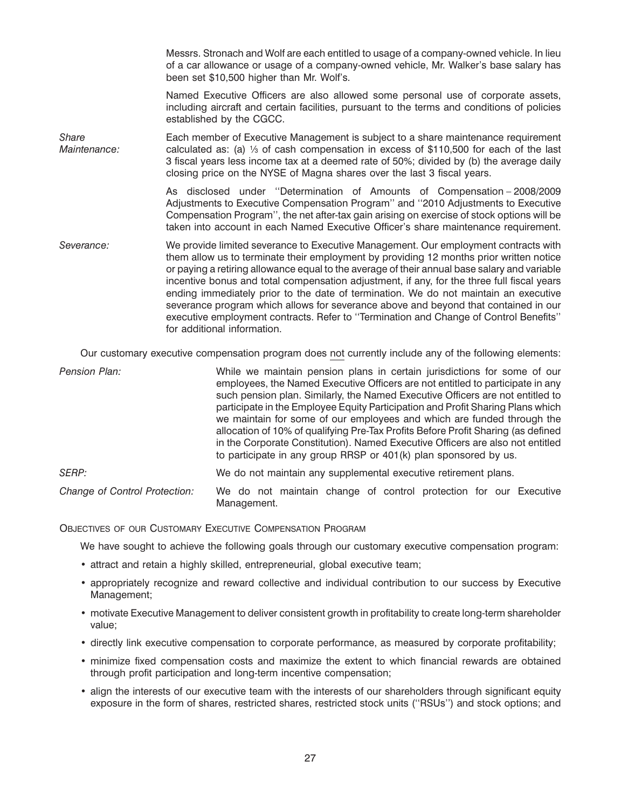Messrs. Stronach and Wolf are each entitled to usage of a company-owned vehicle. In lieu of a car allowance or usage of a company-owned vehicle, Mr. Walker's base salary has been set \$10,500 higher than Mr. Wolf's.

Named Executive Officers are also allowed some personal use of corporate assets, including aircraft and certain facilities, pursuant to the terms and conditions of policies established by the CGCC.

*Share* Each member of Executive Management is subject to a share maintenance requirement<br>*Maintenance*: calculated as: (a) <sup>1/</sup><sub>3</sub> of cash compensation in excess of \$110,500 for each of the last *Maintenance:* calculated as: (a) 1⁄3 of cash compensation in excess of \$110,500 for each of the last 3 fiscal years less income tax at a deemed rate of 50%; divided by (b) the average daily closing price on the NYSE of Magna shares over the last 3 fiscal years.

> As disclosed under ''Determination of Amounts of Compensation – 2008/2009 Adjustments to Executive Compensation Program'' and ''2010 Adjustments to Executive Compensation Program'', the net after-tax gain arising on exercise of stock options will be taken into account in each Named Executive Officer's share maintenance requirement.

*Severance:* We provide limited severance to Executive Management. Our employment contracts with them allow us to terminate their employment by providing 12 months prior written notice or paying a retiring allowance equal to the average of their annual base salary and variable incentive bonus and total compensation adjustment, if any, for the three full fiscal years ending immediately prior to the date of termination. We do not maintain an executive severance program which allows for severance above and beyond that contained in our executive employment contracts. Refer to ''Termination and Change of Control Benefits'' for additional information.

Our customary executive compensation program does not currently include any of the following elements:

| Pension Plan:                 | While we maintain pension plans in certain jurisdictions for some of our<br>employees, the Named Executive Officers are not entitled to participate in any<br>such pension plan. Similarly, the Named Executive Officers are not entitled to<br>participate in the Employee Equity Participation and Profit Sharing Plans which<br>we maintain for some of our employees and which are funded through the<br>allocation of 10% of qualifying Pre-Tax Profits Before Profit Sharing (as defined<br>in the Corporate Constitution). Named Executive Officers are also not entitled<br>to participate in any group RRSP or 401(k) plan sponsored by us. |
|-------------------------------|------------------------------------------------------------------------------------------------------------------------------------------------------------------------------------------------------------------------------------------------------------------------------------------------------------------------------------------------------------------------------------------------------------------------------------------------------------------------------------------------------------------------------------------------------------------------------------------------------------------------------------------------------|
| SERP:                         | We do not maintain any supplemental executive retirement plans.                                                                                                                                                                                                                                                                                                                                                                                                                                                                                                                                                                                      |
| Change of Control Protection: | We do not maintain change of control protection for our Executive<br>Management.                                                                                                                                                                                                                                                                                                                                                                                                                                                                                                                                                                     |

OBJECTIVES OF OUR CUSTOMARY EXECUTIVE COMPENSATION PROGRAM

We have sought to achieve the following goals through our customary executive compensation program:

- attract and retain a highly skilled, entrepreneurial, global executive team;
- appropriately recognize and reward collective and individual contribution to our success by Executive Management;
- motivate Executive Management to deliver consistent growth in profitability to create long-term shareholder value;
- directly link executive compensation to corporate performance, as measured by corporate profitability;
- minimize fixed compensation costs and maximize the extent to which financial rewards are obtained through profit participation and long-term incentive compensation;
- align the interests of our executive team with the interests of our shareholders through significant equity exposure in the form of shares, restricted shares, restricted stock units (''RSUs'') and stock options; and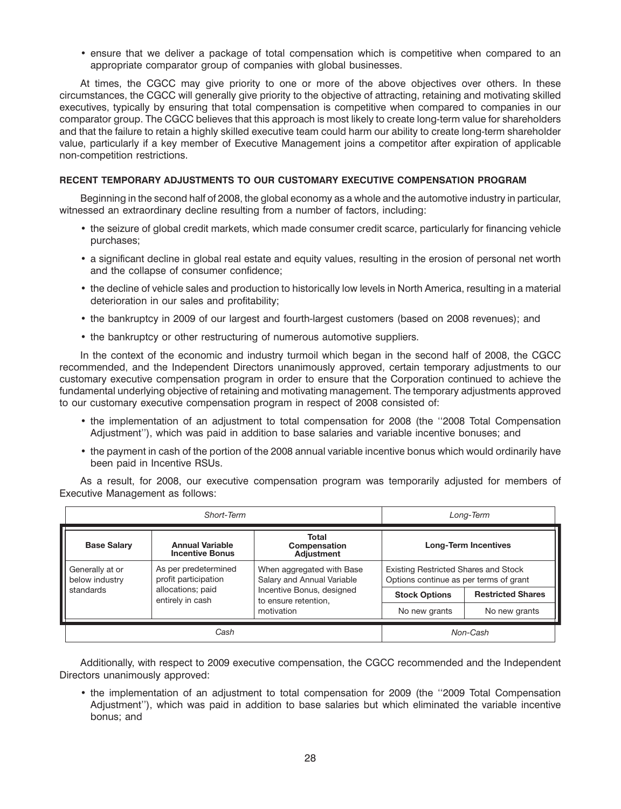• ensure that we deliver a package of total compensation which is competitive when compared to an appropriate comparator group of companies with global businesses.

At times, the CGCC may give priority to one or more of the above objectives over others. In these circumstances, the CGCC will generally give priority to the objective of attracting, retaining and motivating skilled executives, typically by ensuring that total compensation is competitive when compared to companies in our comparator group. The CGCC believes that this approach is most likely to create long-term value for shareholders and that the failure to retain a highly skilled executive team could harm our ability to create long-term shareholder value, particularly if a key member of Executive Management joins a competitor after expiration of applicable non-competition restrictions.

#### **RECENT TEMPORARY ADJUSTMENTS TO OUR CUSTOMARY EXECUTIVE COMPENSATION PROGRAM**

Beginning in the second half of 2008, the global economy as a whole and the automotive industry in particular, witnessed an extraordinary decline resulting from a number of factors, including:

- the seizure of global credit markets, which made consumer credit scarce, particularly for financing vehicle purchases;
- a significant decline in global real estate and equity values, resulting in the erosion of personal net worth and the collapse of consumer confidence;
- the decline of vehicle sales and production to historically low levels in North America, resulting in a material deterioration in our sales and profitability;
- the bankruptcy in 2009 of our largest and fourth-largest customers (based on 2008 revenues); and
- the bankruptcy or other restructuring of numerous automotive suppliers.

In the context of the economic and industry turmoil which began in the second half of 2008, the CGCC recommended, and the Independent Directors unanimously approved, certain temporary adjustments to our customary executive compensation program in order to ensure that the Corporation continued to achieve the fundamental underlying objective of retaining and motivating management. The temporary adjustments approved to our customary executive compensation program in respect of 2008 consisted of:

- the implementation of an adjustment to total compensation for 2008 (the ''2008 Total Compensation Adjustment''), which was paid in addition to base salaries and variable incentive bonuses; and
- the payment in cash of the portion of the 2008 annual variable incentive bonus which would ordinarily have been paid in Incentive RSUs.

As a result, for 2008, our executive compensation program was temporarily adjusted for members of Executive Management as follows:

| Short-Term                                         |                                                                                                         | Long-Term                                         |                                                                                       |                          |
|----------------------------------------------------|---------------------------------------------------------------------------------------------------------|---------------------------------------------------|---------------------------------------------------------------------------------------|--------------------------|
| <b>Base Salary</b>                                 | <b>Annual Variable</b><br><b>Incentive Bonus</b>                                                        | <b>Total</b><br>Compensation<br><b>Adiustment</b> | <b>Long-Term Incentives</b>                                                           |                          |
| Generally at or<br>below industry                  | As per predetermined<br>When aggregated with Base<br>profit participation<br>Salary and Annual Variable |                                                   | <b>Existing Restricted Shares and Stock</b><br>Options continue as per terms of grant |                          |
| allocations; paid<br>standards<br>entirely in cash |                                                                                                         | Incentive Bonus, designed<br>to ensure retention, | <b>Stock Options</b>                                                                  | <b>Restricted Shares</b> |
|                                                    | motivation                                                                                              | No new grants                                     | No new grants                                                                         |                          |
| Cash                                               |                                                                                                         | Non-Cash                                          |                                                                                       |                          |

Additionally, with respect to 2009 executive compensation, the CGCC recommended and the Independent Directors unanimously approved:

• the implementation of an adjustment to total compensation for 2009 (the ''2009 Total Compensation Adjustment''), which was paid in addition to base salaries but which eliminated the variable incentive bonus; and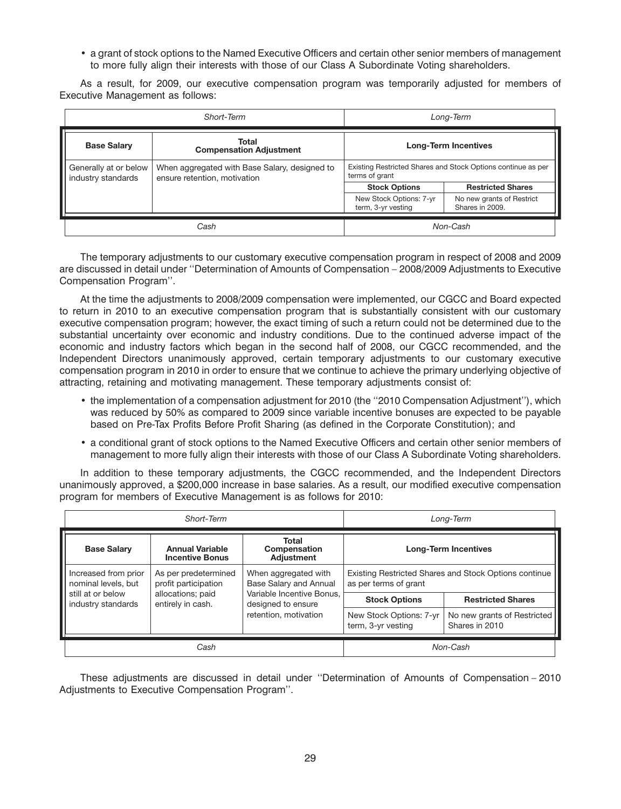• a grant of stock options to the Named Executive Officers and certain other senior members of management to more fully align their interests with those of our Class A Subordinate Voting shareholders.

As a result, for 2009, our executive compensation program was temporarily adjusted for members of Executive Management as follows:

| Short-Term                                    |                                                                               | Long-Term                                                                      |                                              |
|-----------------------------------------------|-------------------------------------------------------------------------------|--------------------------------------------------------------------------------|----------------------------------------------|
| <b>Base Salary</b>                            | Total<br><b>Compensation Adjustment</b>                                       | <b>Long-Term Incentives</b>                                                    |                                              |
| Generally at or below<br>  industry standards | When aggregated with Base Salary, designed to<br>ensure retention, motivation | Existing Restricted Shares and Stock Options continue as per<br>terms of grant |                                              |
|                                               |                                                                               | <b>Stock Options</b>                                                           | <b>Restricted Shares</b>                     |
|                                               |                                                                               | New Stock Options: 7-yr<br>term, 3-yr vesting                                  | No new grants of Restrict<br>Shares in 2009. |
|                                               | Cash                                                                          | Non-Cash                                                                       |                                              |

The temporary adjustments to our customary executive compensation program in respect of 2008 and 2009 are discussed in detail under ''Determination of Amounts of Compensation – 2008/2009 Adjustments to Executive Compensation Program''.

At the time the adjustments to 2008/2009 compensation were implemented, our CGCC and Board expected to return in 2010 to an executive compensation program that is substantially consistent with our customary executive compensation program; however, the exact timing of such a return could not be determined due to the substantial uncertainty over economic and industry conditions. Due to the continued adverse impact of the economic and industry factors which began in the second half of 2008, our CGCC recommended, and the Independent Directors unanimously approved, certain temporary adjustments to our customary executive compensation program in 2010 in order to ensure that we continue to achieve the primary underlying objective of attracting, retaining and motivating management. These temporary adjustments consist of:

- the implementation of a compensation adjustment for 2010 (the ''2010 Compensation Adjustment''), which was reduced by 50% as compared to 2009 since variable incentive bonuses are expected to be payable based on Pre-Tax Profits Before Profit Sharing (as defined in the Corporate Constitution); and
- a conditional grant of stock options to the Named Executive Officers and certain other senior members of management to more fully align their interests with those of our Class A Subordinate Voting shareholders.

In addition to these temporary adjustments, the CGCC recommended, and the Independent Directors unanimously approved, a \$200,000 increase in base salaries. As a result, our modified executive compensation program for members of Executive Management is as follows for 2010:

| Short-Term                                  |                                                  | Long-Term                                             |                                                                                |                          |
|---------------------------------------------|--------------------------------------------------|-------------------------------------------------------|--------------------------------------------------------------------------------|--------------------------|
| <b>Base Salary</b>                          | <b>Annual Variable</b><br><b>Incentive Bonus</b> | Total<br><b>Compensation</b><br><b>Adjustment</b>     | <b>Long-Term Incentives</b>                                                    |                          |
| Increased from prior<br>nominal levels, but | As per predetermined<br>profit participation     | When aggregated with<br><b>Base Salary and Annual</b> | Existing Restricted Shares and Stock Options continue<br>as per terms of grant |                          |
| still at or below<br>industry standards     | allocations; paid<br>entirely in cash.           | Variable Incentive Bonus.<br>designed to ensure       | <b>Stock Options</b>                                                           | <b>Restricted Shares</b> |
|                                             | retention, motivation                            | New Stock Options: 7-yr<br>term, 3-yr vesting         | No new grants of Restricted<br>Shares in 2010                                  |                          |
| Cash                                        |                                                  | Non-Cash                                              |                                                                                |                          |

These adjustments are discussed in detail under ''Determination of Amounts of Compensation – 2010 Adjustments to Executive Compensation Program''.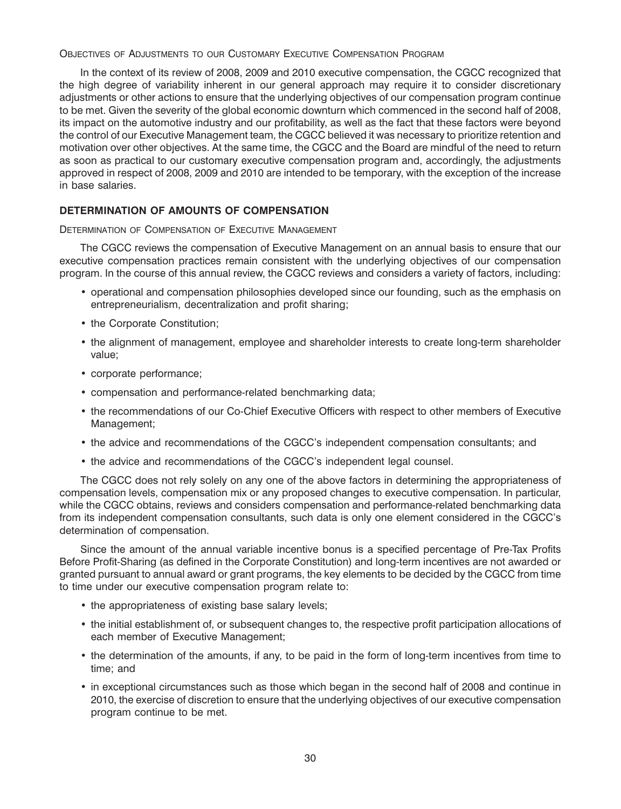OBJECTIVES OF ADJUSTMENTS TO OUR CUSTOMARY EXECUTIVE COMPENSATION PROGRAM

In the context of its review of 2008, 2009 and 2010 executive compensation, the CGCC recognized that the high degree of variability inherent in our general approach may require it to consider discretionary adjustments or other actions to ensure that the underlying objectives of our compensation program continue to be met. Given the severity of the global economic downturn which commenced in the second half of 2008, its impact on the automotive industry and our profitability, as well as the fact that these factors were beyond the control of our Executive Management team, the CGCC believed it was necessary to prioritize retention and motivation over other objectives. At the same time, the CGCC and the Board are mindful of the need to return as soon as practical to our customary executive compensation program and, accordingly, the adjustments approved in respect of 2008, 2009 and 2010 are intended to be temporary, with the exception of the increase in base salaries.

# **DETERMINATION OF AMOUNTS OF COMPENSATION**

DETERMINATION OF COMPENSATION OF EXECUTIVE MANAGEMENT

The CGCC reviews the compensation of Executive Management on an annual basis to ensure that our executive compensation practices remain consistent with the underlying objectives of our compensation program. In the course of this annual review, the CGCC reviews and considers a variety of factors, including:

- operational and compensation philosophies developed since our founding, such as the emphasis on entrepreneurialism, decentralization and profit sharing;
- the Corporate Constitution;
- the alignment of management, employee and shareholder interests to create long-term shareholder value;
- corporate performance;
- compensation and performance-related benchmarking data;
- the recommendations of our Co-Chief Executive Officers with respect to other members of Executive Management;
- the advice and recommendations of the CGCC's independent compensation consultants; and
- the advice and recommendations of the CGCC's independent legal counsel.

The CGCC does not rely solely on any one of the above factors in determining the appropriateness of compensation levels, compensation mix or any proposed changes to executive compensation. In particular, while the CGCC obtains, reviews and considers compensation and performance-related benchmarking data from its independent compensation consultants, such data is only one element considered in the CGCC's determination of compensation.

Since the amount of the annual variable incentive bonus is a specified percentage of Pre-Tax Profits Before Profit-Sharing (as defined in the Corporate Constitution) and long-term incentives are not awarded or granted pursuant to annual award or grant programs, the key elements to be decided by the CGCC from time to time under our executive compensation program relate to:

- the appropriateness of existing base salary levels;
- the initial establishment of, or subsequent changes to, the respective profit participation allocations of each member of Executive Management;
- the determination of the amounts, if any, to be paid in the form of long-term incentives from time to time; and
- in exceptional circumstances such as those which began in the second half of 2008 and continue in 2010, the exercise of discretion to ensure that the underlying objectives of our executive compensation program continue to be met.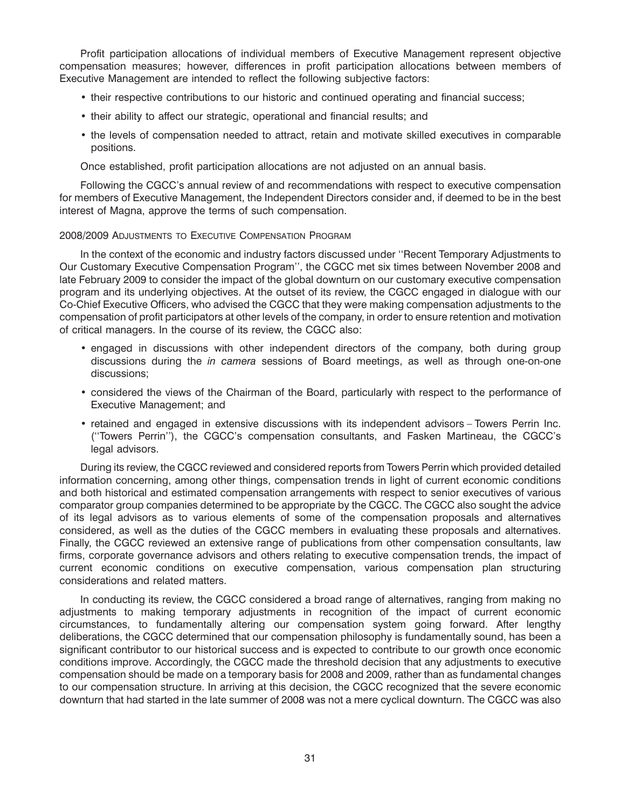Profit participation allocations of individual members of Executive Management represent objective compensation measures; however, differences in profit participation allocations between members of Executive Management are intended to reflect the following subjective factors:

- their respective contributions to our historic and continued operating and financial success;
- their ability to affect our strategic, operational and financial results; and
- the levels of compensation needed to attract, retain and motivate skilled executives in comparable positions.

Once established, profit participation allocations are not adjusted on an annual basis.

Following the CGCC's annual review of and recommendations with respect to executive compensation for members of Executive Management, the Independent Directors consider and, if deemed to be in the best interest of Magna, approve the terms of such compensation.

#### 2008/2009 ADJUSTMENTS TO EXECUTIVE COMPENSATION PROGRAM

In the context of the economic and industry factors discussed under ''Recent Temporary Adjustments to Our Customary Executive Compensation Program'', the CGCC met six times between November 2008 and late February 2009 to consider the impact of the global downturn on our customary executive compensation program and its underlying objectives. At the outset of its review, the CGCC engaged in dialogue with our Co-Chief Executive Officers, who advised the CGCC that they were making compensation adjustments to the compensation of profit participators at other levels of the company, in order to ensure retention and motivation of critical managers. In the course of its review, the CGCC also:

- engaged in discussions with other independent directors of the company, both during group discussions during the *in camera* sessions of Board meetings, as well as through one-on-one discussions;
- considered the views of the Chairman of the Board, particularly with respect to the performance of Executive Management; and
- retained and engaged in extensive discussions with its independent advisors Towers Perrin Inc. (''Towers Perrin''), the CGCC's compensation consultants, and Fasken Martineau, the CGCC's legal advisors.

During its review, the CGCC reviewed and considered reports from Towers Perrin which provided detailed information concerning, among other things, compensation trends in light of current economic conditions and both historical and estimated compensation arrangements with respect to senior executives of various comparator group companies determined to be appropriate by the CGCC. The CGCC also sought the advice of its legal advisors as to various elements of some of the compensation proposals and alternatives considered, as well as the duties of the CGCC members in evaluating these proposals and alternatives. Finally, the CGCC reviewed an extensive range of publications from other compensation consultants, law firms, corporate governance advisors and others relating to executive compensation trends, the impact of current economic conditions on executive compensation, various compensation plan structuring considerations and related matters.

In conducting its review, the CGCC considered a broad range of alternatives, ranging from making no adjustments to making temporary adjustments in recognition of the impact of current economic circumstances, to fundamentally altering our compensation system going forward. After lengthy deliberations, the CGCC determined that our compensation philosophy is fundamentally sound, has been a significant contributor to our historical success and is expected to contribute to our growth once economic conditions improve. Accordingly, the CGCC made the threshold decision that any adjustments to executive compensation should be made on a temporary basis for 2008 and 2009, rather than as fundamental changes to our compensation structure. In arriving at this decision, the CGCC recognized that the severe economic downturn that had started in the late summer of 2008 was not a mere cyclical downturn. The CGCC was also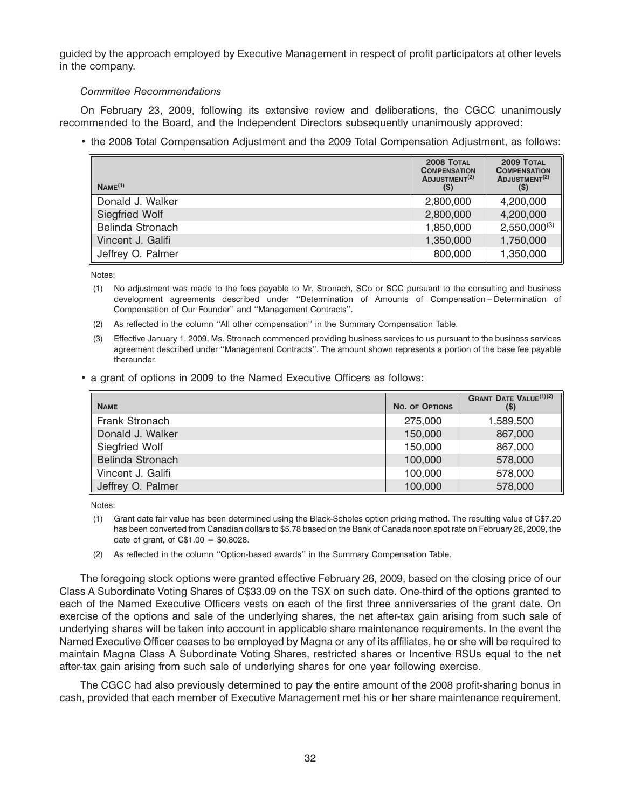guided by the approach employed by Executive Management in respect of profit participators at other levels in the company.

## *Committee Recommendations*

On February 23, 2009, following its extensive review and deliberations, the CGCC unanimously recommended to the Board, and the Independent Directors subsequently unanimously approved:

• the 2008 Total Compensation Adjustment and the 2009 Total Compensation Adjustment, as follows:

| Name <sup>(1)</sup> | 2008 TOTAL<br><b>COMPENSATION</b><br>ADJUSTMENT <sup>(2)</sup><br>$($ \$ | 2009 TOTAL<br><b>COMPENSATION</b><br>ADJUSTMENT <sup>(2)</sup><br>(\$) |
|---------------------|--------------------------------------------------------------------------|------------------------------------------------------------------------|
| Donald J. Walker    | 2,800,000                                                                | 4,200,000                                                              |
| Siegfried Wolf      | 2,800,000                                                                | 4,200,000                                                              |
| Belinda Stronach    | 1,850,000                                                                | $2,550,000^{(3)}$                                                      |
| Vincent J. Galifi   | 1,350,000                                                                | 1,750,000                                                              |
| Jeffrey O. Palmer   | 800,000                                                                  | 1,350,000                                                              |

Notes:

- (1) No adjustment was made to the fees payable to Mr. Stronach, SCo or SCC pursuant to the consulting and business development agreements described under ''Determination of Amounts of Compensation – Determination of Compensation of Our Founder'' and ''Management Contracts''.
- (2) As reflected in the column ''All other compensation'' in the Summary Compensation Table.
- (3) Effective January 1, 2009, Ms. Stronach commenced providing business services to us pursuant to the business services agreement described under ''Management Contracts''. The amount shown represents a portion of the base fee payable thereunder.
- a grant of options in 2009 to the Named Executive Officers as follows:

| <b>NAME</b>       | <b>NO. OF OPTIONS</b> | <b>GRANT DATE VALUE(1)(2)</b><br>$(\$)$ |
|-------------------|-----------------------|-----------------------------------------|
| Frank Stronach    | 275,000               | 1,589,500                               |
| Donald J. Walker  | 150,000               | 867,000                                 |
| Siegfried Wolf    | 150,000               | 867,000                                 |
| Belinda Stronach  | 100,000               | 578,000                                 |
| Vincent J. Galifi | 100,000               | 578,000                                 |
| Jeffrey O. Palmer | 100,000               | 578,000                                 |

Notes:

- (1) Grant date fair value has been determined using the Black-Scholes option pricing method. The resulting value of C\$7.20 has been converted from Canadian dollars to \$5.78 based on the Bank of Canada noon spot rate on February 26, 2009, the date of grant, of  $C$1.00 = $0.8028$ .
- (2) As reflected in the column ''Option-based awards'' in the Summary Compensation Table.

The foregoing stock options were granted effective February 26, 2009, based on the closing price of our Class A Subordinate Voting Shares of C\$33.09 on the TSX on such date. One-third of the options granted to each of the Named Executive Officers vests on each of the first three anniversaries of the grant date. On exercise of the options and sale of the underlying shares, the net after-tax gain arising from such sale of underlying shares will be taken into account in applicable share maintenance requirements. In the event the Named Executive Officer ceases to be employed by Magna or any of its affiliates, he or she will be required to maintain Magna Class A Subordinate Voting Shares, restricted shares or Incentive RSUs equal to the net after-tax gain arising from such sale of underlying shares for one year following exercise.

The CGCC had also previously determined to pay the entire amount of the 2008 profit-sharing bonus in cash, provided that each member of Executive Management met his or her share maintenance requirement.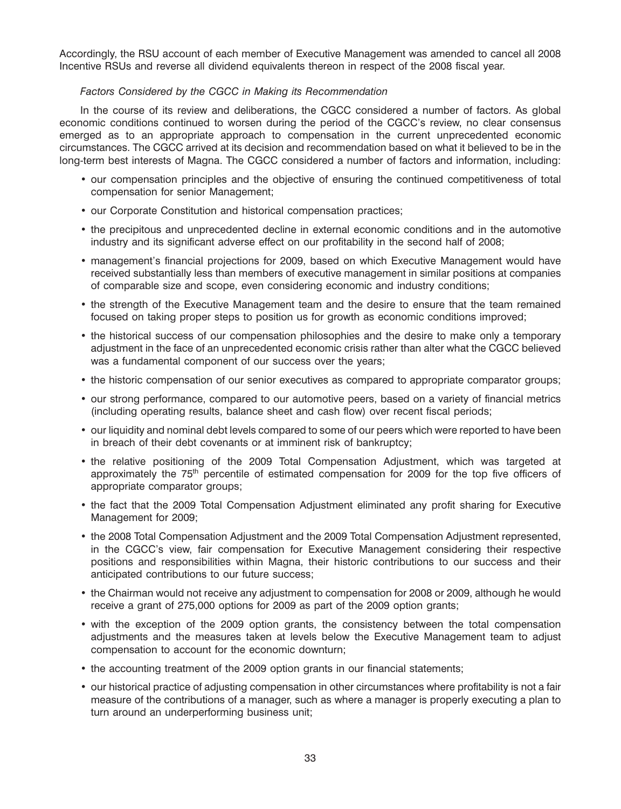Accordingly, the RSU account of each member of Executive Management was amended to cancel all 2008 Incentive RSUs and reverse all dividend equivalents thereon in respect of the 2008 fiscal year.

### *Factors Considered by the CGCC in Making its Recommendation*

In the course of its review and deliberations, the CGCC considered a number of factors. As global economic conditions continued to worsen during the period of the CGCC's review, no clear consensus emerged as to an appropriate approach to compensation in the current unprecedented economic circumstances. The CGCC arrived at its decision and recommendation based on what it believed to be in the long-term best interests of Magna. The CGCC considered a number of factors and information, including:

- our compensation principles and the objective of ensuring the continued competitiveness of total compensation for senior Management;
- our Corporate Constitution and historical compensation practices;
- the precipitous and unprecedented decline in external economic conditions and in the automotive industry and its significant adverse effect on our profitability in the second half of 2008;
- management's financial projections for 2009, based on which Executive Management would have received substantially less than members of executive management in similar positions at companies of comparable size and scope, even considering economic and industry conditions;
- the strength of the Executive Management team and the desire to ensure that the team remained focused on taking proper steps to position us for growth as economic conditions improved;
- the historical success of our compensation philosophies and the desire to make only a temporary adjustment in the face of an unprecedented economic crisis rather than alter what the CGCC believed was a fundamental component of our success over the years;
- the historic compensation of our senior executives as compared to appropriate comparator groups;
- our strong performance, compared to our automotive peers, based on a variety of financial metrics (including operating results, balance sheet and cash flow) over recent fiscal periods;
- our liquidity and nominal debt levels compared to some of our peers which were reported to have been in breach of their debt covenants or at imminent risk of bankruptcy;
- the relative positioning of the 2009 Total Compensation Adjustment, which was targeted at approximately the  $75<sup>th</sup>$  percentile of estimated compensation for 2009 for the top five officers of appropriate comparator groups;
- the fact that the 2009 Total Compensation Adjustment eliminated any profit sharing for Executive Management for 2009;
- the 2008 Total Compensation Adjustment and the 2009 Total Compensation Adjustment represented, in the CGCC's view, fair compensation for Executive Management considering their respective positions and responsibilities within Magna, their historic contributions to our success and their anticipated contributions to our future success;
- the Chairman would not receive any adjustment to compensation for 2008 or 2009, although he would receive a grant of 275,000 options for 2009 as part of the 2009 option grants;
- with the exception of the 2009 option grants, the consistency between the total compensation adjustments and the measures taken at levels below the Executive Management team to adjust compensation to account for the economic downturn;
- the accounting treatment of the 2009 option grants in our financial statements;
- our historical practice of adjusting compensation in other circumstances where profitability is not a fair measure of the contributions of a manager, such as where a manager is properly executing a plan to turn around an underperforming business unit;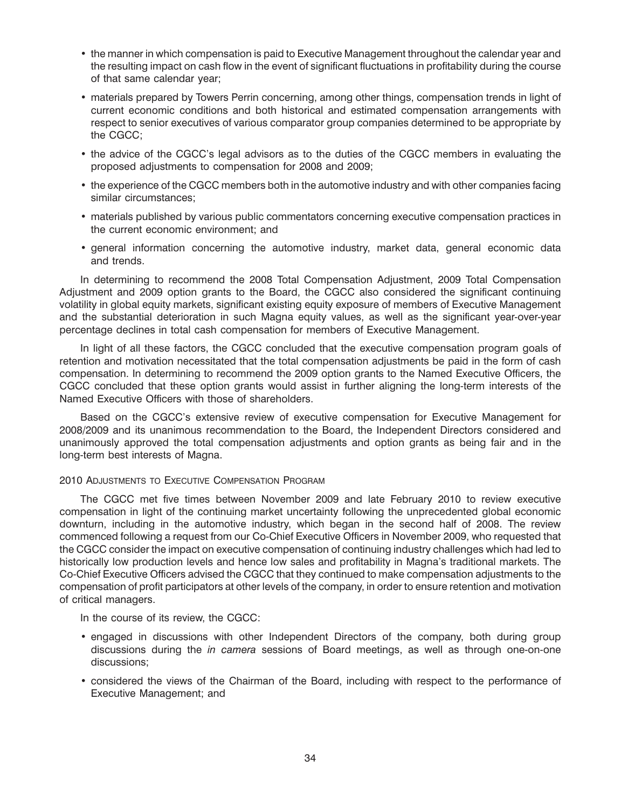- the manner in which compensation is paid to Executive Management throughout the calendar year and the resulting impact on cash flow in the event of significant fluctuations in profitability during the course of that same calendar year;
- materials prepared by Towers Perrin concerning, among other things, compensation trends in light of current economic conditions and both historical and estimated compensation arrangements with respect to senior executives of various comparator group companies determined to be appropriate by the CGCC;
- the advice of the CGCC's legal advisors as to the duties of the CGCC members in evaluating the proposed adjustments to compensation for 2008 and 2009;
- the experience of the CGCC members both in the automotive industry and with other companies facing similar circumstances;
- materials published by various public commentators concerning executive compensation practices in the current economic environment; and
- general information concerning the automotive industry, market data, general economic data and trends.

In determining to recommend the 2008 Total Compensation Adjustment, 2009 Total Compensation Adjustment and 2009 option grants to the Board, the CGCC also considered the significant continuing volatility in global equity markets, significant existing equity exposure of members of Executive Management and the substantial deterioration in such Magna equity values, as well as the significant year-over-year percentage declines in total cash compensation for members of Executive Management.

In light of all these factors, the CGCC concluded that the executive compensation program goals of retention and motivation necessitated that the total compensation adjustments be paid in the form of cash compensation. In determining to recommend the 2009 option grants to the Named Executive Officers, the CGCC concluded that these option grants would assist in further aligning the long-term interests of the Named Executive Officers with those of shareholders.

Based on the CGCC's extensive review of executive compensation for Executive Management for 2008/2009 and its unanimous recommendation to the Board, the Independent Directors considered and unanimously approved the total compensation adjustments and option grants as being fair and in the long-term best interests of Magna.

### 2010 ADJUSTMENTS TO EXECUTIVE COMPENSATION PROGRAM

The CGCC met five times between November 2009 and late February 2010 to review executive compensation in light of the continuing market uncertainty following the unprecedented global economic downturn, including in the automotive industry, which began in the second half of 2008. The review commenced following a request from our Co-Chief Executive Officers in November 2009, who requested that the CGCC consider the impact on executive compensation of continuing industry challenges which had led to historically low production levels and hence low sales and profitability in Magna's traditional markets. The Co-Chief Executive Officers advised the CGCC that they continued to make compensation adjustments to the compensation of profit participators at other levels of the company, in order to ensure retention and motivation of critical managers.

In the course of its review, the CGCC:

- engaged in discussions with other Independent Directors of the company, both during group discussions during the *in camera* sessions of Board meetings, as well as through one-on-one discussions;
- considered the views of the Chairman of the Board, including with respect to the performance of Executive Management; and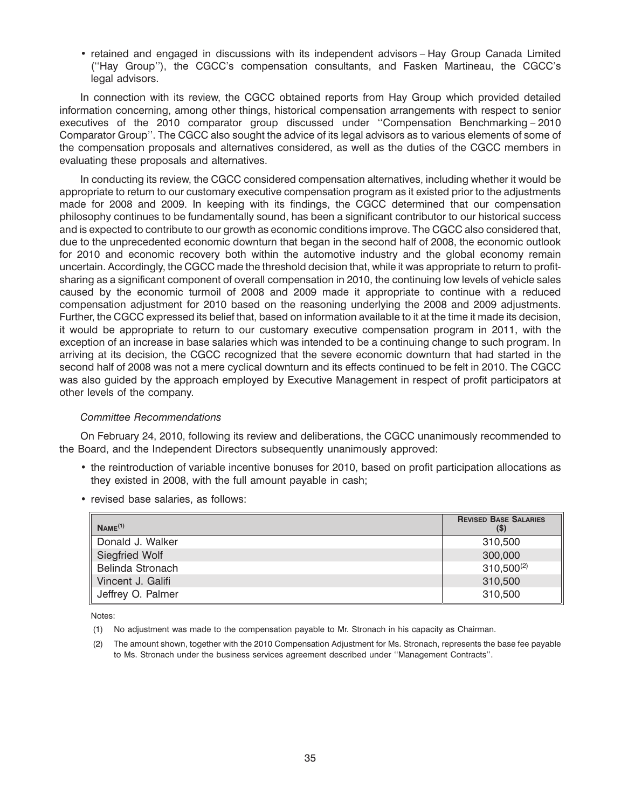• retained and engaged in discussions with its independent advisors – Hay Group Canada Limited (''Hay Group''), the CGCC's compensation consultants, and Fasken Martineau, the CGCC's legal advisors.

In connection with its review, the CGCC obtained reports from Hay Group which provided detailed information concerning, among other things, historical compensation arrangements with respect to senior executives of the 2010 comparator group discussed under ''Compensation Benchmarking – 2010 Comparator Group''. The CGCC also sought the advice of its legal advisors as to various elements of some of the compensation proposals and alternatives considered, as well as the duties of the CGCC members in evaluating these proposals and alternatives.

In conducting its review, the CGCC considered compensation alternatives, including whether it would be appropriate to return to our customary executive compensation program as it existed prior to the adjustments made for 2008 and 2009. In keeping with its findings, the CGCC determined that our compensation philosophy continues to be fundamentally sound, has been a significant contributor to our historical success and is expected to contribute to our growth as economic conditions improve. The CGCC also considered that, due to the unprecedented economic downturn that began in the second half of 2008, the economic outlook for 2010 and economic recovery both within the automotive industry and the global economy remain uncertain. Accordingly, the CGCC made the threshold decision that, while it was appropriate to return to profitsharing as a significant component of overall compensation in 2010, the continuing low levels of vehicle sales caused by the economic turmoil of 2008 and 2009 made it appropriate to continue with a reduced compensation adjustment for 2010 based on the reasoning underlying the 2008 and 2009 adjustments. Further, the CGCC expressed its belief that, based on information available to it at the time it made its decision, it would be appropriate to return to our customary executive compensation program in 2011, with the exception of an increase in base salaries which was intended to be a continuing change to such program. In arriving at its decision, the CGCC recognized that the severe economic downturn that had started in the second half of 2008 was not a mere cyclical downturn and its effects continued to be felt in 2010. The CGCC was also guided by the approach employed by Executive Management in respect of profit participators at other levels of the company.

### *Committee Recommendations*

On February 24, 2010, following its review and deliberations, the CGCC unanimously recommended to the Board, and the Independent Directors subsequently unanimously approved:

- the reintroduction of variable incentive bonuses for 2010, based on profit participation allocations as they existed in 2008, with the full amount payable in cash;
- revised base salaries, as follows:

| Name <sup>(1)</sup>   | <b>REVISED BASE SALARIES</b><br>(S) |
|-----------------------|-------------------------------------|
| Donald J. Walker      | 310,500                             |
| <b>Siegfried Wolf</b> | 300,000                             |
| Belinda Stronach      | $310,500^{(2)}$                     |
| Vincent J. Galifi     | 310,500                             |
| Jeffrey O. Palmer     | 310,500                             |

Notes:

- (1) No adjustment was made to the compensation payable to Mr. Stronach in his capacity as Chairman.
- (2) The amount shown, together with the 2010 Compensation Adjustment for Ms. Stronach, represents the base fee payable to Ms. Stronach under the business services agreement described under ''Management Contracts''.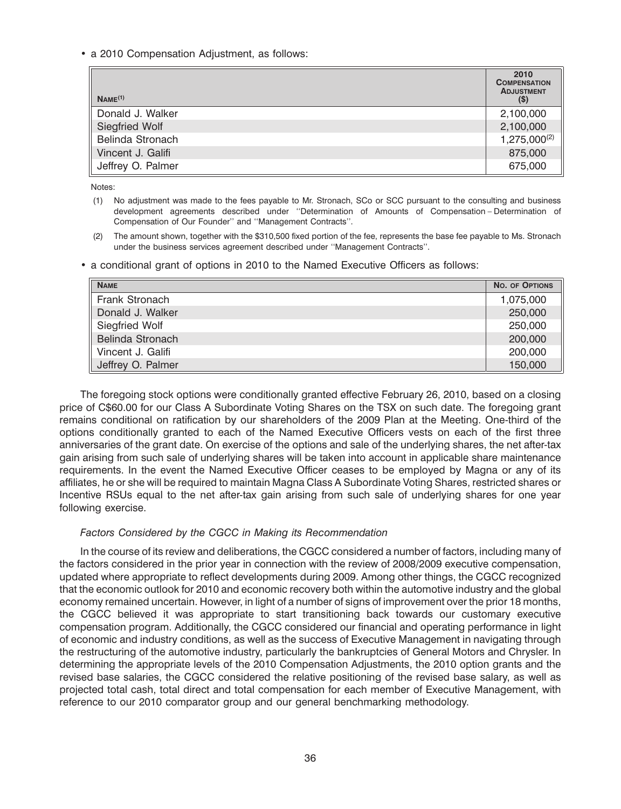• a 2010 Compensation Adjustment, as follows:

| Name <sup>(1)</sup> | 2010<br><b>COMPENSATION</b><br><b>ADJUSTMENT</b><br>$($ \$) |
|---------------------|-------------------------------------------------------------|
| Donald J. Walker    | 2,100,000                                                   |
| Siegfried Wolf      | 2,100,000                                                   |
| Belinda Stronach    | $1,275,000^{(2)}$                                           |
| Vincent J. Galifi   | 875,000                                                     |
| Jeffrey O. Palmer   | 675,000                                                     |

Notes:

- (1) No adjustment was made to the fees payable to Mr. Stronach, SCo or SCC pursuant to the consulting and business development agreements described under ''Determination of Amounts of Compensation – Determination of Compensation of Our Founder'' and ''Management Contracts''.
- (2) The amount shown, together with the \$310,500 fixed portion of the fee, represents the base fee payable to Ms. Stronach under the business services agreement described under ''Management Contracts''.
- a conditional grant of options in 2010 to the Named Executive Officers as follows:

| <b>NAME</b>       | NO. OF OPTIONS |
|-------------------|----------------|
| Frank Stronach    | 1,075,000      |
| Donald J. Walker  | 250,000        |
| Siegfried Wolf    | 250,000        |
| Belinda Stronach  | 200,000        |
| Vincent J. Galifi | 200,000        |
| Jeffrey O. Palmer | 150,000        |

The foregoing stock options were conditionally granted effective February 26, 2010, based on a closing price of C\$60.00 for our Class A Subordinate Voting Shares on the TSX on such date. The foregoing grant remains conditional on ratification by our shareholders of the 2009 Plan at the Meeting. One-third of the options conditionally granted to each of the Named Executive Officers vests on each of the first three anniversaries of the grant date. On exercise of the options and sale of the underlying shares, the net after-tax gain arising from such sale of underlying shares will be taken into account in applicable share maintenance requirements. In the event the Named Executive Officer ceases to be employed by Magna or any of its affiliates, he or she will be required to maintain Magna Class A Subordinate Voting Shares, restricted shares or Incentive RSUs equal to the net after-tax gain arising from such sale of underlying shares for one year following exercise.

### *Factors Considered by the CGCC in Making its Recommendation*

In the course of its review and deliberations, the CGCC considered a number of factors, including many of the factors considered in the prior year in connection with the review of 2008/2009 executive compensation, updated where appropriate to reflect developments during 2009. Among other things, the CGCC recognized that the economic outlook for 2010 and economic recovery both within the automotive industry and the global economy remained uncertain. However, in light of a number of signs of improvement over the prior 18 months, the CGCC believed it was appropriate to start transitioning back towards our customary executive compensation program. Additionally, the CGCC considered our financial and operating performance in light of economic and industry conditions, as well as the success of Executive Management in navigating through the restructuring of the automotive industry, particularly the bankruptcies of General Motors and Chrysler. In determining the appropriate levels of the 2010 Compensation Adjustments, the 2010 option grants and the revised base salaries, the CGCC considered the relative positioning of the revised base salary, as well as projected total cash, total direct and total compensation for each member of Executive Management, with reference to our 2010 comparator group and our general benchmarking methodology.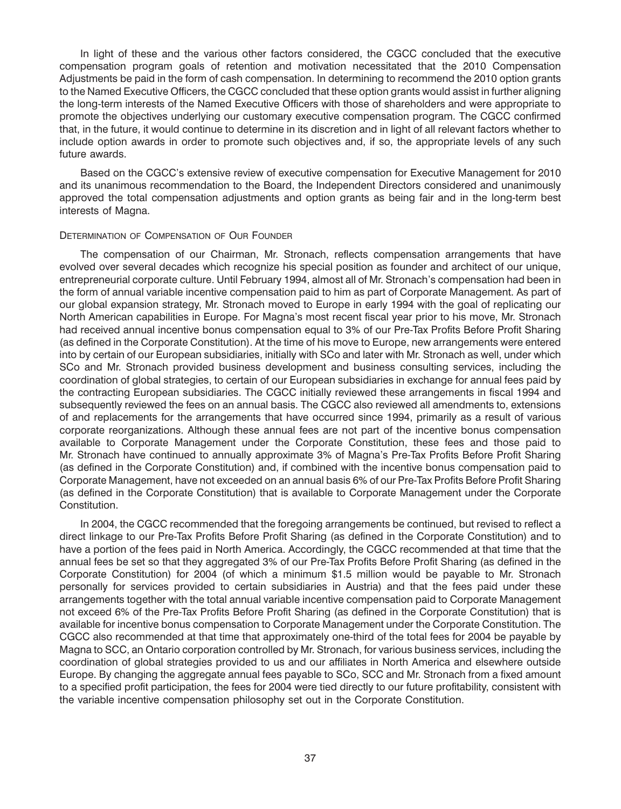In light of these and the various other factors considered, the CGCC concluded that the executive compensation program goals of retention and motivation necessitated that the 2010 Compensation Adjustments be paid in the form of cash compensation. In determining to recommend the 2010 option grants to the Named Executive Officers, the CGCC concluded that these option grants would assist in further aligning the long-term interests of the Named Executive Officers with those of shareholders and were appropriate to promote the objectives underlying our customary executive compensation program. The CGCC confirmed that, in the future, it would continue to determine in its discretion and in light of all relevant factors whether to include option awards in order to promote such objectives and, if so, the appropriate levels of any such future awards.

Based on the CGCC's extensive review of executive compensation for Executive Management for 2010 and its unanimous recommendation to the Board, the Independent Directors considered and unanimously approved the total compensation adjustments and option grants as being fair and in the long-term best interests of Magna.

#### DETERMINATION OF COMPENSATION OF OUR FOUNDER

The compensation of our Chairman, Mr. Stronach, reflects compensation arrangements that have evolved over several decades which recognize his special position as founder and architect of our unique, entrepreneurial corporate culture. Until February 1994, almost all of Mr. Stronach's compensation had been in the form of annual variable incentive compensation paid to him as part of Corporate Management. As part of our global expansion strategy, Mr. Stronach moved to Europe in early 1994 with the goal of replicating our North American capabilities in Europe. For Magna's most recent fiscal year prior to his move, Mr. Stronach had received annual incentive bonus compensation equal to 3% of our Pre-Tax Profits Before Profit Sharing (as defined in the Corporate Constitution). At the time of his move to Europe, new arrangements were entered into by certain of our European subsidiaries, initially with SCo and later with Mr. Stronach as well, under which SCo and Mr. Stronach provided business development and business consulting services, including the coordination of global strategies, to certain of our European subsidiaries in exchange for annual fees paid by the contracting European subsidiaries. The CGCC initially reviewed these arrangements in fiscal 1994 and subsequently reviewed the fees on an annual basis. The CGCC also reviewed all amendments to, extensions of and replacements for the arrangements that have occurred since 1994, primarily as a result of various corporate reorganizations. Although these annual fees are not part of the incentive bonus compensation available to Corporate Management under the Corporate Constitution, these fees and those paid to Mr. Stronach have continued to annually approximate 3% of Magna's Pre-Tax Profits Before Profit Sharing (as defined in the Corporate Constitution) and, if combined with the incentive bonus compensation paid to Corporate Management, have not exceeded on an annual basis 6% of our Pre-Tax Profits Before Profit Sharing (as defined in the Corporate Constitution) that is available to Corporate Management under the Corporate Constitution.

In 2004, the CGCC recommended that the foregoing arrangements be continued, but revised to reflect a direct linkage to our Pre-Tax Profits Before Profit Sharing (as defined in the Corporate Constitution) and to have a portion of the fees paid in North America. Accordingly, the CGCC recommended at that time that the annual fees be set so that they aggregated 3% of our Pre-Tax Profits Before Profit Sharing (as defined in the Corporate Constitution) for 2004 (of which a minimum \$1.5 million would be payable to Mr. Stronach personally for services provided to certain subsidiaries in Austria) and that the fees paid under these arrangements together with the total annual variable incentive compensation paid to Corporate Management not exceed 6% of the Pre-Tax Profits Before Profit Sharing (as defined in the Corporate Constitution) that is available for incentive bonus compensation to Corporate Management under the Corporate Constitution. The CGCC also recommended at that time that approximately one-third of the total fees for 2004 be payable by Magna to SCC, an Ontario corporation controlled by Mr. Stronach, for various business services, including the coordination of global strategies provided to us and our affiliates in North America and elsewhere outside Europe. By changing the aggregate annual fees payable to SCo, SCC and Mr. Stronach from a fixed amount to a specified profit participation, the fees for 2004 were tied directly to our future profitability, consistent with the variable incentive compensation philosophy set out in the Corporate Constitution.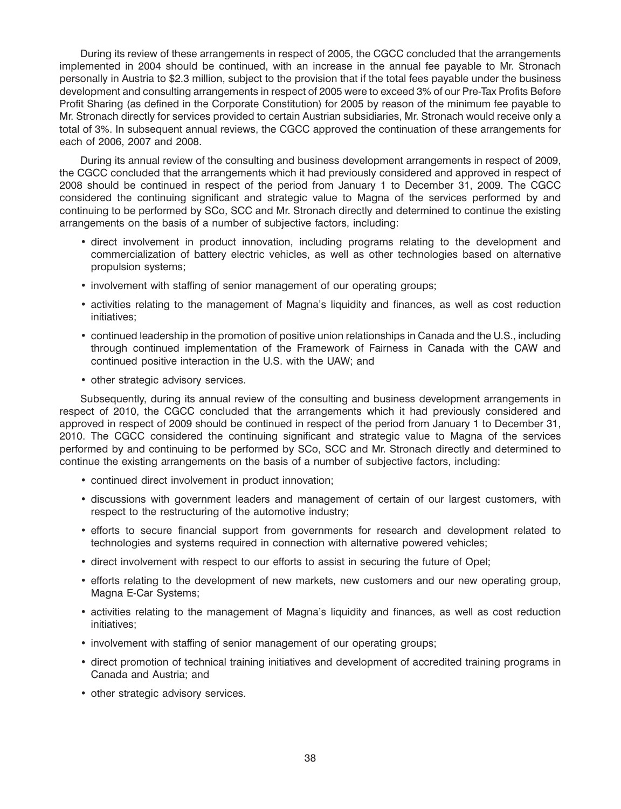During its review of these arrangements in respect of 2005, the CGCC concluded that the arrangements implemented in 2004 should be continued, with an increase in the annual fee payable to Mr. Stronach personally in Austria to \$2.3 million, subject to the provision that if the total fees payable under the business development and consulting arrangements in respect of 2005 were to exceed 3% of our Pre-Tax Profits Before Profit Sharing (as defined in the Corporate Constitution) for 2005 by reason of the minimum fee payable to Mr. Stronach directly for services provided to certain Austrian subsidiaries, Mr. Stronach would receive only a total of 3%. In subsequent annual reviews, the CGCC approved the continuation of these arrangements for each of 2006, 2007 and 2008.

During its annual review of the consulting and business development arrangements in respect of 2009, the CGCC concluded that the arrangements which it had previously considered and approved in respect of 2008 should be continued in respect of the period from January 1 to December 31, 2009. The CGCC considered the continuing significant and strategic value to Magna of the services performed by and continuing to be performed by SCo, SCC and Mr. Stronach directly and determined to continue the existing arrangements on the basis of a number of subjective factors, including:

- direct involvement in product innovation, including programs relating to the development and commercialization of battery electric vehicles, as well as other technologies based on alternative propulsion systems;
- involvement with staffing of senior management of our operating groups;
- activities relating to the management of Magna's liquidity and finances, as well as cost reduction initiatives;
- continued leadership in the promotion of positive union relationships in Canada and the U.S., including through continued implementation of the Framework of Fairness in Canada with the CAW and continued positive interaction in the U.S. with the UAW; and
- other strategic advisory services.

Subsequently, during its annual review of the consulting and business development arrangements in respect of 2010, the CGCC concluded that the arrangements which it had previously considered and approved in respect of 2009 should be continued in respect of the period from January 1 to December 31, 2010. The CGCC considered the continuing significant and strategic value to Magna of the services performed by and continuing to be performed by SCo, SCC and Mr. Stronach directly and determined to continue the existing arrangements on the basis of a number of subjective factors, including:

- continued direct involvement in product innovation;
- discussions with government leaders and management of certain of our largest customers, with respect to the restructuring of the automotive industry;
- efforts to secure financial support from governments for research and development related to technologies and systems required in connection with alternative powered vehicles;
- direct involvement with respect to our efforts to assist in securing the future of Opel;
- efforts relating to the development of new markets, new customers and our new operating group, Magna E-Car Systems;
- activities relating to the management of Magna's liquidity and finances, as well as cost reduction initiatives;
- involvement with staffing of senior management of our operating groups;
- direct promotion of technical training initiatives and development of accredited training programs in Canada and Austria; and
- other strategic advisory services.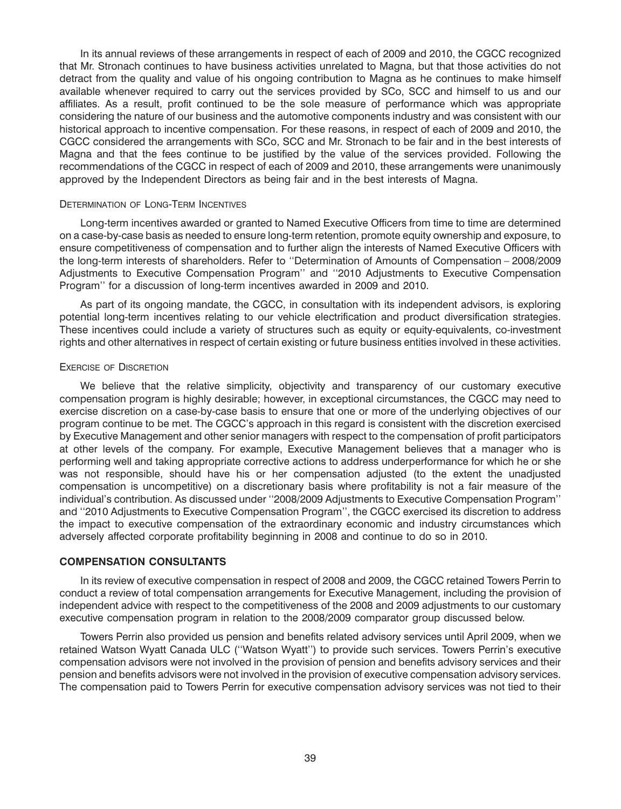In its annual reviews of these arrangements in respect of each of 2009 and 2010, the CGCC recognized that Mr. Stronach continues to have business activities unrelated to Magna, but that those activities do not detract from the quality and value of his ongoing contribution to Magna as he continues to make himself available whenever required to carry out the services provided by SCo, SCC and himself to us and our affiliates. As a result, profit continued to be the sole measure of performance which was appropriate considering the nature of our business and the automotive components industry and was consistent with our historical approach to incentive compensation. For these reasons, in respect of each of 2009 and 2010, the CGCC considered the arrangements with SCo, SCC and Mr. Stronach to be fair and in the best interests of Magna and that the fees continue to be justified by the value of the services provided. Following the recommendations of the CGCC in respect of each of 2009 and 2010, these arrangements were unanimously approved by the Independent Directors as being fair and in the best interests of Magna.

#### DETERMINATION OF LONG-TERM INCENTIVES

Long-term incentives awarded or granted to Named Executive Officers from time to time are determined on a case-by-case basis as needed to ensure long-term retention, promote equity ownership and exposure, to ensure competitiveness of compensation and to further align the interests of Named Executive Officers with the long-term interests of shareholders. Refer to ''Determination of Amounts of Compensation – 2008/2009 Adjustments to Executive Compensation Program'' and ''2010 Adjustments to Executive Compensation Program'' for a discussion of long-term incentives awarded in 2009 and 2010.

As part of its ongoing mandate, the CGCC, in consultation with its independent advisors, is exploring potential long-term incentives relating to our vehicle electrification and product diversification strategies. These incentives could include a variety of structures such as equity or equity-equivalents, co-investment rights and other alternatives in respect of certain existing or future business entities involved in these activities.

#### EXERCISE OF DISCRETION

We believe that the relative simplicity, objectivity and transparency of our customary executive compensation program is highly desirable; however, in exceptional circumstances, the CGCC may need to exercise discretion on a case-by-case basis to ensure that one or more of the underlying objectives of our program continue to be met. The CGCC's approach in this regard is consistent with the discretion exercised by Executive Management and other senior managers with respect to the compensation of profit participators at other levels of the company. For example, Executive Management believes that a manager who is performing well and taking appropriate corrective actions to address underperformance for which he or she was not responsible, should have his or her compensation adjusted (to the extent the unadjusted compensation is uncompetitive) on a discretionary basis where profitability is not a fair measure of the individual's contribution. As discussed under ''2008/2009 Adjustments to Executive Compensation Program'' and ''2010 Adjustments to Executive Compensation Program'', the CGCC exercised its discretion to address the impact to executive compensation of the extraordinary economic and industry circumstances which adversely affected corporate profitability beginning in 2008 and continue to do so in 2010.

#### **COMPENSATION CONSULTANTS**

In its review of executive compensation in respect of 2008 and 2009, the CGCC retained Towers Perrin to conduct a review of total compensation arrangements for Executive Management, including the provision of independent advice with respect to the competitiveness of the 2008 and 2009 adjustments to our customary executive compensation program in relation to the 2008/2009 comparator group discussed below.

Towers Perrin also provided us pension and benefits related advisory services until April 2009, when we retained Watson Wyatt Canada ULC (''Watson Wyatt'') to provide such services. Towers Perrin's executive compensation advisors were not involved in the provision of pension and benefits advisory services and their pension and benefits advisors were not involved in the provision of executive compensation advisory services. The compensation paid to Towers Perrin for executive compensation advisory services was not tied to their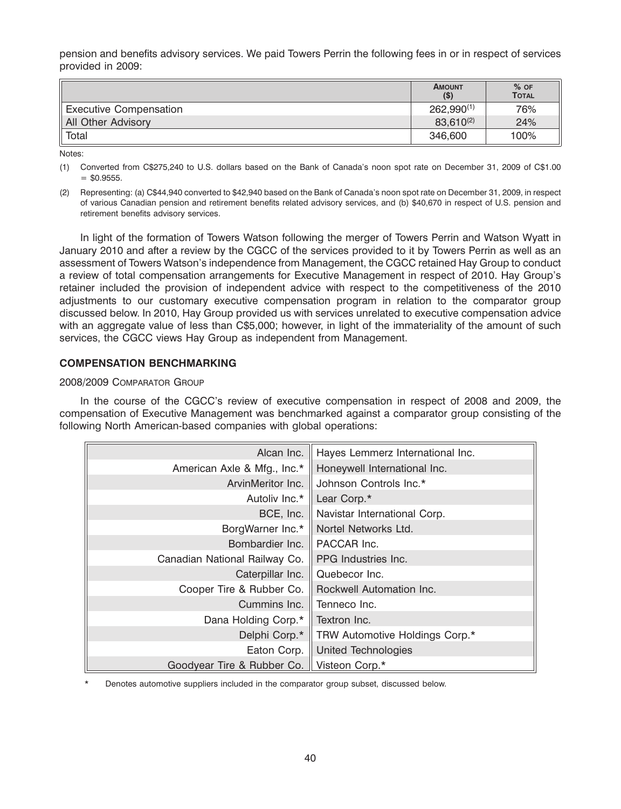pension and benefits advisory services. We paid Towers Perrin the following fees in or in respect of services provided in 2009:

|                               | <b>AMOUNT</b><br>$($ \$) | $%$ OF<br><b>TOTAL</b> |
|-------------------------------|--------------------------|------------------------|
| <b>Executive Compensation</b> | $262,990^{(1)}$          | 76%                    |
| All Other Advisory            | $83,610^{(2)}$           | 24%                    |
| Total                         | 346,600                  | 100%                   |

Notes:

(1) Converted from C\$275,240 to U.S. dollars based on the Bank of Canada's noon spot rate on December 31, 2009 of C\$1.00  $=$  \$0.9555.

(2) Representing: (a) C\$44,940 converted to \$42,940 based on the Bank of Canada's noon spot rate on December 31, 2009, in respect of various Canadian pension and retirement benefits related advisory services, and (b) \$40,670 in respect of U.S. pension and retirement benefits advisory services.

In light of the formation of Towers Watson following the merger of Towers Perrin and Watson Wyatt in January 2010 and after a review by the CGCC of the services provided to it by Towers Perrin as well as an assessment of Towers Watson's independence from Management, the CGCC retained Hay Group to conduct a review of total compensation arrangements for Executive Management in respect of 2010. Hay Group's retainer included the provision of independent advice with respect to the competitiveness of the 2010 adjustments to our customary executive compensation program in relation to the comparator group discussed below. In 2010, Hay Group provided us with services unrelated to executive compensation advice with an aggregate value of less than C\$5,000; however, in light of the immateriality of the amount of such services, the CGCC views Hay Group as independent from Management.

## **COMPENSATION BENCHMARKING**

### 2008/2009 COMPARATOR GROUP

In the course of the CGCC's review of executive compensation in respect of 2008 and 2009, the compensation of Executive Management was benchmarked against a comparator group consisting of the following North American-based companies with global operations:

| Alcan Inc.                    | Hayes Lemmerz International Inc. |
|-------------------------------|----------------------------------|
| American Axle & Mfg., Inc.*   | Honeywell International Inc.     |
| ArvinMeritor Inc.             | Johnson Controls Inc.*           |
| Autoliv Inc.*                 | Lear Corp.*                      |
| BCE, Inc.                     | Navistar International Corp.     |
| BorgWarner Inc.*              | Nortel Networks Ltd.             |
| Bombardier Inc.               | PACCAR Inc.                      |
| Canadian National Railway Co. | PPG Industries Inc.              |
| Caterpillar Inc.              | Quebecor Inc.                    |
| Cooper Tire & Rubber Co.      | Rockwell Automation Inc.         |
| Cummins Inc.                  | Tenneco Inc.                     |
| Dana Holding Corp.*           | Textron Inc.                     |
| Delphi Corp.*                 | TRW Automotive Holdings Corp.*   |
| Eaton Corp.                   | <b>United Technologies</b>       |
| Goodyear Tire & Rubber Co.    | Visteon Corp.*                   |

Denotes automotive suppliers included in the comparator group subset, discussed below.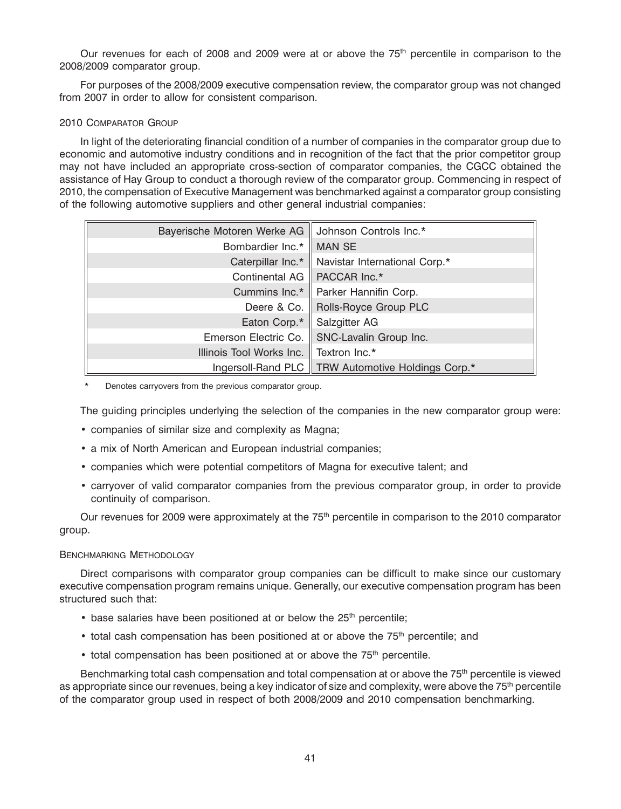Our revenues for each of 2008 and 2009 were at or above the  $75<sup>th</sup>$  percentile in comparison to the 2008/2009 comparator group.

For purposes of the 2008/2009 executive compensation review, the comparator group was not changed from 2007 in order to allow for consistent comparison.

### 2010 COMPARATOR GROUP

In light of the deteriorating financial condition of a number of companies in the comparator group due to economic and automotive industry conditions and in recognition of the fact that the prior competitor group may not have included an appropriate cross-section of comparator companies, the CGCC obtained the assistance of Hay Group to conduct a thorough review of the comparator group. Commencing in respect of 2010, the compensation of Executive Management was benchmarked against a comparator group consisting of the following automotive suppliers and other general industrial companies:

| Bayerische Motoren Werke AG | Johnson Controls Inc.*         |
|-----------------------------|--------------------------------|
| Bombardier Inc.*            | <b>MAN SE</b>                  |
| Caterpillar Inc.*           | Navistar International Corp.*  |
| Continental AG              | PACCAR Inc.*                   |
| Cummins Inc.*               | Parker Hannifin Corp.          |
| Deere & Co.                 | Rolls-Royce Group PLC          |
| Eaton Corp.*                | Salzgitter AG                  |
| Emerson Electric Co.        | SNC-Lavalin Group Inc.         |
| Illinois Tool Works Inc.    | Textron Inc.*                  |
| Ingersoll-Rand PLC          | TRW Automotive Holdings Corp.* |

Denotes carryovers from the previous comparator group.

The guiding principles underlying the selection of the companies in the new comparator group were:

- companies of similar size and complexity as Magna;
- a mix of North American and European industrial companies;
- companies which were potential competitors of Magna for executive talent; and
- carryover of valid comparator companies from the previous comparator group, in order to provide continuity of comparison.

Our revenues for 2009 were approximately at the 75<sup>th</sup> percentile in comparison to the 2010 comparator group.

### BENCHMARKING METHODOLOGY

Direct comparisons with comparator group companies can be difficult to make since our customary executive compensation program remains unique. Generally, our executive compensation program has been structured such that:

- $\bullet$  base salaries have been positioned at or below the 25<sup>th</sup> percentile;
- $\bullet$  total cash compensation has been positioned at or above the 75<sup>th</sup> percentile; and
- total compensation has been positioned at or above the 75<sup>th</sup> percentile.

Benchmarking total cash compensation and total compensation at or above the 75<sup>th</sup> percentile is viewed as appropriate since our revenues, being a key indicator of size and complexity, were above the 75<sup>th</sup> percentile of the comparator group used in respect of both 2008/2009 and 2010 compensation benchmarking.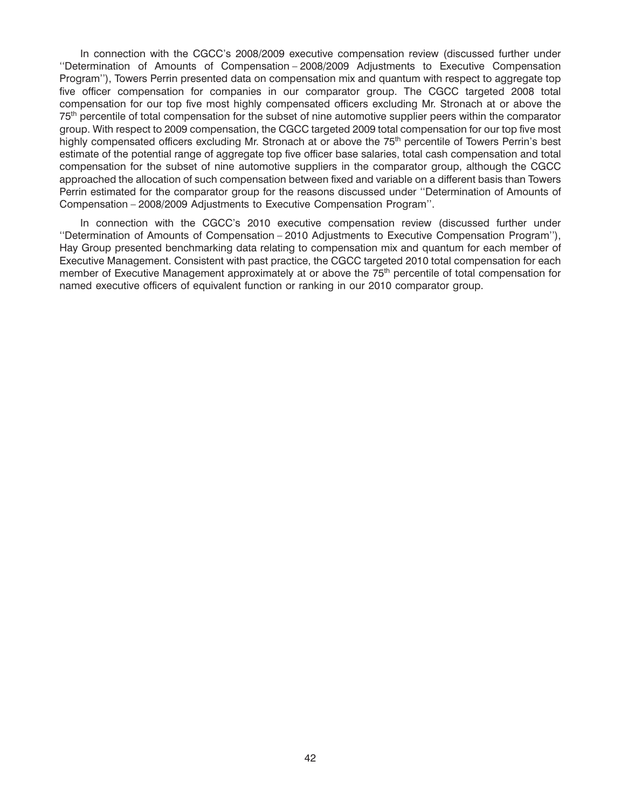In connection with the CGCC's 2008/2009 executive compensation review (discussed further under ''Determination of Amounts of Compensation – 2008/2009 Adjustments to Executive Compensation Program''), Towers Perrin presented data on compensation mix and quantum with respect to aggregate top five officer compensation for companies in our comparator group. The CGCC targeted 2008 total compensation for our top five most highly compensated officers excluding Mr. Stronach at or above the 75th percentile of total compensation for the subset of nine automotive supplier peers within the comparator group. With respect to 2009 compensation, the CGCC targeted 2009 total compensation for our top five most highly compensated officers excluding Mr. Stronach at or above the 75<sup>th</sup> percentile of Towers Perrin's best estimate of the potential range of aggregate top five officer base salaries, total cash compensation and total compensation for the subset of nine automotive suppliers in the comparator group, although the CGCC approached the allocation of such compensation between fixed and variable on a different basis than Towers Perrin estimated for the comparator group for the reasons discussed under ''Determination of Amounts of Compensation – 2008/2009 Adjustments to Executive Compensation Program''.

In connection with the CGCC's 2010 executive compensation review (discussed further under ''Determination of Amounts of Compensation – 2010 Adjustments to Executive Compensation Program''), Hay Group presented benchmarking data relating to compensation mix and quantum for each member of Executive Management. Consistent with past practice, the CGCC targeted 2010 total compensation for each member of Executive Management approximately at or above the 75<sup>th</sup> percentile of total compensation for named executive officers of equivalent function or ranking in our 2010 comparator group.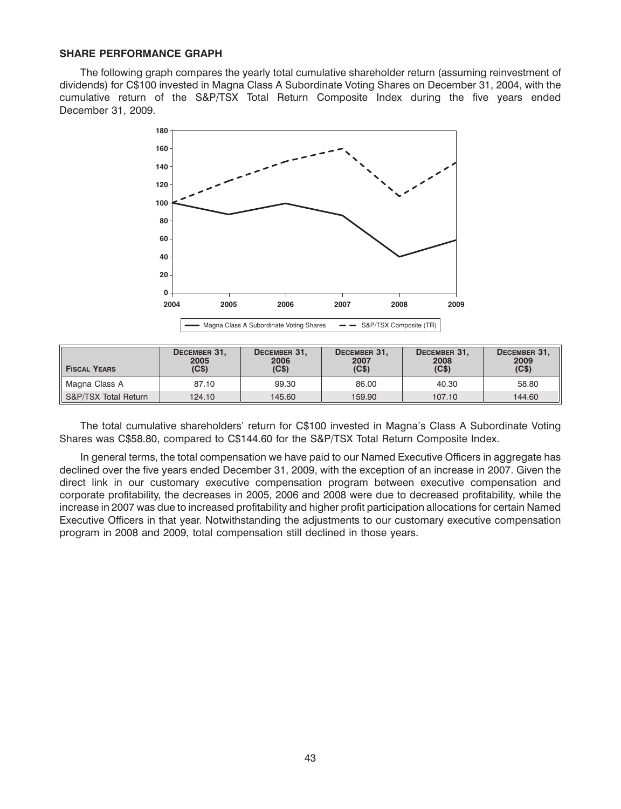#### **SHARE PERFORMANCE GRAPH**

The following graph compares the yearly total cumulative shareholder return (assuming reinvestment of dividends) for C\$100 invested in Magna Class A Subordinate Voting Shares on December 31, 2004, with the cumulative return of the S&P/TSX Total Return Composite Index during the five years ended December 31, 2009.



| <b>FISCAL YEARS</b>  | DECEMBER 31,<br>2005<br>(C <sub>s</sub> ) | DECEMBER 31,<br>2006<br>(C <sub>s</sub> ) | DECEMBER 31,<br>2007<br>(C <sub>s</sub> ) | DECEMBER 31,<br>2008<br>(C <sub>s</sub> ) | DECEMBER 31.<br>2009<br>(C <sub>5</sub> ) |
|----------------------|-------------------------------------------|-------------------------------------------|-------------------------------------------|-------------------------------------------|-------------------------------------------|
| Magna Class A        | 87.10                                     | 99.30                                     | 86.00                                     | 40.30                                     | 58.80                                     |
| S&P/TSX Total Return | 124.10                                    | 145.60                                    | 159.90                                    | 107.10                                    | 144.60                                    |

The total cumulative shareholders' return for C\$100 invested in Magna's Class A Subordinate Voting Shares was C\$58.80, compared to C\$144.60 for the S&P/TSX Total Return Composite Index.

In general terms, the total compensation we have paid to our Named Executive Officers in aggregate has declined over the five years ended December 31, 2009, with the exception of an increase in 2007. Given the direct link in our customary executive compensation program between executive compensation and corporate profitability, the decreases in 2005, 2006 and 2008 were due to decreased profitability, while the increase in 2007 was due to increased profitability and higher profit participation allocations for certain Named Executive Officers in that year. Notwithstanding the adjustments to our customary executive compensation program in 2008 and 2009, total compensation still declined in those years.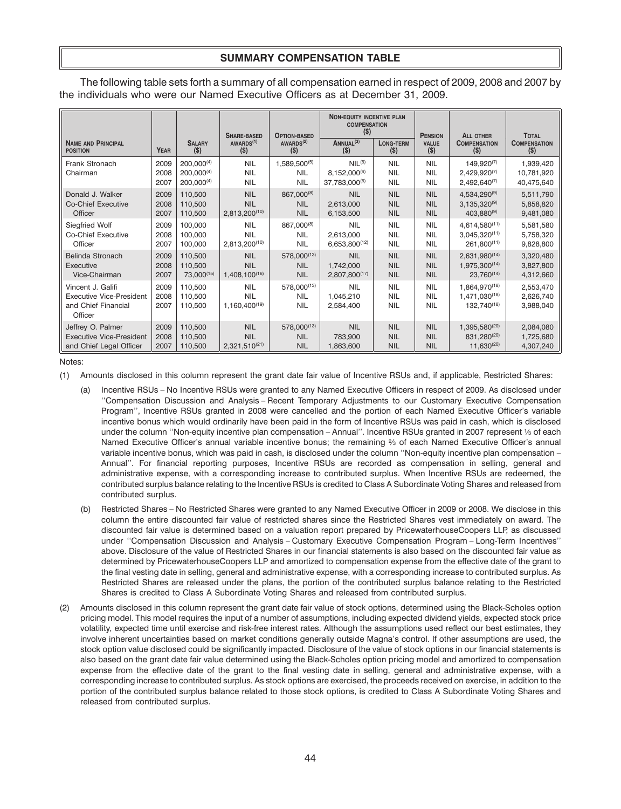## **SUMMARY COMPENSATION TABLE**

The following table sets forth a summary of all compensation earned in respect of 2009, 2008 and 2007 by the individuals who were our Named Executive Officers as at December 31, 2009.

|                                                                                        |                      |                                             | <b>SHARE-BASED</b>                                    | <b>OPTION-BASED</b>                      | <b>NON-EQUITY INCENTIVE PLAN</b><br><b>COMPENSATION</b><br>$($ \$) |                                        | <b>PENSION</b>                         | <b>ALL OTHER</b>                                          | <b>TOTAL</b>                          |
|----------------------------------------------------------------------------------------|----------------------|---------------------------------------------|-------------------------------------------------------|------------------------------------------|--------------------------------------------------------------------|----------------------------------------|----------------------------------------|-----------------------------------------------------------|---------------------------------------|
| <b>NAME AND PRINCIPAL</b>                                                              | <b>YEAR</b>          | <b>SALARY</b>                               | AWARDS <sup>(1)</sup>                                 | AWARDS <sup>(2)</sup>                    | ANNUAL <sup>(3)</sup>                                              | <b>LONG-TERM</b>                       | <b>VALUE</b>                           | <b>COMPENSATION</b>                                       | <b>COMPENSATION</b>                   |
| <b>POSITION</b>                                                                        |                      | $($ \$)                                     | $($ \$)                                               | $($ \$)                                  | $(\$)$                                                             | $($ \$)                                | $($ \$)                                | $($ \$)                                                   | $($ \$)                               |
| Frank Stronach<br>Chairman                                                             | 2009<br>2008<br>2007 | 200.000(4)<br>$200,000^{(4)}$<br>200,000(4) | <b>NIL</b><br><b>NIL</b><br><b>NIL</b>                | 1,589,500(5)<br><b>NIL</b><br><b>NIL</b> | NIL <sup>(6)</sup><br>8,152,000(6)<br>37,783,000(6)                | <b>NIL</b><br><b>NIL</b><br><b>NIL</b> | <b>NIL</b><br><b>NIL</b><br><b>NIL</b> | 149,920(7)<br>$2,429,920^{(7)}$<br>$2,492,640^{(7)}$      | 1,939,420<br>10,781,920<br>40,475,640 |
| Donald J. Walker                                                                       | 2009                 | 110,500                                     | <b>NIL</b>                                            | 867,000(8)                               | <b>NIL</b>                                                         | <b>NIL</b>                             | <b>NIL</b>                             | 4,534,290(9)                                              | 5,511,790                             |
| <b>Co-Chief Executive</b>                                                              | 2008                 | 110,500                                     | <b>NIL</b>                                            | <b>NIL</b>                               | 2,613,000                                                          | <b>NIL</b>                             | <b>NIL</b>                             | $3,135,320^{(9)}$                                         | 5,858,820                             |
| Officer                                                                                | 2007                 | 110,500                                     | 2,813,200(10)                                         | <b>NIL</b>                               | 6,153,500                                                          | <b>NIL</b>                             | <b>NIL</b>                             | $403,880^{(9)}$                                           | 9,481,080                             |
| Siegfried Wolf                                                                         | 2009                 | 100,000                                     | <b>NIL</b>                                            | 867,000(8)                               | <b>NIL</b>                                                         | <b>NIL</b>                             | <b>NIL</b>                             | $4,614,580^{(11)}$                                        | 5,581,580                             |
| <b>Co-Chief Executive</b>                                                              | 2008                 | 100,000                                     | <b>NIL</b>                                            | <b>NIL</b>                               | 2,613,000                                                          | <b>NIL</b>                             | <b>NIL</b>                             | $3,045,320^{(11)}$                                        | 5,758,320                             |
| Officer                                                                                | 2007                 | 100,000                                     | $2,813,200^{(10)}$                                    | <b>NIL</b>                               | 6,653,800(12)                                                      | <b>NIL</b>                             | <b>NIL</b>                             | $261,800^{(11)}$                                          | 9,828,800                             |
| Belinda Stronach                                                                       | 2009                 | 110,500                                     | <b>NIL</b>                                            | 578,000(13)                              | <b>NIL</b>                                                         | <b>NIL</b>                             | <b>NIL</b>                             | $2,631,980^{(14)}$                                        | 3,320,480                             |
| Executive                                                                              | 2008                 | 110,500                                     | <b>NIL</b>                                            | <b>NIL</b>                               | 1,742,000                                                          | <b>NIL</b>                             | <b>NIL</b>                             | 1,975,300 <sup>(14)</sup>                                 | 3,827,800                             |
| Vice-Chairman                                                                          | 2007                 | 73,000(15)                                  | 1,408,100 <sup>(16)</sup>                             | <b>NIL</b>                               | 2,807,800(17)                                                      | <b>NIL</b>                             | <b>NIL</b>                             | $23,760^{(14)}$                                           | 4,312,660                             |
| Vincent J. Galifi<br><b>Executive Vice-President</b><br>and Chief Financial<br>Officer | 2009<br>2008<br>2007 | 110,500<br>110,500<br>110,500               | <b>NIL</b><br><b>NIL</b><br>1,160,400 <sup>(19)</sup> | 578,000(13)<br><b>NIL</b><br><b>NIL</b>  | <b>NIL</b><br>1,045,210<br>2,584,400                               | <b>NIL</b><br><b>NIL</b><br><b>NIL</b> | <b>NIL</b><br><b>NIL</b><br><b>NIL</b> | 1,864,970(18)<br>1,471,030 <sup>(18)</sup><br>132,740(18) | 2,553,470<br>2,626,740<br>3,988,040   |
| Jeffrey O. Palmer                                                                      | 2009                 | 110,500                                     | <b>NIL</b>                                            | 578,000(13)                              | <b>NIL</b>                                                         | <b>NIL</b>                             | <b>NIL</b>                             | $1,395,580^{(20)}$                                        | 2,084,080                             |
| <b>Executive Vice-President</b>                                                        | 2008                 | 110,500                                     | <b>NIL</b>                                            | <b>NIL</b>                               | 783,900                                                            | <b>NIL</b>                             | <b>NIL</b>                             | 831,280 <sup>(20)</sup>                                   | 1,725,680                             |
| and Chief Legal Officer                                                                | 2007                 | 110,500                                     | $2,321,510^{(21)}$                                    | <b>NIL</b>                               | 1,863,600                                                          | <b>NIL</b>                             | <b>NIL</b>                             | $11,630^{(20)}$                                           | 4,307,240                             |

Notes:

(1) Amounts disclosed in this column represent the grant date fair value of Incentive RSUs and, if applicable, Restricted Shares:

- (a) Incentive RSUs No Incentive RSUs were granted to any Named Executive Officers in respect of 2009. As disclosed under ''Compensation Discussion and Analysis – Recent Temporary Adjustments to our Customary Executive Compensation Program'', Incentive RSUs granted in 2008 were cancelled and the portion of each Named Executive Officer's variable incentive bonus which would ordinarily have been paid in the form of Incentive RSUs was paid in cash, which is disclosed under the column "Non-equity incentive plan compensation – Annual". Incentive RSUs granted in 2007 represent 1/3 of each Named Executive Officer's annual variable incentive bonus; the remaining  $\frac{2}{3}$  of each Named Executive Officer's annual variable incentive bonus, which was paid in cash, is disclosed under the column ''Non-equity incentive plan compensation – Annual''. For financial reporting purposes, Incentive RSUs are recorded as compensation in selling, general and administrative expense, with a corresponding increase to contributed surplus. When Incentive RSUs are redeemed, the contributed surplus balance relating to the Incentive RSUs is credited to Class A Subordinate Voting Shares and released from contributed surplus.
- (b) Restricted Shares No Restricted Shares were granted to any Named Executive Officer in 2009 or 2008. We disclose in this column the entire discounted fair value of restricted shares since the Restricted Shares vest immediately on award. The discounted fair value is determined based on a valuation report prepared by PricewaterhouseCoopers LLP, as discussed under ''Compensation Discussion and Analysis – Customary Executive Compensation Program – Long-Term Incentives'' above. Disclosure of the value of Restricted Shares in our financial statements is also based on the discounted fair value as determined by PricewaterhouseCoopers LLP and amortized to compensation expense from the effective date of the grant to the final vesting date in selling, general and administrative expense, with a corresponding increase to contributed surplus. As Restricted Shares are released under the plans, the portion of the contributed surplus balance relating to the Restricted Shares is credited to Class A Subordinate Voting Shares and released from contributed surplus.
- (2) Amounts disclosed in this column represent the grant date fair value of stock options, determined using the Black-Scholes option pricing model. This model requires the input of a number of assumptions, including expected dividend yields, expected stock price volatility, expected time until exercise and risk-free interest rates. Although the assumptions used reflect our best estimates, they involve inherent uncertainties based on market conditions generally outside Magna's control. If other assumptions are used, the stock option value disclosed could be significantly impacted. Disclosure of the value of stock options in our financial statements is also based on the grant date fair value determined using the Black-Scholes option pricing model and amortized to compensation expense from the effective date of the grant to the final vesting date in selling, general and administrative expense, with a corresponding increase to contributed surplus. As stock options are exercised, the proceeds received on exercise, in addition to the portion of the contributed surplus balance related to those stock options, is credited to Class A Subordinate Voting Shares and released from contributed surplus.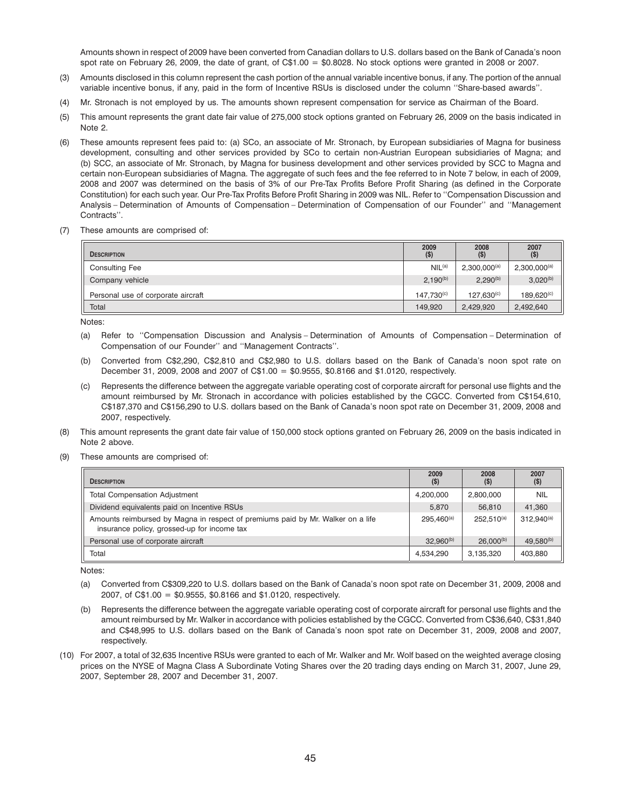Amounts shown in respect of 2009 have been converted from Canadian dollars to U.S. dollars based on the Bank of Canada's noon spot rate on February 26, 2009, the date of grant, of  $C$1.00 = $0.8028$ . No stock options were granted in 2008 or 2007.

- (3) Amounts disclosed in this column represent the cash portion of the annual variable incentive bonus, if any. The portion of the annual variable incentive bonus, if any, paid in the form of Incentive RSUs is disclosed under the column ''Share-based awards''.
- (4) Mr. Stronach is not employed by us. The amounts shown represent compensation for service as Chairman of the Board.
- (5) This amount represents the grant date fair value of 275,000 stock options granted on February 26, 2009 on the basis indicated in Note 2.
- (6) These amounts represent fees paid to: (a) SCo, an associate of Mr. Stronach, by European subsidiaries of Magna for business development, consulting and other services provided by SCo to certain non-Austrian European subsidiaries of Magna; and (b) SCC, an associate of Mr. Stronach, by Magna for business development and other services provided by SCC to Magna and certain non-European subsidiaries of Magna. The aggregate of such fees and the fee referred to in Note 7 below, in each of 2009, 2008 and 2007 was determined on the basis of 3% of our Pre-Tax Profits Before Profit Sharing (as defined in the Corporate Constitution) for each such year. Our Pre-Tax Profits Before Profit Sharing in 2009 was NIL. Refer to ''Compensation Discussion and Analysis – Determination of Amounts of Compensation – Determination of Compensation of our Founder'' and ''Management Contracts''.
- (7) These amounts are comprised of:

| <b>DESCRIPTION</b>                 | 2009<br>$($ \$)        | 2008<br>(S)       | 2007<br>$($ \$)        |
|------------------------------------|------------------------|-------------------|------------------------|
| <b>Consulting Fee</b>              | NIL <sup>(a)</sup>     | $2,300,000^{(a)}$ | $2,300,000^{(a)}$      |
| Company vehicle                    | $2.190^{(b)}$          | $2,290^{(b)}$     | $3,020^{(b)}$          |
| Personal use of corporate aircraft | 147.730 <sup>(c)</sup> | $127.630^{(c)}$   | 189.620 <sup>(c)</sup> |
| Total                              | 149.920                | 2,429,920         | 2,492,640              |

Notes:

- (a) Refer to ''Compensation Discussion and Analysis Determination of Amounts of Compensation Determination of Compensation of our Founder'' and ''Management Contracts''.
- (b) Converted from C\$2,290, C\$2,810 and C\$2,980 to U.S. dollars based on the Bank of Canada's noon spot rate on December 31, 2009, 2008 and 2007 of C\$1.00 = \$0.9555, \$0.8166 and \$1.0120, respectively.
- (c) Represents the difference between the aggregate variable operating cost of corporate aircraft for personal use flights and the amount reimbursed by Mr. Stronach in accordance with policies established by the CGCC. Converted from C\$154,610, C\$187,370 and C\$156,290 to U.S. dollars based on the Bank of Canada's noon spot rate on December 31, 2009, 2008 and 2007, respectively.
- (8) This amount represents the grant date fair value of 150,000 stock options granted on February 26, 2009 on the basis indicated in Note 2 above.
- (9) These amounts are comprised of:

| <b>DESCRIPTION</b>                                                                                                             | 2009<br>$($ \$) | 2008<br>$($ \$) | 2007<br>$($ \$) |
|--------------------------------------------------------------------------------------------------------------------------------|-----------------|-----------------|-----------------|
| <b>Total Compensation Adjustment</b>                                                                                           | 4,200,000       | 2,800,000       | <b>NIL</b>      |
| Dividend equivalents paid on Incentive RSUs                                                                                    | 5.870           | 56.810          | 41.360          |
| Amounts reimbursed by Magna in respect of premiums paid by Mr. Walker on a life<br>insurance policy, grossed-up for income tax | $295.460^{(a)}$ | $252.510^{(a)}$ | $312.940^{(a)}$ |
| Personal use of corporate aircraft                                                                                             | $32.960^{(b)}$  | $26.000^{(b)}$  | $49.580^{(b)}$  |
| Total                                                                                                                          | 4.534.290       | 3,135,320       | 403.880         |

Notes:

- (a) Converted from C\$309,220 to U.S. dollars based on the Bank of Canada's noon spot rate on December 31, 2009, 2008 and 2007, of C\$1.00 = \$0.9555, \$0.8166 and \$1.0120, respectively.
- Represents the difference between the aggregate variable operating cost of corporate aircraft for personal use flights and the amount reimbursed by Mr. Walker in accordance with policies established by the CGCC. Converted from C\$36,640, C\$31,840 and C\$48,995 to U.S. dollars based on the Bank of Canada's noon spot rate on December 31, 2009, 2008 and 2007, respectively.
- (10) For 2007, a total of 32,635 Incentive RSUs were granted to each of Mr. Walker and Mr. Wolf based on the weighted average closing prices on the NYSE of Magna Class A Subordinate Voting Shares over the 20 trading days ending on March 31, 2007, June 29, 2007, September 28, 2007 and December 31, 2007.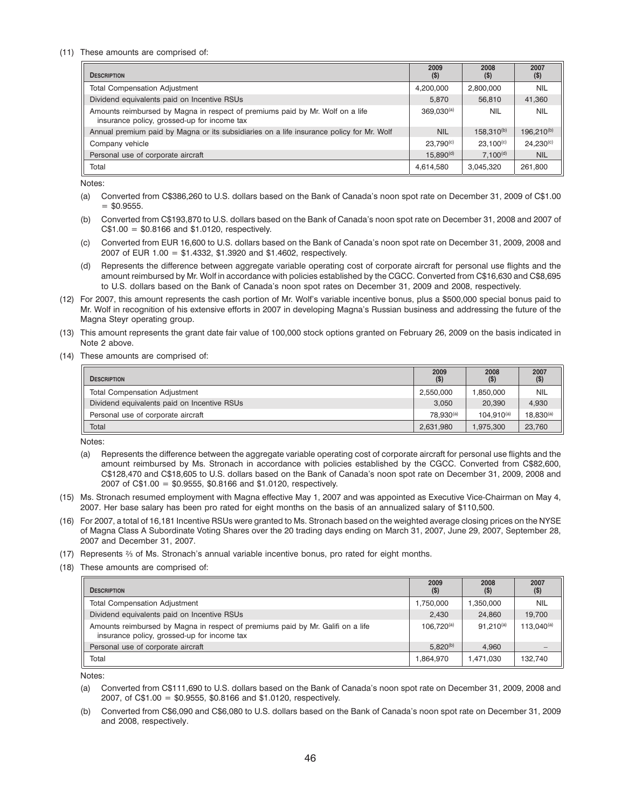#### (11) These amounts are comprised of:

| <b>DESCRIPTION</b>                                                                                                           | 2009<br>$($ \$)       | 2008<br>$($ \$  | 2007<br>$($ \$         |
|------------------------------------------------------------------------------------------------------------------------------|-----------------------|-----------------|------------------------|
| <b>Total Compensation Adjustment</b>                                                                                         | 4,200,000             | 2,800,000       | <b>NIL</b>             |
| Dividend equivalents paid on Incentive RSUs                                                                                  | 5.870                 | 56,810          | 41,360                 |
| Amounts reimbursed by Magna in respect of premiums paid by Mr. Wolf on a life<br>insurance policy, grossed-up for income tax | $369,030^{(a)}$       | <b>NIL</b>      | <b>NIL</b>             |
| Annual premium paid by Magna or its subsidiaries on a life insurance policy for Mr. Wolf                                     | <b>NIL</b>            | $158.310^{(b)}$ | 196.210 <sup>(b)</sup> |
| Company vehicle                                                                                                              | 23.790 <sup>(c)</sup> | $23.100^{(c)}$  | $24.230^{(c)}$         |
| Personal use of corporate aircraft                                                                                           | 15.890 <sup>(d)</sup> | $7.100^{(d)}$   | <b>NIL</b>             |
| Total                                                                                                                        | 4,614,580             | 3,045,320       | 261,800                |

Notes:

- (a) Converted from C\$386,260 to U.S. dollars based on the Bank of Canada's noon spot rate on December 31, 2009 of C\$1.00  $=$  \$0.9555.
- (b) Converted from C\$193,870 to U.S. dollars based on the Bank of Canada's noon spot rate on December 31, 2008 and 2007 of  $C$1.00 = $0.8166$  and \$1.0120, respectively.
- (c) Converted from EUR 16,600 to U.S. dollars based on the Bank of Canada's noon spot rate on December 31, 2009, 2008 and 2007 of EUR 1.00 = \$1.4332, \$1.3920 and \$1.4602, respectively.
- (d) Represents the difference between aggregate variable operating cost of corporate aircraft for personal use flights and the amount reimbursed by Mr. Wolf in accordance with policies established by the CGCC. Converted from C\$16,630 and C\$8,695 to U.S. dollars based on the Bank of Canada's noon spot rates on December 31, 2009 and 2008, respectively.
- (12) For 2007, this amount represents the cash portion of Mr. Wolf's variable incentive bonus, plus a \$500,000 special bonus paid to Mr. Wolf in recognition of his extensive efforts in 2007 in developing Magna's Russian business and addressing the future of the Magna Steyr operating group.
- (13) This amount represents the grant date fair value of 100,000 stock options granted on February 26, 2009 on the basis indicated in Note 2 above.
- (14) These amounts are comprised of:

| <b>DESCRIPTION</b>                          | 2009<br>$($ \$)       | 2008<br>$($ \$) | 2007<br>$($ \$) |
|---------------------------------------------|-----------------------|-----------------|-----------------|
| <b>Total Compensation Adjustment</b>        | 2.550.000             | 1.850.000       | <b>NIL</b>      |
| Dividend equivalents paid on Incentive RSUs | 3.050                 | 20.390          | 4,930           |
| Personal use of corporate aircraft          | 78.930 <sup>(a)</sup> | $104.910^{(a)}$ | $18,830^{(a)}$  |
| Total                                       | 2.631.980             | 1.975.300       | 23,760          |

Notes:

- (a) Represents the difference between the aggregate variable operating cost of corporate aircraft for personal use flights and the amount reimbursed by Ms. Stronach in accordance with policies established by the CGCC. Converted from C\$82,600, C\$128,470 and C\$18,605 to U.S. dollars based on the Bank of Canada's noon spot rate on December 31, 2009, 2008 and 2007 of C\$1.00 = \$0.9555, \$0.8166 and \$1.0120, respectively.
- (15) Ms. Stronach resumed employment with Magna effective May 1, 2007 and was appointed as Executive Vice-Chairman on May 4, 2007. Her base salary has been pro rated for eight months on the basis of an annualized salary of \$110,500.
- (16) For 2007, a total of 16,181 Incentive RSUs were granted to Ms. Stronach based on the weighted average closing prices on the NYSE of Magna Class A Subordinate Voting Shares over the 20 trading days ending on March 31, 2007, June 29, 2007, September 28, 2007 and December 31, 2007.
- (17) Represents 2⁄3 of Ms. Stronach's annual variable incentive bonus, pro rated for eight months.
- (18) These amounts are comprised of:

| <b>DESCRIPTION</b>                                                                                                             | 2009<br>(S)     | 2008<br>$($ \$ | 2007<br>$($ \$) |
|--------------------------------------------------------------------------------------------------------------------------------|-----------------|----------------|-----------------|
| <b>Total Compensation Adjustment</b>                                                                                           | 1.750.000       | .350.000       | <b>NIL</b>      |
| Dividend equivalents paid on Incentive RSUs                                                                                    | 2,430           | 24.860         | 19.700          |
| Amounts reimbursed by Magna in respect of premiums paid by Mr. Galifi on a life<br>insurance policy, grossed-up for income tax | $106.720^{(a)}$ | $91.210^{(a)}$ | $113.040^{(a)}$ |
| Personal use of corporate aircraft                                                                                             | $5.820^{(b)}$   | 4.960          |                 |
| Total                                                                                                                          | 1.864.970       | .471.030       | 132.740         |

Notes:

- (a) Converted from C\$111,690 to U.S. dollars based on the Bank of Canada's noon spot rate on December 31, 2009, 2008 and 2007, of C\$1.00 = \$0.9555, \$0.8166 and \$1.0120, respectively.
- (b) Converted from C\$6,090 and C\$6,080 to U.S. dollars based on the Bank of Canada's noon spot rate on December 31, 2009 and 2008, respectively.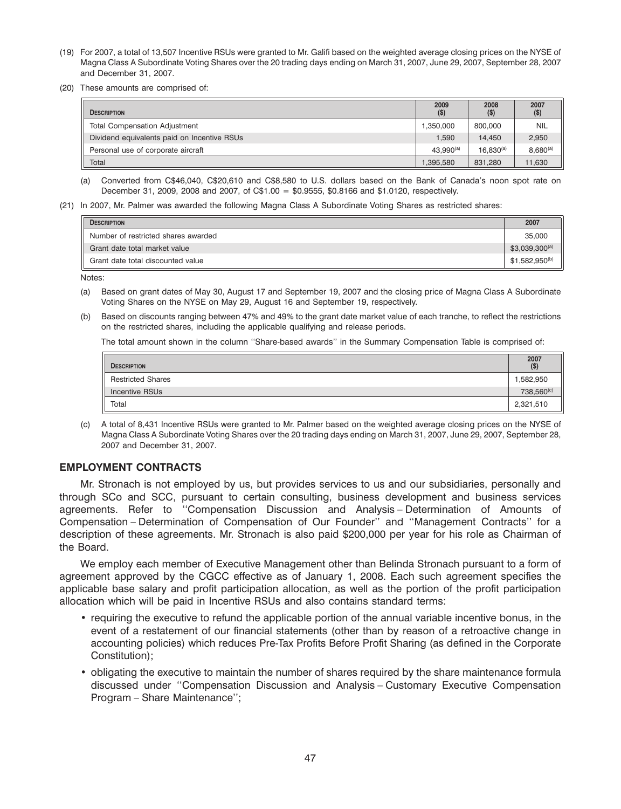- (19) For 2007, a total of 13,507 Incentive RSUs were granted to Mr. Galifi based on the weighted average closing prices on the NYSE of Magna Class A Subordinate Voting Shares over the 20 trading days ending on March 31, 2007, June 29, 2007, September 28, 2007 and December 31, 2007.
- (20) These amounts are comprised of:

| <b>DESCRIPTION</b>                          | 2009<br>$($ \$)       | 2008<br>$($ \$) | 2007<br>$($ \$) |
|---------------------------------------------|-----------------------|-----------------|-----------------|
| <b>Total Compensation Adjustment</b>        | 1.350.000             | 800.000         | <b>NIL</b>      |
| Dividend equivalents paid on Incentive RSUs | 1,590                 | 14.450          | 2,950           |
| Personal use of corporate aircraft          | 43.990 <sup>(a)</sup> | $16.830^{(a)}$  | $8,680^{(a)}$   |
| Total                                       | 1.395.580             | 831.280         | 11,630          |

- (a) Converted from C\$46,040, C\$20,610 and C\$8,580 to U.S. dollars based on the Bank of Canada's noon spot rate on December 31, 2009, 2008 and 2007, of C\$1.00 = \$0.9555, \$0.8166 and \$1.0120, respectively.
- (21) In 2007, Mr. Palmer was awarded the following Magna Class A Subordinate Voting Shares as restricted shares:

| <b>DESCRIPTION</b>                  | 2007               |
|-------------------------------------|--------------------|
| Number of restricted shares awarded | 35,000             |
| Grant date total market value       | $$3,039,300^{(a)}$ |
| Grant date total discounted value   | $$1,582,950^{(b)}$ |

Notes:

- (a) Based on grant dates of May 30, August 17 and September 19, 2007 and the closing price of Magna Class A Subordinate Voting Shares on the NYSE on May 29, August 16 and September 19, respectively.
- (b) Based on discounts ranging between 47% and 49% to the grant date market value of each tranche, to reflect the restrictions on the restricted shares, including the applicable qualifying and release periods.

The total amount shown in the column ''Share-based awards'' in the Summary Compensation Table is comprised of:

| <b>DESCRIPTION</b>       | 2007<br>$($ \$)        |
|--------------------------|------------------------|
| <b>Restricted Shares</b> | 1,582,950              |
| <b>Incentive RSUs</b>    | 738,560 <sup>(c)</sup> |
| Total                    | 2,321,510              |

(c) A total of 8,431 Incentive RSUs were granted to Mr. Palmer based on the weighted average closing prices on the NYSE of Magna Class A Subordinate Voting Shares over the 20 trading days ending on March 31, 2007, June 29, 2007, September 28, 2007 and December 31, 2007.

### **EMPLOYMENT CONTRACTS**

Mr. Stronach is not employed by us, but provides services to us and our subsidiaries, personally and through SCo and SCC, pursuant to certain consulting, business development and business services agreements. Refer to ''Compensation Discussion and Analysis – Determination of Amounts of Compensation – Determination of Compensation of Our Founder'' and ''Management Contracts'' for a description of these agreements. Mr. Stronach is also paid \$200,000 per year for his role as Chairman of the Board.

We employ each member of Executive Management other than Belinda Stronach pursuant to a form of agreement approved by the CGCC effective as of January 1, 2008. Each such agreement specifies the applicable base salary and profit participation allocation, as well as the portion of the profit participation allocation which will be paid in Incentive RSUs and also contains standard terms:

- requiring the executive to refund the applicable portion of the annual variable incentive bonus, in the event of a restatement of our financial statements (other than by reason of a retroactive change in accounting policies) which reduces Pre-Tax Profits Before Profit Sharing (as defined in the Corporate Constitution);
- obligating the executive to maintain the number of shares required by the share maintenance formula discussed under ''Compensation Discussion and Analysis – Customary Executive Compensation Program – Share Maintenance'';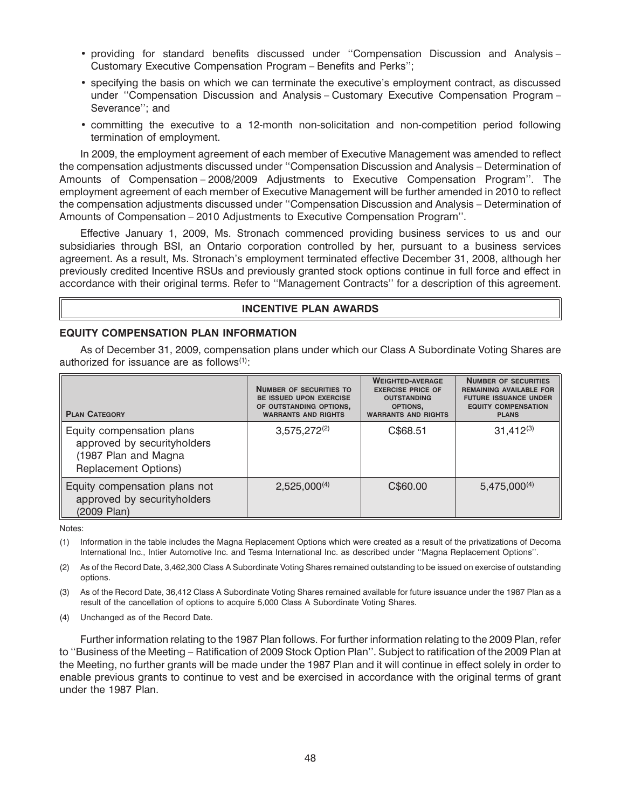- providing for standard benefits discussed under ''Compensation Discussion and Analysis Customary Executive Compensation Program – Benefits and Perks'';
- specifying the basis on which we can terminate the executive's employment contract, as discussed under ''Compensation Discussion and Analysis – Customary Executive Compensation Program – Severance''; and
- committing the executive to a 12-month non-solicitation and non-competition period following termination of employment.

In 2009, the employment agreement of each member of Executive Management was amended to reflect the compensation adjustments discussed under ''Compensation Discussion and Analysis – Determination of Amounts of Compensation – 2008/2009 Adjustments to Executive Compensation Program''. The employment agreement of each member of Executive Management will be further amended in 2010 to reflect the compensation adjustments discussed under ''Compensation Discussion and Analysis – Determination of Amounts of Compensation – 2010 Adjustments to Executive Compensation Program''.

Effective January 1, 2009, Ms. Stronach commenced providing business services to us and our subsidiaries through BSI, an Ontario corporation controlled by her, pursuant to a business services agreement. As a result, Ms. Stronach's employment terminated effective December 31, 2008, although her previously credited Incentive RSUs and previously granted stock options continue in full force and effect in accordance with their original terms. Refer to ''Management Contracts'' for a description of this agreement.

## **INCENTIVE PLAN AWARDS**

## **EQUITY COMPENSATION PLAN INFORMATION**

As of December 31, 2009, compensation plans under which our Class A Subordinate Voting Shares are authorized for issuance are as follows $(1)$ :

| <b>PLAN CATEGORY</b>                                                                                            | <b>NUMBER OF SECURITIES TO</b><br><b>BE ISSUED UPON EXERCISE</b><br>OF OUTSTANDING OPTIONS,<br><b>WARRANTS AND RIGHTS</b> | <b>WEIGHTED-AVERAGE</b><br><b>EXERCISE PRICE OF</b><br><b>OUTSTANDING</b><br>OPTIONS,<br><b>WARRANTS AND RIGHTS</b> | <b>NUMBER OF SECURITIES</b><br><b>REMAINING AVAILABLE FOR</b><br><b>FUTURE ISSUANCE UNDER</b><br><b>EQUITY COMPENSATION</b><br><b>PLANS</b> |
|-----------------------------------------------------------------------------------------------------------------|---------------------------------------------------------------------------------------------------------------------------|---------------------------------------------------------------------------------------------------------------------|---------------------------------------------------------------------------------------------------------------------------------------------|
| Equity compensation plans<br>approved by securityholders<br>(1987 Plan and Magna<br><b>Replacement Options)</b> | $3,575,272^{(2)}$                                                                                                         | C\$68.51                                                                                                            | $31,412^{(3)}$                                                                                                                              |
| Equity compensation plans not<br>approved by securityholders<br>(2009 Plan)                                     | $2,525,000^{(4)}$                                                                                                         | C\$60.00                                                                                                            | $5,475,000^{(4)}$                                                                                                                           |

Notes:

(1) Information in the table includes the Magna Replacement Options which were created as a result of the privatizations of Decoma International Inc., Intier Automotive Inc. and Tesma International Inc. as described under ''Magna Replacement Options''.

(2) As of the Record Date, 3,462,300 Class A Subordinate Voting Shares remained outstanding to be issued on exercise of outstanding options.

(3) As of the Record Date, 36,412 Class A Subordinate Voting Shares remained available for future issuance under the 1987 Plan as a result of the cancellation of options to acquire 5,000 Class A Subordinate Voting Shares.

(4) Unchanged as of the Record Date.

Further information relating to the 1987 Plan follows. For further information relating to the 2009 Plan, refer to ''Business of the Meeting – Ratification of 2009 Stock Option Plan''. Subject to ratification of the 2009 Plan at the Meeting, no further grants will be made under the 1987 Plan and it will continue in effect solely in order to enable previous grants to continue to vest and be exercised in accordance with the original terms of grant under the 1987 Plan.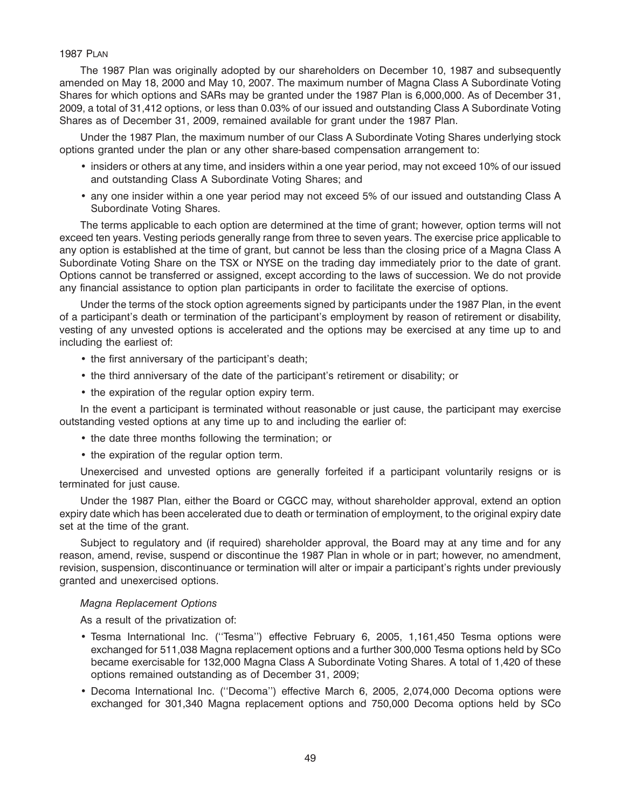## 1987 PLAN

The 1987 Plan was originally adopted by our shareholders on December 10, 1987 and subsequently amended on May 18, 2000 and May 10, 2007. The maximum number of Magna Class A Subordinate Voting Shares for which options and SARs may be granted under the 1987 Plan is 6,000,000. As of December 31, 2009, a total of 31,412 options, or less than 0.03% of our issued and outstanding Class A Subordinate Voting Shares as of December 31, 2009, remained available for grant under the 1987 Plan.

Under the 1987 Plan, the maximum number of our Class A Subordinate Voting Shares underlying stock options granted under the plan or any other share-based compensation arrangement to:

- insiders or others at any time, and insiders within a one year period, may not exceed 10% of our issued and outstanding Class A Subordinate Voting Shares; and
- any one insider within a one year period may not exceed 5% of our issued and outstanding Class A Subordinate Voting Shares.

The terms applicable to each option are determined at the time of grant; however, option terms will not exceed ten years. Vesting periods generally range from three to seven years. The exercise price applicable to any option is established at the time of grant, but cannot be less than the closing price of a Magna Class A Subordinate Voting Share on the TSX or NYSE on the trading day immediately prior to the date of grant. Options cannot be transferred or assigned, except according to the laws of succession. We do not provide any financial assistance to option plan participants in order to facilitate the exercise of options.

Under the terms of the stock option agreements signed by participants under the 1987 Plan, in the event of a participant's death or termination of the participant's employment by reason of retirement or disability, vesting of any unvested options is accelerated and the options may be exercised at any time up to and including the earliest of:

- the first anniversary of the participant's death;
- the third anniversary of the date of the participant's retirement or disability; or
- the expiration of the regular option expiry term.

In the event a participant is terminated without reasonable or just cause, the participant may exercise outstanding vested options at any time up to and including the earlier of:

- the date three months following the termination; or
- the expiration of the regular option term.

Unexercised and unvested options are generally forfeited if a participant voluntarily resigns or is terminated for just cause.

Under the 1987 Plan, either the Board or CGCC may, without shareholder approval, extend an option expiry date which has been accelerated due to death or termination of employment, to the original expiry date set at the time of the grant.

Subject to regulatory and (if required) shareholder approval, the Board may at any time and for any reason, amend, revise, suspend or discontinue the 1987 Plan in whole or in part; however, no amendment, revision, suspension, discontinuance or termination will alter or impair a participant's rights under previously granted and unexercised options.

### *Magna Replacement Options*

As a result of the privatization of:

- Tesma International Inc. (''Tesma'') effective February 6, 2005, 1,161,450 Tesma options were exchanged for 511,038 Magna replacement options and a further 300,000 Tesma options held by SCo became exercisable for 132,000 Magna Class A Subordinate Voting Shares. A total of 1,420 of these options remained outstanding as of December 31, 2009;
- Decoma International Inc. (''Decoma'') effective March 6, 2005, 2,074,000 Decoma options were exchanged for 301,340 Magna replacement options and 750,000 Decoma options held by SCo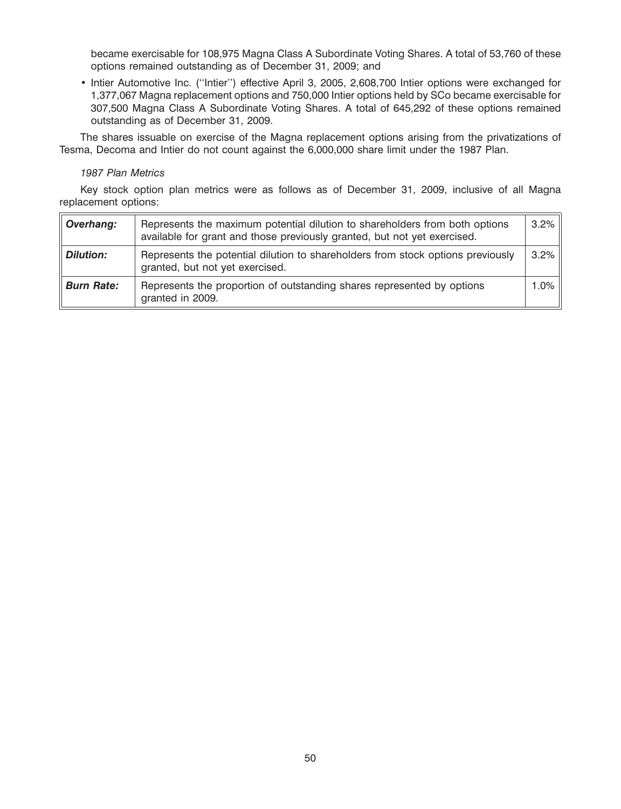became exercisable for 108,975 Magna Class A Subordinate Voting Shares. A total of 53,760 of these options remained outstanding as of December 31, 2009; and

• Intier Automotive Inc. (''Intier'') effective April 3, 2005, 2,608,700 Intier options were exchanged for 1,377,067 Magna replacement options and 750,000 Intier options held by SCo became exercisable for 307,500 Magna Class A Subordinate Voting Shares. A total of 645,292 of these options remained outstanding as of December 31, 2009.

The shares issuable on exercise of the Magna replacement options arising from the privatizations of Tesma, Decoma and Intier do not count against the 6,000,000 share limit under the 1987 Plan.

#### *1987 Plan Metrics*

Key stock option plan metrics were as follows as of December 31, 2009, inclusive of all Magna replacement options:

| Overhang:         | Represents the maximum potential dilution to shareholders from both options<br>available for grant and those previously granted, but not yet exercised. | 3.2% |
|-------------------|---------------------------------------------------------------------------------------------------------------------------------------------------------|------|
| <b>Dilution:</b>  | Represents the potential dilution to shareholders from stock options previously<br>granted, but not yet exercised.                                      | 3.2% |
| <b>Burn Rate:</b> | Represents the proportion of outstanding shares represented by options<br>granted in 2009.                                                              | 1.0% |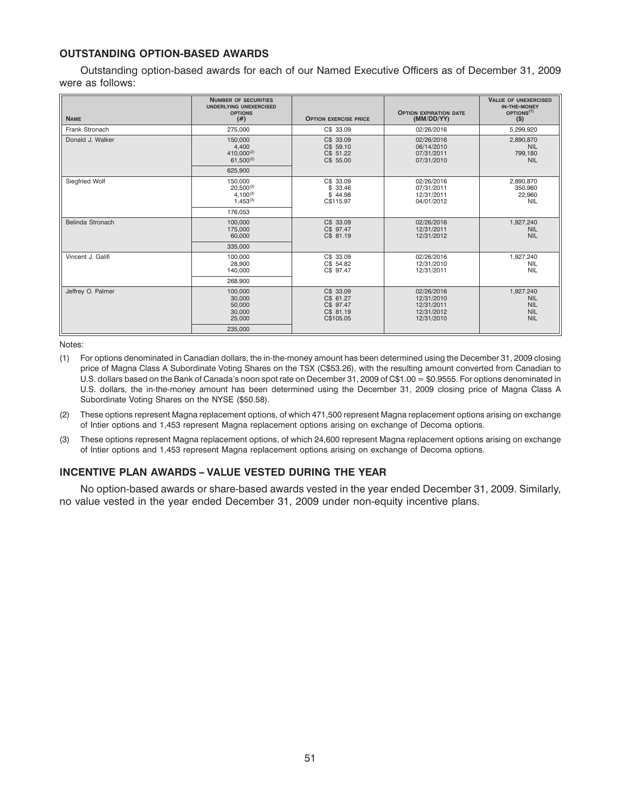## **OUTSTANDING OPTION-BASED AWARDS**

Outstanding option-based awards for each of our Named Executive Officers as of December 31, 2009 were as follows:

| <b>NAME</b>       | <b>NUMBER OF SECURITIES</b><br><b>UNDERLYING UNEXERCISED</b><br><b>OPTIONS</b><br>(# ) | <b>OPTION EXERCISE PRICE</b>                                  | <b>OPTION EXPIRATION DATE</b><br>(MM/DD/YY)                        | <b>VALUE OF UNEXERCISED</b><br><b>IN-THE-MONEY</b><br>OPTIONS <sup>(1)</sup><br>$($ \$) |
|-------------------|----------------------------------------------------------------------------------------|---------------------------------------------------------------|--------------------------------------------------------------------|-----------------------------------------------------------------------------------------|
| Frank Stronach    | 275,000                                                                                | C\$ 33.09                                                     | 02/26/2016                                                         | 5,299,920                                                                               |
| Donald J. Walker  | 150,000<br>4.400<br>410.000(2)<br>$61,500^{(2)}$                                       | C\$ 33.09<br>C\$ 59.10<br>C\$ 51.22<br>C\$ 55.00              | 02/26/2016<br>06/14/2010<br>07/31/2011<br>07/31/2010               | 2,890,870<br><b>NIL</b><br>799,180<br><b>NIL</b>                                        |
|                   | 625.900                                                                                |                                                               |                                                                    |                                                                                         |
| Siegfried Wolf    | 150,000<br>$20.500^{(3)}$<br>$4.100^{(3)}$<br>$1.453^{(3)}$                            | C\$ 33.09<br>\$33.46<br>\$44.98<br>C\$115.97                  | 02/26/2016<br>07/31/2011<br>12/31/2011<br>04/01/2012               | 2,890,870<br>350,960<br>22,960<br><b>NIL</b>                                            |
|                   | 176.053                                                                                |                                                               |                                                                    |                                                                                         |
| Belinda Stronach  | 100,000<br>175,000<br>60,000                                                           | C\$ 33.09<br>C\$ 97.47<br>C\$ 81.19                           | 02/26/2016<br>12/31/2011<br>12/31/2012                             | 1,927,240<br><b>NIL</b><br><b>NIL</b>                                                   |
|                   | 335,000                                                                                |                                                               |                                                                    |                                                                                         |
| Vincent J. Galifi | 100,000<br>28,900<br>140,000                                                           | C\$ 33.09<br>C\$ 54.82<br>C\$ 97.47                           | 02/26/2016<br>12/31/2010<br>12/31/2011                             | 1,927,240<br><b>NIL</b><br><b>NIL</b>                                                   |
|                   | 268,900                                                                                |                                                               |                                                                    |                                                                                         |
| Jeffrey O. Palmer | 100,000<br>30,000<br>50,000<br>30,000<br>25,000                                        | C\$ 33.09<br>C\$ 61.27<br>C\$ 97.47<br>C\$ 81.19<br>C\$105.05 | 02/26/2016<br>12/31/2010<br>12/31/2011<br>12/31/2012<br>12/31/2010 | 1,927,240<br><b>NIL</b><br><b>NIL</b><br><b>NIL</b><br><b>NIL</b>                       |
|                   | 235,000                                                                                |                                                               |                                                                    |                                                                                         |

Notes:

- (1) For options denominated in Canadian dollars, the in-the-money amount has been determined using the December 31, 2009 closing price of Magna Class A Subordinate Voting Shares on the TSX (C\$53.26), with the resulting amount converted from Canadian to U.S. dollars based on the Bank of Canada's noon spot rate on December 31, 2009 of C\$1.00 = \$0.9555. For options denominated in U.S. dollars, the in-the-money amount has been determined using the December 31, 2009 closing price of Magna Class A Subordinate Voting Shares on the NYSE (\$50.58).
- (2) These options represent Magna replacement options, of which 471,500 represent Magna replacement options arising on exchange of Intier options and 1,453 represent Magna replacement options arising on exchange of Decoma options.
- (3) These options represent Magna replacement options, of which 24,600 represent Magna replacement options arising on exchange of Intier options and 1,453 represent Magna replacement options arising on exchange of Decoma options.

## **INCENTIVE PLAN AWARDS – VALUE VESTED DURING THE YEAR**

No option-based awards or share-based awards vested in the year ended December 31, 2009. Similarly, no value vested in the year ended December 31, 2009 under non-equity incentive plans.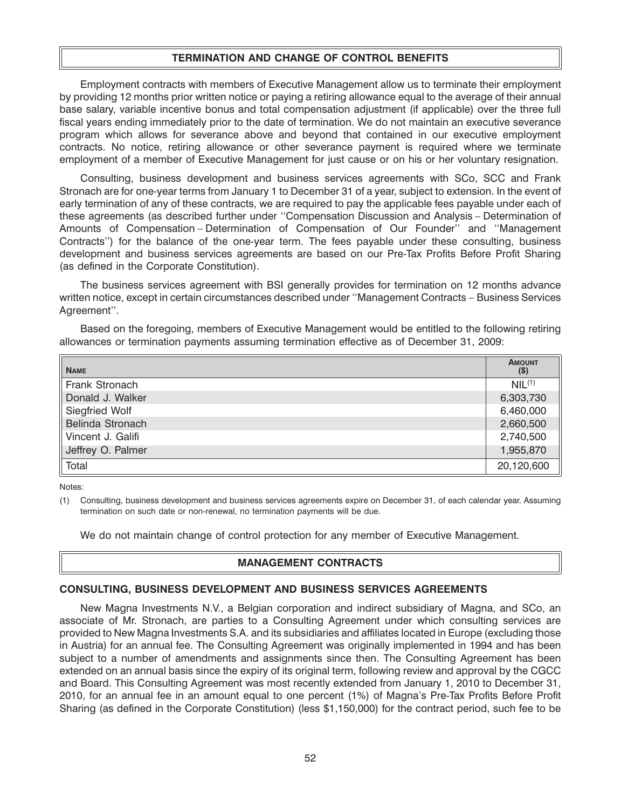## **TERMINATION AND CHANGE OF CONTROL BENEFITS**

Employment contracts with members of Executive Management allow us to terminate their employment by providing 12 months prior written notice or paying a retiring allowance equal to the average of their annual base salary, variable incentive bonus and total compensation adjustment (if applicable) over the three full fiscal years ending immediately prior to the date of termination. We do not maintain an executive severance program which allows for severance above and beyond that contained in our executive employment contracts. No notice, retiring allowance or other severance payment is required where we terminate employment of a member of Executive Management for just cause or on his or her voluntary resignation.

Consulting, business development and business services agreements with SCo, SCC and Frank Stronach are for one-year terms from January 1 to December 31 of a year, subject to extension. In the event of early termination of any of these contracts, we are required to pay the applicable fees payable under each of these agreements (as described further under ''Compensation Discussion and Analysis – Determination of Amounts of Compensation – Determination of Compensation of Our Founder'' and ''Management Contracts'') for the balance of the one-year term. The fees payable under these consulting, business development and business services agreements are based on our Pre-Tax Profits Before Profit Sharing (as defined in the Corporate Constitution).

The business services agreement with BSI generally provides for termination on 12 months advance written notice, except in certain circumstances described under ''Management Contracts – Business Services Agreement''.

Based on the foregoing, members of Executive Management would be entitled to the following retiring allowances or termination payments assuming termination effective as of December 31, 2009:

| <b>NAME</b>       | <b>AMOUNT</b><br>$(\$)$ |
|-------------------|-------------------------|
| Frank Stronach    | NIL <sup>(1)</sup>      |
| Donald J. Walker  | 6,303,730               |
| Siegfried Wolf    | 6,460,000               |
| Belinda Stronach  | 2,660,500               |
| Vincent J. Galifi | 2,740,500               |
| Jeffrey O. Palmer | 1,955,870               |
| <b>Total</b>      | 20,120,600              |

Notes:

(1) Consulting, business development and business services agreements expire on December 31, of each calendar year. Assuming termination on such date or non-renewal, no termination payments will be due.

We do not maintain change of control protection for any member of Executive Management.

### **MANAGEMENT CONTRACTS**

### **CONSULTING, BUSINESS DEVELOPMENT AND BUSINESS SERVICES AGREEMENTS**

New Magna Investments N.V., a Belgian corporation and indirect subsidiary of Magna, and SCo, an associate of Mr. Stronach, are parties to a Consulting Agreement under which consulting services are provided to New Magna Investments S.A. and its subsidiaries and affiliates located in Europe (excluding those in Austria) for an annual fee. The Consulting Agreement was originally implemented in 1994 and has been subject to a number of amendments and assignments since then. The Consulting Agreement has been extended on an annual basis since the expiry of its original term, following review and approval by the CGCC and Board. This Consulting Agreement was most recently extended from January 1, 2010 to December 31, 2010, for an annual fee in an amount equal to one percent (1%) of Magna's Pre-Tax Profits Before Profit Sharing (as defined in the Corporate Constitution) (less \$1,150,000) for the contract period, such fee to be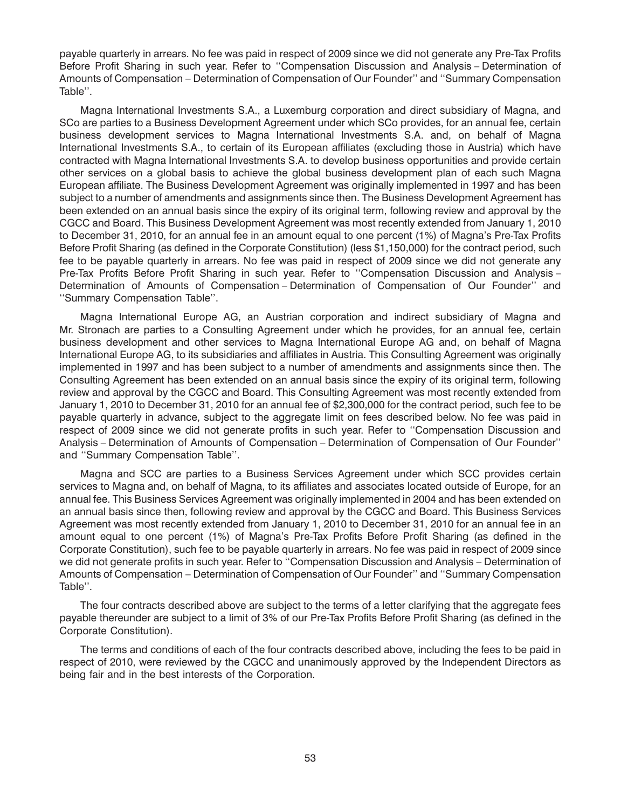payable quarterly in arrears. No fee was paid in respect of 2009 since we did not generate any Pre-Tax Profits Before Profit Sharing in such year. Refer to ''Compensation Discussion and Analysis – Determination of Amounts of Compensation – Determination of Compensation of Our Founder'' and ''Summary Compensation Table''.

Magna International Investments S.A., a Luxemburg corporation and direct subsidiary of Magna, and SCo are parties to a Business Development Agreement under which SCo provides, for an annual fee, certain business development services to Magna International Investments S.A. and, on behalf of Magna International Investments S.A., to certain of its European affiliates (excluding those in Austria) which have contracted with Magna International Investments S.A. to develop business opportunities and provide certain other services on a global basis to achieve the global business development plan of each such Magna European affiliate. The Business Development Agreement was originally implemented in 1997 and has been subject to a number of amendments and assignments since then. The Business Development Agreement has been extended on an annual basis since the expiry of its original term, following review and approval by the CGCC and Board. This Business Development Agreement was most recently extended from January 1, 2010 to December 31, 2010, for an annual fee in an amount equal to one percent (1%) of Magna's Pre-Tax Profits Before Profit Sharing (as defined in the Corporate Constitution) (less \$1,150,000) for the contract period, such fee to be payable quarterly in arrears. No fee was paid in respect of 2009 since we did not generate any Pre-Tax Profits Before Profit Sharing in such year. Refer to ''Compensation Discussion and Analysis – Determination of Amounts of Compensation – Determination of Compensation of Our Founder'' and ''Summary Compensation Table''.

Magna International Europe AG, an Austrian corporation and indirect subsidiary of Magna and Mr. Stronach are parties to a Consulting Agreement under which he provides, for an annual fee, certain business development and other services to Magna International Europe AG and, on behalf of Magna International Europe AG, to its subsidiaries and affiliates in Austria. This Consulting Agreement was originally implemented in 1997 and has been subject to a number of amendments and assignments since then. The Consulting Agreement has been extended on an annual basis since the expiry of its original term, following review and approval by the CGCC and Board. This Consulting Agreement was most recently extended from January 1, 2010 to December 31, 2010 for an annual fee of \$2,300,000 for the contract period, such fee to be payable quarterly in advance, subject to the aggregate limit on fees described below. No fee was paid in respect of 2009 since we did not generate profits in such year. Refer to ''Compensation Discussion and Analysis – Determination of Amounts of Compensation – Determination of Compensation of Our Founder'' and ''Summary Compensation Table''.

Magna and SCC are parties to a Business Services Agreement under which SCC provides certain services to Magna and, on behalf of Magna, to its affiliates and associates located outside of Europe, for an annual fee. This Business Services Agreement was originally implemented in 2004 and has been extended on an annual basis since then, following review and approval by the CGCC and Board. This Business Services Agreement was most recently extended from January 1, 2010 to December 31, 2010 for an annual fee in an amount equal to one percent (1%) of Magna's Pre-Tax Profits Before Profit Sharing (as defined in the Corporate Constitution), such fee to be payable quarterly in arrears. No fee was paid in respect of 2009 since we did not generate profits in such year. Refer to ''Compensation Discussion and Analysis – Determination of Amounts of Compensation – Determination of Compensation of Our Founder'' and ''Summary Compensation Table''.

The four contracts described above are subject to the terms of a letter clarifying that the aggregate fees payable thereunder are subject to a limit of 3% of our Pre-Tax Profits Before Profit Sharing (as defined in the Corporate Constitution).

The terms and conditions of each of the four contracts described above, including the fees to be paid in respect of 2010, were reviewed by the CGCC and unanimously approved by the Independent Directors as being fair and in the best interests of the Corporation.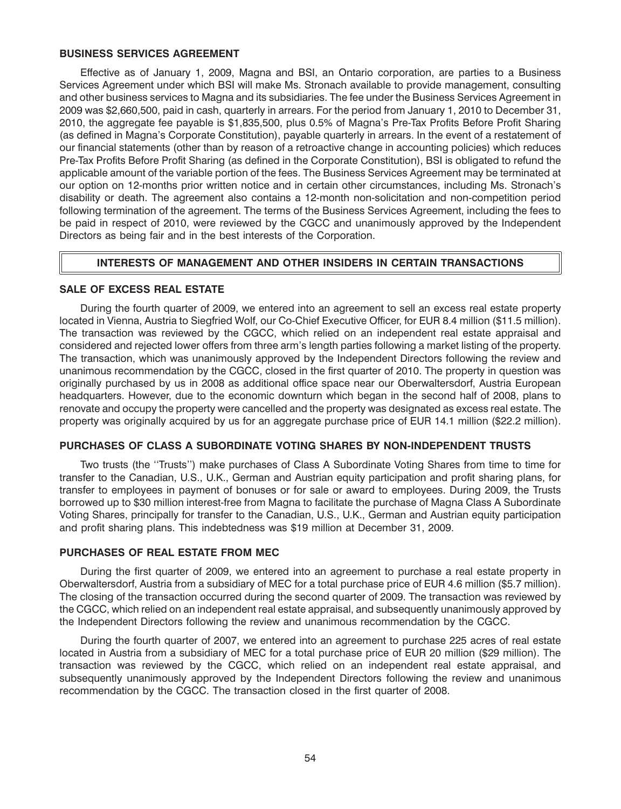#### **BUSINESS SERVICES AGREEMENT**

Effective as of January 1, 2009, Magna and BSI, an Ontario corporation, are parties to a Business Services Agreement under which BSI will make Ms. Stronach available to provide management, consulting and other business services to Magna and its subsidiaries. The fee under the Business Services Agreement in 2009 was \$2,660,500, paid in cash, quarterly in arrears. For the period from January 1, 2010 to December 31, 2010, the aggregate fee payable is \$1,835,500, plus 0.5% of Magna's Pre-Tax Profits Before Profit Sharing (as defined in Magna's Corporate Constitution), payable quarterly in arrears. In the event of a restatement of our financial statements (other than by reason of a retroactive change in accounting policies) which reduces Pre-Tax Profits Before Profit Sharing (as defined in the Corporate Constitution), BSI is obligated to refund the applicable amount of the variable portion of the fees. The Business Services Agreement may be terminated at our option on 12-months prior written notice and in certain other circumstances, including Ms. Stronach's disability or death. The agreement also contains a 12-month non-solicitation and non-competition period following termination of the agreement. The terms of the Business Services Agreement, including the fees to be paid in respect of 2010, were reviewed by the CGCC and unanimously approved by the Independent Directors as being fair and in the best interests of the Corporation.

## **INTERESTS OF MANAGEMENT AND OTHER INSIDERS IN CERTAIN TRANSACTIONS**

### **SALE OF EXCESS REAL ESTATE**

During the fourth quarter of 2009, we entered into an agreement to sell an excess real estate property located in Vienna, Austria to Siegfried Wolf, our Co-Chief Executive Officer, for EUR 8.4 million (\$11.5 million). The transaction was reviewed by the CGCC, which relied on an independent real estate appraisal and considered and rejected lower offers from three arm's length parties following a market listing of the property. The transaction, which was unanimously approved by the Independent Directors following the review and unanimous recommendation by the CGCC, closed in the first quarter of 2010. The property in question was originally purchased by us in 2008 as additional office space near our Oberwaltersdorf, Austria European headquarters. However, due to the economic downturn which began in the second half of 2008, plans to renovate and occupy the property were cancelled and the property was designated as excess real estate. The property was originally acquired by us for an aggregate purchase price of EUR 14.1 million (\$22.2 million).

## **PURCHASES OF CLASS A SUBORDINATE VOTING SHARES BY NON-INDEPENDENT TRUSTS**

Two trusts (the ''Trusts'') make purchases of Class A Subordinate Voting Shares from time to time for transfer to the Canadian, U.S., U.K., German and Austrian equity participation and profit sharing plans, for transfer to employees in payment of bonuses or for sale or award to employees. During 2009, the Trusts borrowed up to \$30 million interest-free from Magna to facilitate the purchase of Magna Class A Subordinate Voting Shares, principally for transfer to the Canadian, U.S., U.K., German and Austrian equity participation and profit sharing plans. This indebtedness was \$19 million at December 31, 2009.

#### **PURCHASES OF REAL ESTATE FROM MEC**

During the first quarter of 2009, we entered into an agreement to purchase a real estate property in Oberwaltersdorf, Austria from a subsidiary of MEC for a total purchase price of EUR 4.6 million (\$5.7 million). The closing of the transaction occurred during the second quarter of 2009. The transaction was reviewed by the CGCC, which relied on an independent real estate appraisal, and subsequently unanimously approved by the Independent Directors following the review and unanimous recommendation by the CGCC.

During the fourth quarter of 2007, we entered into an agreement to purchase 225 acres of real estate located in Austria from a subsidiary of MEC for a total purchase price of EUR 20 million (\$29 million). The transaction was reviewed by the CGCC, which relied on an independent real estate appraisal, and subsequently unanimously approved by the Independent Directors following the review and unanimous recommendation by the CGCC. The transaction closed in the first quarter of 2008.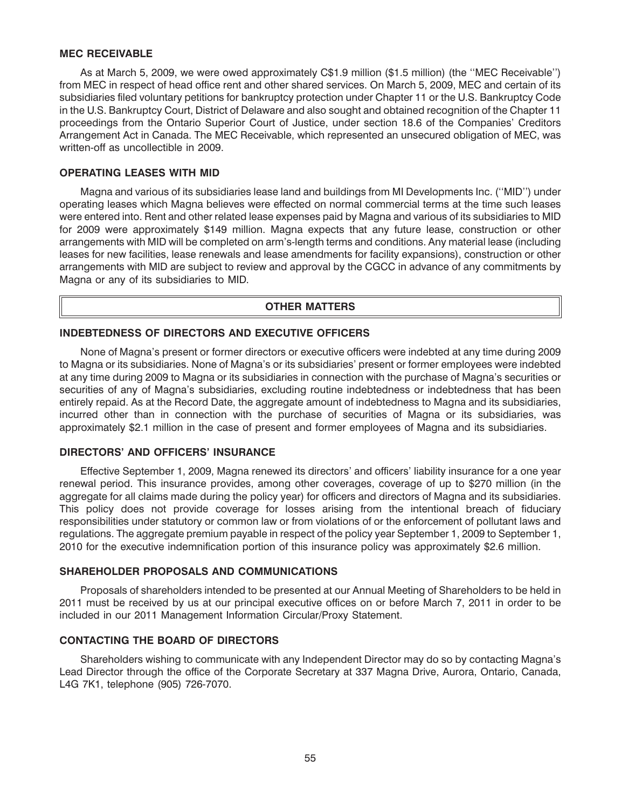#### **MEC RECEIVABLE**

As at March 5, 2009, we were owed approximately C\$1.9 million (\$1.5 million) (the ''MEC Receivable'') from MEC in respect of head office rent and other shared services. On March 5, 2009, MEC and certain of its subsidiaries filed voluntary petitions for bankruptcy protection under Chapter 11 or the U.S. Bankruptcy Code in the U.S. Bankruptcy Court, District of Delaware and also sought and obtained recognition of the Chapter 11 proceedings from the Ontario Superior Court of Justice, under section 18.6 of the Companies' Creditors Arrangement Act in Canada. The MEC Receivable, which represented an unsecured obligation of MEC, was written-off as uncollectible in 2009.

#### **OPERATING LEASES WITH MID**

Magna and various of its subsidiaries lease land and buildings from MI Developments Inc. (''MID'') under operating leases which Magna believes were effected on normal commercial terms at the time such leases were entered into. Rent and other related lease expenses paid by Magna and various of its subsidiaries to MID for 2009 were approximately \$149 million. Magna expects that any future lease, construction or other arrangements with MID will be completed on arm's-length terms and conditions. Any material lease (including leases for new facilities, lease renewals and lease amendments for facility expansions), construction or other arrangements with MID are subject to review and approval by the CGCC in advance of any commitments by Magna or any of its subsidiaries to MID.

### **OTHER MATTERS**

### **INDEBTEDNESS OF DIRECTORS AND EXECUTIVE OFFICERS**

None of Magna's present or former directors or executive officers were indebted at any time during 2009 to Magna or its subsidiaries. None of Magna's or its subsidiaries' present or former employees were indebted at any time during 2009 to Magna or its subsidiaries in connection with the purchase of Magna's securities or securities of any of Magna's subsidiaries, excluding routine indebtedness or indebtedness that has been entirely repaid. As at the Record Date, the aggregate amount of indebtedness to Magna and its subsidiaries, incurred other than in connection with the purchase of securities of Magna or its subsidiaries, was approximately \$2.1 million in the case of present and former employees of Magna and its subsidiaries.

#### **DIRECTORS' AND OFFICERS' INSURANCE**

Effective September 1, 2009, Magna renewed its directors' and officers' liability insurance for a one year renewal period. This insurance provides, among other coverages, coverage of up to \$270 million (in the aggregate for all claims made during the policy year) for officers and directors of Magna and its subsidiaries. This policy does not provide coverage for losses arising from the intentional breach of fiduciary responsibilities under statutory or common law or from violations of or the enforcement of pollutant laws and regulations. The aggregate premium payable in respect of the policy year September 1, 2009 to September 1, 2010 for the executive indemnification portion of this insurance policy was approximately \$2.6 million.

#### **SHAREHOLDER PROPOSALS AND COMMUNICATIONS**

Proposals of shareholders intended to be presented at our Annual Meeting of Shareholders to be held in 2011 must be received by us at our principal executive offices on or before March 7, 2011 in order to be included in our 2011 Management Information Circular/Proxy Statement.

## **CONTACTING THE BOARD OF DIRECTORS**

Shareholders wishing to communicate with any Independent Director may do so by contacting Magna's Lead Director through the office of the Corporate Secretary at 337 Magna Drive, Aurora, Ontario, Canada, L4G 7K1, telephone (905) 726-7070.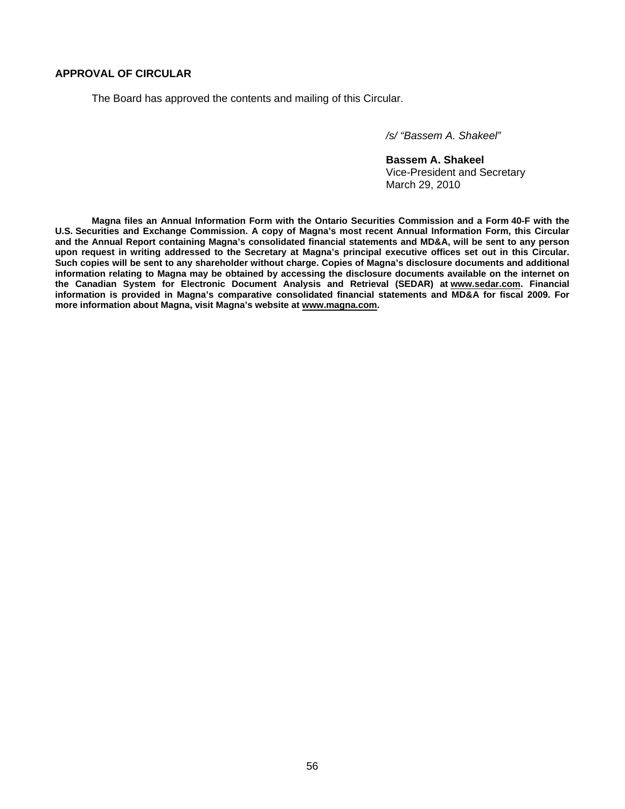## **APPROVAL OF CIRCULAR**

The Board has approved the contents and mailing of this Circular.

*/s/ "Bassem A. Shakeel"* 

 **Bassem A. Shakeel** Vice-President and Secretary March 29, 2010

 **Magna files an Annual Information Form with the Ontario Securities Commission and a Form 40-F with the U.S. Securities and Exchange Commission. A copy of Magna's most recent Annual Information Form, this Circular and the Annual Report containing Magna's consolidated financial statements and MD&A, will be sent to any person upon request in writing addressed to the Secretary at Magna's principal executive offices set out in this Circular. Such copies will be sent to any shareholder without charge. Copies of Magna's disclosure documents and additional information relating to Magna may be obtained by accessing the disclosure documents available on the internet on the Canadian System for Electronic Document Analysis and Retrieval (SEDAR) at www.sedar.com. Financial information is provided in Magna's comparative consolidated financial statements and MD&A for fiscal 2009. For more information about Magna, visit Magna's website at www.magna.com.**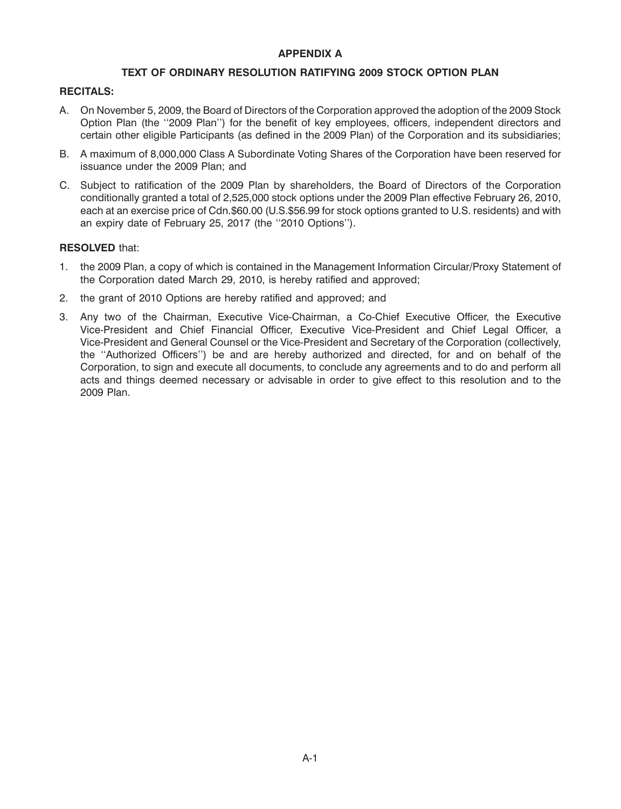## **APPENDIX A**

## **TEXT OF ORDINARY RESOLUTION RATIFYING 2009 STOCK OPTION PLAN**

## **RECITALS:**

- A. On November 5, 2009, the Board of Directors of the Corporation approved the adoption of the 2009 Stock Option Plan (the ''2009 Plan'') for the benefit of key employees, officers, independent directors and certain other eligible Participants (as defined in the 2009 Plan) of the Corporation and its subsidiaries;
- B. A maximum of 8,000,000 Class A Subordinate Voting Shares of the Corporation have been reserved for issuance under the 2009 Plan; and
- C. Subject to ratification of the 2009 Plan by shareholders, the Board of Directors of the Corporation conditionally granted a total of 2,525,000 stock options under the 2009 Plan effective February 26, 2010, each at an exercise price of Cdn.\$60.00 (U.S.\$56.99 for stock options granted to U.S. residents) and with an expiry date of February 25, 2017 (the ''2010 Options'').

## **RESOLVED** that:

- 1. the 2009 Plan, a copy of which is contained in the Management Information Circular/Proxy Statement of the Corporation dated March 29, 2010, is hereby ratified and approved;
- 2. the grant of 2010 Options are hereby ratified and approved; and
- 3. Any two of the Chairman, Executive Vice-Chairman, a Co-Chief Executive Officer, the Executive Vice-President and Chief Financial Officer, Executive Vice-President and Chief Legal Officer, a Vice-President and General Counsel or the Vice-President and Secretary of the Corporation (collectively, the ''Authorized Officers'') be and are hereby authorized and directed, for and on behalf of the Corporation, to sign and execute all documents, to conclude any agreements and to do and perform all acts and things deemed necessary or advisable in order to give effect to this resolution and to the 2009 Plan.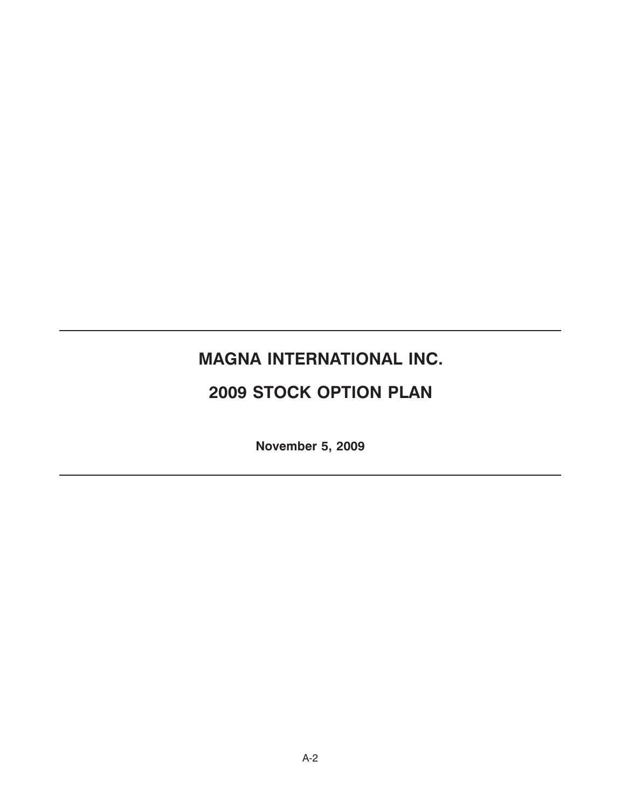# **MAGNA INTERNATIONAL INC.**

## **2009 STOCK OPTION PLAN**

**November 5, 2009**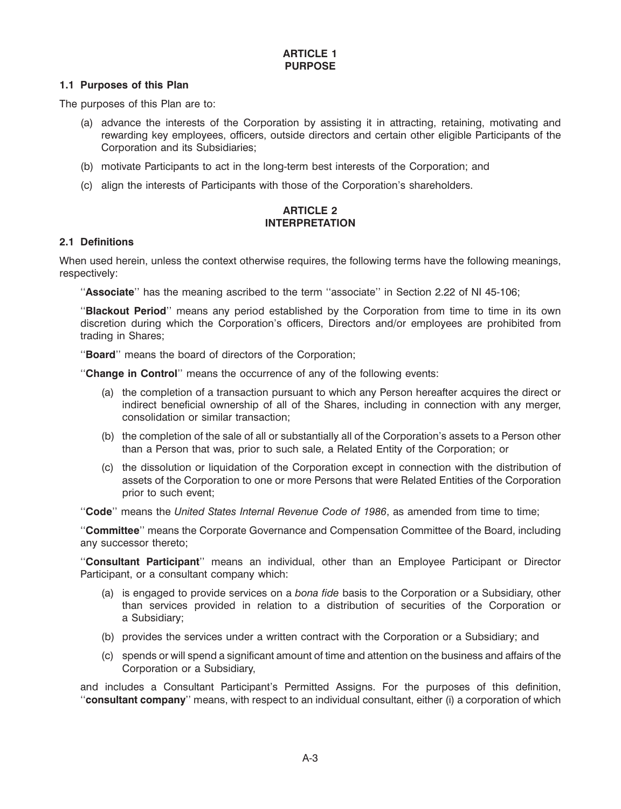## **1.1 Purposes of this Plan**

The purposes of this Plan are to:

- (a) advance the interests of the Corporation by assisting it in attracting, retaining, motivating and rewarding key employees, officers, outside directors and certain other eligible Participants of the Corporation and its Subsidiaries;
- (b) motivate Participants to act in the long-term best interests of the Corporation; and
- (c) align the interests of Participants with those of the Corporation's shareholders.

## **ARTICLE 2 INTERPRETATION**

## **2.1 Definitions**

When used herein, unless the context otherwise requires, the following terms have the following meanings, respectively:

''**Associate**'' has the meaning ascribed to the term ''associate'' in Section 2.22 of NI 45-106;

''**Blackout Period**'' means any period established by the Corporation from time to time in its own discretion during which the Corporation's officers, Directors and/or employees are prohibited from trading in Shares;

''**Board**'' means the board of directors of the Corporation;

''**Change in Control**'' means the occurrence of any of the following events:

- (a) the completion of a transaction pursuant to which any Person hereafter acquires the direct or indirect beneficial ownership of all of the Shares, including in connection with any merger, consolidation or similar transaction;
- (b) the completion of the sale of all or substantially all of the Corporation's assets to a Person other than a Person that was, prior to such sale, a Related Entity of the Corporation; or
- (c) the dissolution or liquidation of the Corporation except in connection with the distribution of assets of the Corporation to one or more Persons that were Related Entities of the Corporation prior to such event;

''**Code**'' means the *United States Internal Revenue Code of 1986*, as amended from time to time;

''**Committee**'' means the Corporate Governance and Compensation Committee of the Board, including any successor thereto;

''**Consultant Participant**'' means an individual, other than an Employee Participant or Director Participant, or a consultant company which:

- (a) is engaged to provide services on a *bona fide* basis to the Corporation or a Subsidiary, other than services provided in relation to a distribution of securities of the Corporation or a Subsidiary;
- (b) provides the services under a written contract with the Corporation or a Subsidiary; and
- (c) spends or will spend a significant amount of time and attention on the business and affairs of the Corporation or a Subsidiary,

and includes a Consultant Participant's Permitted Assigns. For the purposes of this definition, ''**consultant company**'' means, with respect to an individual consultant, either (i) a corporation of which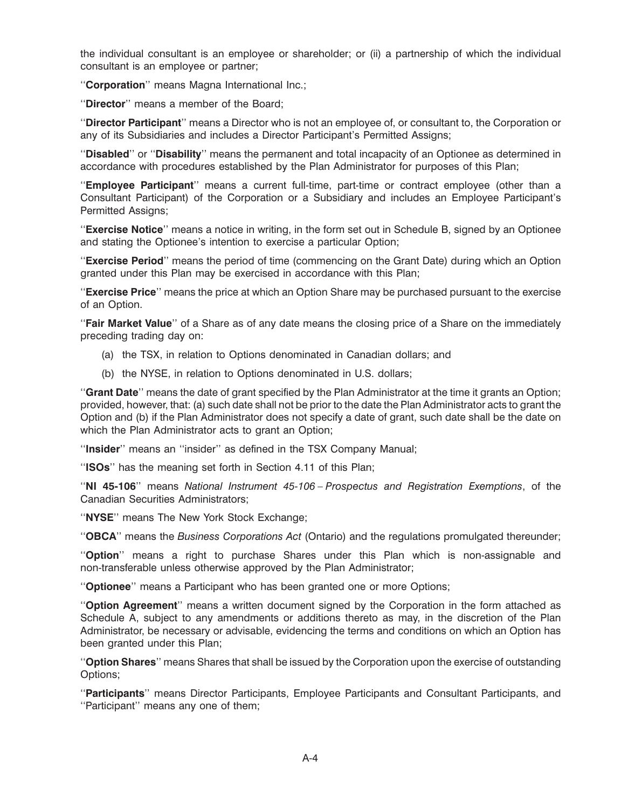the individual consultant is an employee or shareholder; or (ii) a partnership of which the individual consultant is an employee or partner;

''**Corporation**'' means Magna International Inc.;

''**Director**'' means a member of the Board;

''**Director Participant**'' means a Director who is not an employee of, or consultant to, the Corporation or any of its Subsidiaries and includes a Director Participant's Permitted Assigns;

''**Disabled**'' or ''**Disability**'' means the permanent and total incapacity of an Optionee as determined in accordance with procedures established by the Plan Administrator for purposes of this Plan;

''**Employee Participant**'' means a current full-time, part-time or contract employee (other than a Consultant Participant) of the Corporation or a Subsidiary and includes an Employee Participant's Permitted Assians:

''**Exercise Notice**'' means a notice in writing, in the form set out in Schedule B, signed by an Optionee and stating the Optionee's intention to exercise a particular Option;

''**Exercise Period**'' means the period of time (commencing on the Grant Date) during which an Option granted under this Plan may be exercised in accordance with this Plan;

''**Exercise Price**'' means the price at which an Option Share may be purchased pursuant to the exercise of an Option.

''**Fair Market Value**'' of a Share as of any date means the closing price of a Share on the immediately preceding trading day on:

- (a) the TSX, in relation to Options denominated in Canadian dollars; and
- (b) the NYSE, in relation to Options denominated in U.S. dollars;

''**Grant Date**'' means the date of grant specified by the Plan Administrator at the time it grants an Option; provided, however, that: (a) such date shall not be prior to the date the Plan Administrator acts to grant the Option and (b) if the Plan Administrator does not specify a date of grant, such date shall be the date on which the Plan Administrator acts to grant an Option;

''**Insider**'' means an ''insider'' as defined in the TSX Company Manual;

''**ISOs**'' has the meaning set forth in Section 4.11 of this Plan;

''**NI 45-106**'' means *National Instrument 45-106 – Prospectus and Registration Exemptions*, of the Canadian Securities Administrators;

''**NYSE**'' means The New York Stock Exchange;

''**OBCA**'' means the *Business Corporations Act* (Ontario) and the regulations promulgated thereunder;

''**Option**'' means a right to purchase Shares under this Plan which is non-assignable and non-transferable unless otherwise approved by the Plan Administrator;

''**Optionee**'' means a Participant who has been granted one or more Options;

''**Option Agreement**'' means a written document signed by the Corporation in the form attached as Schedule A, subject to any amendments or additions thereto as may, in the discretion of the Plan Administrator, be necessary or advisable, evidencing the terms and conditions on which an Option has been granted under this Plan;

''**Option Shares**'' means Shares that shall be issued by the Corporation upon the exercise of outstanding Options;

''**Participants**'' means Director Participants, Employee Participants and Consultant Participants, and ''Participant'' means any one of them;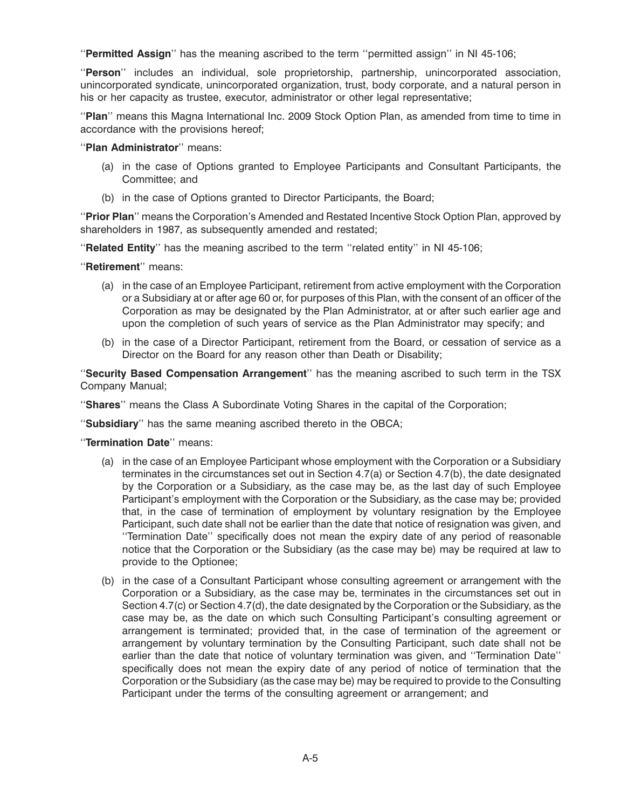''**Permitted Assign**'' has the meaning ascribed to the term ''permitted assign'' in NI 45-106;

''**Person**'' includes an individual, sole proprietorship, partnership, unincorporated association, unincorporated syndicate, unincorporated organization, trust, body corporate, and a natural person in his or her capacity as trustee, executor, administrator or other legal representative;

''**Plan**'' means this Magna International Inc. 2009 Stock Option Plan, as amended from time to time in accordance with the provisions hereof;

''**Plan Administrator**'' means:

- (a) in the case of Options granted to Employee Participants and Consultant Participants, the Committee; and
- (b) in the case of Options granted to Director Participants, the Board;

''**Prior Plan**'' means the Corporation's Amended and Restated Incentive Stock Option Plan, approved by shareholders in 1987, as subsequently amended and restated;

''**Related Entity**'' has the meaning ascribed to the term ''related entity'' in NI 45-106;

''**Retirement**'' means:

- (a) in the case of an Employee Participant, retirement from active employment with the Corporation or a Subsidiary at or after age 60 or, for purposes of this Plan, with the consent of an officer of the Corporation as may be designated by the Plan Administrator, at or after such earlier age and upon the completion of such years of service as the Plan Administrator may specify; and
- (b) in the case of a Director Participant, retirement from the Board, or cessation of service as a Director on the Board for any reason other than Death or Disability;

''**Security Based Compensation Arrangement**'' has the meaning ascribed to such term in the TSX Company Manual;

''**Shares**'' means the Class A Subordinate Voting Shares in the capital of the Corporation;

''**Subsidiary**'' has the same meaning ascribed thereto in the OBCA;

''**Termination Date**'' means:

- (a) in the case of an Employee Participant whose employment with the Corporation or a Subsidiary terminates in the circumstances set out in Section 4.7(a) or Section 4.7(b), the date designated by the Corporation or a Subsidiary, as the case may be, as the last day of such Employee Participant's employment with the Corporation or the Subsidiary, as the case may be; provided that, in the case of termination of employment by voluntary resignation by the Employee Participant, such date shall not be earlier than the date that notice of resignation was given, and ''Termination Date'' specifically does not mean the expiry date of any period of reasonable notice that the Corporation or the Subsidiary (as the case may be) may be required at law to provide to the Optionee;
- (b) in the case of a Consultant Participant whose consulting agreement or arrangement with the Corporation or a Subsidiary, as the case may be, terminates in the circumstances set out in Section 4.7(c) or Section 4.7(d), the date designated by the Corporation or the Subsidiary, as the case may be, as the date on which such Consulting Participant's consulting agreement or arrangement is terminated; provided that, in the case of termination of the agreement or arrangement by voluntary termination by the Consulting Participant, such date shall not be earlier than the date that notice of voluntary termination was given, and ''Termination Date'' specifically does not mean the expiry date of any period of notice of termination that the Corporation or the Subsidiary (as the case may be) may be required to provide to the Consulting Participant under the terms of the consulting agreement or arrangement; and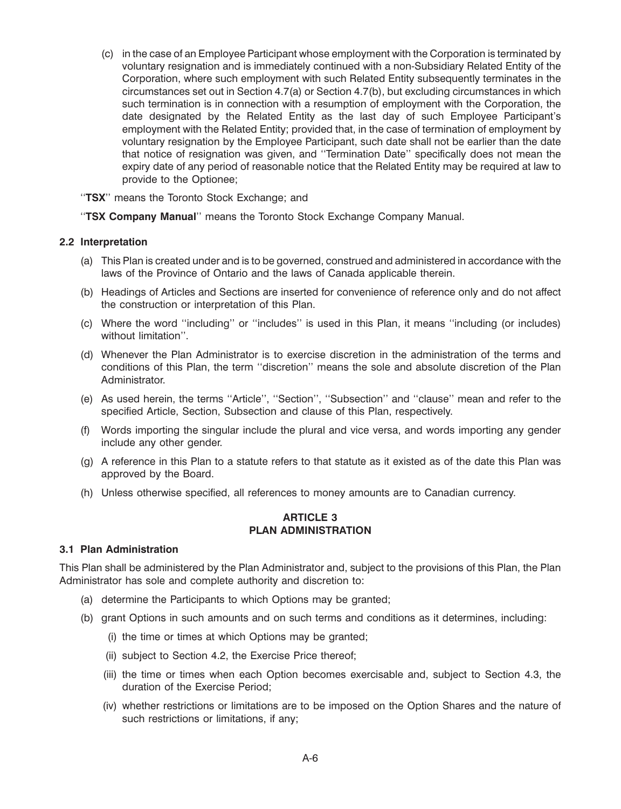(c) in the case of an Employee Participant whose employment with the Corporation is terminated by voluntary resignation and is immediately continued with a non-Subsidiary Related Entity of the Corporation, where such employment with such Related Entity subsequently terminates in the circumstances set out in Section 4.7(a) or Section 4.7(b), but excluding circumstances in which such termination is in connection with a resumption of employment with the Corporation, the date designated by the Related Entity as the last day of such Employee Participant's employment with the Related Entity; provided that, in the case of termination of employment by voluntary resignation by the Employee Participant, such date shall not be earlier than the date that notice of resignation was given, and ''Termination Date'' specifically does not mean the expiry date of any period of reasonable notice that the Related Entity may be required at law to provide to the Optionee;

''**TSX**'' means the Toronto Stock Exchange; and

''**TSX Company Manual**'' means the Toronto Stock Exchange Company Manual.

## **2.2 Interpretation**

- (a) This Plan is created under and is to be governed, construed and administered in accordance with the laws of the Province of Ontario and the laws of Canada applicable therein.
- (b) Headings of Articles and Sections are inserted for convenience of reference only and do not affect the construction or interpretation of this Plan.
- (c) Where the word ''including'' or ''includes'' is used in this Plan, it means ''including (or includes) without limitation''.
- (d) Whenever the Plan Administrator is to exercise discretion in the administration of the terms and conditions of this Plan, the term ''discretion'' means the sole and absolute discretion of the Plan Administrator.
- (e) As used herein, the terms ''Article'', ''Section'', ''Subsection'' and ''clause'' mean and refer to the specified Article, Section, Subsection and clause of this Plan, respectively.
- (f) Words importing the singular include the plural and vice versa, and words importing any gender include any other gender.
- (g) A reference in this Plan to a statute refers to that statute as it existed as of the date this Plan was approved by the Board.
- (h) Unless otherwise specified, all references to money amounts are to Canadian currency.

## **ARTICLE 3 PLAN ADMINISTRATION**

### **3.1 Plan Administration**

This Plan shall be administered by the Plan Administrator and, subject to the provisions of this Plan, the Plan Administrator has sole and complete authority and discretion to:

- (a) determine the Participants to which Options may be granted;
- (b) grant Options in such amounts and on such terms and conditions as it determines, including:
	- (i) the time or times at which Options may be granted;
	- (ii) subject to Section 4.2, the Exercise Price thereof;
	- (iii) the time or times when each Option becomes exercisable and, subject to Section 4.3, the duration of the Exercise Period;
	- (iv) whether restrictions or limitations are to be imposed on the Option Shares and the nature of such restrictions or limitations, if any;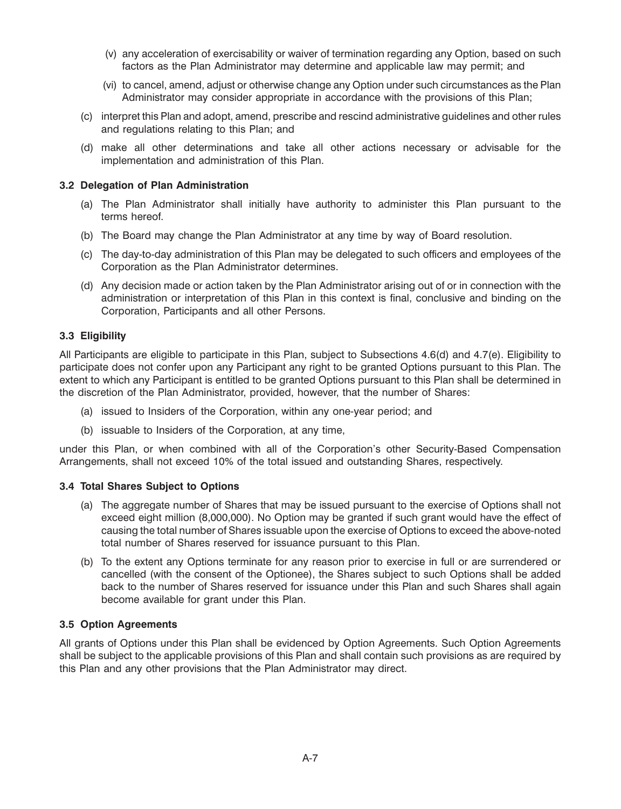- (v) any acceleration of exercisability or waiver of termination regarding any Option, based on such factors as the Plan Administrator may determine and applicable law may permit; and
- (vi) to cancel, amend, adjust or otherwise change any Option under such circumstances as the Plan Administrator may consider appropriate in accordance with the provisions of this Plan;
- (c) interpret this Plan and adopt, amend, prescribe and rescind administrative guidelines and other rules and regulations relating to this Plan; and
- (d) make all other determinations and take all other actions necessary or advisable for the implementation and administration of this Plan.

## **3.2 Delegation of Plan Administration**

- (a) The Plan Administrator shall initially have authority to administer this Plan pursuant to the terms hereof.
- (b) The Board may change the Plan Administrator at any time by way of Board resolution.
- (c) The day-to-day administration of this Plan may be delegated to such officers and employees of the Corporation as the Plan Administrator determines.
- (d) Any decision made or action taken by the Plan Administrator arising out of or in connection with the administration or interpretation of this Plan in this context is final, conclusive and binding on the Corporation, Participants and all other Persons.

## **3.3 Eligibility**

All Participants are eligible to participate in this Plan, subject to Subsections 4.6(d) and 4.7(e). Eligibility to participate does not confer upon any Participant any right to be granted Options pursuant to this Plan. The extent to which any Participant is entitled to be granted Options pursuant to this Plan shall be determined in the discretion of the Plan Administrator, provided, however, that the number of Shares:

- (a) issued to Insiders of the Corporation, within any one-year period; and
- (b) issuable to Insiders of the Corporation, at any time,

under this Plan, or when combined with all of the Corporation's other Security-Based Compensation Arrangements, shall not exceed 10% of the total issued and outstanding Shares, respectively.

### **3.4 Total Shares Subject to Options**

- (a) The aggregate number of Shares that may be issued pursuant to the exercise of Options shall not exceed eight million (8,000,000). No Option may be granted if such grant would have the effect of causing the total number of Shares issuable upon the exercise of Options to exceed the above-noted total number of Shares reserved for issuance pursuant to this Plan.
- (b) To the extent any Options terminate for any reason prior to exercise in full or are surrendered or cancelled (with the consent of the Optionee), the Shares subject to such Options shall be added back to the number of Shares reserved for issuance under this Plan and such Shares shall again become available for grant under this Plan.

## **3.5 Option Agreements**

All grants of Options under this Plan shall be evidenced by Option Agreements. Such Option Agreements shall be subject to the applicable provisions of this Plan and shall contain such provisions as are required by this Plan and any other provisions that the Plan Administrator may direct.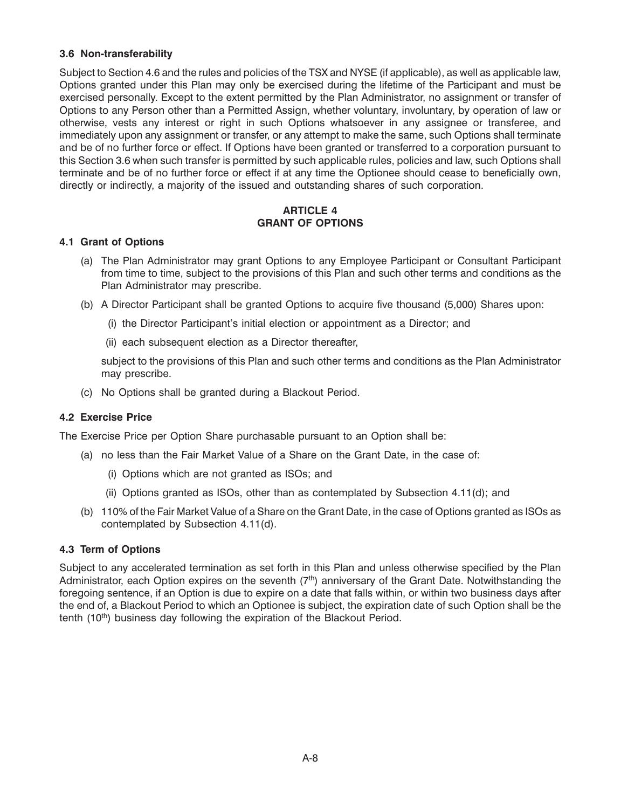## **3.6 Non-transferability**

Subject to Section 4.6 and the rules and policies of the TSX and NYSE (if applicable), as well as applicable law, Options granted under this Plan may only be exercised during the lifetime of the Participant and must be exercised personally. Except to the extent permitted by the Plan Administrator, no assignment or transfer of Options to any Person other than a Permitted Assign, whether voluntary, involuntary, by operation of law or otherwise, vests any interest or right in such Options whatsoever in any assignee or transferee, and immediately upon any assignment or transfer, or any attempt to make the same, such Options shall terminate and be of no further force or effect. If Options have been granted or transferred to a corporation pursuant to this Section 3.6 when such transfer is permitted by such applicable rules, policies and law, such Options shall terminate and be of no further force or effect if at any time the Optionee should cease to beneficially own, directly or indirectly, a majority of the issued and outstanding shares of such corporation.

## **ARTICLE 4 GRANT OF OPTIONS**

## **4.1 Grant of Options**

- (a) The Plan Administrator may grant Options to any Employee Participant or Consultant Participant from time to time, subject to the provisions of this Plan and such other terms and conditions as the Plan Administrator may prescribe.
- (b) A Director Participant shall be granted Options to acquire five thousand (5,000) Shares upon:
	- (i) the Director Participant's initial election or appointment as a Director; and
	- (ii) each subsequent election as a Director thereafter,

subject to the provisions of this Plan and such other terms and conditions as the Plan Administrator may prescribe.

(c) No Options shall be granted during a Blackout Period.

## **4.2 Exercise Price**

The Exercise Price per Option Share purchasable pursuant to an Option shall be:

- (a) no less than the Fair Market Value of a Share on the Grant Date, in the case of:
	- (i) Options which are not granted as ISOs; and
	- (ii) Options granted as ISOs, other than as contemplated by Subsection 4.11(d); and
- (b) 110% of the Fair Market Value of a Share on the Grant Date, in the case of Options granted as ISOs as contemplated by Subsection 4.11(d).

## **4.3 Term of Options**

Subject to any accelerated termination as set forth in this Plan and unless otherwise specified by the Plan Administrator, each Option expires on the seventh  $(7<sup>th</sup>)$  anniversary of the Grant Date. Notwithstanding the foregoing sentence, if an Option is due to expire on a date that falls within, or within two business days after the end of, a Blackout Period to which an Optionee is subject, the expiration date of such Option shall be the tenth  $(10<sup>th</sup>)$  business day following the expiration of the Blackout Period.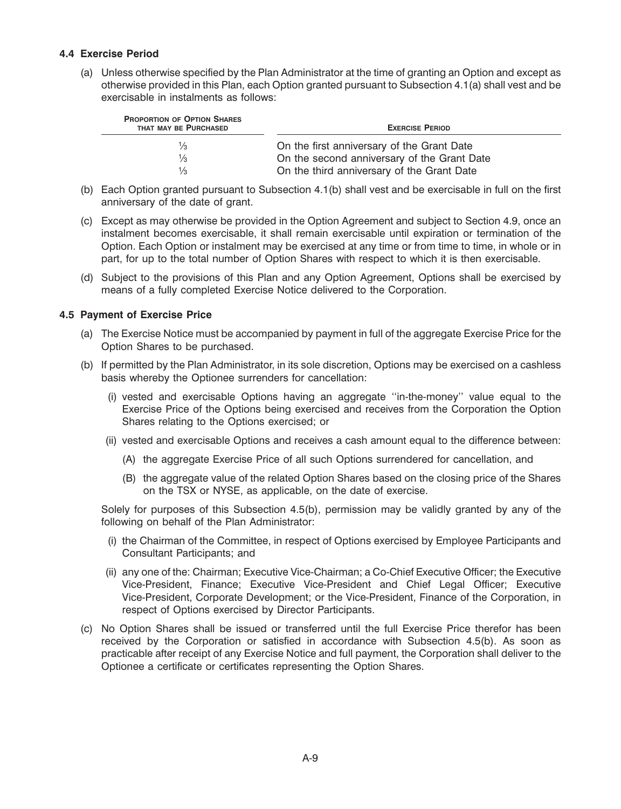## **4.4 Exercise Period**

(a) Unless otherwise specified by the Plan Administrator at the time of granting an Option and except as otherwise provided in this Plan, each Option granted pursuant to Subsection 4.1(a) shall vest and be exercisable in instalments as follows:

| <b>PROPORTION OF OPTION SHARES</b><br>THAT MAY BE PURCHASED | <b>EXERCISE PERIOD</b>                      |  |  |
|-------------------------------------------------------------|---------------------------------------------|--|--|
| $\frac{1}{3}$                                               | On the first anniversary of the Grant Date  |  |  |
| $\frac{1}{3}$                                               | On the second anniversary of the Grant Date |  |  |
| $\frac{1}{3}$                                               | On the third anniversary of the Grant Date  |  |  |

- (b) Each Option granted pursuant to Subsection 4.1(b) shall vest and be exercisable in full on the first anniversary of the date of grant.
- (c) Except as may otherwise be provided in the Option Agreement and subject to Section 4.9, once an instalment becomes exercisable, it shall remain exercisable until expiration or termination of the Option. Each Option or instalment may be exercised at any time or from time to time, in whole or in part, for up to the total number of Option Shares with respect to which it is then exercisable.
- (d) Subject to the provisions of this Plan and any Option Agreement, Options shall be exercised by means of a fully completed Exercise Notice delivered to the Corporation.

## **4.5 Payment of Exercise Price**

- (a) The Exercise Notice must be accompanied by payment in full of the aggregate Exercise Price for the Option Shares to be purchased.
- (b) If permitted by the Plan Administrator, in its sole discretion, Options may be exercised on a cashless basis whereby the Optionee surrenders for cancellation:
	- (i) vested and exercisable Options having an aggregate ''in-the-money'' value equal to the Exercise Price of the Options being exercised and receives from the Corporation the Option Shares relating to the Options exercised; or
	- (ii) vested and exercisable Options and receives a cash amount equal to the difference between:
		- (A) the aggregate Exercise Price of all such Options surrendered for cancellation, and
		- (B) the aggregate value of the related Option Shares based on the closing price of the Shares on the TSX or NYSE, as applicable, on the date of exercise.

Solely for purposes of this Subsection 4.5(b), permission may be validly granted by any of the following on behalf of the Plan Administrator:

- (i) the Chairman of the Committee, in respect of Options exercised by Employee Participants and Consultant Participants; and
- (ii) any one of the: Chairman; Executive Vice-Chairman; a Co-Chief Executive Officer; the Executive Vice-President, Finance; Executive Vice-President and Chief Legal Officer; Executive Vice-President, Corporate Development; or the Vice-President, Finance of the Corporation, in respect of Options exercised by Director Participants.
- (c) No Option Shares shall be issued or transferred until the full Exercise Price therefor has been received by the Corporation or satisfied in accordance with Subsection 4.5(b). As soon as practicable after receipt of any Exercise Notice and full payment, the Corporation shall deliver to the Optionee a certificate or certificates representing the Option Shares.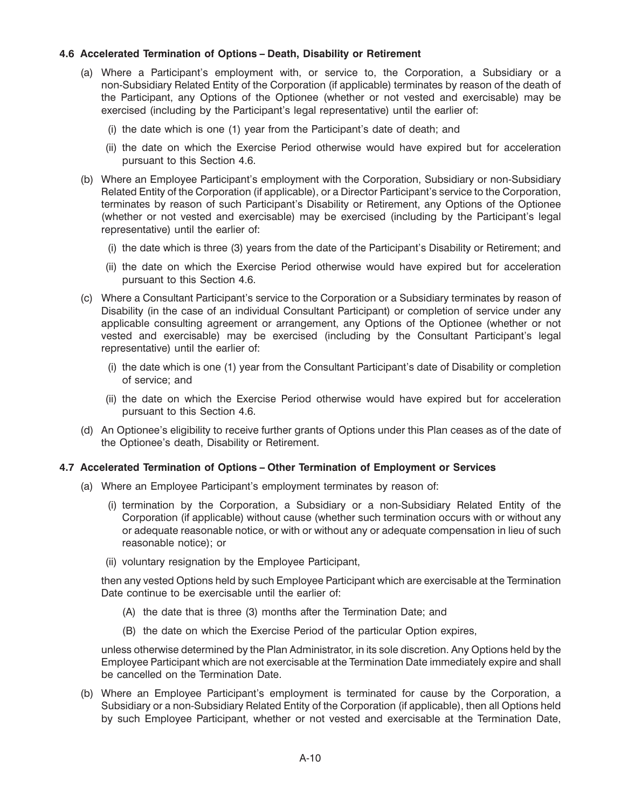## **4.6 Accelerated Termination of Options – Death, Disability or Retirement**

- (a) Where a Participant's employment with, or service to, the Corporation, a Subsidiary or a non-Subsidiary Related Entity of the Corporation (if applicable) terminates by reason of the death of the Participant, any Options of the Optionee (whether or not vested and exercisable) may be exercised (including by the Participant's legal representative) until the earlier of:
	- (i) the date which is one (1) year from the Participant's date of death; and
	- (ii) the date on which the Exercise Period otherwise would have expired but for acceleration pursuant to this Section 4.6.
- (b) Where an Employee Participant's employment with the Corporation, Subsidiary or non-Subsidiary Related Entity of the Corporation (if applicable), or a Director Participant's service to the Corporation, terminates by reason of such Participant's Disability or Retirement, any Options of the Optionee (whether or not vested and exercisable) may be exercised (including by the Participant's legal representative) until the earlier of:
	- (i) the date which is three (3) years from the date of the Participant's Disability or Retirement; and
	- (ii) the date on which the Exercise Period otherwise would have expired but for acceleration pursuant to this Section 4.6.
- (c) Where a Consultant Participant's service to the Corporation or a Subsidiary terminates by reason of Disability (in the case of an individual Consultant Participant) or completion of service under any applicable consulting agreement or arrangement, any Options of the Optionee (whether or not vested and exercisable) may be exercised (including by the Consultant Participant's legal representative) until the earlier of:
	- (i) the date which is one (1) year from the Consultant Participant's date of Disability or completion of service; and
	- (ii) the date on which the Exercise Period otherwise would have expired but for acceleration pursuant to this Section 4.6.
- (d) An Optionee's eligibility to receive further grants of Options under this Plan ceases as of the date of the Optionee's death, Disability or Retirement.

### **4.7 Accelerated Termination of Options – Other Termination of Employment or Services**

- (a) Where an Employee Participant's employment terminates by reason of:
	- (i) termination by the Corporation, a Subsidiary or a non-Subsidiary Related Entity of the Corporation (if applicable) without cause (whether such termination occurs with or without any or adequate reasonable notice, or with or without any or adequate compensation in lieu of such reasonable notice); or
	- (ii) voluntary resignation by the Employee Participant,

then any vested Options held by such Employee Participant which are exercisable at the Termination Date continue to be exercisable until the earlier of:

- (A) the date that is three (3) months after the Termination Date; and
- (B) the date on which the Exercise Period of the particular Option expires,

unless otherwise determined by the Plan Administrator, in its sole discretion. Any Options held by the Employee Participant which are not exercisable at the Termination Date immediately expire and shall be cancelled on the Termination Date.

(b) Where an Employee Participant's employment is terminated for cause by the Corporation, a Subsidiary or a non-Subsidiary Related Entity of the Corporation (if applicable), then all Options held by such Employee Participant, whether or not vested and exercisable at the Termination Date,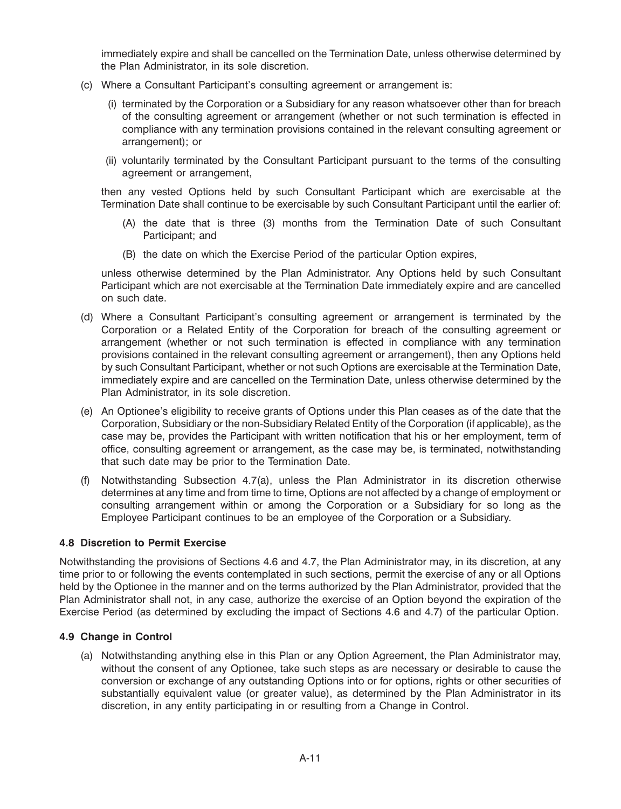immediately expire and shall be cancelled on the Termination Date, unless otherwise determined by the Plan Administrator, in its sole discretion.

- (c) Where a Consultant Participant's consulting agreement or arrangement is:
	- (i) terminated by the Corporation or a Subsidiary for any reason whatsoever other than for breach of the consulting agreement or arrangement (whether or not such termination is effected in compliance with any termination provisions contained in the relevant consulting agreement or arrangement); or
	- (ii) voluntarily terminated by the Consultant Participant pursuant to the terms of the consulting agreement or arrangement,

then any vested Options held by such Consultant Participant which are exercisable at the Termination Date shall continue to be exercisable by such Consultant Participant until the earlier of:

- (A) the date that is three (3) months from the Termination Date of such Consultant Participant; and
- (B) the date on which the Exercise Period of the particular Option expires,

unless otherwise determined by the Plan Administrator. Any Options held by such Consultant Participant which are not exercisable at the Termination Date immediately expire and are cancelled on such date.

- (d) Where a Consultant Participant's consulting agreement or arrangement is terminated by the Corporation or a Related Entity of the Corporation for breach of the consulting agreement or arrangement (whether or not such termination is effected in compliance with any termination provisions contained in the relevant consulting agreement or arrangement), then any Options held by such Consultant Participant, whether or not such Options are exercisable at the Termination Date, immediately expire and are cancelled on the Termination Date, unless otherwise determined by the Plan Administrator, in its sole discretion.
- (e) An Optionee's eligibility to receive grants of Options under this Plan ceases as of the date that the Corporation, Subsidiary or the non-Subsidiary Related Entity of the Corporation (if applicable), as the case may be, provides the Participant with written notification that his or her employment, term of office, consulting agreement or arrangement, as the case may be, is terminated, notwithstanding that such date may be prior to the Termination Date.
- (f) Notwithstanding Subsection 4.7(a), unless the Plan Administrator in its discretion otherwise determines at any time and from time to time, Options are not affected by a change of employment or consulting arrangement within or among the Corporation or a Subsidiary for so long as the Employee Participant continues to be an employee of the Corporation or a Subsidiary.

## **4.8 Discretion to Permit Exercise**

Notwithstanding the provisions of Sections 4.6 and 4.7, the Plan Administrator may, in its discretion, at any time prior to or following the events contemplated in such sections, permit the exercise of any or all Options held by the Optionee in the manner and on the terms authorized by the Plan Administrator, provided that the Plan Administrator shall not, in any case, authorize the exercise of an Option beyond the expiration of the Exercise Period (as determined by excluding the impact of Sections 4.6 and 4.7) of the particular Option.

## **4.9 Change in Control**

(a) Notwithstanding anything else in this Plan or any Option Agreement, the Plan Administrator may, without the consent of any Optionee, take such steps as are necessary or desirable to cause the conversion or exchange of any outstanding Options into or for options, rights or other securities of substantially equivalent value (or greater value), as determined by the Plan Administrator in its discretion, in any entity participating in or resulting from a Change in Control.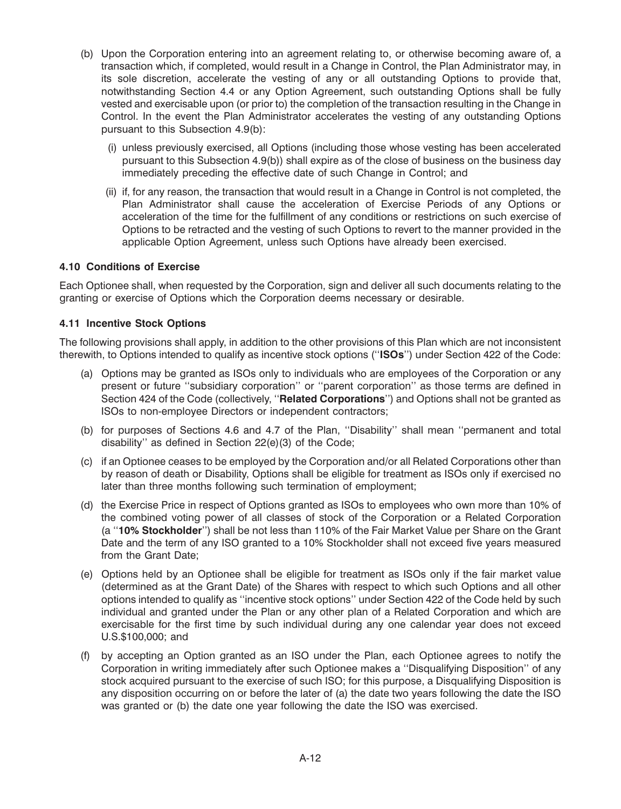- (b) Upon the Corporation entering into an agreement relating to, or otherwise becoming aware of, a transaction which, if completed, would result in a Change in Control, the Plan Administrator may, in its sole discretion, accelerate the vesting of any or all outstanding Options to provide that, notwithstanding Section 4.4 or any Option Agreement, such outstanding Options shall be fully vested and exercisable upon (or prior to) the completion of the transaction resulting in the Change in Control. In the event the Plan Administrator accelerates the vesting of any outstanding Options pursuant to this Subsection 4.9(b):
	- (i) unless previously exercised, all Options (including those whose vesting has been accelerated pursuant to this Subsection 4.9(b)) shall expire as of the close of business on the business day immediately preceding the effective date of such Change in Control; and
	- (ii) if, for any reason, the transaction that would result in a Change in Control is not completed, the Plan Administrator shall cause the acceleration of Exercise Periods of any Options or acceleration of the time for the fulfillment of any conditions or restrictions on such exercise of Options to be retracted and the vesting of such Options to revert to the manner provided in the applicable Option Agreement, unless such Options have already been exercised.

## **4.10 Conditions of Exercise**

Each Optionee shall, when requested by the Corporation, sign and deliver all such documents relating to the granting or exercise of Options which the Corporation deems necessary or desirable.

## **4.11 Incentive Stock Options**

The following provisions shall apply, in addition to the other provisions of this Plan which are not inconsistent therewith, to Options intended to qualify as incentive stock options (''**ISOs**'') under Section 422 of the Code:

- (a) Options may be granted as ISOs only to individuals who are employees of the Corporation or any present or future ''subsidiary corporation'' or ''parent corporation'' as those terms are defined in Section 424 of the Code (collectively, ''**Related Corporations**'') and Options shall not be granted as ISOs to non-employee Directors or independent contractors;
- (b) for purposes of Sections 4.6 and 4.7 of the Plan, ''Disability'' shall mean ''permanent and total disability'' as defined in Section 22(e)(3) of the Code;
- (c) if an Optionee ceases to be employed by the Corporation and/or all Related Corporations other than by reason of death or Disability, Options shall be eligible for treatment as ISOs only if exercised no later than three months following such termination of employment;
- (d) the Exercise Price in respect of Options granted as ISOs to employees who own more than 10% of the combined voting power of all classes of stock of the Corporation or a Related Corporation (a ''**10% Stockholder**'') shall be not less than 110% of the Fair Market Value per Share on the Grant Date and the term of any ISO granted to a 10% Stockholder shall not exceed five years measured from the Grant Date;
- (e) Options held by an Optionee shall be eligible for treatment as ISOs only if the fair market value (determined as at the Grant Date) of the Shares with respect to which such Options and all other options intended to qualify as ''incentive stock options'' under Section 422 of the Code held by such individual and granted under the Plan or any other plan of a Related Corporation and which are exercisable for the first time by such individual during any one calendar year does not exceed U.S.\$100,000; and
- (f) by accepting an Option granted as an ISO under the Plan, each Optionee agrees to notify the Corporation in writing immediately after such Optionee makes a ''Disqualifying Disposition'' of any stock acquired pursuant to the exercise of such ISO; for this purpose, a Disqualifying Disposition is any disposition occurring on or before the later of (a) the date two years following the date the ISO was granted or (b) the date one year following the date the ISO was exercised.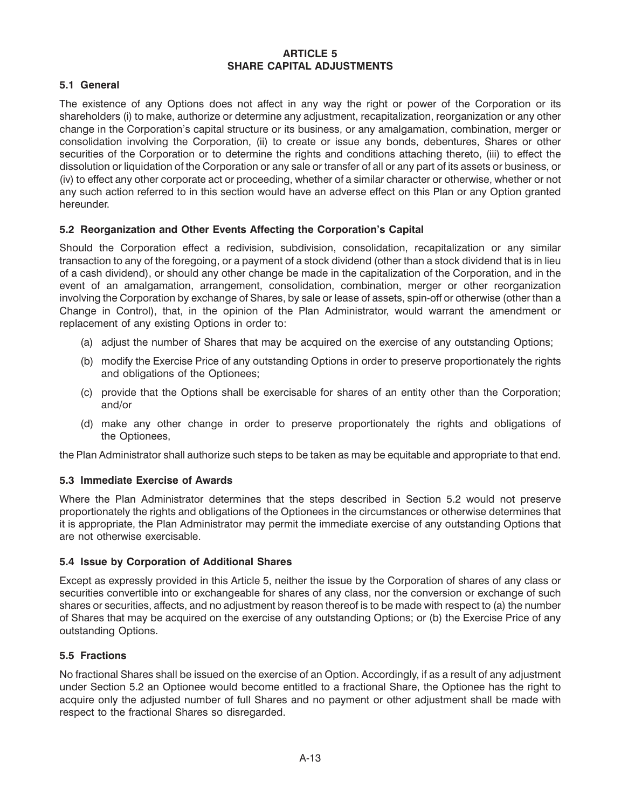## **ARTICLE 5 SHARE CAPITAL ADJUSTMENTS**

# **5.1 General**

The existence of any Options does not affect in any way the right or power of the Corporation or its shareholders (i) to make, authorize or determine any adjustment, recapitalization, reorganization or any other change in the Corporation's capital structure or its business, or any amalgamation, combination, merger or consolidation involving the Corporation, (ii) to create or issue any bonds, debentures, Shares or other securities of the Corporation or to determine the rights and conditions attaching thereto, (iii) to effect the dissolution or liquidation of the Corporation or any sale or transfer of all or any part of its assets or business, or (iv) to effect any other corporate act or proceeding, whether of a similar character or otherwise, whether or not any such action referred to in this section would have an adverse effect on this Plan or any Option granted hereunder.

## **5.2 Reorganization and Other Events Affecting the Corporation's Capital**

Should the Corporation effect a redivision, subdivision, consolidation, recapitalization or any similar transaction to any of the foregoing, or a payment of a stock dividend (other than a stock dividend that is in lieu of a cash dividend), or should any other change be made in the capitalization of the Corporation, and in the event of an amalgamation, arrangement, consolidation, combination, merger or other reorganization involving the Corporation by exchange of Shares, by sale or lease of assets, spin-off or otherwise (other than a Change in Control), that, in the opinion of the Plan Administrator, would warrant the amendment or replacement of any existing Options in order to:

- (a) adjust the number of Shares that may be acquired on the exercise of any outstanding Options;
- (b) modify the Exercise Price of any outstanding Options in order to preserve proportionately the rights and obligations of the Optionees;
- (c) provide that the Options shall be exercisable for shares of an entity other than the Corporation; and/or
- (d) make any other change in order to preserve proportionately the rights and obligations of the Optionees,

the Plan Administrator shall authorize such steps to be taken as may be equitable and appropriate to that end.

## **5.3 Immediate Exercise of Awards**

Where the Plan Administrator determines that the steps described in Section 5.2 would not preserve proportionately the rights and obligations of the Optionees in the circumstances or otherwise determines that it is appropriate, the Plan Administrator may permit the immediate exercise of any outstanding Options that are not otherwise exercisable.

## **5.4 Issue by Corporation of Additional Shares**

Except as expressly provided in this Article 5, neither the issue by the Corporation of shares of any class or securities convertible into or exchangeable for shares of any class, nor the conversion or exchange of such shares or securities, affects, and no adjustment by reason thereof is to be made with respect to (a) the number of Shares that may be acquired on the exercise of any outstanding Options; or (b) the Exercise Price of any outstanding Options.

## **5.5 Fractions**

No fractional Shares shall be issued on the exercise of an Option. Accordingly, if as a result of any adjustment under Section 5.2 an Optionee would become entitled to a fractional Share, the Optionee has the right to acquire only the adjusted number of full Shares and no payment or other adjustment shall be made with respect to the fractional Shares so disregarded.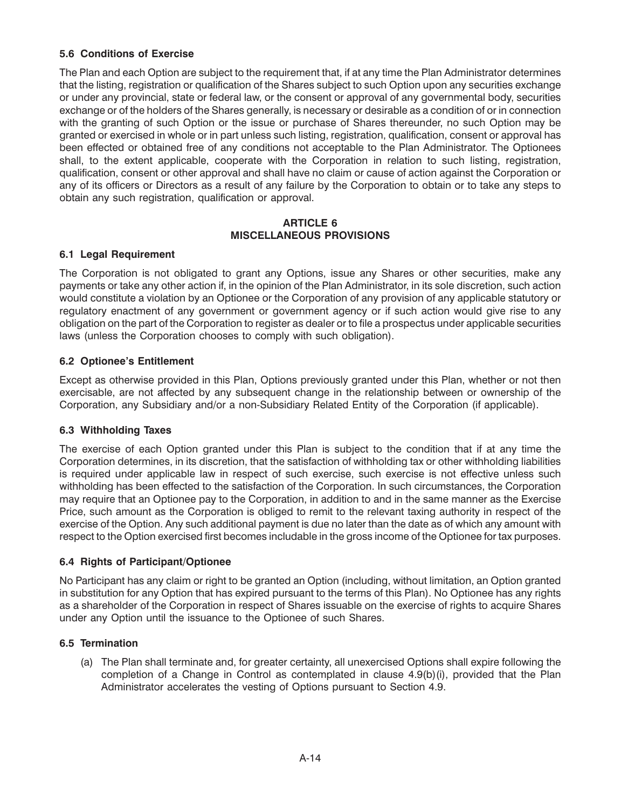# **5.6 Conditions of Exercise**

The Plan and each Option are subject to the requirement that, if at any time the Plan Administrator determines that the listing, registration or qualification of the Shares subject to such Option upon any securities exchange or under any provincial, state or federal law, or the consent or approval of any governmental body, securities exchange or of the holders of the Shares generally, is necessary or desirable as a condition of or in connection with the granting of such Option or the issue or purchase of Shares thereunder, no such Option may be granted or exercised in whole or in part unless such listing, registration, qualification, consent or approval has been effected or obtained free of any conditions not acceptable to the Plan Administrator. The Optionees shall, to the extent applicable, cooperate with the Corporation in relation to such listing, registration, qualification, consent or other approval and shall have no claim or cause of action against the Corporation or any of its officers or Directors as a result of any failure by the Corporation to obtain or to take any steps to obtain any such registration, qualification or approval.

### **ARTICLE 6 MISCELLANEOUS PROVISIONS**

# **6.1 Legal Requirement**

The Corporation is not obligated to grant any Options, issue any Shares or other securities, make any payments or take any other action if, in the opinion of the Plan Administrator, in its sole discretion, such action would constitute a violation by an Optionee or the Corporation of any provision of any applicable statutory or regulatory enactment of any government or government agency or if such action would give rise to any obligation on the part of the Corporation to register as dealer or to file a prospectus under applicable securities laws (unless the Corporation chooses to comply with such obligation).

# **6.2 Optionee's Entitlement**

Except as otherwise provided in this Plan, Options previously granted under this Plan, whether or not then exercisable, are not affected by any subsequent change in the relationship between or ownership of the Corporation, any Subsidiary and/or a non-Subsidiary Related Entity of the Corporation (if applicable).

## **6.3 Withholding Taxes**

The exercise of each Option granted under this Plan is subject to the condition that if at any time the Corporation determines, in its discretion, that the satisfaction of withholding tax or other withholding liabilities is required under applicable law in respect of such exercise, such exercise is not effective unless such withholding has been effected to the satisfaction of the Corporation. In such circumstances, the Corporation may require that an Optionee pay to the Corporation, in addition to and in the same manner as the Exercise Price, such amount as the Corporation is obliged to remit to the relevant taxing authority in respect of the exercise of the Option. Any such additional payment is due no later than the date as of which any amount with respect to the Option exercised first becomes includable in the gross income of the Optionee for tax purposes.

## **6.4 Rights of Participant/Optionee**

No Participant has any claim or right to be granted an Option (including, without limitation, an Option granted in substitution for any Option that has expired pursuant to the terms of this Plan). No Optionee has any rights as a shareholder of the Corporation in respect of Shares issuable on the exercise of rights to acquire Shares under any Option until the issuance to the Optionee of such Shares.

## **6.5 Termination**

(a) The Plan shall terminate and, for greater certainty, all unexercised Options shall expire following the completion of a Change in Control as contemplated in clause 4.9(b)(i), provided that the Plan Administrator accelerates the vesting of Options pursuant to Section 4.9.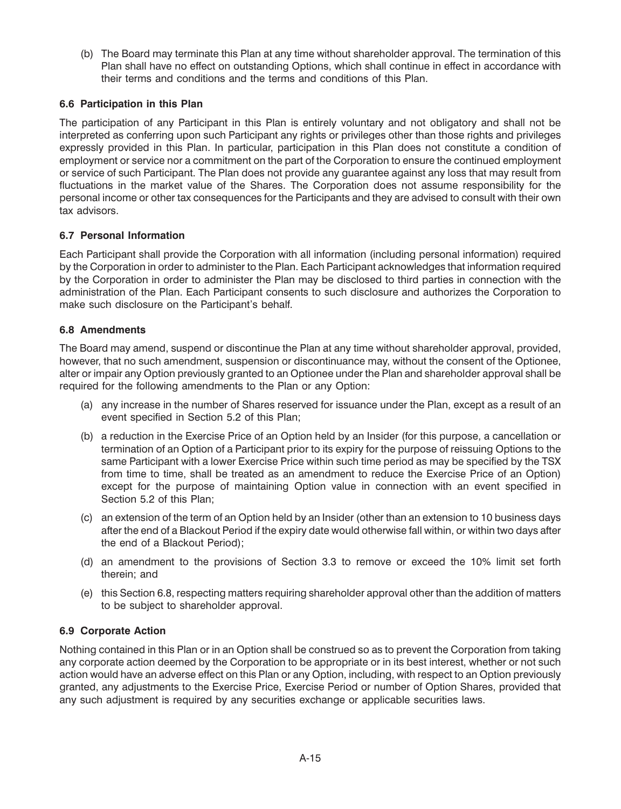(b) The Board may terminate this Plan at any time without shareholder approval. The termination of this Plan shall have no effect on outstanding Options, which shall continue in effect in accordance with their terms and conditions and the terms and conditions of this Plan.

# **6.6 Participation in this Plan**

The participation of any Participant in this Plan is entirely voluntary and not obligatory and shall not be interpreted as conferring upon such Participant any rights or privileges other than those rights and privileges expressly provided in this Plan. In particular, participation in this Plan does not constitute a condition of employment or service nor a commitment on the part of the Corporation to ensure the continued employment or service of such Participant. The Plan does not provide any guarantee against any loss that may result from fluctuations in the market value of the Shares. The Corporation does not assume responsibility for the personal income or other tax consequences for the Participants and they are advised to consult with their own tax advisors.

# **6.7 Personal Information**

Each Participant shall provide the Corporation with all information (including personal information) required by the Corporation in order to administer to the Plan. Each Participant acknowledges that information required by the Corporation in order to administer the Plan may be disclosed to third parties in connection with the administration of the Plan. Each Participant consents to such disclosure and authorizes the Corporation to make such disclosure on the Participant's behalf.

# **6.8 Amendments**

The Board may amend, suspend or discontinue the Plan at any time without shareholder approval, provided, however, that no such amendment, suspension or discontinuance may, without the consent of the Optionee, alter or impair any Option previously granted to an Optionee under the Plan and shareholder approval shall be required for the following amendments to the Plan or any Option:

- (a) any increase in the number of Shares reserved for issuance under the Plan, except as a result of an event specified in Section 5.2 of this Plan;
- (b) a reduction in the Exercise Price of an Option held by an Insider (for this purpose, a cancellation or termination of an Option of a Participant prior to its expiry for the purpose of reissuing Options to the same Participant with a lower Exercise Price within such time period as may be specified by the TSX from time to time, shall be treated as an amendment to reduce the Exercise Price of an Option) except for the purpose of maintaining Option value in connection with an event specified in Section 5.2 of this Plan;
- (c) an extension of the term of an Option held by an Insider (other than an extension to 10 business days after the end of a Blackout Period if the expiry date would otherwise fall within, or within two days after the end of a Blackout Period);
- (d) an amendment to the provisions of Section 3.3 to remove or exceed the 10% limit set forth therein; and
- (e) this Section 6.8, respecting matters requiring shareholder approval other than the addition of matters to be subject to shareholder approval.

# **6.9 Corporate Action**

Nothing contained in this Plan or in an Option shall be construed so as to prevent the Corporation from taking any corporate action deemed by the Corporation to be appropriate or in its best interest, whether or not such action would have an adverse effect on this Plan or any Option, including, with respect to an Option previously granted, any adjustments to the Exercise Price, Exercise Period or number of Option Shares, provided that any such adjustment is required by any securities exchange or applicable securities laws.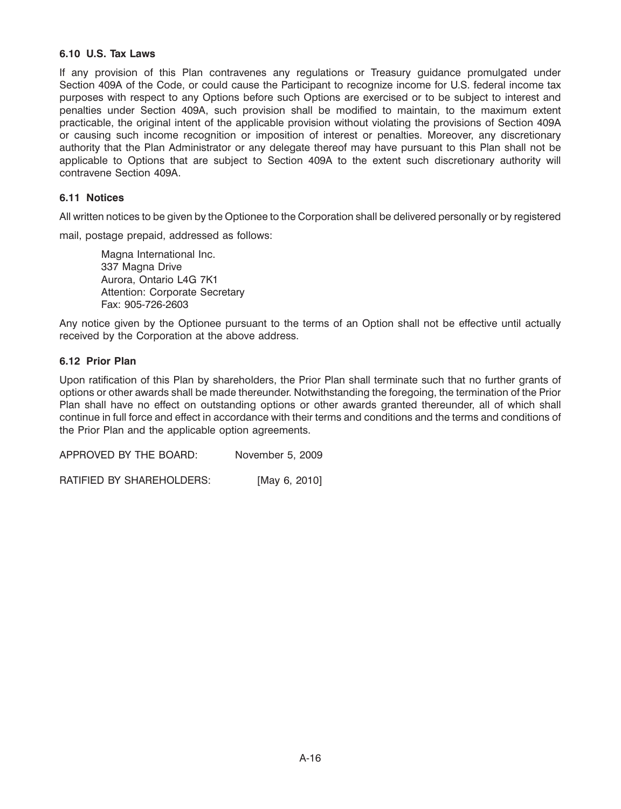## **6.10 U.S. Tax Laws**

If any provision of this Plan contravenes any regulations or Treasury guidance promulgated under Section 409A of the Code, or could cause the Participant to recognize income for U.S. federal income tax purposes with respect to any Options before such Options are exercised or to be subject to interest and penalties under Section 409A, such provision shall be modified to maintain, to the maximum extent practicable, the original intent of the applicable provision without violating the provisions of Section 409A or causing such income recognition or imposition of interest or penalties. Moreover, any discretionary authority that the Plan Administrator or any delegate thereof may have pursuant to this Plan shall not be applicable to Options that are subject to Section 409A to the extent such discretionary authority will contravene Section 409A.

## **6.11 Notices**

All written notices to be given by the Optionee to the Corporation shall be delivered personally or by registered

mail, postage prepaid, addressed as follows:

Magna International Inc. 337 Magna Drive Aurora, Ontario L4G 7K1 Attention: Corporate Secretary Fax: 905-726-2603

Any notice given by the Optionee pursuant to the terms of an Option shall not be effective until actually received by the Corporation at the above address.

### **6.12 Prior Plan**

Upon ratification of this Plan by shareholders, the Prior Plan shall terminate such that no further grants of options or other awards shall be made thereunder. Notwithstanding the foregoing, the termination of the Prior Plan shall have no effect on outstanding options or other awards granted thereunder, all of which shall continue in full force and effect in accordance with their terms and conditions and the terms and conditions of the Prior Plan and the applicable option agreements.

APPROVED BY THE BOARD: November 5, 2009

RATIFIED BY SHAREHOLDERS: [May 6, 2010]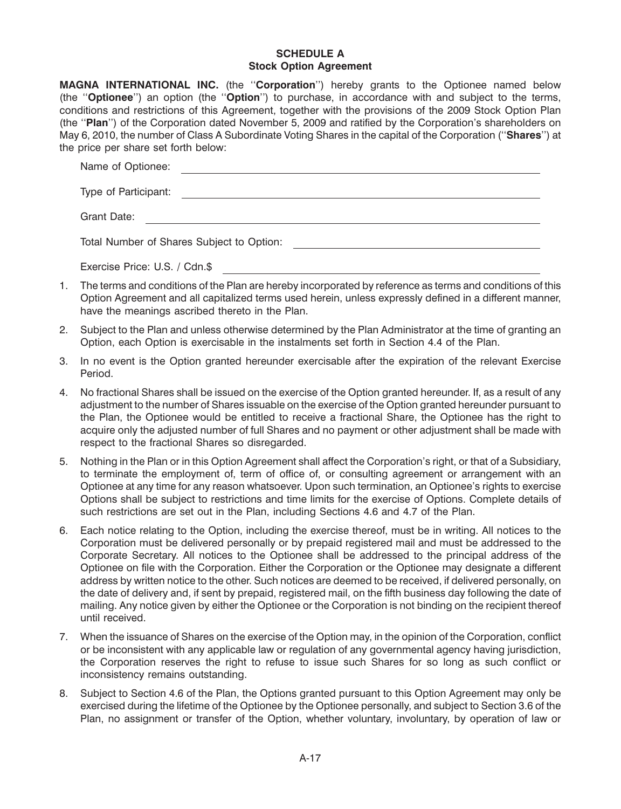### **SCHEDULE A Stock Option Agreement**

|    | MAGNA INTERNATIONAL INC. (the "Corporation") hereby grants to the Optionee named below<br>(the "Optionee") an option (the "Option") to purchase, in accordance with and subject to the terms,<br>conditions and restrictions of this Agreement, together with the provisions of the 2009 Stock Option Plan<br>(the "Plan") of the Corporation dated November 5, 2009 and ratified by the Corporation's shareholders on<br>May 6, 2010, the number of Class A Subordinate Voting Shares in the capital of the Corporation ("Shares") at<br>the price per share set forth below: |
|----|--------------------------------------------------------------------------------------------------------------------------------------------------------------------------------------------------------------------------------------------------------------------------------------------------------------------------------------------------------------------------------------------------------------------------------------------------------------------------------------------------------------------------------------------------------------------------------|
|    | Name of Optionee:                                                                                                                                                                                                                                                                                                                                                                                                                                                                                                                                                              |
|    | Type of Participant:                                                                                                                                                                                                                                                                                                                                                                                                                                                                                                                                                           |
|    | Grant Date:                                                                                                                                                                                                                                                                                                                                                                                                                                                                                                                                                                    |
|    | Total Number of Shares Subject to Option:                                                                                                                                                                                                                                                                                                                                                                                                                                                                                                                                      |
|    | Exercise Price: U.S. / Cdn.\$                                                                                                                                                                                                                                                                                                                                                                                                                                                                                                                                                  |
| 1. | The terms and conditions of the Plan are hereby incorporated by reference as terms and conditions of this<br>Option Agreement and all capitalized terms used herein, unless expressly defined in a different manner,<br>have the meanings ascribed thereto in the Plan.                                                                                                                                                                                                                                                                                                        |

- 2. Subject to the Plan and unless otherwise determined by the Plan Administrator at the time of granting an Option, each Option is exercisable in the instalments set forth in Section 4.4 of the Plan.
- 3. In no event is the Option granted hereunder exercisable after the expiration of the relevant Exercise Period.
- 4. No fractional Shares shall be issued on the exercise of the Option granted hereunder. If, as a result of any adjustment to the number of Shares issuable on the exercise of the Option granted hereunder pursuant to the Plan, the Optionee would be entitled to receive a fractional Share, the Optionee has the right to acquire only the adjusted number of full Shares and no payment or other adjustment shall be made with respect to the fractional Shares so disregarded.
- 5. Nothing in the Plan or in this Option Agreement shall affect the Corporation's right, or that of a Subsidiary, to terminate the employment of, term of office of, or consulting agreement or arrangement with an Optionee at any time for any reason whatsoever. Upon such termination, an Optionee's rights to exercise Options shall be subject to restrictions and time limits for the exercise of Options. Complete details of such restrictions are set out in the Plan, including Sections 4.6 and 4.7 of the Plan.
- 6. Each notice relating to the Option, including the exercise thereof, must be in writing. All notices to the Corporation must be delivered personally or by prepaid registered mail and must be addressed to the Corporate Secretary. All notices to the Optionee shall be addressed to the principal address of the Optionee on file with the Corporation. Either the Corporation or the Optionee may designate a different address by written notice to the other. Such notices are deemed to be received, if delivered personally, on the date of delivery and, if sent by prepaid, registered mail, on the fifth business day following the date of mailing. Any notice given by either the Optionee or the Corporation is not binding on the recipient thereof until received.
- 7. When the issuance of Shares on the exercise of the Option may, in the opinion of the Corporation, conflict or be inconsistent with any applicable law or regulation of any governmental agency having jurisdiction, the Corporation reserves the right to refuse to issue such Shares for so long as such conflict or inconsistency remains outstanding.
- 8. Subject to Section 4.6 of the Plan, the Options granted pursuant to this Option Agreement may only be exercised during the lifetime of the Optionee by the Optionee personally, and subject to Section 3.6 of the Plan, no assignment or transfer of the Option, whether voluntary, involuntary, by operation of law or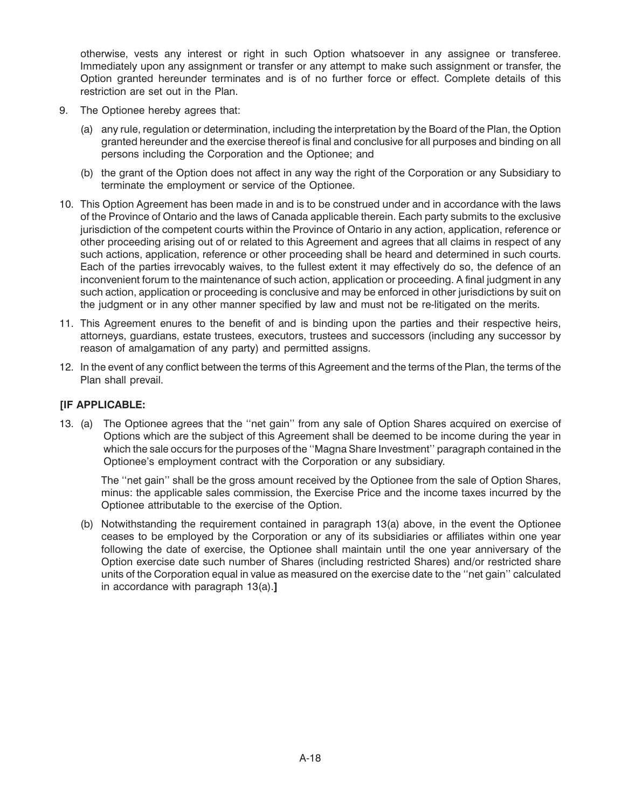otherwise, vests any interest or right in such Option whatsoever in any assignee or transferee. Immediately upon any assignment or transfer or any attempt to make such assignment or transfer, the Option granted hereunder terminates and is of no further force or effect. Complete details of this restriction are set out in the Plan.

- 9. The Optionee hereby agrees that:
	- (a) any rule, regulation or determination, including the interpretation by the Board of the Plan, the Option granted hereunder and the exercise thereof is final and conclusive for all purposes and binding on all persons including the Corporation and the Optionee; and
	- (b) the grant of the Option does not affect in any way the right of the Corporation or any Subsidiary to terminate the employment or service of the Optionee.
- 10. This Option Agreement has been made in and is to be construed under and in accordance with the laws of the Province of Ontario and the laws of Canada applicable therein. Each party submits to the exclusive jurisdiction of the competent courts within the Province of Ontario in any action, application, reference or other proceeding arising out of or related to this Agreement and agrees that all claims in respect of any such actions, application, reference or other proceeding shall be heard and determined in such courts. Each of the parties irrevocably waives, to the fullest extent it may effectively do so, the defence of an inconvenient forum to the maintenance of such action, application or proceeding. A final judgment in any such action, application or proceeding is conclusive and may be enforced in other jurisdictions by suit on the judgment or in any other manner specified by law and must not be re-litigated on the merits.
- 11. This Agreement enures to the benefit of and is binding upon the parties and their respective heirs, attorneys, guardians, estate trustees, executors, trustees and successors (including any successor by reason of amalgamation of any party) and permitted assigns.
- 12. In the event of any conflict between the terms of this Agreement and the terms of the Plan, the terms of the Plan shall prevail.

## **[IF APPLICABLE:**

13. (a) The Optionee agrees that the ''net gain'' from any sale of Option Shares acquired on exercise of Options which are the subject of this Agreement shall be deemed to be income during the year in which the sale occurs for the purposes of the ''Magna Share Investment'' paragraph contained in the Optionee's employment contract with the Corporation or any subsidiary.

The ''net gain'' shall be the gross amount received by the Optionee from the sale of Option Shares, minus: the applicable sales commission, the Exercise Price and the income taxes incurred by the Optionee attributable to the exercise of the Option.

(b) Notwithstanding the requirement contained in paragraph 13(a) above, in the event the Optionee ceases to be employed by the Corporation or any of its subsidiaries or affiliates within one year following the date of exercise, the Optionee shall maintain until the one year anniversary of the Option exercise date such number of Shares (including restricted Shares) and/or restricted share units of the Corporation equal in value as measured on the exercise date to the ''net gain'' calculated in accordance with paragraph 13(a).**]**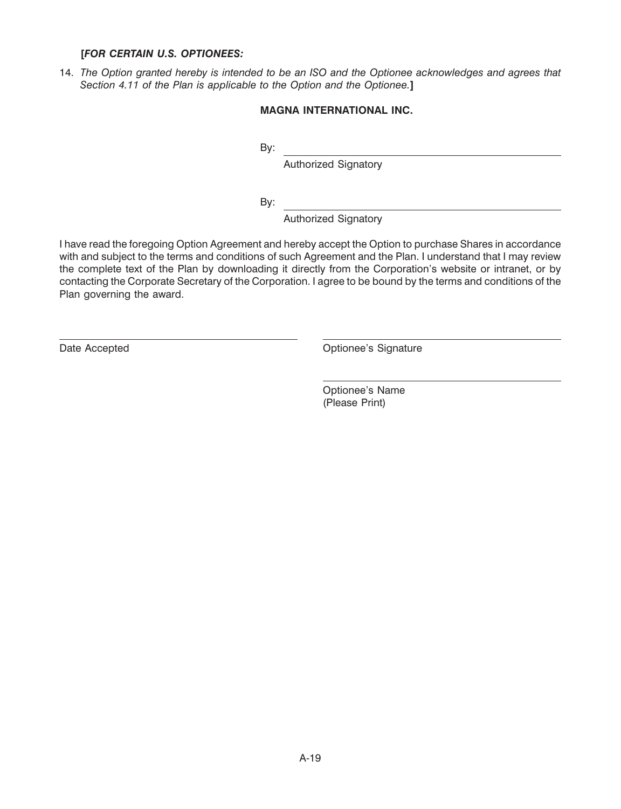## **[***FOR CERTAIN U.S. OPTIONEES:*

14. *The Option granted hereby is intended to be an ISO and the Optionee acknowledges and agrees that Section 4.11 of the Plan is applicable to the Option and the Optionee.***]**

# **MAGNA INTERNATIONAL INC.**

By:

Authorized Signatory

By:

Authorized Signatory

I have read the foregoing Option Agreement and hereby accept the Option to purchase Shares in accordance with and subject to the terms and conditions of such Agreement and the Plan. I understand that I may review the complete text of the Plan by downloading it directly from the Corporation's website or intranet, or by contacting the Corporate Secretary of the Corporation. I agree to be bound by the terms and conditions of the Plan governing the award.

Date Accepted **Optionee's** Signature

Optionee's Name (Please Print)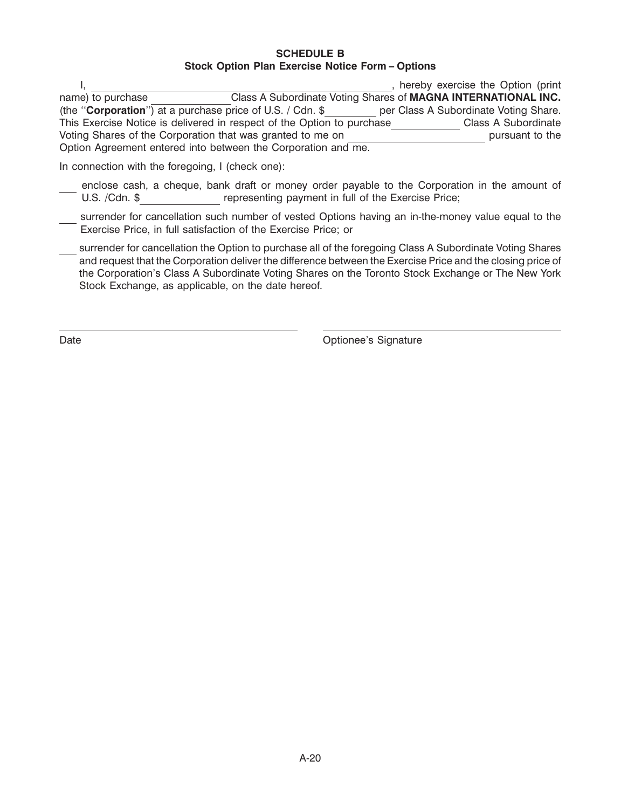### **SCHEDULE B Stock Option Plan Exercise Notice Form – Options**

|                                                                        |  | hereby exercise the Option (print                             |
|------------------------------------------------------------------------|--|---------------------------------------------------------------|
| name) to purchase                                                      |  | Class A Subordinate Voting Shares of MAGNA INTERNATIONAL INC. |
| (the " <b>Corporation</b> ") at a purchase price of U.S. / Cdn. \$     |  | per Class A Subordinate Voting Share.                         |
| This Exercise Notice is delivered in respect of the Option to purchase |  | Class A Subordinate                                           |
| Voting Shares of the Corporation that was granted to me on             |  | pursuant to the                                               |
| Option Agreement entered into between the Corporation and me.          |  |                                                               |

In connection with the foregoing, I (check one):

- enclose cash, a cheque, bank draft or money order payable to the Corporation in the amount of U.S. /Cdn. \$\_\_\_\_\_\_\_\_\_\_\_\_\_\_\_\_\_\_\_\_ representing payment in full of the Exercise Price;
- surrender for cancellation such number of vested Options having an in-the-money value equal to the Exercise Price, in full satisfaction of the Exercise Price; or
- surrender for cancellation the Option to purchase all of the foregoing Class A Subordinate Voting Shares and request that the Corporation deliver the difference between the Exercise Price and the closing price of the Corporation's Class A Subordinate Voting Shares on the Toronto Stock Exchange or The New York Stock Exchange, as applicable, on the date hereof.

Date **Date Date Optionee's** Signature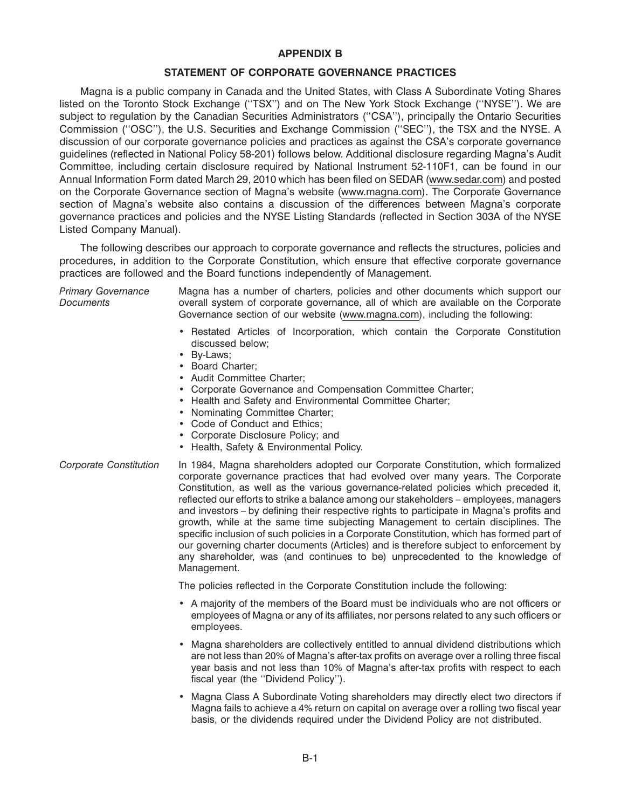### **APPENDIX B**

### **STATEMENT OF CORPORATE GOVERNANCE PRACTICES**

Magna is a public company in Canada and the United States, with Class A Subordinate Voting Shares listed on the Toronto Stock Exchange ("TSX") and on The New York Stock Exchange ("NYSE"). We are subject to regulation by the Canadian Securities Administrators (''CSA''), principally the Ontario Securities Commission (''OSC''), the U.S. Securities and Exchange Commission (''SEC''), the TSX and the NYSE. A discussion of our corporate governance policies and practices as against the CSA's corporate governance guidelines (reflected in National Policy 58-201) follows below. Additional disclosure regarding Magna's Audit Committee, including certain disclosure required by National Instrument 52-110F1, can be found in our Annual Information Form dated March 29, 2010 which has been filed on SEDAR (www.sedar.com) and posted on the Corporate Governance section of Magna's website (www.magna.com). The Corporate Governance section of Magna's website also contains a discussion of the differences between Magna's corporate governance practices and policies and the NYSE Listing Standards (reflected in Section 303A of the NYSE Listed Company Manual).

The following describes our approach to corporate governance and reflects the structures, policies and procedures, in addition to the Corporate Constitution, which ensure that effective corporate governance practices are followed and the Board functions independently of Management.

| <b>Primary Governance</b><br><b>Documents</b> | Magna has a number of charters, policies and other documents which support our<br>overall system of corporate governance, all of which are available on the Corporate<br>Governance section of our website (www.magna.com), including the following:                                                                                                                                                                                                                                                                                                                                                                                                                                                                                                                                                                      |  |  |  |  |
|-----------------------------------------------|---------------------------------------------------------------------------------------------------------------------------------------------------------------------------------------------------------------------------------------------------------------------------------------------------------------------------------------------------------------------------------------------------------------------------------------------------------------------------------------------------------------------------------------------------------------------------------------------------------------------------------------------------------------------------------------------------------------------------------------------------------------------------------------------------------------------------|--|--|--|--|
|                                               | • Restated Articles of Incorporation, which contain the Corporate Constitution<br>discussed below:<br>• By-Laws;<br>• Board Charter;<br>• Audit Committee Charter;<br>• Corporate Governance and Compensation Committee Charter;<br>• Health and Safety and Environmental Committee Charter;<br>• Nominating Committee Charter;<br>• Code of Conduct and Ethics;<br>• Corporate Disclosure Policy; and<br>• Health, Safety & Environmental Policy.                                                                                                                                                                                                                                                                                                                                                                        |  |  |  |  |
| Corporate Constitution                        | In 1984, Magna shareholders adopted our Corporate Constitution, which formalized<br>corporate governance practices that had evolved over many years. The Corporate<br>Constitution, as well as the various governance-related policies which preceded it,<br>reflected our efforts to strike a balance among our stakeholders – employees, managers<br>and investors – by defining their respective rights to participate in Magna's profits and<br>growth, while at the same time subjecting Management to certain disciplines. The<br>specific inclusion of such policies in a Corporate Constitution, which has formed part of<br>our governing charter documents (Articles) and is therefore subject to enforcement by<br>any shareholder, was (and continues to be) unprecedented to the knowledge of<br>Management. |  |  |  |  |
|                                               | The policies reflected in the Corporate Constitution include the following:                                                                                                                                                                                                                                                                                                                                                                                                                                                                                                                                                                                                                                                                                                                                               |  |  |  |  |
|                                               | • A majority of the members of the Board must be individuals who are not officers or<br>employees of Magna or any of its affiliates, nor persons related to any such officers or<br>employees.                                                                                                                                                                                                                                                                                                                                                                                                                                                                                                                                                                                                                            |  |  |  |  |
|                                               | Magna shareholders are collectively entitled to annual dividend distributions which<br>are not less than 20% of Magna's after-tax profits on average over a rolling three fiscal<br>year basis and not less than 10% of Magna's after-tax profits with respect to each<br>fiscal year (the "Dividend Policy").                                                                                                                                                                                                                                                                                                                                                                                                                                                                                                            |  |  |  |  |
|                                               | Magna Class A Subordinate Voting shareholders may directly elect two directors if                                                                                                                                                                                                                                                                                                                                                                                                                                                                                                                                                                                                                                                                                                                                         |  |  |  |  |

• Magna Class A Subordinate Voting shareholders may directly elect two directors if Magna fails to achieve a 4% return on capital on average over a rolling two fiscal year basis, or the dividends required under the Dividend Policy are not distributed.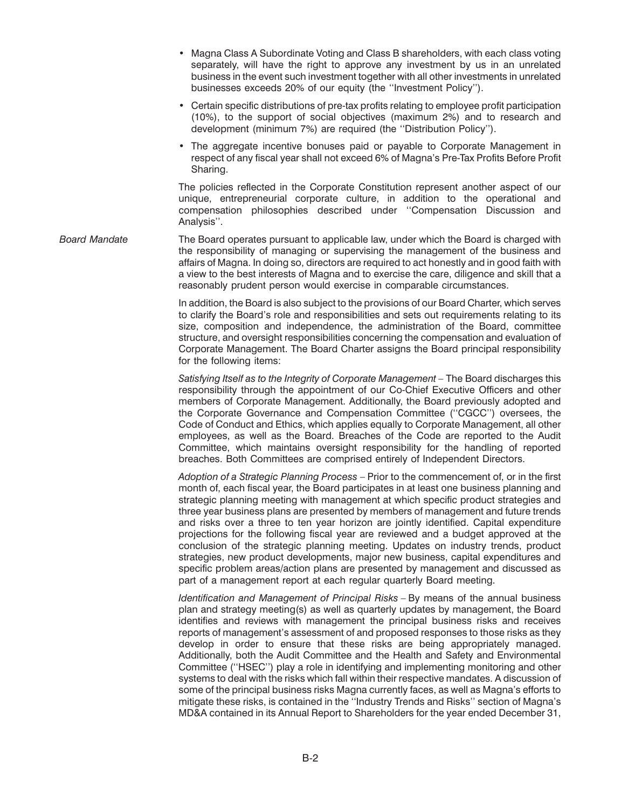- Magna Class A Subordinate Voting and Class B shareholders, with each class voting separately, will have the right to approve any investment by us in an unrelated business in the event such investment together with all other investments in unrelated businesses exceeds 20% of our equity (the ''Investment Policy'').
- Certain specific distributions of pre-tax profits relating to employee profit participation (10%), to the support of social objectives (maximum 2%) and to research and development (minimum 7%) are required (the ''Distribution Policy'').
- The aggregate incentive bonuses paid or payable to Corporate Management in respect of any fiscal year shall not exceed 6% of Magna's Pre-Tax Profits Before Profit Sharing.

The policies reflected in the Corporate Constitution represent another aspect of our unique, entrepreneurial corporate culture, in addition to the operational and compensation philosophies described under ''Compensation Discussion and Analysis''.

*Board Mandate* The Board operates pursuant to applicable law, under which the Board is charged with the responsibility of managing or supervising the management of the business and affairs of Magna. In doing so, directors are required to act honestly and in good faith with a view to the best interests of Magna and to exercise the care, diligence and skill that a reasonably prudent person would exercise in comparable circumstances.

> In addition, the Board is also subject to the provisions of our Board Charter, which serves to clarify the Board's role and responsibilities and sets out requirements relating to its size, composition and independence, the administration of the Board, committee structure, and oversight responsibilities concerning the compensation and evaluation of Corporate Management. The Board Charter assigns the Board principal responsibility for the following items:

> *Satisfying Itself as to the Integrity of Corporate Management –* The Board discharges this responsibility through the appointment of our Co-Chief Executive Officers and other members of Corporate Management. Additionally, the Board previously adopted and the Corporate Governance and Compensation Committee (''CGCC'') oversees, the Code of Conduct and Ethics, which applies equally to Corporate Management, all other employees, as well as the Board. Breaches of the Code are reported to the Audit Committee, which maintains oversight responsibility for the handling of reported breaches. Both Committees are comprised entirely of Independent Directors.

> *Adoption of a Strategic Planning Process* – Prior to the commencement of, or in the first month of, each fiscal year, the Board participates in at least one business planning and strategic planning meeting with management at which specific product strategies and three year business plans are presented by members of management and future trends and risks over a three to ten year horizon are jointly identified. Capital expenditure projections for the following fiscal year are reviewed and a budget approved at the conclusion of the strategic planning meeting. Updates on industry trends, product strategies, new product developments, major new business, capital expenditures and specific problem areas/action plans are presented by management and discussed as part of a management report at each regular quarterly Board meeting.

> *Identification and Management of Principal Risks* – By means of the annual business plan and strategy meeting(s) as well as quarterly updates by management, the Board identifies and reviews with management the principal business risks and receives reports of management's assessment of and proposed responses to those risks as they develop in order to ensure that these risks are being appropriately managed. Additionally, both the Audit Committee and the Health and Safety and Environmental Committee (''HSEC'') play a role in identifying and implementing monitoring and other systems to deal with the risks which fall within their respective mandates. A discussion of some of the principal business risks Magna currently faces, as well as Magna's efforts to mitigate these risks, is contained in the ''Industry Trends and Risks'' section of Magna's MD&A contained in its Annual Report to Shareholders for the year ended December 31,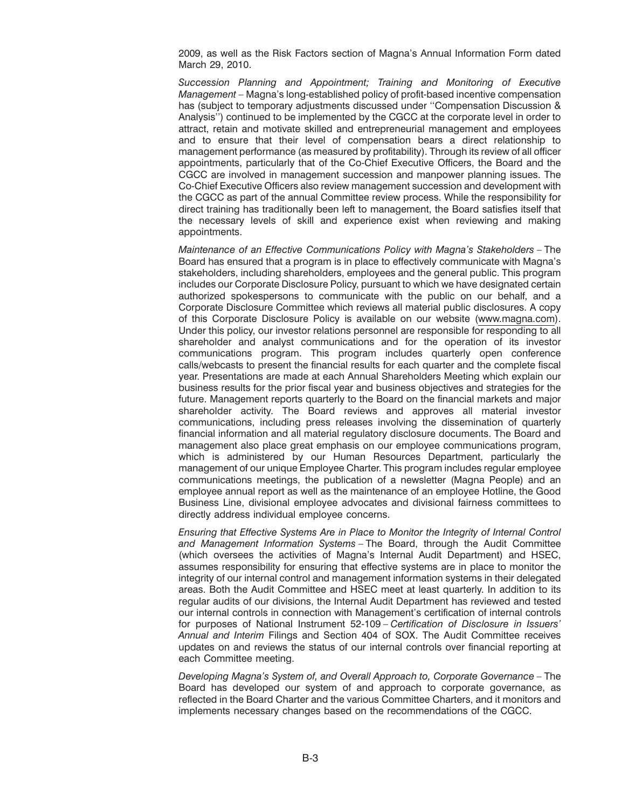2009, as well as the Risk Factors section of Magna's Annual Information Form dated March 29, 2010.

*Succession Planning and Appointment; Training and Monitoring of Executive Management* – Magna's long-established policy of profit-based incentive compensation has (subject to temporary adjustments discussed under ''Compensation Discussion & Analysis'') continued to be implemented by the CGCC at the corporate level in order to attract, retain and motivate skilled and entrepreneurial management and employees and to ensure that their level of compensation bears a direct relationship to management performance (as measured by profitability). Through its review of all officer appointments, particularly that of the Co-Chief Executive Officers, the Board and the CGCC are involved in management succession and manpower planning issues. The Co-Chief Executive Officers also review management succession and development with the CGCC as part of the annual Committee review process. While the responsibility for direct training has traditionally been left to management, the Board satisfies itself that the necessary levels of skill and experience exist when reviewing and making appointments.

*Maintenance of an Effective Communications Policy with Magna's Stakeholders* – The Board has ensured that a program is in place to effectively communicate with Magna's stakeholders, including shareholders, employees and the general public. This program includes our Corporate Disclosure Policy, pursuant to which we have designated certain authorized spokespersons to communicate with the public on our behalf, and a Corporate Disclosure Committee which reviews all material public disclosures. A copy of this Corporate Disclosure Policy is available on our website (www.magna.com). Under this policy, our investor relations personnel are responsible for responding to all shareholder and analyst communications and for the operation of its investor communications program. This program includes quarterly open conference calls/webcasts to present the financial results for each quarter and the complete fiscal year. Presentations are made at each Annual Shareholders Meeting which explain our business results for the prior fiscal year and business objectives and strategies for the future. Management reports quarterly to the Board on the financial markets and major shareholder activity. The Board reviews and approves all material investor communications, including press releases involving the dissemination of quarterly financial information and all material regulatory disclosure documents. The Board and management also place great emphasis on our employee communications program, which is administered by our Human Resources Department, particularly the management of our unique Employee Charter. This program includes regular employee communications meetings, the publication of a newsletter (Magna People) and an employee annual report as well as the maintenance of an employee Hotline, the Good Business Line, divisional employee advocates and divisional fairness committees to directly address individual employee concerns.

*Ensuring that Effective Systems Are in Place to Monitor the Integrity of Internal Control and Management Information Systems* – The Board, through the Audit Committee (which oversees the activities of Magna's Internal Audit Department) and HSEC, assumes responsibility for ensuring that effective systems are in place to monitor the integrity of our internal control and management information systems in their delegated areas. Both the Audit Committee and HSEC meet at least quarterly. In addition to its regular audits of our divisions, the Internal Audit Department has reviewed and tested our internal controls in connection with Management's certification of internal controls for purposes of National Instrument 52-109 – *Certification of Disclosure in Issuers' Annual and Interim* Filings and Section 404 of SOX. The Audit Committee receives updates on and reviews the status of our internal controls over financial reporting at each Committee meeting.

*Developing Magna's System of, and Overall Approach to, Corporate Governance –* The Board has developed our system of and approach to corporate governance, as reflected in the Board Charter and the various Committee Charters, and it monitors and implements necessary changes based on the recommendations of the CGCC.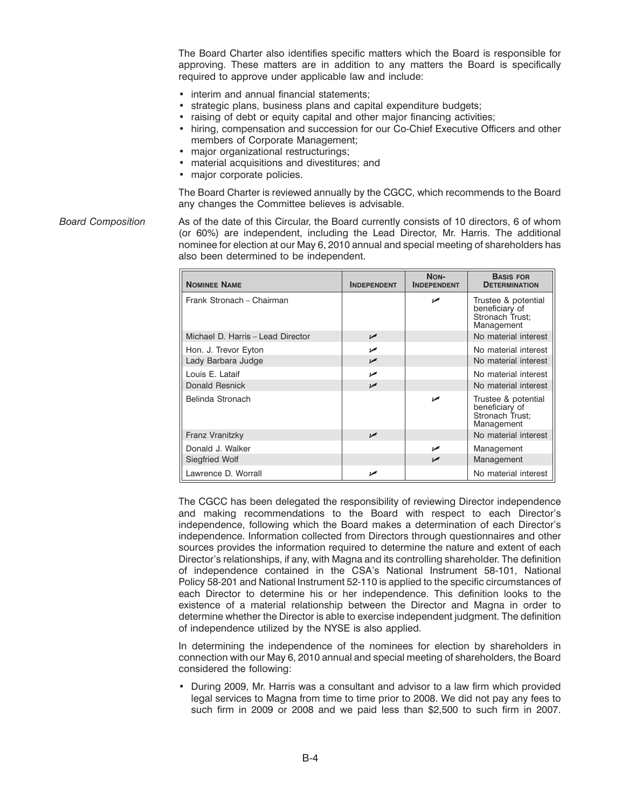The Board Charter also identifies specific matters which the Board is responsible for approving. These matters are in addition to any matters the Board is specifically required to approve under applicable law and include:

- interim and annual financial statements;
- strategic plans, business plans and capital expenditure budgets;
- raising of debt or equity capital and other major financing activities;
- hiring, compensation and succession for our Co-Chief Executive Officers and other members of Corporate Management;
- major organizational restructurings;
- material acquisitions and divestitures; and
- major corporate policies.

The Board Charter is reviewed annually by the CGCC, which recommends to the Board any changes the Committee believes is advisable.

*Board Composition* As of the date of this Circular, the Board currently consists of 10 directors, 6 of whom (or 60%) are independent, including the Lead Director, Mr. Harris. The additional nominee for election at our May 6, 2010 annual and special meeting of shareholders has also been determined to be independent.

| <b>NOMINEE NAME</b>               | <b>INDEPENDENT</b> | NON-<br><b>INDEPENDENT</b> | <b>BASIS FOR</b><br><b>DETERMINATION</b>                               |
|-----------------------------------|--------------------|----------------------------|------------------------------------------------------------------------|
| Frank Stronach - Chairman         |                    | مما                        | Trustee & potential<br>beneficiary of<br>Stronach Trust;<br>Management |
| Michael D. Harris - Lead Director | $\sqrt{2}$         |                            | No material interest                                                   |
| Hon. J. Trevor Eyton              | مما                |                            | No material interest                                                   |
| Lady Barbara Judge                | $\sqrt{2}$         |                            | No material interest                                                   |
| Louis E. Lataif                   | مما                |                            | No material interest                                                   |
| <b>Donald Resnick</b>             | مما                |                            | No material interest                                                   |
| Belinda Stronach                  |                    | مما                        | Trustee & potential<br>beneficiary of<br>Stronach Trust;<br>Management |
| Franz Vranitzky                   | مما                |                            | No material interest                                                   |
| Donald J. Walker                  |                    | ممدا                       | Management                                                             |
| Siegfried Wolf                    |                    | مما                        | Management                                                             |
| Lawrence D. Worrall               | حما                |                            | No material interest                                                   |

The CGCC has been delegated the responsibility of reviewing Director independence and making recommendations to the Board with respect to each Director's independence, following which the Board makes a determination of each Director's independence. Information collected from Directors through questionnaires and other sources provides the information required to determine the nature and extent of each Director's relationships, if any, with Magna and its controlling shareholder. The definition of independence contained in the CSA's National Instrument 58-101, National Policy 58-201 and National Instrument 52-110 is applied to the specific circumstances of each Director to determine his or her independence. This definition looks to the existence of a material relationship between the Director and Magna in order to determine whether the Director is able to exercise independent judgment. The definition of independence utilized by the NYSE is also applied.

In determining the independence of the nominees for election by shareholders in connection with our May 6, 2010 annual and special meeting of shareholders, the Board considered the following:

• During 2009, Mr. Harris was a consultant and advisor to a law firm which provided legal services to Magna from time to time prior to 2008. We did not pay any fees to such firm in 2009 or 2008 and we paid less than \$2,500 to such firm in 2007.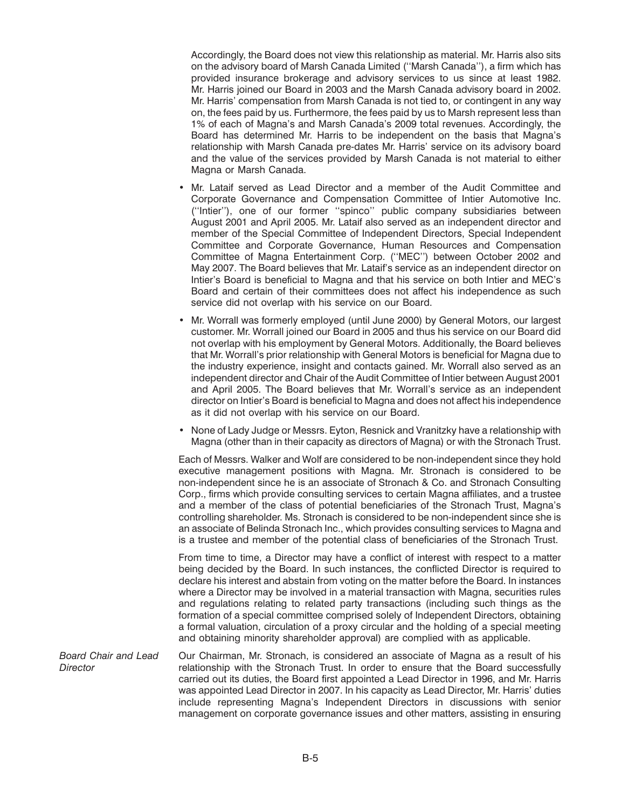Accordingly, the Board does not view this relationship as material. Mr. Harris also sits on the advisory board of Marsh Canada Limited (''Marsh Canada''), a firm which has provided insurance brokerage and advisory services to us since at least 1982. Mr. Harris joined our Board in 2003 and the Marsh Canada advisory board in 2002. Mr. Harris' compensation from Marsh Canada is not tied to, or contingent in any way on, the fees paid by us. Furthermore, the fees paid by us to Marsh represent less than 1% of each of Magna's and Marsh Canada's 2009 total revenues. Accordingly, the Board has determined Mr. Harris to be independent on the basis that Magna's relationship with Marsh Canada pre-dates Mr. Harris' service on its advisory board and the value of the services provided by Marsh Canada is not material to either Magna or Marsh Canada.

- Mr. Lataif served as Lead Director and a member of the Audit Committee and Corporate Governance and Compensation Committee of Intier Automotive Inc. (''Intier''), one of our former ''spinco'' public company subsidiaries between August 2001 and April 2005. Mr. Lataif also served as an independent director and member of the Special Committee of Independent Directors, Special Independent Committee and Corporate Governance, Human Resources and Compensation Committee of Magna Entertainment Corp. (''MEC'') between October 2002 and May 2007. The Board believes that Mr. Lataif's service as an independent director on Intier's Board is beneficial to Magna and that his service on both Intier and MEC's Board and certain of their committees does not affect his independence as such service did not overlap with his service on our Board.
- Mr. Worrall was formerly employed (until June 2000) by General Motors, our largest customer. Mr. Worrall joined our Board in 2005 and thus his service on our Board did not overlap with his employment by General Motors. Additionally, the Board believes that Mr. Worrall's prior relationship with General Motors is beneficial for Magna due to the industry experience, insight and contacts gained. Mr. Worrall also served as an independent director and Chair of the Audit Committee of Intier between August 2001 and April 2005. The Board believes that Mr. Worrall's service as an independent director on Intier's Board is beneficial to Magna and does not affect his independence as it did not overlap with his service on our Board.
- None of Lady Judge or Messrs. Eyton, Resnick and Vranitzky have a relationship with Magna (other than in their capacity as directors of Magna) or with the Stronach Trust.

Each of Messrs. Walker and Wolf are considered to be non-independent since they hold executive management positions with Magna. Mr. Stronach is considered to be non-independent since he is an associate of Stronach & Co. and Stronach Consulting Corp., firms which provide consulting services to certain Magna affiliates, and a trustee and a member of the class of potential beneficiaries of the Stronach Trust, Magna's controlling shareholder. Ms. Stronach is considered to be non-independent since she is an associate of Belinda Stronach Inc., which provides consulting services to Magna and is a trustee and member of the potential class of beneficiaries of the Stronach Trust.

From time to time, a Director may have a conflict of interest with respect to a matter being decided by the Board. In such instances, the conflicted Director is required to declare his interest and abstain from voting on the matter before the Board. In instances where a Director may be involved in a material transaction with Magna, securities rules and regulations relating to related party transactions (including such things as the formation of a special committee comprised solely of Independent Directors, obtaining a formal valuation, circulation of a proxy circular and the holding of a special meeting and obtaining minority shareholder approval) are complied with as applicable.

*Board Chair and Lead* Our Chairman, Mr. Stronach, is considered an associate of Magna as a result of his *Director* relationship with the Stronach Trust. In order to ensure that the Board successfully carried out its duties, the Board first appointed a Lead Director in 1996, and Mr. Harris was appointed Lead Director in 2007. In his capacity as Lead Director, Mr. Harris' duties include representing Magna's Independent Directors in discussions with senior management on corporate governance issues and other matters, assisting in ensuring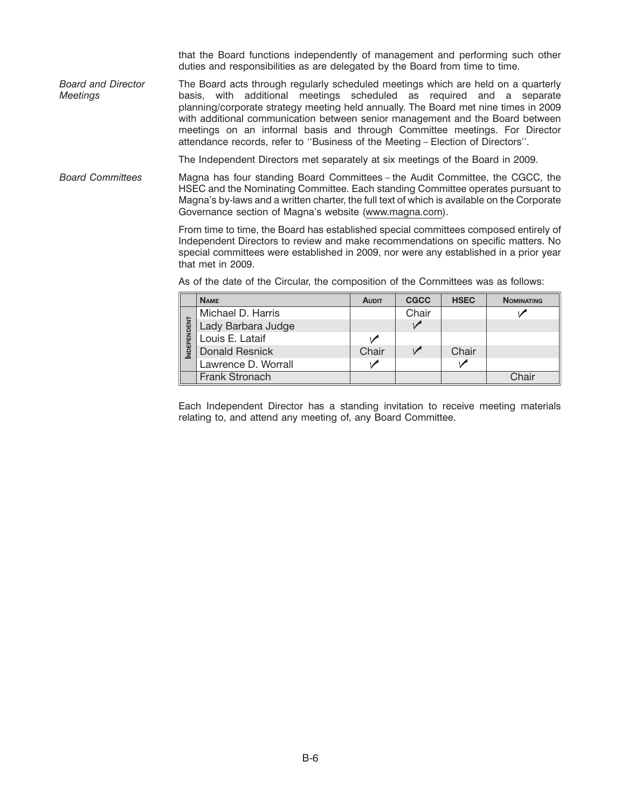that the Board functions independently of management and performing such other duties and responsibilities as are delegated by the Board from time to time.

*Board and Director* The Board acts through regularly scheduled meetings which are held on a quarterly *Meetings* basis, with additional meetings scheduled as required and a separate planning/corporate strategy meeting held annually. The Board met nine times in 2009 with additional communication between senior management and the Board between meetings on an informal basis and through Committee meetings. For Director attendance records, refer to ''Business of the Meeting – Election of Directors''.

The Independent Directors met separately at six meetings of the Board in 2009.

*Board Committees* Magna has four standing Board Committees – the Audit Committee, the CGCC, the HSEC and the Nominating Committee. Each standing Committee operates pursuant to Magna's by-laws and a written charter, the full text of which is available on the Corporate Governance section of Magna's website (www.magna.com).

> From time to time, the Board has established special committees composed entirely of Independent Directors to review and make recommendations on specific matters. No special committees were established in 2009, nor were any established in a prior year that met in 2009.

|            | <b>NAME</b>           | <b>AUDIT</b> | <b>CGCC</b> | <b>HSEC</b> | <b>NOMINATING</b> |
|------------|-----------------------|--------------|-------------|-------------|-------------------|
|            | Michael D. Harris     |              | Chair       |             |                   |
|            | Lady Barbara Judge    |              |             |             |                   |
| NDEPENDENT | Louis E. Lataif       |              |             |             |                   |
|            | Donald Resnick        | Chair        |             | Chair       |                   |
|            | Lawrence D. Worrall   |              |             |             |                   |
|            | <b>Frank Stronach</b> |              |             |             | Chair             |

As of the date of the Circular, the composition of the Committees was as follows:

Each Independent Director has a standing invitation to receive meeting materials relating to, and attend any meeting of, any Board Committee.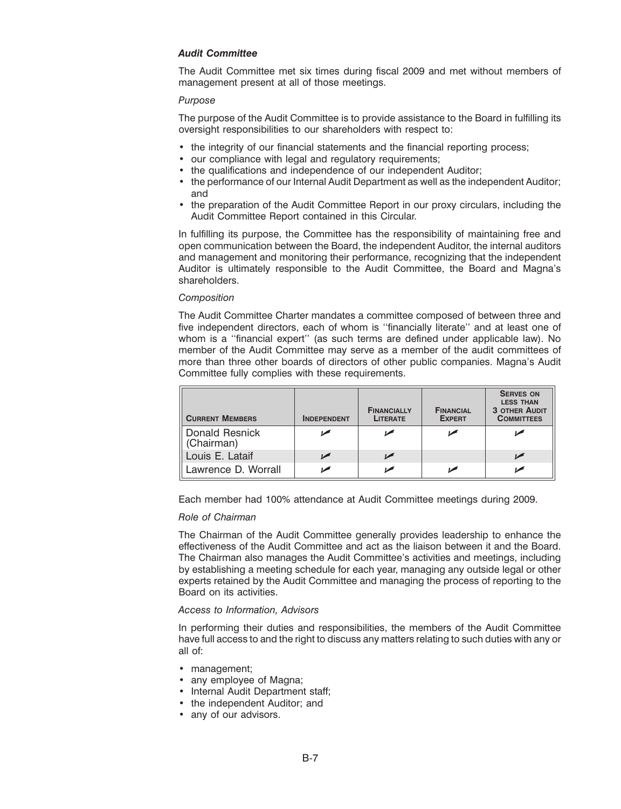### *Audit Committee*

The Audit Committee met six times during fiscal 2009 and met without members of management present at all of those meetings.

### *Purpose*

The purpose of the Audit Committee is to provide assistance to the Board in fulfilling its oversight responsibilities to our shareholders with respect to:

- the integrity of our financial statements and the financial reporting process;
- our compliance with legal and regulatory requirements;
- the qualifications and independence of our independent Auditor;
- the performance of our Internal Audit Department as well as the independent Auditor; and
- the preparation of the Audit Committee Report in our proxy circulars, including the Audit Committee Report contained in this Circular.

In fulfilling its purpose, the Committee has the responsibility of maintaining free and open communication between the Board, the independent Auditor, the internal auditors and management and monitoring their performance, recognizing that the independent Auditor is ultimately responsible to the Audit Committee, the Board and Magna's shareholders.

### *Composition*

The Audit Committee Charter mandates a committee composed of between three and five independent directors, each of whom is ''financially literate'' and at least one of whom is a ''financial expert'' (as such terms are defined under applicable law). No member of the Audit Committee may serve as a member of the audit committees of more than three other boards of directors of other public companies. Magna's Audit Committee fully complies with these requirements.

| <b>CURRENT MEMBERS</b>       | <b>INDEPENDENT</b> | <b>FINANCIALLY</b><br><b>LITERATE</b> | <b>FINANCIAL</b><br><b>EXPERT</b> | <b>SERVES ON</b><br><b>LESS THAN</b><br><b>3 OTHER AUDIT</b><br><b>COMMITTEES</b> |
|------------------------------|--------------------|---------------------------------------|-----------------------------------|-----------------------------------------------------------------------------------|
| Donald Resnick<br>(Chairman) |                    |                                       |                                   |                                                                                   |
| Louis E. Lataif              |                    |                                       |                                   |                                                                                   |
| Lawrence D. Worrall          |                    |                                       |                                   |                                                                                   |

Each member had 100% attendance at Audit Committee meetings during 2009.

### *Role of Chairman*

The Chairman of the Audit Committee generally provides leadership to enhance the effectiveness of the Audit Committee and act as the liaison between it and the Board. The Chairman also manages the Audit Committee's activities and meetings, including by establishing a meeting schedule for each year, managing any outside legal or other experts retained by the Audit Committee and managing the process of reporting to the Board on its activities.

### *Access to Information, Advisors*

In performing their duties and responsibilities, the members of the Audit Committee have full access to and the right to discuss any matters relating to such duties with any or all of:

- management;
- any employee of Magna;
- Internal Audit Department staff;
- the independent Auditor; and
- any of our advisors.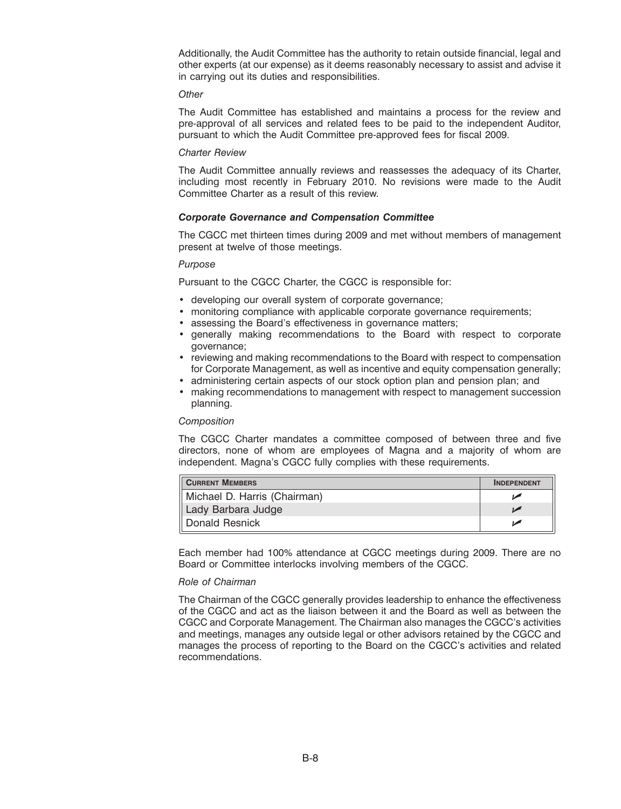Additionally, the Audit Committee has the authority to retain outside financial, legal and other experts (at our expense) as it deems reasonably necessary to assist and advise it in carrying out its duties and responsibilities.

#### *Other*

The Audit Committee has established and maintains a process for the review and pre-approval of all services and related fees to be paid to the independent Auditor, pursuant to which the Audit Committee pre-approved fees for fiscal 2009.

#### *Charter Review*

The Audit Committee annually reviews and reassesses the adequacy of its Charter, including most recently in February 2010. No revisions were made to the Audit Committee Charter as a result of this review.

### *Corporate Governance and Compensation Committee*

The CGCC met thirteen times during 2009 and met without members of management present at twelve of those meetings.

### *Purpose*

Pursuant to the CGCC Charter, the CGCC is responsible for:

- developing our overall system of corporate governance;
- monitoring compliance with applicable corporate governance requirements;
- assessing the Board's effectiveness in governance matters;
- generally making recommendations to the Board with respect to corporate governance;
- reviewing and making recommendations to the Board with respect to compensation for Corporate Management, as well as incentive and equity compensation generally;
- administering certain aspects of our stock option plan and pension plan; and
- making recommendations to management with respect to management succession planning.

#### *Composition*

The CGCC Charter mandates a committee composed of between three and five directors, none of whom are employees of Magna and a majority of whom are independent. Magna's CGCC fully complies with these requirements.

| <b>CURRENT MEMBERS</b>       | <b>INDEPENDENT</b> |
|------------------------------|--------------------|
| Michael D. Harris (Chairman) |                    |
| Lady Barbara Judge           |                    |
| Donald Resnick               |                    |

Each member had 100% attendance at CGCC meetings during 2009. There are no Board or Committee interlocks involving members of the CGCC.

### *Role of Chairman*

The Chairman of the CGCC generally provides leadership to enhance the effectiveness of the CGCC and act as the liaison between it and the Board as well as between the CGCC and Corporate Management. The Chairman also manages the CGCC's activities and meetings, manages any outside legal or other advisors retained by the CGCC and manages the process of reporting to the Board on the CGCC's activities and related recommendations.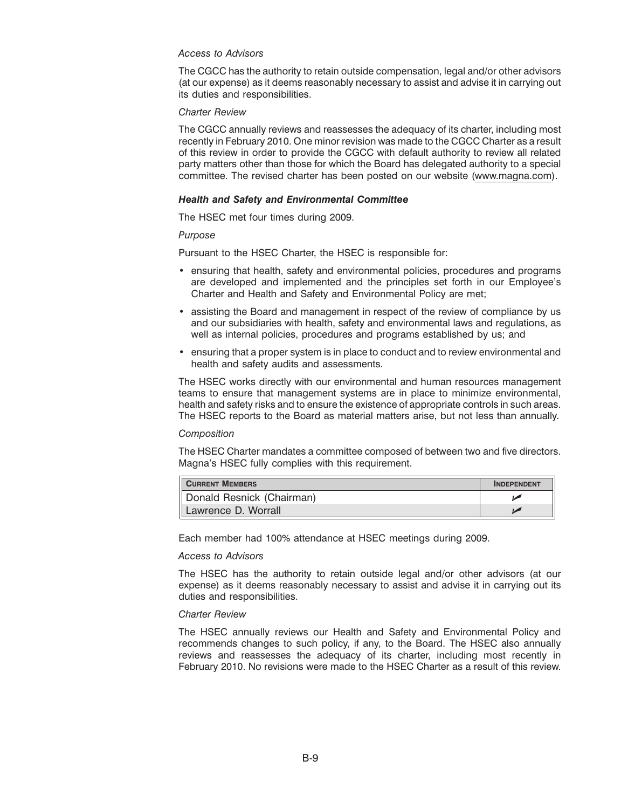### *Access to Advisors*

The CGCC has the authority to retain outside compensation, legal and/or other advisors (at our expense) as it deems reasonably necessary to assist and advise it in carrying out its duties and responsibilities.

#### *Charter Review*

The CGCC annually reviews and reassesses the adequacy of its charter, including most recently in February 2010. One minor revision was made to the CGCC Charter as a result of this review in order to provide the CGCC with default authority to review all related party matters other than those for which the Board has delegated authority to a special committee. The revised charter has been posted on our website (www.magna.com).

#### *Health and Safety and Environmental Committee*

The HSEC met four times during 2009.

#### *Purpose*

Pursuant to the HSEC Charter, the HSEC is responsible for:

- ensuring that health, safety and environmental policies, procedures and programs are developed and implemented and the principles set forth in our Employee's Charter and Health and Safety and Environmental Policy are met;
- assisting the Board and management in respect of the review of compliance by us and our subsidiaries with health, safety and environmental laws and regulations, as well as internal policies, procedures and programs established by us; and
- ensuring that a proper system is in place to conduct and to review environmental and health and safety audits and assessments.

The HSEC works directly with our environmental and human resources management teams to ensure that management systems are in place to minimize environmental, health and safety risks and to ensure the existence of appropriate controls in such areas. The HSEC reports to the Board as material matters arise, but not less than annually.

#### *Composition*

The HSEC Charter mandates a committee composed of between two and five directors. Magna's HSEC fully complies with this requirement.

| <b>CURRENT MEMBERS</b>    | <b>INDEPENDENT</b> |
|---------------------------|--------------------|
| Donald Resnick (Chairman) |                    |
| Il Lawrence D. Worrall    |                    |

Each member had 100% attendance at HSEC meetings during 2009.

#### *Access to Advisors*

The HSEC has the authority to retain outside legal and/or other advisors (at our expense) as it deems reasonably necessary to assist and advise it in carrying out its duties and responsibilities.

### *Charter Review*

The HSEC annually reviews our Health and Safety and Environmental Policy and recommends changes to such policy, if any, to the Board. The HSEC also annually reviews and reassesses the adequacy of its charter, including most recently in February 2010. No revisions were made to the HSEC Charter as a result of this review.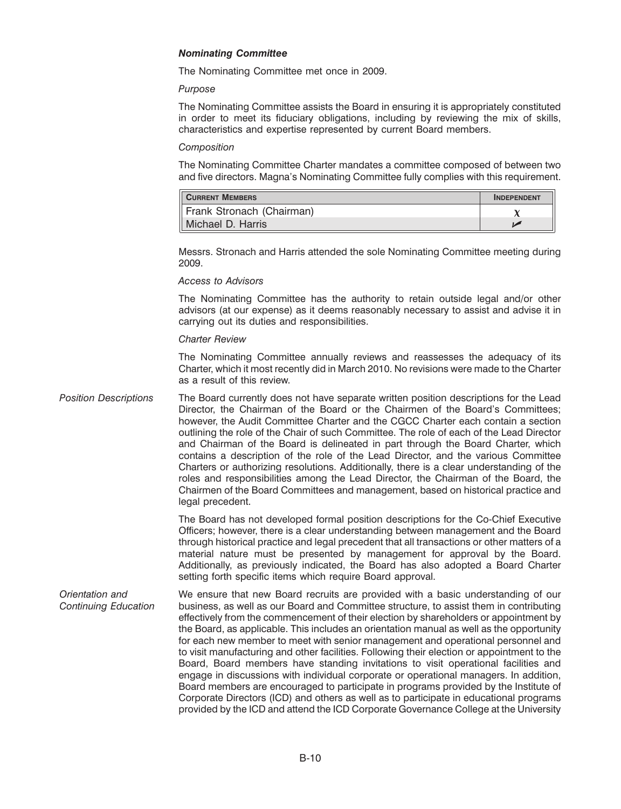### *Nominating Committee*

The Nominating Committee met once in 2009.

### *Purpose*

The Nominating Committee assists the Board in ensuring it is appropriately constituted in order to meet its fiduciary obligations, including by reviewing the mix of skills, characteristics and expertise represented by current Board members.

### *Composition*

The Nominating Committee Charter mandates a committee composed of between two and five directors. Magna's Nominating Committee fully complies with this requirement.

| <b>CURRENT MEMBERS</b>    | <b>INDEPENDENT</b> |
|---------------------------|--------------------|
| Frank Stronach (Chairman) |                    |
| Michael D. Harris         |                    |

Messrs. Stronach and Harris attended the sole Nominating Committee meeting during 2009.

### *Access to Advisors*

The Nominating Committee has the authority to retain outside legal and/or other advisors (at our expense) as it deems reasonably necessary to assist and advise it in carrying out its duties and responsibilities.

### *Charter Review*

The Nominating Committee annually reviews and reassesses the adequacy of its Charter, which it most recently did in March 2010. No revisions were made to the Charter as a result of this review.

*Position Descriptions* The Board currently does not have separate written position descriptions for the Lead Director, the Chairman of the Board or the Chairmen of the Board's Committees; however, the Audit Committee Charter and the CGCC Charter each contain a section outlining the role of the Chair of such Committee. The role of each of the Lead Director and Chairman of the Board is delineated in part through the Board Charter, which contains a description of the role of the Lead Director, and the various Committee Charters or authorizing resolutions. Additionally, there is a clear understanding of the roles and responsibilities among the Lead Director, the Chairman of the Board, the Chairmen of the Board Committees and management, based on historical practice and legal precedent.

> The Board has not developed formal position descriptions for the Co-Chief Executive Officers; however, there is a clear understanding between management and the Board through historical practice and legal precedent that all transactions or other matters of a material nature must be presented by management for approval by the Board. Additionally, as previously indicated, the Board has also adopted a Board Charter setting forth specific items which require Board approval.

*Orientation and* We ensure that new Board recruits are provided with a basic understanding of our *Continuing Education* business, as well as our Board and Committee structure, to assist them in contributing effectively from the commencement of their election by shareholders or appointment by the Board, as applicable. This includes an orientation manual as well as the opportunity for each new member to meet with senior management and operational personnel and to visit manufacturing and other facilities. Following their election or appointment to the Board, Board members have standing invitations to visit operational facilities and engage in discussions with individual corporate or operational managers. In addition, Board members are encouraged to participate in programs provided by the Institute of Corporate Directors (ICD) and others as well as to participate in educational programs provided by the ICD and attend the ICD Corporate Governance College at the University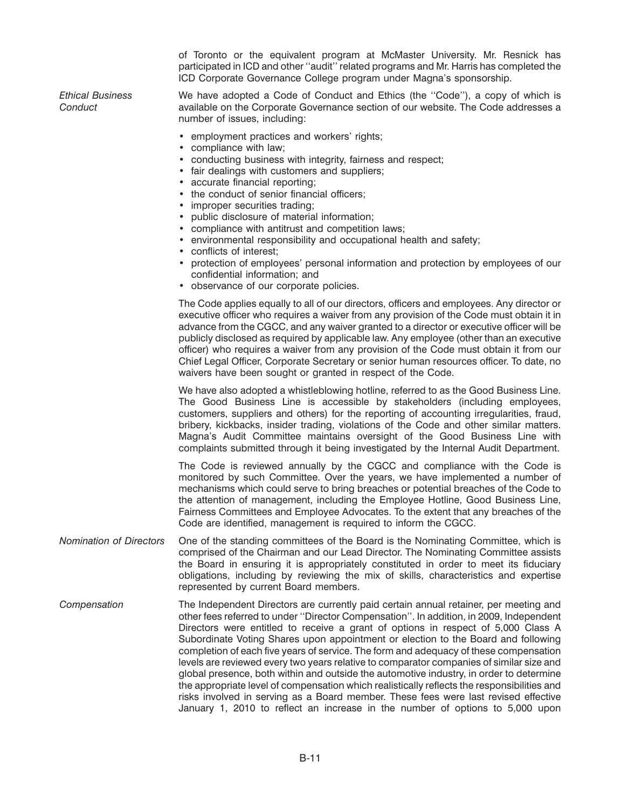of Toronto or the equivalent program at McMaster University. Mr. Resnick has participated in ICD and other ''audit'' related programs and Mr. Harris has completed the ICD Corporate Governance College program under Magna's sponsorship.

*Ethical Business* We have adopted a Code of Conduct and Ethics (the ''Code''), a copy of which is *Conduct* available on the Corporate Governance section of our website. The Code addresses a number of issues, including:

- employment practices and workers' rights;
- compliance with law;
- conducting business with integrity, fairness and respect;
- fair dealings with customers and suppliers;
- accurate financial reporting;
- the conduct of senior financial officers:
- improper securities trading;
- public disclosure of material information;
- compliance with antitrust and competition laws;
- environmental responsibility and occupational health and safety;
- conflicts of interest;
- protection of employees' personal information and protection by employees of our confidential information; and
- observance of our corporate policies.

The Code applies equally to all of our directors, officers and employees. Any director or executive officer who requires a waiver from any provision of the Code must obtain it in advance from the CGCC, and any waiver granted to a director or executive officer will be publicly disclosed as required by applicable law. Any employee (other than an executive officer) who requires a waiver from any provision of the Code must obtain it from our Chief Legal Officer, Corporate Secretary or senior human resources officer. To date, no waivers have been sought or granted in respect of the Code.

We have also adopted a whistleblowing hotline, referred to as the Good Business Line. The Good Business Line is accessible by stakeholders (including employees, customers, suppliers and others) for the reporting of accounting irregularities, fraud, bribery, kickbacks, insider trading, violations of the Code and other similar matters. Magna's Audit Committee maintains oversight of the Good Business Line with complaints submitted through it being investigated by the Internal Audit Department.

The Code is reviewed annually by the CGCC and compliance with the Code is monitored by such Committee. Over the years, we have implemented a number of mechanisms which could serve to bring breaches or potential breaches of the Code to the attention of management, including the Employee Hotline, Good Business Line, Fairness Committees and Employee Advocates. To the extent that any breaches of the Code are identified, management is required to inform the CGCC.

- *Nomination of Directors* One of the standing committees of the Board is the Nominating Committee, which is comprised of the Chairman and our Lead Director. The Nominating Committee assists the Board in ensuring it is appropriately constituted in order to meet its fiduciary obligations, including by reviewing the mix of skills, characteristics and expertise represented by current Board members.
- *Compensation* The Independent Directors are currently paid certain annual retainer, per meeting and other fees referred to under ''Director Compensation''. In addition, in 2009, Independent Directors were entitled to receive a grant of options in respect of 5,000 Class A Subordinate Voting Shares upon appointment or election to the Board and following completion of each five years of service. The form and adequacy of these compensation levels are reviewed every two years relative to comparator companies of similar size and global presence, both within and outside the automotive industry, in order to determine the appropriate level of compensation which realistically reflects the responsibilities and risks involved in serving as a Board member. These fees were last revised effective January 1, 2010 to reflect an increase in the number of options to 5,000 upon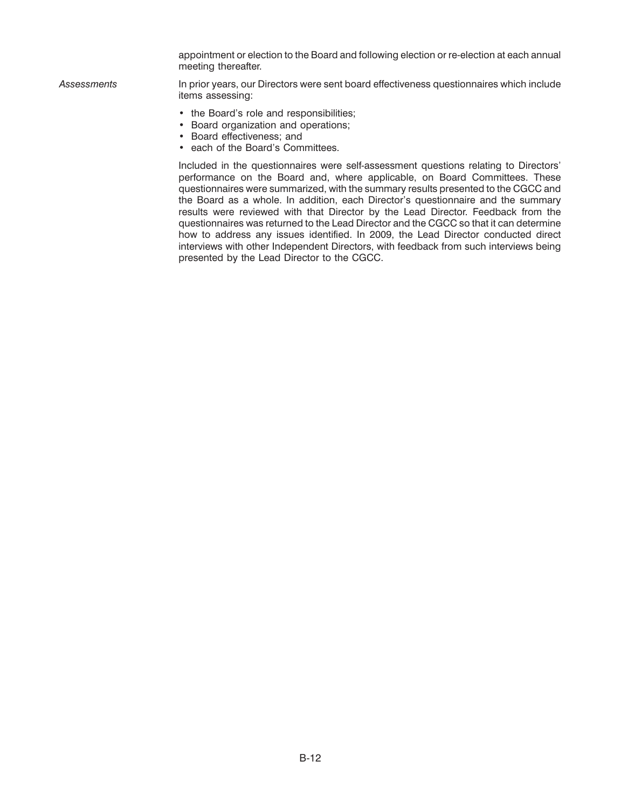appointment or election to the Board and following election or re-election at each annual meeting thereafter.

*Assessments* In prior years, our Directors were sent board effectiveness questionnaires which include items assessing:

- the Board's role and responsibilities;
- Board organization and operations;
- Board effectiveness; and
- each of the Board's Committees.

Included in the questionnaires were self-assessment questions relating to Directors' performance on the Board and, where applicable, on Board Committees. These questionnaires were summarized, with the summary results presented to the CGCC and the Board as a whole. In addition, each Director's questionnaire and the summary results were reviewed with that Director by the Lead Director. Feedback from the questionnaires was returned to the Lead Director and the CGCC so that it can determine how to address any issues identified. In 2009, the Lead Director conducted direct interviews with other Independent Directors, with feedback from such interviews being presented by the Lead Director to the CGCC.